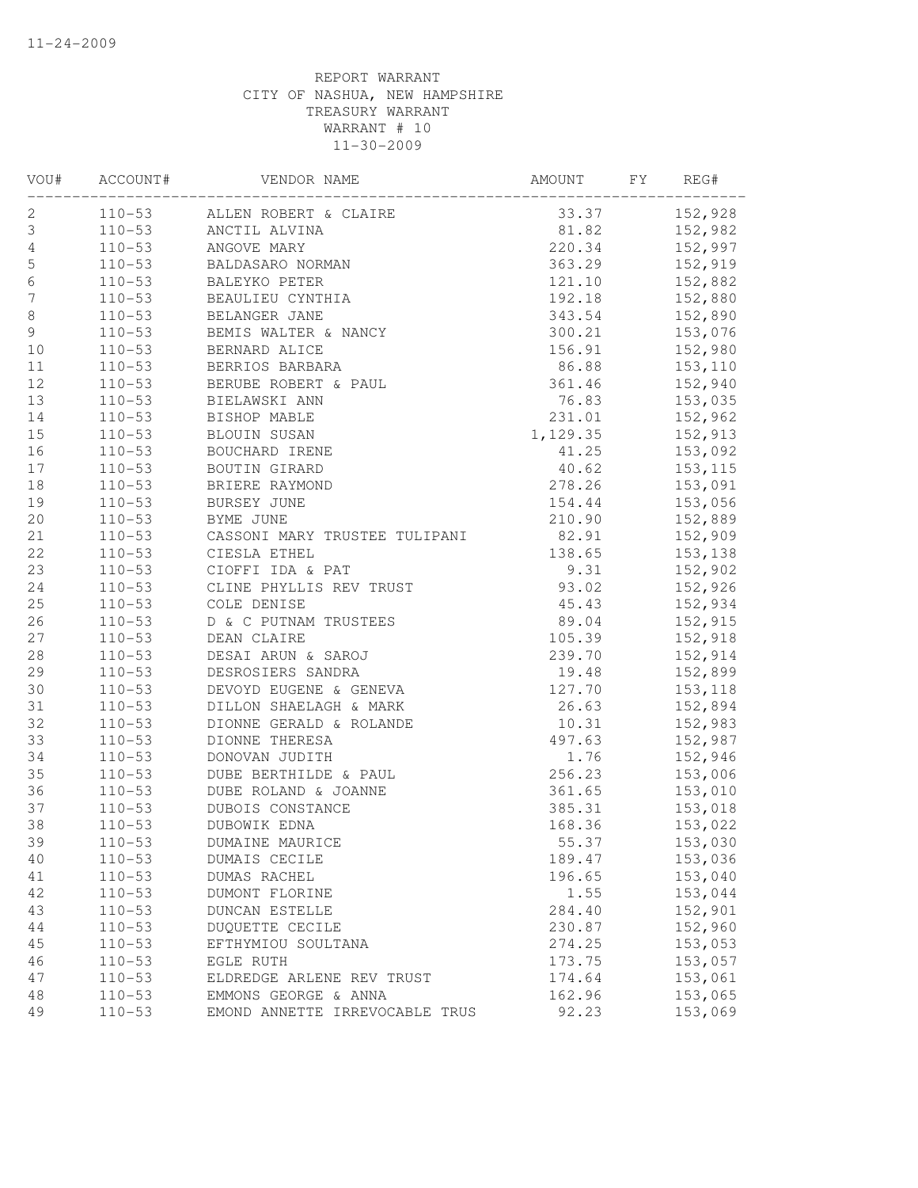| VOU#             | ACCOUNT#   | VENDOR NAME                         | AMOUNT   | FY | REG#     |
|------------------|------------|-------------------------------------|----------|----|----------|
| 2                | $110 - 53$ | ALLEN ROBERT & CLAIRE               | 33.37    |    | 152,928  |
| 3                | $110 - 53$ | ANCTIL ALVINA                       | 81.82    |    | 152,982  |
| $\overline{4}$   | $110 - 53$ | ANGOVE MARY                         | 220.34   |    | 152,997  |
| $\mathsf S$      | $110 - 53$ | BALDASARO NORMAN                    | 363.29   |    | 152,919  |
| $\sqrt{6}$       | $110 - 53$ | BALEYKO PETER                       | 121.10   |    | 152,882  |
| $\boldsymbol{7}$ | $110 - 53$ | BEAULIEU CYNTHIA                    | 192.18   |    | 152,880  |
| 8                | $110 - 53$ | BELANGER JANE                       | 343.54   |    | 152,890  |
| 9                | $110 - 53$ | BEMIS WALTER & NANCY                | 300.21   |    | 153,076  |
| 10               | $110 - 53$ | BERNARD ALICE                       | 156.91   |    | 152,980  |
| $11$             | $110 - 53$ | BERRIOS BARBARA                     | 86.88    |    | 153,110  |
| 12               | $110 - 53$ | BERUBE ROBERT & PAUL                | 361.46   |    | 152,940  |
| 13               | $110 - 53$ | BIELAWSKI ANN                       | 76.83    |    | 153,035  |
| 14               | $110 - 53$ | BISHOP MABLE                        | 231.01   |    | 152,962  |
| 15               | $110 - 53$ | BLOUIN SUSAN                        | 1,129.35 |    | 152,913  |
| 16               | $110 - 53$ | BOUCHARD IRENE                      | 41.25    |    | 153,092  |
| 17               | $110 - 53$ | BOUTIN GIRARD                       | 40.62    |    | 153, 115 |
| 18               | $110 - 53$ | BRIERE RAYMOND                      | 278.26   |    | 153,091  |
| 19               | $110 - 53$ | BURSEY JUNE                         | 154.44   |    | 153,056  |
| 20               | $110 - 53$ | BYME JUNE                           | 210.90   |    | 152,889  |
| 21               | $110 - 53$ | CASSONI MARY TRUSTEE TULIPANI 82.91 |          |    | 152,909  |
| 22               | $110 - 53$ | CIESLA ETHEL                        | 138.65   |    | 153,138  |
| 23               | $110 - 53$ | CIOFFI IDA & PAT                    | 9.31     |    | 152,902  |
| 24               | $110 - 53$ | CLINE PHYLLIS REV TRUST             | 93.02    |    | 152,926  |
| 25               | $110 - 53$ | COLE DENISE                         | 45.43    |    | 152,934  |
| 26               | $110 - 53$ | D & C PUTNAM TRUSTEES               | 89.04    |    | 152,915  |
| 27               | $110 - 53$ | DEAN CLAIRE                         | 105.39   |    | 152,918  |
| 28               | $110 - 53$ | DESAI ARUN & SAROJ                  | 239.70   |    | 152,914  |
| 29               | $110 - 53$ | DESROSIERS SANDRA                   | 19.48    |    | 152,899  |
| 30               | $110 - 53$ | DEVOYD EUGENE & GENEVA              | 127.70   |    | 153,118  |
| 31               | $110 - 53$ | DILLON SHAELAGH & MARK              | 26.63    |    | 152,894  |
| 32               | $110 - 53$ | DIONNE GERALD & ROLANDE             | 10.31    |    | 152,983  |
| 33               | $110 - 53$ | DIONNE THERESA                      | 497.63   |    | 152,987  |
| 34               | $110 - 53$ | DONOVAN JUDITH                      | 1.76     |    | 152,946  |
| 35               | $110 - 53$ | DUBE BERTHILDE & PAUL               | 256.23   |    | 153,006  |
| 36               | $110 - 53$ | DUBE ROLAND & JOANNE                | 361.65   |    | 153,010  |
| 37               | $110 - 53$ | DUBOIS CONSTANCE                    | 385.31   |    | 153,018  |
| 38               | $110 - 53$ | DUBOWIK EDNA                        | 168.36   |    | 153,022  |
| 39               | $110 - 53$ | DUMAINE MAURICE                     | 55.37    |    | 153,030  |
| 40               | $110 - 53$ | DUMAIS CECILE                       | 189.47   |    | 153,036  |
| 41               | $110 - 53$ | DUMAS RACHEL                        | 196.65   |    | 153,040  |
| 42               | $110 - 53$ | DUMONT FLORINE                      | 1.55     |    | 153,044  |
| 43               | $110 - 53$ | <b>DUNCAN ESTELLE</b>               | 284.40   |    | 152,901  |
| 44               | $110 - 53$ | DUQUETTE CECILE                     | 230.87   |    | 152,960  |
| 45               | $110 - 53$ | EFTHYMIOU SOULTANA                  | 274.25   |    | 153,053  |
| 46               | $110 - 53$ | EGLE RUTH                           | 173.75   |    | 153,057  |
| 47               | $110 - 53$ | ELDREDGE ARLENE REV TRUST           | 174.64   |    | 153,061  |
| 48               | $110 - 53$ | EMMONS GEORGE & ANNA                | 162.96   |    | 153,065  |
| 49               | $110 - 53$ | EMOND ANNETTE IRREVOCABLE TRUS      | 92.23    |    | 153,069  |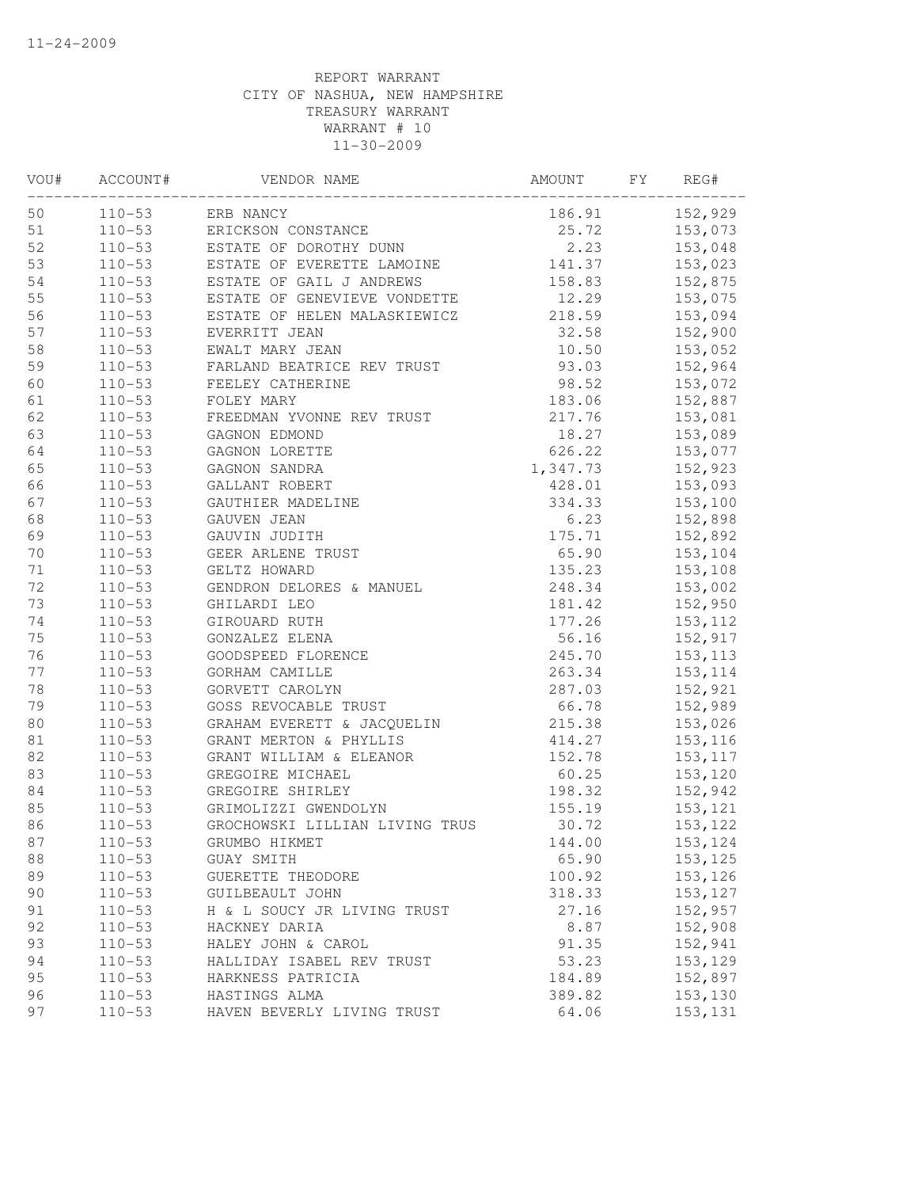| VOU# | ACCOUNT#   | VENDOR NAME                    | AMOUNT   | FY | REG#     |
|------|------------|--------------------------------|----------|----|----------|
| 50   | $110 - 53$ | ERB NANCY                      | 186.91   |    | 152,929  |
| 51   | $110 - 53$ | ERICKSON CONSTANCE             | 25.72    |    | 153,073  |
| 52   | $110 - 53$ | ESTATE OF DOROTHY DUNN         | 2.23     |    | 153,048  |
| 53   | $110 - 53$ | ESTATE OF EVERETTE LAMOINE     | 141.37   |    | 153,023  |
| 54   | $110 - 53$ | ESTATE OF GAIL J ANDREWS       | 158.83   |    | 152,875  |
| 55   | $110 - 53$ | ESTATE OF GENEVIEVE VONDETTE   | 12.29    |    | 153,075  |
| 56   | $110 - 53$ | ESTATE OF HELEN MALASKIEWICZ   | 218.59   |    | 153,094  |
| 57   | $110 - 53$ | EVERRITT JEAN                  | 32.58    |    | 152,900  |
| 58   | $110 - 53$ | EWALT MARY JEAN                | 10.50    |    | 153,052  |
| 59   | $110 - 53$ | FARLAND BEATRICE REV TRUST     | 93.03    |    | 152,964  |
| 60   | $110 - 53$ | FEELEY CATHERINE               | 98.52    |    | 153,072  |
| 61   | $110 - 53$ | FOLEY MARY                     | 183.06   |    | 152,887  |
| 62   | $110 - 53$ | FREEDMAN YVONNE REV TRUST      | 217.76   |    | 153,081  |
| 63   | $110 - 53$ | GAGNON EDMOND                  | 18.27    |    | 153,089  |
| 64   | $110 - 53$ | GAGNON LORETTE                 | 626.22   |    | 153,077  |
| 65   | $110 - 53$ | GAGNON SANDRA                  | 1,347.73 |    | 152,923  |
| 66   | $110 - 53$ | GALLANT ROBERT                 | 428.01   |    | 153,093  |
| 67   | $110 - 53$ | GAUTHIER MADELINE              | 334.33   |    | 153,100  |
| 68   | $110 - 53$ | GAUVEN JEAN                    | 6.23     |    | 152,898  |
| 69   | $110 - 53$ | GAUVIN JUDITH                  | 175.71   |    | 152,892  |
| $70$ | $110 - 53$ | GEER ARLENE TRUST              | 65.90    |    | 153,104  |
| 71   | $110 - 53$ | GELTZ HOWARD                   | 135.23   |    | 153,108  |
| 72   | $110 - 53$ | GENDRON DELORES & MANUEL       | 248.34   |    | 153,002  |
| 73   | $110 - 53$ | GHILARDI LEO                   | 181.42   |    | 152,950  |
| 74   | $110 - 53$ | GIROUARD RUTH                  | 177.26   |    | 153, 112 |
| 75   | $110 - 53$ | GONZALEZ ELENA                 | 56.16    |    | 152,917  |
| 76   | $110 - 53$ | GOODSPEED FLORENCE             | 245.70   |    | 153, 113 |
| 77   | $110 - 53$ | GORHAM CAMILLE                 | 263.34   |    | 153, 114 |
| 78   | $110 - 53$ | GORVETT CAROLYN                | 287.03   |    | 152,921  |
| 79   | $110 - 53$ | GOSS REVOCABLE TRUST           | 66.78    |    | 152,989  |
| 80   | $110 - 53$ | GRAHAM EVERETT & JACQUELIN     | 215.38   |    | 153,026  |
| 81   | $110 - 53$ | GRANT MERTON & PHYLLIS         | 414.27   |    | 153,116  |
| 82   | $110 - 53$ | GRANT WILLIAM & ELEANOR        | 152.78   |    | 153, 117 |
| 83   | $110 - 53$ | GREGOIRE MICHAEL               | 60.25    |    | 153,120  |
| 84   | $110 - 53$ | GREGOIRE SHIRLEY               | 198.32   |    | 152,942  |
| 85   | $110 - 53$ | GRIMOLIZZI GWENDOLYN           | 155.19   |    | 153,121  |
| 86   | $110 - 53$ | GROCHOWSKI LILLIAN LIVING TRUS | 30.72    |    | 153,122  |
| 87   | $110 - 53$ | GRUMBO HIKMET                  | 144.00   |    | 153,124  |
| 88   | $110 - 53$ | GUAY SMITH                     | 65.90    |    | 153,125  |
| 89   | $110 - 53$ | GUERETTE THEODORE              | 100.92   |    | 153,126  |
| 90   | $110 - 53$ | GUILBEAULT JOHN                | 318.33   |    | 153, 127 |
| 91   | $110 - 53$ | H & L SOUCY JR LIVING TRUST    | 27.16    |    | 152,957  |
| 92   | $110 - 53$ | HACKNEY DARIA                  | 8.87     |    | 152,908  |
| 93   | $110 - 53$ | HALEY JOHN & CAROL             | 91.35    |    | 152,941  |
| 94   | $110 - 53$ | HALLIDAY ISABEL REV TRUST      | 53.23    |    | 153,129  |
| 95   | $110 - 53$ | HARKNESS PATRICIA              | 184.89   |    | 152,897  |
| 96   | $110 - 53$ | HASTINGS ALMA                  | 389.82   |    | 153,130  |
| 97   | $110 - 53$ | HAVEN BEVERLY LIVING TRUST     | 64.06    |    | 153, 131 |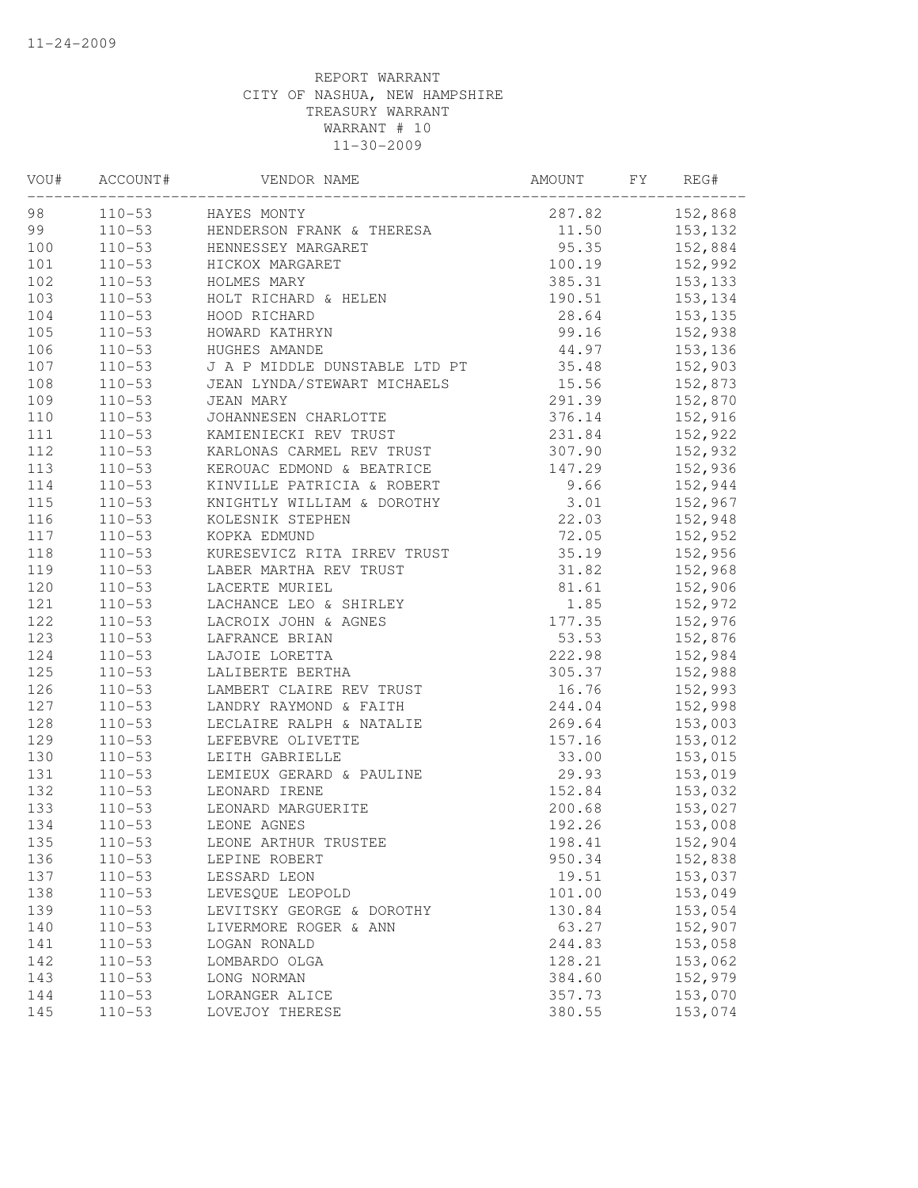| VOU#    | ACCOUNT#   | VENDOR NAME                      | AMOUNT        | FY | REG#           |
|---------|------------|----------------------------------|---------------|----|----------------|
| 98 — 10 |            | 110-53 HAYES MONTY               | 287.82        |    | 152,868        |
| 99      |            | 110-53 HENDERSON FRANK & THERESA |               |    | 11.50 153,132  |
| 100     | $110 - 53$ | HENNESSEY MARGARET               |               |    | 95.35 152,884  |
| 101     | $110 - 53$ | HICKOX MARGARET                  | 100.19        |    | 152,992        |
| 102     | $110 - 53$ | HOLMES MARY                      | 385.31        |    | 153,133        |
| 103     | $110 - 53$ | HOLT RICHARD & HELEN             | 190.51        |    | 153, 134       |
| 104     | $110 - 53$ | HOOD RICHARD                     | 28.64         |    | 153, 135       |
| 105     | $110 - 53$ | HOWARD KATHRYN                   | 99.16         |    | 152,938        |
| 106     | $110 - 53$ | HUGHES AMANDE                    |               |    | 44.97 153,136  |
| 107     | $110 - 53$ | J A P MIDDLE DUNSTABLE LTD PT    | 35.48 152,903 |    |                |
| 108     | $110 - 53$ | JEAN LYNDA/STEWART MICHAELS      | 15.56 152,873 |    |                |
| 109     | $110 - 53$ | JEAN MARY                        | 291.39        |    | 152,870        |
| 110     | $110 - 53$ | JOHANNESEN CHARLOTTE             | 376.14        |    | 152,916        |
| 111     | $110 - 53$ | KAMIENIECKI REV TRUST            | 231.84        |    | 152,922        |
| 112     | $110 - 53$ | KARLONAS CARMEL REV TRUST        | 307.90        |    | 152,932        |
| 113     | $110 - 53$ | KEROUAC EDMOND & BEATRICE        | 147.29        |    | 152,936        |
| 114     | $110 - 53$ | KINVILLE PATRICIA & ROBERT       | 9.66          |    | 152,944        |
| 115     | $110 - 53$ | KNIGHTLY WILLIAM & DOROTHY       | 3.01          |    | 152,967        |
| 116     | $110 - 53$ | KOLESNIK STEPHEN                 | 22.03         |    | 152,948        |
| 117     | $110 - 53$ | KOPKA EDMUND                     | 72.05         |    | 152,952        |
| 118     | $110 - 53$ | KURESEVICZ RITA IRREV TRUST      | 35.19         |    | 152,956        |
| 119     | $110 - 53$ | LABER MARTHA REV TRUST           | 31.82         |    | 152,968        |
| 120     | $110 - 53$ | LACERTE MURIEL                   | 81.61         |    | 152,906        |
| 121     | $110 - 53$ | LACHANCE LEO & SHIRLEY           | 1.85          |    | 152,972        |
| 122     | $110 - 53$ | LACROIX JOHN & AGNES             | 177.35        |    | 152,976        |
| 123     | $110 - 53$ | LAFRANCE BRIAN                   | 53.53         |    | 152,876        |
| 124     | $110 - 53$ | LAJOIE LORETTA                   | 222.98        |    | 152,984        |
| 125     | $110 - 53$ | LALIBERTE BERTHA                 |               |    | 305.37 152,988 |
| 126     | $110 - 53$ | LAMBERT CLAIRE REV TRUST         | 16.76 152,993 |    |                |
| 127     | $110 - 53$ | LANDRY RAYMOND & FAITH           | 244.04        |    | 152,998        |
| 128     | $110 - 53$ | LECLAIRE RALPH & NATALIE         | 269.64        |    | 153,003        |
| 129     | $110 - 53$ | LEFEBVRE OLIVETTE                | 157.16        |    | 153,012        |
| 130     | $110 - 53$ | LEITH GABRIELLE                  | 33.00         |    | 153,015        |
| 131     | $110 - 53$ | LEMIEUX GERARD & PAULINE         | 29.93         |    | 153,019        |
| 132     | $110 - 53$ | LEONARD IRENE                    | 152.84        |    | 153,032        |
| 133     | $110 - 53$ | LEONARD MARGUERITE               | 200.68        |    | 153,027        |
| 134     | $110 - 53$ | LEONE AGNES                      | 192.26        |    | 153,008        |
| 135     | $110 - 53$ | LEONE ARTHUR TRUSTEE             | 198.41        |    | 152,904        |
| 136     | $110 - 53$ | LEPINE ROBERT                    | 950.34        |    | 152,838        |
| 137     | $110 - 53$ | LESSARD LEON                     | 19.51         |    | 153,037        |
| 138     | $110 - 53$ | LEVESQUE LEOPOLD                 | 101.00        |    | 153,049        |
| 139     | $110 - 53$ | LEVITSKY GEORGE & DOROTHY        | 130.84        |    | 153,054        |
| 140     | $110 - 53$ | LIVERMORE ROGER & ANN            | 63.27         |    | 152,907        |
| 141     | $110 - 53$ | LOGAN RONALD                     | 244.83        |    | 153,058        |
| 142     | $110 - 53$ | LOMBARDO OLGA                    | 128.21        |    | 153,062        |
| 143     | $110 - 53$ | LONG NORMAN                      | 384.60        |    | 152,979        |
| 144     | $110 - 53$ | LORANGER ALICE                   | 357.73        |    | 153,070        |
| 145     | $110 - 53$ | LOVEJOY THERESE                  | 380.55        |    | 153,074        |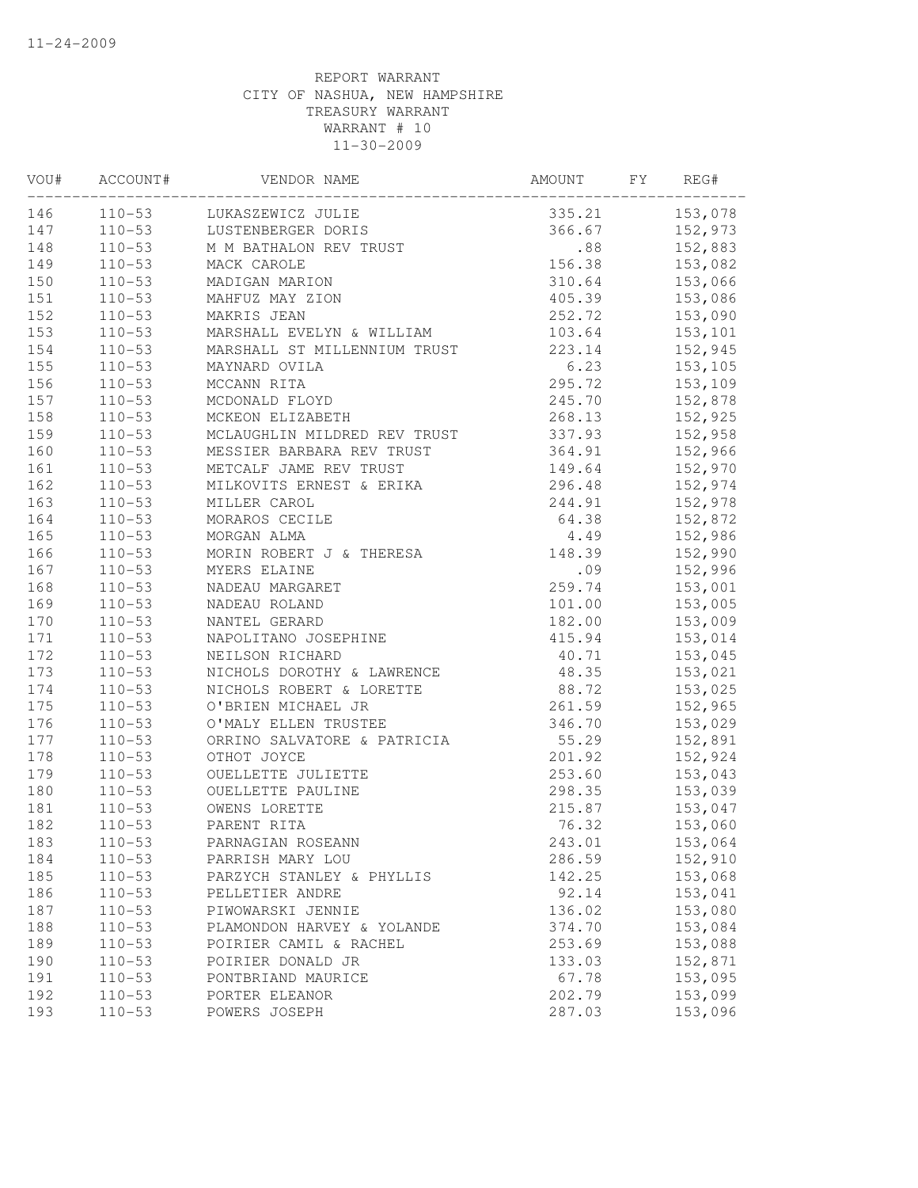| VOU# | ACCOUNT#   | VENDOR NAME                  | AMOUNT        | FY | REG#           |
|------|------------|------------------------------|---------------|----|----------------|
| 146  |            | 110-53 LUKASZEWICZ JULIE     | 335.21        |    | 153,078        |
| 147  |            | 110-53 LUSTENBERGER DORIS    |               |    | 366.67 152,973 |
| 148  | $110 - 53$ | M M BATHALON REV TRUST       |               |    | .88 152,883    |
| 149  | $110 - 53$ | MACK CAROLE                  | 156.38        |    | 153,082        |
| 150  | $110 - 53$ | MADIGAN MARION               | 310.64        |    | 153,066        |
| 151  | $110 - 53$ | MAHFUZ MAY ZION              | 405.39        |    | 153,086        |
| 152  | $110 - 53$ | MAKRIS JEAN                  | 252.72        |    | 153,090        |
| 153  | $110 - 53$ | MARSHALL EVELYN & WILLIAM    | 103.64        |    | 153,101        |
| 154  | $110 - 53$ | MARSHALL ST MILLENNIUM TRUST |               |    | 223.14 152,945 |
| 155  | $110 - 53$ | MAYNARD OVILA                |               |    | 6.23 153,105   |
| 156  | $110 - 53$ | MCCANN RITA                  |               |    | 295.72 153,109 |
| 157  | $110 - 53$ | MCDONALD FLOYD               | 245.70        |    | 152,878        |
| 158  | $110 - 53$ | MCKEON ELIZABETH             | 268.13        |    | 152,925        |
| 159  | $110 - 53$ | MCLAUGHLIN MILDRED REV TRUST | 337.93        |    | 152,958        |
| 160  | $110 - 53$ | MESSIER BARBARA REV TRUST    | 364.91        |    | 152,966        |
| 161  | $110 - 53$ | METCALF JAME REV TRUST       | 149.64        |    | 152,970        |
| 162  | $110 - 53$ | MILKOVITS ERNEST & ERIKA     | 296.48        |    | 152,974        |
| 163  | $110 - 53$ | MILLER CAROL                 | 244.91        |    | 152,978        |
| 164  | $110 - 53$ | MORAROS CECILE               | 64.38         |    | 152,872        |
| 165  | $110 - 53$ | MORGAN ALMA                  | 4.49          |    | 152,986        |
| 166  | $110 - 53$ | MORIN ROBERT J & THERESA     | 148.39        |    | 152,990        |
| 167  | $110 - 53$ | MYERS ELAINE                 | .09           |    | 152,996        |
| 168  | $110 - 53$ | NADEAU MARGARET              | 259.74        |    | 153,001        |
| 169  | $110 - 53$ | NADEAU ROLAND                | 101.00        |    | 153,005        |
| 170  | $110 - 53$ | NANTEL GERARD                | 182.00        |    | 153,009        |
| 171  | $110 - 53$ | NAPOLITANO JOSEPHINE         | 415.94        |    | 153,014        |
| 172  | $110 - 53$ | NEILSON RICHARD              | 40.71 153,045 |    |                |
| 173  | $110 - 53$ | NICHOLS DOROTHY & LAWRENCE   | 48.35 153,021 |    |                |
| 174  | $110 - 53$ | NICHOLS ROBERT & LORETTE     | 88.72         |    | 153,025        |
| 175  | $110 - 53$ | O'BRIEN MICHAEL JR           | 261.59        |    | 152,965        |
| 176  | $110 - 53$ | O'MALY ELLEN TRUSTEE         | 346.70        |    | 153,029        |
| 177  | $110 - 53$ | ORRINO SALVATORE & PATRICIA  | 55.29         |    | 152,891        |
| 178  | $110 - 53$ | OTHOT JOYCE                  | 201.92        |    | 152,924        |
| 179  | $110 - 53$ | OUELLETTE JULIETTE           | 253.60        |    | 153,043        |
| 180  | $110 - 53$ | OUELLETTE PAULINE            | 298.35        |    | 153,039        |
| 181  | $110 - 53$ | OWENS LORETTE                | 215.87        |    | 153,047        |
| 182  | $110 - 53$ | PARENT RITA                  | 76.32         |    | 153,060        |
| 183  | $110 - 53$ | PARNAGIAN ROSEANN            | 243.01        |    | 153,064        |
| 184  | $110 - 53$ | PARRISH MARY LOU             | 286.59        |    | 152,910        |
| 185  | $110 - 53$ | PARZYCH STANLEY & PHYLLIS    | 142.25        |    | 153,068        |
| 186  | $110 - 53$ | PELLETIER ANDRE              | 92.14         |    | 153,041        |
| 187  | $110 - 53$ | PIWOWARSKI JENNIE            | 136.02        |    | 153,080        |
| 188  | $110 - 53$ | PLAMONDON HARVEY & YOLANDE   | 374.70        |    | 153,084        |
| 189  | $110 - 53$ | POIRIER CAMIL & RACHEL       | 253.69        |    | 153,088        |
| 190  | $110 - 53$ | POIRIER DONALD JR            | 133.03        |    | 152,871        |
| 191  | $110 - 53$ | PONTBRIAND MAURICE           | 67.78         |    | 153,095        |
| 192  | $110 - 53$ | PORTER ELEANOR               | 202.79        |    | 153,099        |
| 193  | $110 - 53$ | POWERS JOSEPH                | 287.03        |    | 153,096        |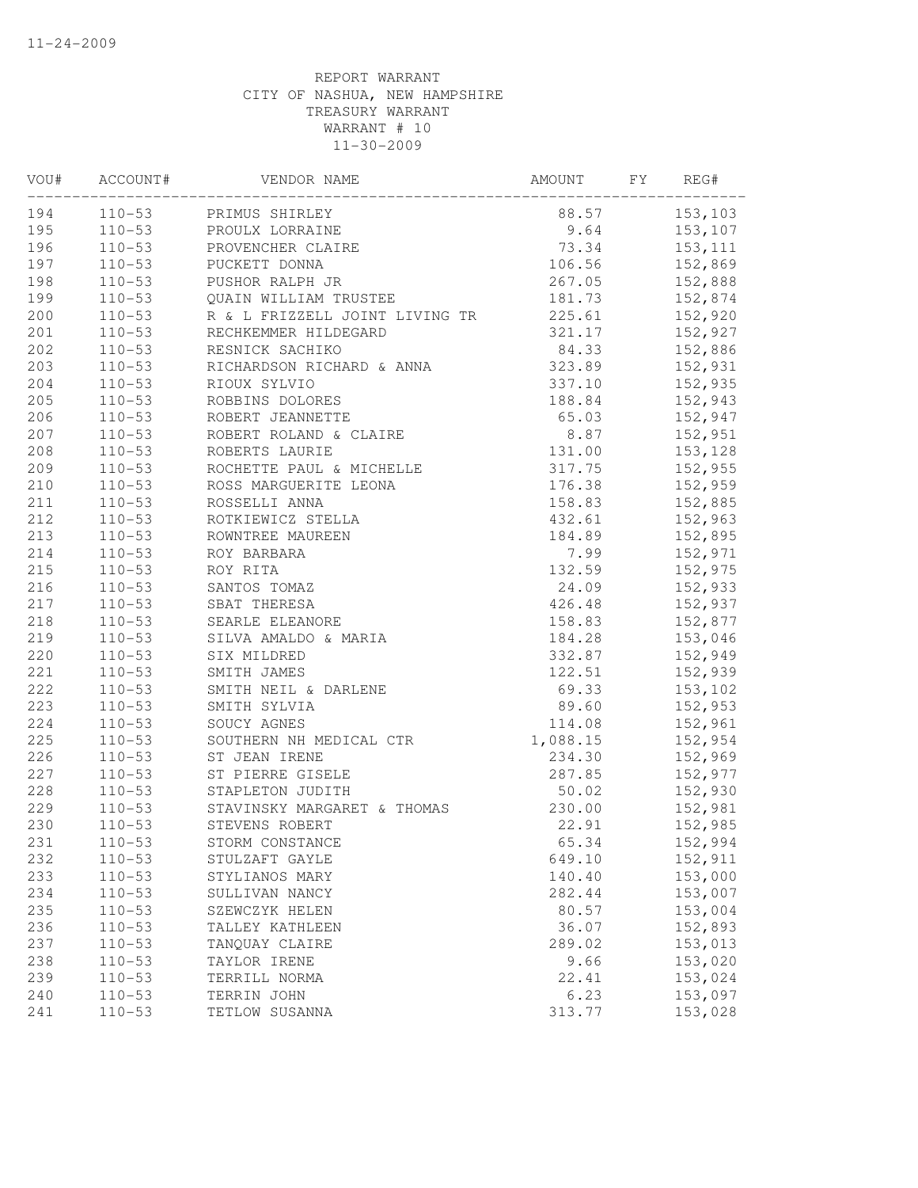| VOU# | ACCOUNT#   | VENDOR NAME                                                                                 | AMOUNT        | FY | REG#           |
|------|------------|---------------------------------------------------------------------------------------------|---------------|----|----------------|
| 194  |            | 110-53 PRIMUS SHIRLEY                                                                       |               |    | 88.57 153,103  |
| 195  |            | 110-53 PROULX LORRAINE                                                                      |               |    | 9.64 153,107   |
| 196  | $110 - 53$ | PROVENCHER CLAIRE                                                                           | 73.34 153,111 |    |                |
| 197  | $110 - 53$ | PUCKETT DONNA                                                                               | 106.56        |    | 152,869        |
| 198  |            | 110-53 PUSHOR RALPH JR                                                                      | 267.05        |    | 152,888        |
| 199  | $110 - 53$ | QUAIN WILLIAM TRUSTEE                                                                       | 181.73        |    | 152,874        |
| 200  | $110 - 53$ | R & L FRIZZELL JOINT LIVING TR                                                              | 225.61        |    | 152,920        |
| 201  | $110 - 53$ | RECHKEMMER HILDEGARD                                                                        | 321.17        |    | 152,927        |
| 202  | $110 - 53$ | RESNICK SACHIKO                                                                             |               |    | 84.33 152,886  |
| 203  | $110 - 53$ | RICHARDSON RICHARD & ANNA                                                                   |               |    | 323.89 152,931 |
| 204  | $110 - 53$ | RIOUX SYLVIO                                                                                |               |    | 337.10 152,935 |
| 205  | $110 - 53$ | ROBBINS DOLORES                                                                             |               |    | 188.84 152,943 |
| 206  | $110 - 53$ | ROBERT JEANNETTE                                                                            | 65.03         |    | 152,947        |
| 207  | $110 - 53$ | ROBERT ROLAND & CLAIRE                                                                      | 8.87          |    | 152,951        |
| 208  | $110 - 53$ | ROBERTS LAURIE                                                                              | 131.00        |    | 153,128        |
| 209  | $110 - 53$ | ROCHETTE PAUL & MICHELLE                                                                    | 317.75        |    | 152,955        |
| 210  | $110 - 53$ | ROSS MARGUERITE LEONA                                                                       | 176.38        |    | 152,959        |
| 211  | $110 - 53$ | ROSSELLI ANNA                                                                               | 158.83        |    | 152,885        |
| 212  | $110 - 53$ | ROTKIEWICZ STELLA                                                                           | 432.61        |    | 152,963        |
| 213  | $110 - 53$ |                                                                                             | 184.89        |    | 152,895        |
| 214  | $110 - 53$ |                                                                                             | 7.99          |    | 152,971        |
| 215  | $110 - 53$ |                                                                                             | 132.59        |    | 152,975        |
| 216  | $110 - 53$ |                                                                                             | 24.09         |    | 152,933        |
| 217  | $110 - 53$ | NOWNTREE MAUREEN<br>ROY BARBARA<br>ROY RITA<br>SANTOS TOMAZ<br>SBAT THERESA<br>SBAT THERESA | 426.48        |    | 152,937        |
| 218  | $110 - 53$ | SEARLE ELEANORE                                                                             | 158.83        |    | 152,877        |
| 219  | $110 - 53$ | SILVA AMALDO & MARIA                                                                        | 184.28        |    | 153,046        |
| 220  | $110 - 53$ | SIX MILDRED                                                                                 |               |    | 332.87 152,949 |
| 221  | $110 - 53$ | SMITH JAMES                                                                                 |               |    | 122.51 152,939 |
| 222  | $110 - 53$ | SMITH NEIL & DARLENE                                                                        |               |    | 69.33 153,102  |
| 223  | $110 - 53$ | SMITH SYLVIA                                                                                | 89.60         |    | 152,953        |
| 224  | $110 - 53$ | SOUCY AGNES                                                                                 | 114.08        |    | 152,961        |
| 225  | $110 - 53$ | SOUTHERN NH MEDICAL CTR                                                                     | 1,088.15      |    | 152,954        |
| 226  | $110 - 53$ | ST JEAN IRENE                                                                               | 234.30        |    | 152,969        |
| 227  | $110 - 53$ | ST PIERRE GISELE                                                                            | 287.85        |    | 152,977        |
| 228  | $110 - 53$ | STAPLETON JUDITH                                                                            | 50.02         |    | 152,930        |
| 229  | $110 - 53$ | STAVINSKY MARGARET & THOMAS                                                                 | 230.00        |    | 152,981        |
| 230  | $110 - 53$ | STEVENS ROBERT                                                                              | 22.91         |    | 152,985        |
| 231  | $110 - 53$ | STORM CONSTANCE                                                                             | 65.34         |    | 152,994        |
| 232  | $110 - 53$ | STULZAFT GAYLE                                                                              | 649.10        |    | 152,911        |
| 233  | $110 - 53$ | STYLIANOS MARY                                                                              | 140.40        |    | 153,000        |
| 234  | $110 - 53$ | SULLIVAN NANCY                                                                              | 282.44        |    | 153,007        |
| 235  | $110 - 53$ | SZEWCZYK HELEN                                                                              | 80.57         |    | 153,004        |
| 236  | $110 - 53$ | TALLEY KATHLEEN                                                                             | 36.07         |    | 152,893        |
| 237  | $110 - 53$ | TANQUAY CLAIRE                                                                              | 289.02        |    | 153,013        |
| 238  | $110 - 53$ | TAYLOR IRENE                                                                                | 9.66          |    | 153,020        |
| 239  | $110 - 53$ | TERRILL NORMA                                                                               | 22.41         |    | 153,024        |
| 240  | $110 - 53$ | TERRIN JOHN                                                                                 | 6.23          |    | 153,097        |
| 241  | $110 - 53$ | TETLOW SUSANNA                                                                              | 313.77        |    | 153,028        |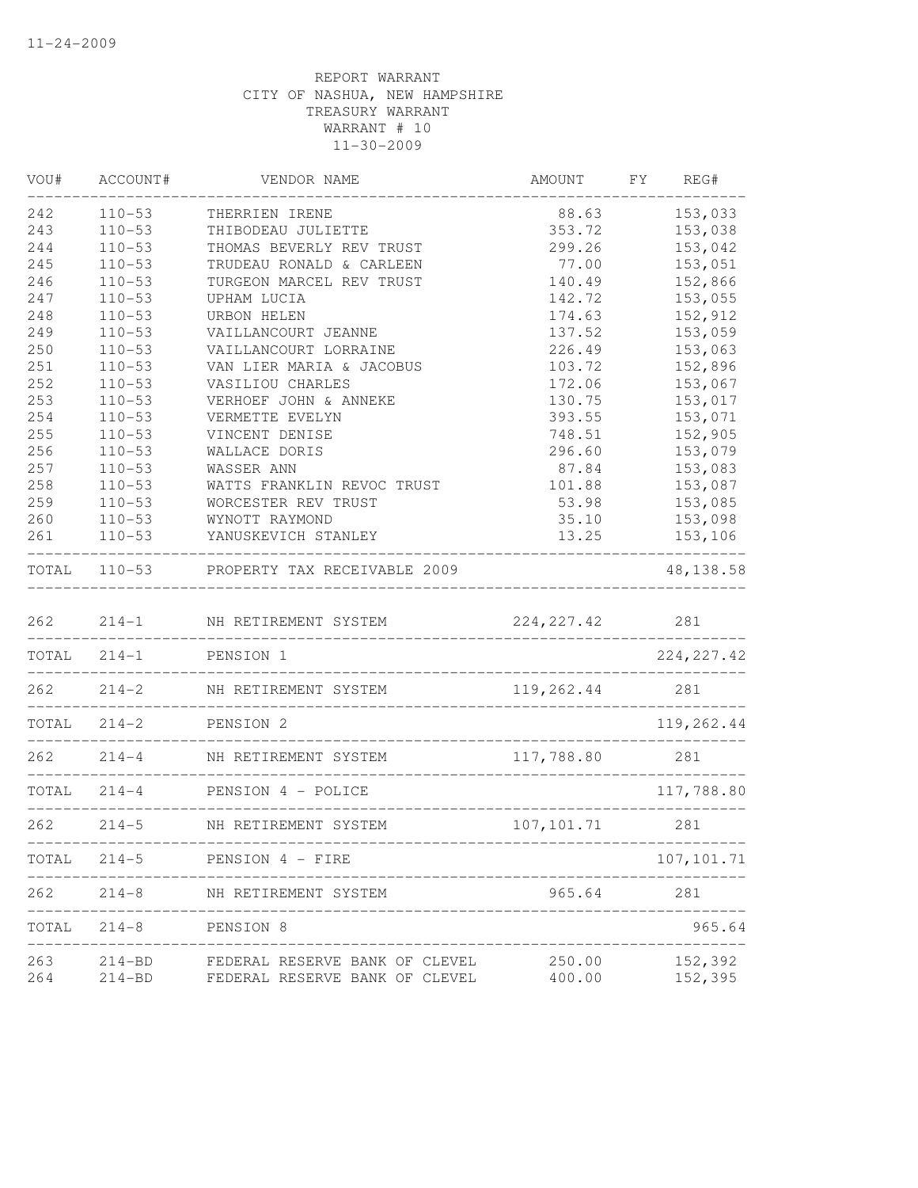| VOU#  | ACCOUNT#      | VENDOR NAME                                                   | AMOUNT      | FY<br>REG#                        |
|-------|---------------|---------------------------------------------------------------|-------------|-----------------------------------|
| 242   | $110 - 53$    | THERRIEN IRENE                                                | 88.63       | 153,033                           |
| 243   | $110 - 53$    | THIBODEAU JULIETTE                                            | 353.72      | 153,038                           |
| 244   | $110 - 53$    | THOMAS BEVERLY REV TRUST                                      | 299.26      | 153,042                           |
| 245   | $110 - 53$    | TRUDEAU RONALD & CARLEEN                                      | 77.00       | 153,051                           |
| 246   | $110 - 53$    | TURGEON MARCEL REV TRUST                                      | 140.49      | 152,866                           |
| 247   | $110 - 53$    | UPHAM LUCIA                                                   | 142.72      | 153,055                           |
| 248   | $110 - 53$    | URBON HELEN                                                   | 174.63      | 152,912                           |
| 249   | $110 - 53$    | VAILLANCOURT JEANNE                                           | 137.52      | 153,059                           |
| 250   | $110 - 53$    | VAILLANCOURT LORRAINE                                         | 226.49      | 153,063                           |
| 251   | $110 - 53$    | VAN LIER MARIA & JACOBUS                                      | 103.72      | 152,896                           |
| 252   | $110 - 53$    | VASILIOU CHARLES                                              | 172.06      | 153,067                           |
| 253   | $110 - 53$    | VERHOEF JOHN & ANNEKE                                         | 130.75      | 153,017                           |
| 254   | $110 - 53$    | VERMETTE EVELYN                                               | 393.55      | 153,071                           |
| 255   | $110 - 53$    | VINCENT DENISE                                                | 748.51      | 152,905                           |
| 256   | $110 - 53$    | WALLACE DORIS                                                 | 296.60      | 153,079                           |
| 257   | $110 - 53$    | WASSER ANN                                                    | 87.84       | 153,083                           |
| 258   | $110 - 53$    | WATTS FRANKLIN REVOC TRUST                                    | 101.88      | 153,087                           |
| 259   | $110 - 53$    | WORCESTER REV TRUST                                           | 53.98       | 153,085                           |
| 260   | $110 - 53$    | WYNOTT RAYMOND                                                | 35.10       | 153,098                           |
| 261   | $110 - 53$    | YANUSKEVICH STANLEY                                           | 13.25       | 153,106                           |
|       |               | TOTAL 110-53 PROPERTY TAX RECEIVABLE 2009                     |             | 48, 138.58                        |
| 262   | $214 - 1$     | NH RETIREMENT SYSTEM                                          | 224, 227.42 | 281                               |
|       | $TOTAL 214-1$ | PENSION 1                                                     |             | 224, 227.42                       |
| 262   | $214 - 2$     | NH RETIREMENT SYSTEM                                          | 119,262.44  | 281                               |
|       |               | ____________________________________<br>TOTAL 214-2 PENSION 2 |             | 119,262.44                        |
| 262   | $214 - 4$     | ___________________________________<br>NH RETIREMENT SYSTEM   | 117,788.80  | 281                               |
|       |               | -----------------------<br>TOTAL 214-4 PENSION 4 - POLICE     |             | 117,788.80                        |
| 262   |               | <u> 22222222222222</u><br>214-5 NH RETIREMENT SYSTEM          | 107, 101.71 | 281                               |
| TOTAL | $214 - 5$     | PENSION 4 - FIRE                                              |             | ._________________<br>107, 101.71 |
|       |               |                                                               |             |                                   |
| 262   | $214 - 8$     | NH RETIREMENT SYSTEM                                          | 965.64      | 281                               |
| TOTAL | $214 - 8$     | PENSION 8                                                     |             | 965.64                            |
| 263   | $214 - BD$    | FEDERAL RESERVE BANK OF CLEVEL                                | 250.00      | 152,392                           |
| 264   | $214 - BD$    | FEDERAL RESERVE BANK OF CLEVEL                                | 400.00      | 152,395                           |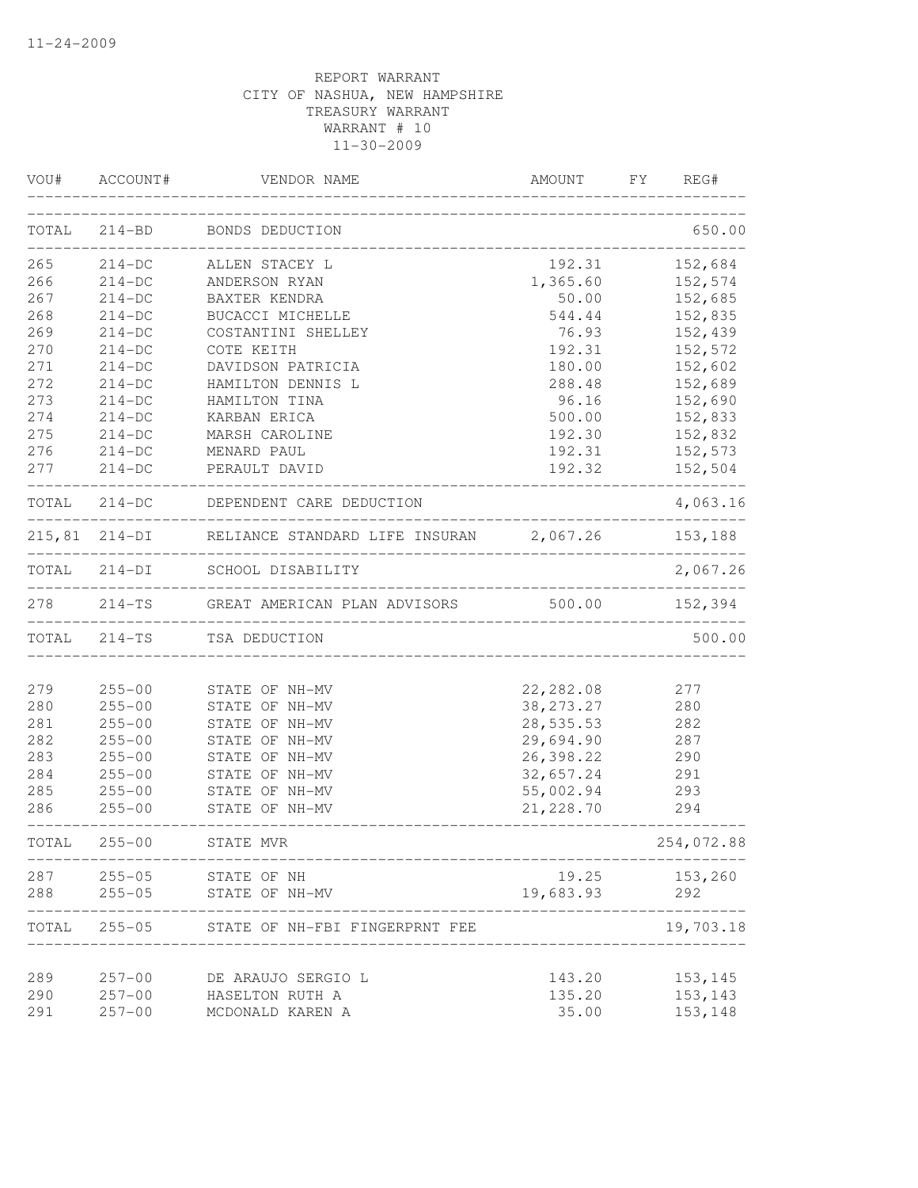|       | VOU# ACCOUNT# | VENDOR NAME                                                   | AMOUNT      | FY.<br>REG#        |
|-------|---------------|---------------------------------------------------------------|-------------|--------------------|
|       |               | TOTAL 214-BD BONDS DEDUCTION                                  |             | 650.00             |
| 265   | $214-DC$      | ALLEN STACEY L                                                | 192.31      | 152,684            |
| 266   | $214-DC$      | ANDERSON RYAN                                                 | 1,365.60    | 152,574            |
| 267   | $214-DC$      | BAXTER KENDRA                                                 | 50.00       | 152,685            |
| 268   | $214-DC$      | BUCACCI MICHELLE                                              | 544.44      | 152,835            |
| 269   | $214-DC$      | COSTANTINI SHELLEY                                            | 76.93       | 152,439            |
| 270   | $214-DC$      | COTE KEITH                                                    | 192.31      | 152,572            |
| 271   | $214-DC$      | DAVIDSON PATRICIA                                             | 180.00      | 152,602            |
| 272   | $214-DC$      | HAMILTON DENNIS L                                             | 288.48      | 152,689            |
| 273   | $214-DC$      | HAMILTON TINA                                                 | 96.16       | 152,690            |
| 274   | $214-DC$      | KARBAN ERICA                                                  | 500.00      | 152,833            |
| 275   | $214-DC$      | MARSH CAROLINE                                                | 192.30      | 152,832            |
| 276   | $214-DC$      | MENARD PAUL                                                   | 192.31      | 152,573            |
| 277   | $214-DC$      | PERAULT DAVID                                                 | 192.32      | 152,504            |
|       |               | TOTAL 214-DC DEPENDENT CARE DEDUCTION                         |             | 4,063.16           |
|       |               | 215,81 214-DI RELIANCE STANDARD LIFE INSURAN 2,067.26 153,188 |             | ------------------ |
| TOTAL |               | 214-DI SCHOOL DISABILITY                                      |             | 2,067.26           |
| 278   |               | 214-TS GREAT AMERICAN PLAN ADVISORS 500.00                    |             | 152,394            |
|       | TOTAL 214-TS  | TSA DEDUCTION                                                 |             | 500.00             |
|       |               |                                                               |             |                    |
| 279   | $255 - 00$    | STATE OF NH-MV                                                | 22,282.08   | 277                |
| 280   | $255 - 00$    | STATE OF NH-MV                                                | 38, 273. 27 | 280                |
| 281   | $255 - 00$    | STATE OF NH-MV                                                | 28,535.53   | 282                |
| 282   | $255 - 00$    | STATE OF NH-MV                                                | 29,694.90   | 287                |
| 283   | $255 - 00$    | STATE OF NH-MV                                                | 26,398.22   | 290                |
| 284   | $255 - 00$    | STATE OF NH-MV                                                | 32,657.24   | 291                |
| 285   | $255 - 00$    | STATE OF NH-MV                                                | 55,002.94   | 293                |
| 286   | $255 - 00$    | STATE OF NH-MV                                                | 21, 228.70  | 294                |
|       | TOTAL 255-00  | STATE MVR                                                     |             | 254,072.88         |
| 287   | $255 - 05$    | STATE OF NH                                                   | 19.25       | 153,260            |
| 288   | $255 - 05$    | STATE OF NH-MV                                                | 19,683.93   | 292                |
| TOTAL | $255 - 05$    | STATE OF NH-FBI FINGERPRNT FEE                                |             | 19,703.18          |
| 289   | $257 - 00$    | DE ARAUJO SERGIO L                                            | 143.20      | 153,145            |
| 290   | $257 - 00$    | HASELTON RUTH A                                               | 135.20      | 153,143            |
| 291   | $257 - 00$    | MCDONALD KAREN A                                              | 35.00       | 153,148            |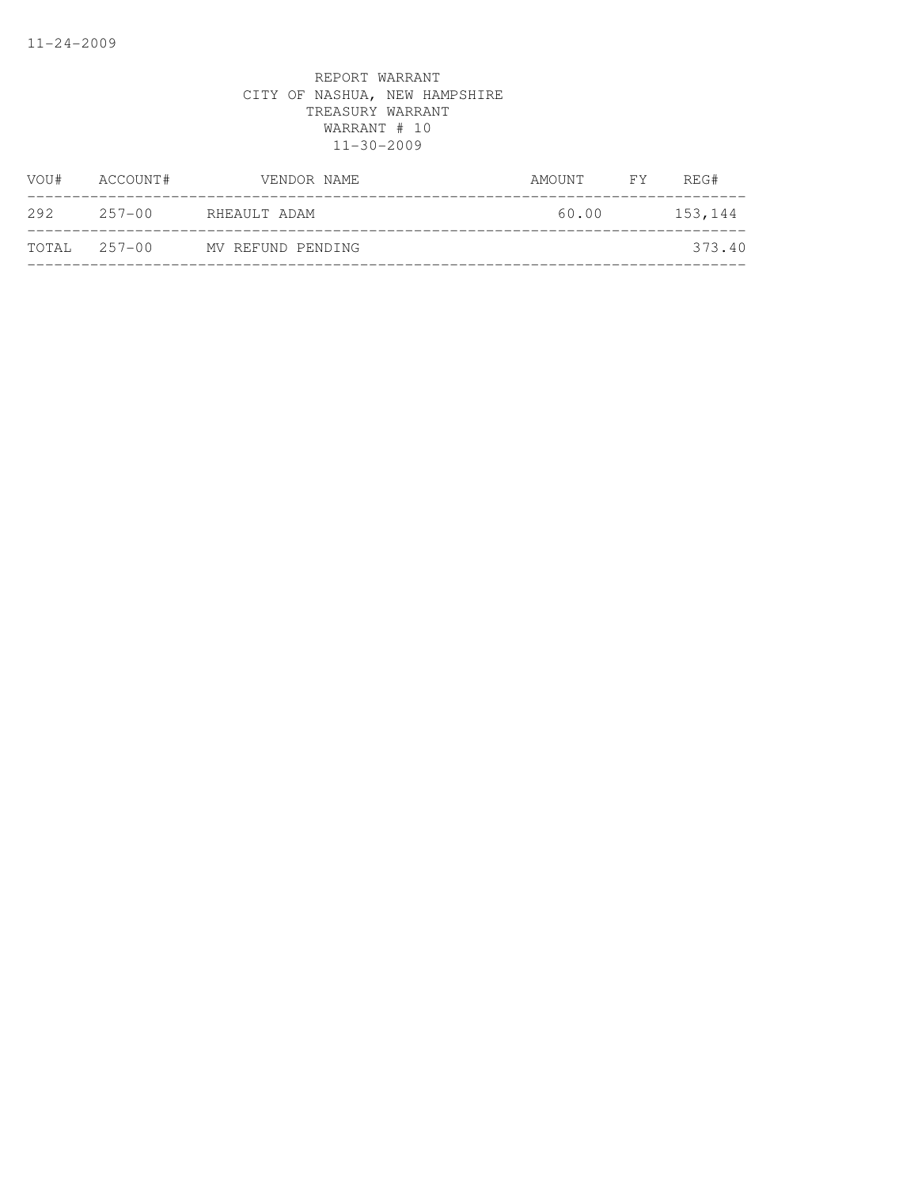| VOU#         | ACCOUNT#   | VENDOR NAME       | AMOUNT | FY F | REG#    |
|--------------|------------|-------------------|--------|------|---------|
| 292          | $257 - 00$ | RHEAULT ADAM      | 60.00  |      | 153,144 |
| TOTAL 257-00 |            | MV REFUND PENDING |        |      | 373.40  |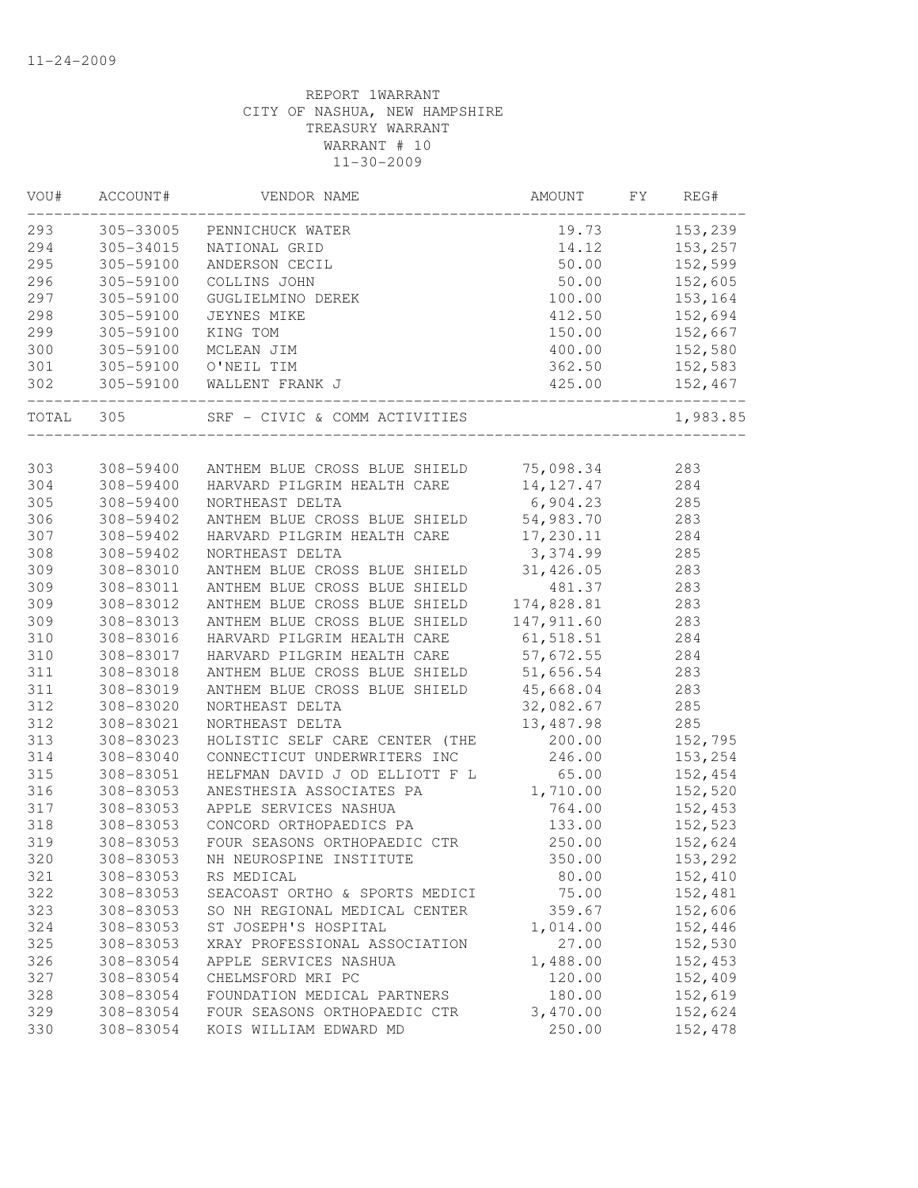| VOU#  | ACCOUNT#             | VENDOR NAME                                       | AMOUNT         | FY | REG#     |
|-------|----------------------|---------------------------------------------------|----------------|----|----------|
|       |                      | 293 305-33005 PENNICHUCK WATER                    | 19.73          |    | 153,239  |
| 294   | 305-34015            | NATIONAL GRID                                     | 14.12          |    | 153,257  |
| 295   | 305-59100            | ANDERSON CECIL                                    | 50.00          |    | 152,599  |
| 296   | 305-59100            | COLLINS JOHN                                      | 50.00          |    | 152,605  |
| 297   | 305-59100            | GUGLIELMINO DEREK                                 | 100.00         |    | 153,164  |
| 298   | 305-59100            | JEYNES MIKE                                       | 412.50         |    | 152,694  |
| 299   | 305-59100            | KING TOM                                          | 150.00         |    | 152,667  |
| 300   | 305-59100            | MCLEAN JIM                                        | 400.00         |    | 152,580  |
| 301   | 305-59100            | O'NEIL TIM                                        | 362.50         |    | 152,583  |
| 302   | ____________________ | 305-59100 WALLENT FRANK J                         | 425.<br>425.00 |    | 152,467  |
| TOTAL | 305                  | SRF - CIVIC & COMM ACTIVITIES                     |                |    | 1,983.85 |
|       |                      |                                                   |                |    |          |
| 303   |                      | 308-59400 ANTHEM BLUE CROSS BLUE SHIELD 75,098.34 |                |    | 283      |
| 304   | 308-59400            | HARVARD PILGRIM HEALTH CARE                       | 14, 127. 47    |    | 284      |
| 305   | 308-59400            | NORTHEAST DELTA                                   | 6,904.23       |    | 285      |
| 306   | 308-59402            | ANTHEM BLUE CROSS BLUE SHIELD                     | 54,983.70      |    | 283      |
| 307   | 308-59402            | HARVARD PILGRIM HEALTH CARE                       | 17,230.11      |    | 284      |
| 308   | 308-59402            | NORTHEAST DELTA                                   | 3,374.99       |    | 285      |
| 309   | 308-83010            | ANTHEM BLUE CROSS BLUE SHIELD 31,426.05           |                |    | 283      |
| 309   | 308-83011            | ANTHEM BLUE CROSS BLUE SHIELD                     | 481.37         |    | 283      |
| 309   | 308-83012            | ANTHEM BLUE CROSS BLUE SHIELD                     | 174,828.81     |    | 283      |
| 309   | 308-83013            | ANTHEM BLUE CROSS BLUE SHIELD                     | 147, 911.60    |    | 283      |
| 310   | 308-83016            | HARVARD PILGRIM HEALTH CARE                       | 61,518.51      |    | 284      |
| 310   | 308-83017            | HARVARD PILGRIM HEALTH CARE                       | 57,672.55      |    | 284      |
| 311   | 308-83018            | ANTHEM BLUE CROSS BLUE SHIELD                     | 51,656.54      |    | 283      |
| 311   | 308-83019            | ANTHEM BLUE CROSS BLUE SHIELD                     | 45,668.04      |    | 283      |
| 312   | 308-83020            | NORTHEAST DELTA                                   | 32,082.67      |    | 285      |
| 312   | 308-83021            | NORTHEAST DELTA                                   | 13,487.98      |    | 285      |
| 313   | 308-83023            | HOLISTIC SELF CARE CENTER (THE                    | 200.00         |    | 152,795  |
| 314   | 308-83040            | CONNECTICUT UNDERWRITERS INC                      | 246.00         |    | 153,254  |
| 315   | 308-83051            | HELFMAN DAVID J OD ELLIOTT F L                    | 65.00          |    | 152,454  |
| 316   | 308-83053            | ANESTHESIA ASSOCIATES PA                          | 1,710.00       |    | 152,520  |
| 317   | 308-83053            | APPLE SERVICES NASHUA                             | 764.00         |    | 152,453  |
| 318   | 308-83053            | CONCORD ORTHOPAEDICS PA                           | 133.00         |    | 152,523  |
| 319   | 308-83053            | FOUR SEASONS ORTHOPAEDIC CTR                      | 250.00         |    | 152,624  |
| 320   | 308-83053            | NH NEUROSPINE INSTITUTE                           | 350.00         |    | 153,292  |
| 321   | 308-83053            | RS MEDICAL                                        | 80.00          |    | 152,410  |
| 322   | 308-83053            | SEACOAST ORTHO & SPORTS MEDICI                    | 75.00          |    | 152,481  |
| 323   | 308-83053            | SO NH REGIONAL MEDICAL CENTER                     | 359.67         |    | 152,606  |
| 324   | 308-83053            | ST JOSEPH'S HOSPITAL                              | 1,014.00       |    | 152,446  |
| 325   | 308-83053            | XRAY PROFESSIONAL ASSOCIATION                     | 27.00          |    | 152,530  |
| 326   | 308-83054            | APPLE SERVICES NASHUA                             | 1,488.00       |    | 152,453  |
| 327   | 308-83054            | CHELMSFORD MRI PC                                 | 120.00         |    | 152,409  |
| 328   | 308-83054            | FOUNDATION MEDICAL PARTNERS                       | 180.00         |    | 152,619  |
| 329   | 308-83054            | FOUR SEASONS ORTHOPAEDIC CTR                      | 3,470.00       |    | 152,624  |
| 330   | 308-83054            | KOIS WILLIAM EDWARD MD                            | 250.00         |    | 152,478  |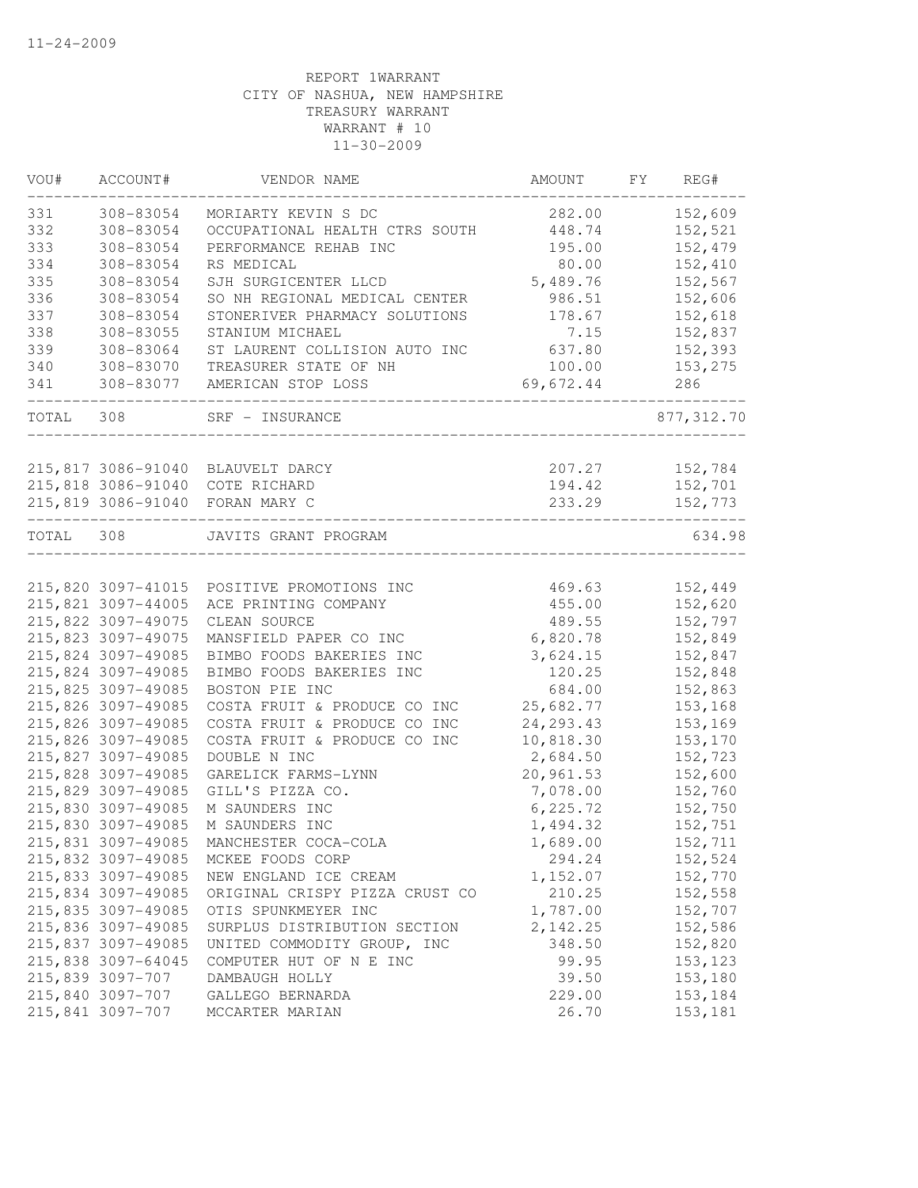| VOU#  | ACCOUNT#           | VENDOR NAME                                | AMOUNT     | FY | REG#       |
|-------|--------------------|--------------------------------------------|------------|----|------------|
| 331   | 308-83054          | MORIARTY KEVIN S DC                        | 282.00     |    | 152,609    |
| 332   | 308-83054          | OCCUPATIONAL HEALTH CTRS SOUTH             | 448.74     |    | 152,521    |
| 333   | 308-83054          | PERFORMANCE REHAB INC                      | 195.00     |    | 152,479    |
| 334   | 308-83054          | RS MEDICAL                                 | 80.00      |    | 152,410    |
| 335   | 308-83054          | SJH SURGICENTER LLCD                       | 5,489.76   |    | 152,567    |
| 336   | 308-83054          | SO NH REGIONAL MEDICAL CENTER              | 986.51     |    | 152,606    |
| 337   | 308-83054          | STONERIVER PHARMACY SOLUTIONS              | 178.67     |    | 152,618    |
| 338   | 308-83055          | STANIUM MICHAEL                            | 7.15       |    | 152,837    |
| 339   | 308-83064          | ST LAURENT COLLISION AUTO INC              | 637.80     |    | 152,393    |
| 340   | 308-83070          | TREASURER STATE OF NH                      | 100.00     |    | 153,275    |
| 341   | 308-83077          | AMERICAN STOP LOSS                         | 69,672.44  |    | 286        |
| TOTAL | 308                | SRF - INSURANCE                            |            |    | 877,312.70 |
|       |                    |                                            |            |    |            |
|       |                    | 215,817 3086-91040 BLAUVELT DARCY          | 207.27     |    | 152,784    |
|       | 215,818 3086-91040 | COTE RICHARD                               | 194.42     |    | 152,701    |
|       | 215,819 3086-91040 | FORAN MARY C                               | 233.29     |    | 152,773    |
| TOTAL | 308                | JAVITS GRANT PROGRAM                       |            |    | 634.98     |
|       |                    | 215,820 3097-41015 POSITIVE PROMOTIONS INC | 469.63     |    | 152,449    |
|       | 215,821 3097-44005 | ACE PRINTING COMPANY                       | 455.00     |    | 152,620    |
|       | 215,822 3097-49075 | CLEAN SOURCE                               | 489.55     |    | 152,797    |
|       | 215,823 3097-49075 | MANSFIELD PAPER CO INC                     | 6,820.78   |    | 152,849    |
|       | 215,824 3097-49085 | BIMBO FOODS BAKERIES INC                   | 3,624.15   |    | 152,847    |
|       | 215,824 3097-49085 | BIMBO FOODS BAKERIES INC                   | 120.25     |    | 152,848    |
|       | 215,825 3097-49085 | BOSTON PIE INC                             | 684.00     |    | 152,863    |
|       | 215,826 3097-49085 | COSTA FRUIT & PRODUCE CO INC               | 25,682.77  |    | 153,168    |
|       | 215,826 3097-49085 | COSTA FRUIT & PRODUCE CO INC               | 24, 293.43 |    | 153,169    |
|       | 215,826 3097-49085 | COSTA FRUIT & PRODUCE CO INC               | 10,818.30  |    | 153,170    |
|       | 215,827 3097-49085 | DOUBLE N INC                               | 2,684.50   |    | 152,723    |
|       | 215,828 3097-49085 | GARELICK FARMS-LYNN                        | 20,961.53  |    | 152,600    |
|       | 215,829 3097-49085 |                                            | 7,078.00   |    | 152,760    |
|       |                    | GILL'S PIZZA CO.                           |            |    |            |
|       | 215,830 3097-49085 | M SAUNDERS INC                             | 6, 225.72  |    | 152,750    |
|       | 215,830 3097-49085 | M SAUNDERS INC                             | 1,494.32   |    | 152,751    |
|       | 215,831 3097-49085 | MANCHESTER COCA-COLA                       | 1,689.00   |    | 152,711    |
|       | 215,832 3097-49085 | MCKEE FOODS CORP                           | 294.24     |    | 152,524    |
|       | 215,833 3097-49085 | NEW ENGLAND ICE CREAM                      | 1,152.07   |    | 152,770    |
|       | 215,834 3097-49085 | ORIGINAL CRISPY PIZZA CRUST CO             | 210.25     |    | 152,558    |
|       | 215,835 3097-49085 | OTIS SPUNKMEYER INC                        | 1,787.00   |    | 152,707    |
|       | 215,836 3097-49085 | SURPLUS DISTRIBUTION SECTION               | 2,142.25   |    | 152,586    |
|       | 215,837 3097-49085 | UNITED COMMODITY GROUP, INC                | 348.50     |    | 152,820    |
|       | 215,838 3097-64045 | COMPUTER HUT OF N E INC                    | 99.95      |    | 153, 123   |
|       | 215,839 3097-707   | DAMBAUGH HOLLY                             | 39.50      |    | 153,180    |
|       | 215,840 3097-707   | GALLEGO BERNARDA                           | 229.00     |    | 153,184    |
|       | 215,841 3097-707   | MCCARTER MARIAN                            | 26.70      |    | 153,181    |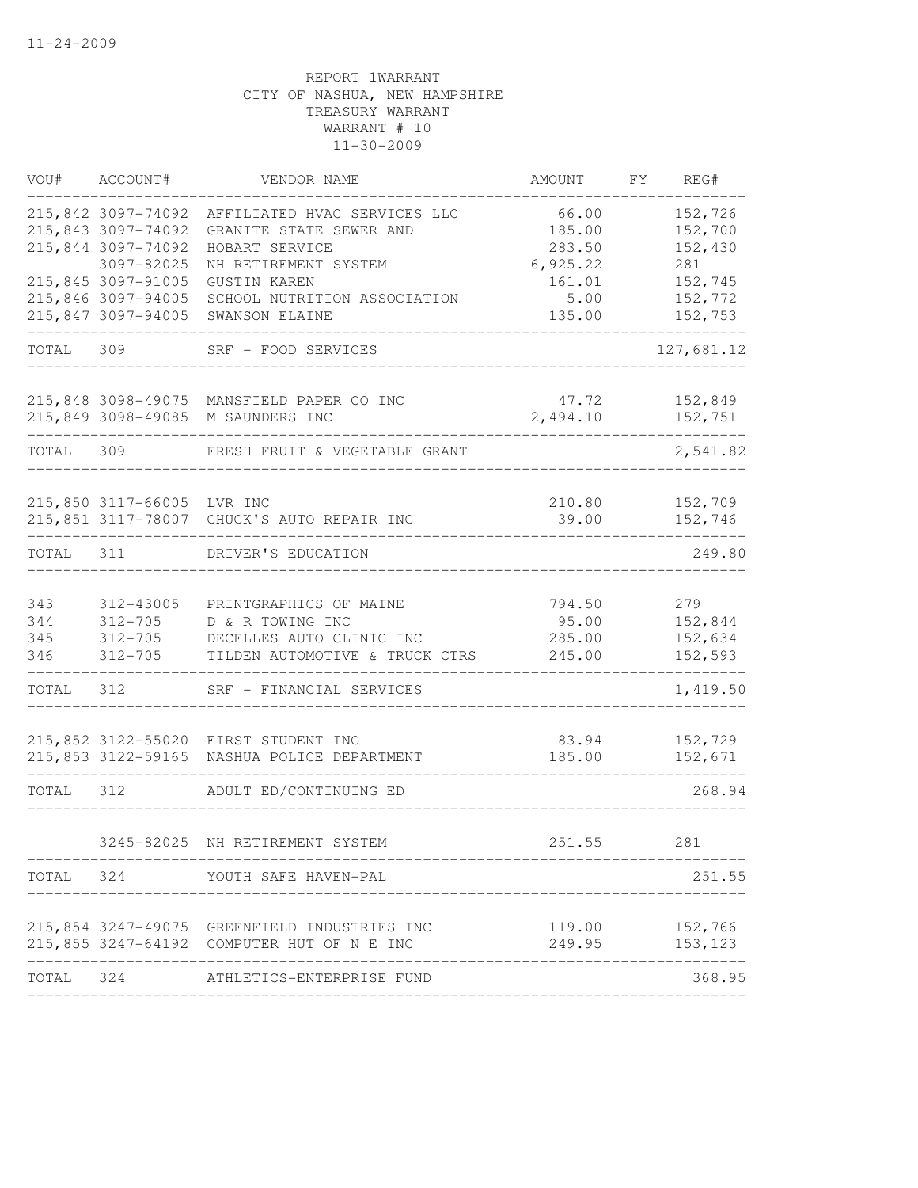| VOU#      | ACCOUNT#                   | VENDOR NAME                                  | AMOUNT                             | FY | REG#           |
|-----------|----------------------------|----------------------------------------------|------------------------------------|----|----------------|
|           | 215,842 3097-74092         | AFFILIATED HVAC SERVICES LLC                 | 66.00                              |    | 152,726        |
|           | 215,843 3097-74092         | GRANITE STATE SEWER AND                      | 185.00                             |    | 152,700        |
|           | 215,844 3097-74092         | HOBART SERVICE                               | 283.50                             |    | 152,430        |
|           | 3097-82025                 | NH RETIREMENT SYSTEM                         | 6,925.22                           |    | 281            |
|           | 215,845 3097-91005         | <b>GUSTIN KAREN</b>                          | 161.01                             |    | 152,745        |
|           | 215,846 3097-94005         | SCHOOL NUTRITION ASSOCIATION                 | 5.00                               |    | 152,772        |
|           | 215,847 3097-94005         | SWANSON ELAINE                               | 135.00                             |    | 152,753        |
| TOTAL     | 309                        | SRF - FOOD SERVICES                          |                                    |    | 127,681.12     |
|           | 215,848 3098-49075         | MANSFIELD PAPER CO INC                       | 47.72                              |    | 152,849        |
|           | 215,849 3098-49085         | M SAUNDERS INC                               | 2,494.10                           |    | 152,751        |
| TOTAL     | 309                        | FRESH FRUIT & VEGETABLE GRANT                |                                    |    | 2,541.82       |
|           | 215,850 3117-66005 LVR INC |                                              | 210.80                             |    | 152,709        |
|           |                            | 215,851 3117-78007 CHUCK'S AUTO REPAIR INC   | 39.00                              |    | 152,746        |
|           |                            |                                              |                                    |    |                |
| TOTAL     | 311                        | DRIVER'S EDUCATION                           |                                    |    | 249.80         |
| 343       | 312-43005                  | PRINTGRAPHICS OF MAINE                       | 794.50                             |    | 279            |
| 344       | $312 - 705$                | D & R TOWING INC                             | 95.00                              |    | 152,844        |
| 345       | 312-705                    | DECELLES AUTO CLINIC INC                     | 285.00                             |    | 152,634        |
| 346       | $312 - 705$                | TILDEN AUTOMOTIVE & TRUCK CTRS               | 245.00                             |    | 152,593        |
| TOTAL     | 312                        | SRF - FINANCIAL SERVICES                     |                                    |    | 1,419.50       |
|           |                            | 215,852 3122-55020 FIRST STUDENT INC         | 83.94                              |    | 152,729        |
|           | 215,853 3122-59165         | NASHUA POLICE DEPARTMENT                     | 185.00                             |    | 152,671        |
| TOTAL     | 312                        | ADULT ED/CONTINUING ED                       |                                    |    | 268.94         |
|           |                            | 3245-82025 NH RETIREMENT SYSTEM              | 251.55                             |    | 281            |
|           |                            | TOTAL 324 YOUTH SAFE HAVEN-PAL               |                                    |    | 251.55         |
|           |                            | 215,854 3247-49075 GREENFIELD INDUSTRIES INC |                                    |    | 119.00 152,766 |
|           |                            | 215,855 3247-64192 COMPUTER HUT OF N E INC   | 249.95                             |    | 153,123        |
| TOTAL 324 |                            | ATHLETICS-ENTERPRISE FUND                    |                                    |    | 368.95         |
|           |                            |                                              | ---------------------------------- |    |                |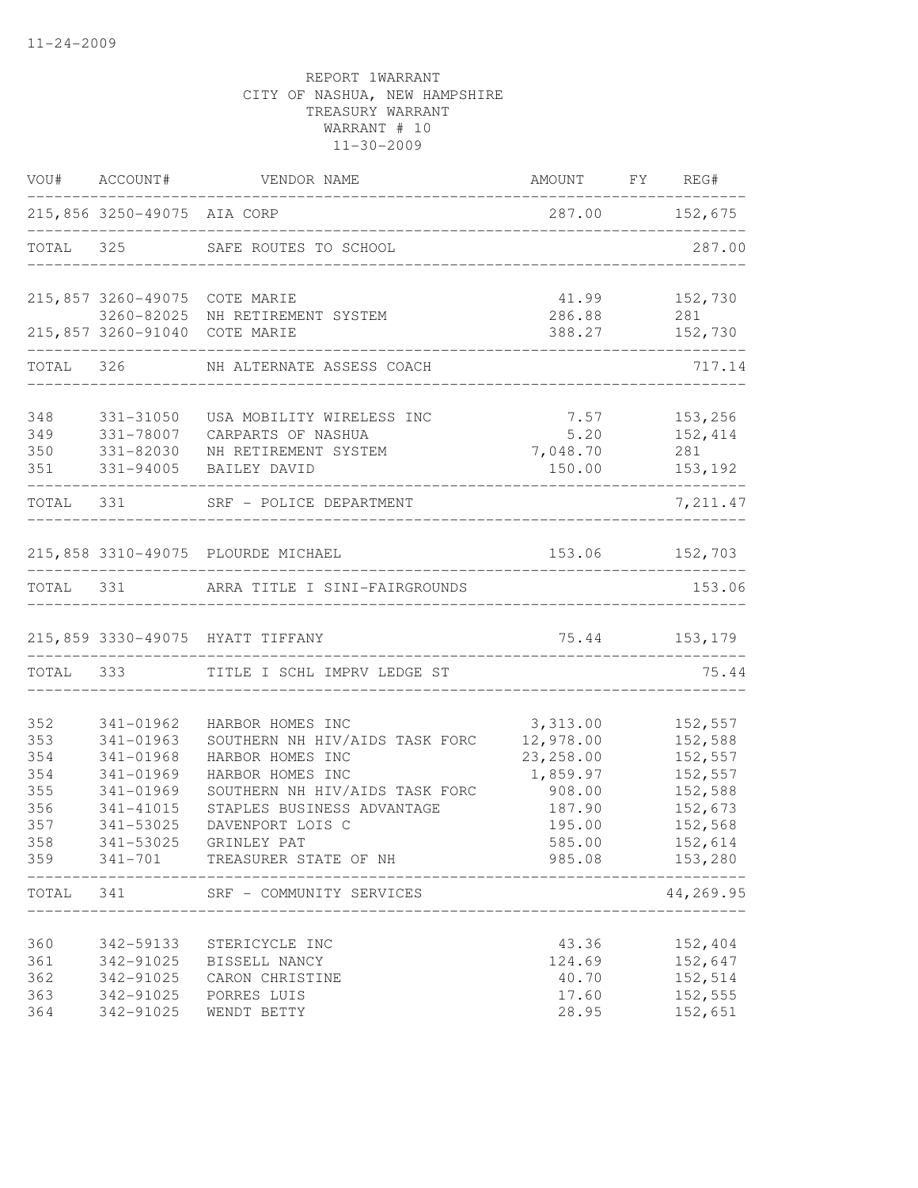|            | VOU# ACCOUNT#               | VENDOR NAME                                        | AMOUNT FY REG#                               |                    |
|------------|-----------------------------|----------------------------------------------------|----------------------------------------------|--------------------|
|            | 215,856 3250-49075 AIA CORP |                                                    | 287.00 152,675                               |                    |
|            |                             | TOTAL 325 SAFE ROUTES TO SCHOOL                    |                                              | 287.00             |
|            |                             | 215,857 3260-49075 COTE MARIE                      | 41.99                                        | 152,730            |
|            |                             | 3260-82025 NH RETIREMENT SYSTEM                    | 286.88                                       | 281                |
|            |                             | 215,857 3260-91040 COTE MARIE                      | 388.27<br>__________________________________ | 152,730            |
|            |                             | TOTAL 326 NH ALTERNATE ASSESS COACH                |                                              | 717.14             |
| 348        | 331-31050                   | USA MOBILITY WIRELESS INC                          | 7.57                                         | 153,256            |
| 349        | 331-78007                   | CARPARTS OF NASHUA                                 | 5.20                                         | 152,414            |
| 350        | 331-82030                   | NH RETIREMENT SYSTEM                               | 7,048.70                                     | 281                |
| 351        | 331-94005                   | BAILEY DAVID                                       | 150.00                                       | 153,192            |
|            |                             | TOTAL 331 SRF - POLICE DEPARTMENT                  |                                              | 7,211.47           |
|            |                             | 215,858 3310-49075 PLOURDE MICHAEL                 | 153.06 152,703                               |                    |
|            |                             | TOTAL 331 ARRA TITLE I SINI-FAIRGROUNDS            | -------------------------------              | 153.06             |
|            |                             | 215,859 3330-49075 HYATT TIFFANY                   |                                              | 75.44 153,179      |
|            |                             | TOTAL 333 TITLE I SCHL IMPRV LEDGE ST              |                                              | 75.44              |
|            |                             |                                                    |                                              |                    |
| 352<br>353 | 341-01962<br>341-01963      | HARBOR HOMES INC<br>SOUTHERN NH HIV/AIDS TASK FORC | 3,313.00<br>12,978.00                        | 152,557<br>152,588 |
| 354        | 341-01968                   | HARBOR HOMES INC                                   | 23, 258.00                                   | 152,557            |
| 354        | 341-01969                   | HARBOR HOMES INC                                   | 1,859.97                                     | 152,557            |
| 355        | 341-01969                   | SOUTHERN NH HIV/AIDS TASK FORC                     | 908.00                                       | 152,588            |
| 356        | 341-41015                   | STAPLES BUSINESS ADVANTAGE                         | 187.90                                       | 152,673            |
| 357        | 341-53025                   | DAVENPORT LOIS C                                   | 195.00                                       | 152,568            |
| 358        | 341-53025                   | GRINLEY PAT                                        | 585.00                                       | 152,614            |
| 359        | $341 - 701$                 | TREASURER STATE OF NH                              | 985.08                                       | 153,280            |
| TOTAL      | 341                         | SRF - COMMUNITY SERVICES                           |                                              | 44,269.95          |
|            |                             |                                                    |                                              |                    |
| 360<br>361 | 342-59133<br>342-91025      | STERICYCLE INC<br>BISSELL NANCY                    | 43.36<br>124.69                              | 152,404<br>152,647 |
| 362        | 342-91025                   |                                                    | 40.70                                        | 152,514            |
| 363        | 342-91025                   | CARON CHRISTINE<br>PORRES LUIS                     | 17.60                                        | 152,555            |
| 364        | 342-91025                   | WENDT BETTY                                        | 28.95                                        | 152,651            |
|            |                             |                                                    |                                              |                    |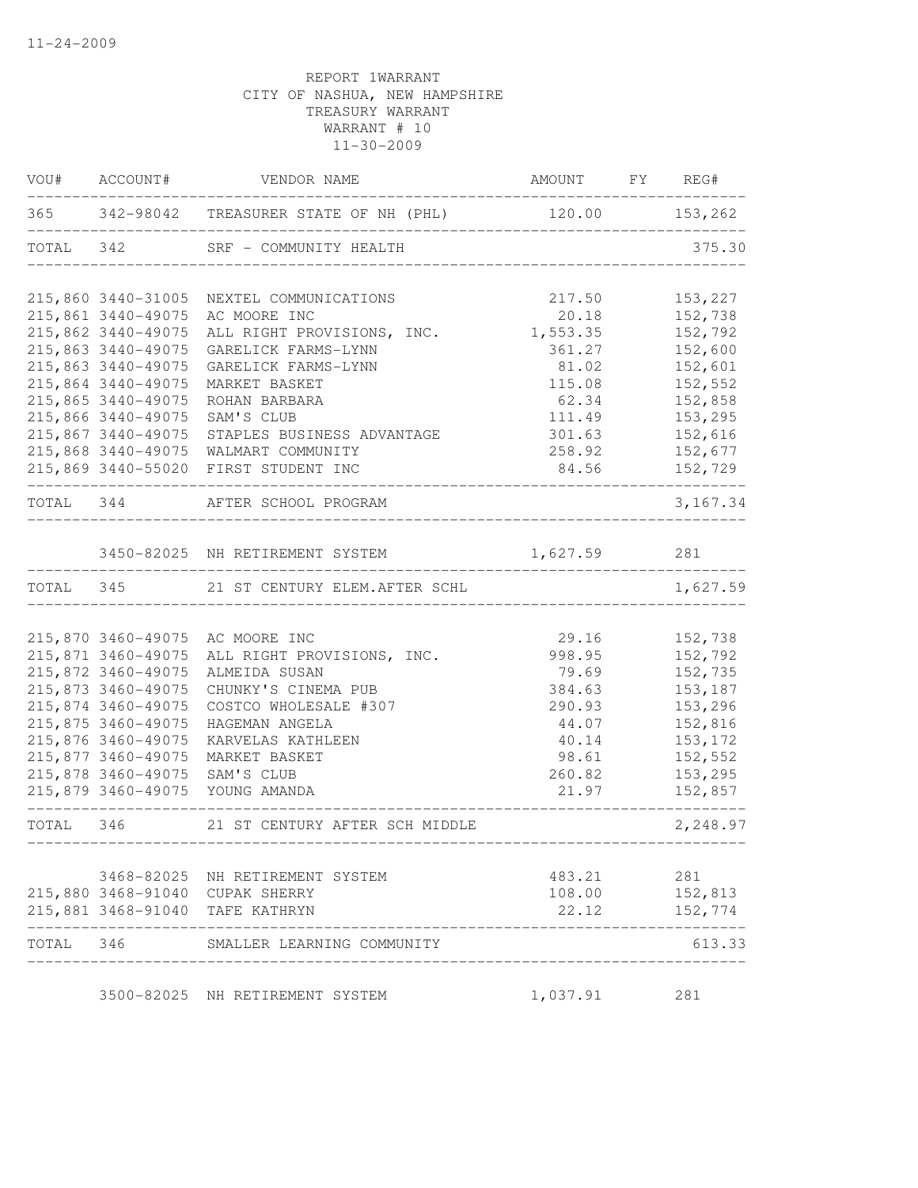|           |                    | VOU# ACCOUNT# VENDOR NAME                                | AMOUNT FY REG#                      |           |
|-----------|--------------------|----------------------------------------------------------|-------------------------------------|-----------|
|           |                    | 365 342-98042 TREASURER STATE OF NH (PHL) 120.00 153,262 |                                     |           |
|           |                    | TOTAL 342 SRF - COMMUNITY HEALTH                         |                                     | 375.30    |
|           | 215,860 3440-31005 | NEXTEL COMMUNICATIONS                                    | 217.50                              | 153,227   |
|           | 215,861 3440-49075 | AC MOORE INC                                             | 20.18                               | 152,738   |
|           | 215,862 3440-49075 | ALL RIGHT PROVISIONS, INC.                               | 1,553.35                            | 152,792   |
|           | 215,863 3440-49075 | GARELICK FARMS-LYNN                                      | 361.27                              | 152,600   |
|           | 215,863 3440-49075 | GARELICK FARMS-LYNN                                      | 81.02                               | 152,601   |
|           | 215,864 3440-49075 | MARKET BASKET                                            | 115.08                              | 152,552   |
|           | 215,865 3440-49075 | ROHAN BARBARA                                            | 62.34                               | 152,858   |
|           | 215,866 3440-49075 | SAM'S CLUB                                               | 111.49                              | 153,295   |
|           | 215,867 3440-49075 | STAPLES BUSINESS ADVANTAGE                               | 301.63                              | 152,616   |
|           |                    | 215,868 3440-49075 WALMART COMMUNITY                     | 258.92                              | 152,677   |
|           |                    | 215,869 3440-55020 FIRST STUDENT INC                     | 84.56                               | 152,729   |
|           |                    | TOTAL 344 AFTER SCHOOL PROGRAM<br>---------------------- |                                     | 3, 167.34 |
|           |                    | 3450-82025 NH RETIREMENT SYSTEM 1,627.59 281             |                                     |           |
|           |                    | <u> De Bernard Bernard Bernard </u>                      |                                     |           |
|           |                    | TOTAL 345 21 ST CENTURY ELEM. AFTER SCHL                 |                                     | 1,627.59  |
|           |                    |                                                          |                                     |           |
|           |                    | 215,870 3460-49075 AC MOORE INC                          | 29.16                               | 152,738   |
|           | 215,871 3460-49075 | ALL RIGHT PROVISIONS, INC.                               | 998.95                              | 152,792   |
|           | 215,872 3460-49075 | ALMEIDA SUSAN                                            | 79.69                               | 152,735   |
|           | 215,873 3460-49075 | CHUNKY'S CINEMA PUB                                      | 384.63                              | 153,187   |
|           | 215,874 3460-49075 | COSTCO WHOLESALE #307                                    | 290.93                              | 153,296   |
|           | 215,875 3460-49075 | HAGEMAN ANGELA                                           | 44.07                               | 152,816   |
|           | 215,876 3460-49075 | KARVELAS KATHLEEN                                        | 40.14                               | 153,172   |
|           | 215,877 3460-49075 | MARKET BASKET                                            | 98.61                               | 152,552   |
|           | 215,878 3460-49075 | SAM'S CLUB                                               | 260.82                              | 153,295   |
|           |                    | 215,879 3460-49075 YOUNG AMANDA                          | 21.97                               | 152,857   |
|           |                    | TOTAL 346 21 ST CENTURY AFTER SCH MIDDLE                 | ___________________________________ | 2,248.97  |
|           |                    | 3468-82025 NH RETIREMENT SYSTEM                          | 483.21                              | 281       |
|           |                    | 215,880 3468-91040 CUPAK SHERRY                          | 108.00                              | 152,813   |
|           | 215,881 3468-91040 | TAFE KATHRYN                                             | 22.12                               | 152,774   |
| TOTAL 346 |                    | SMALLER LEARNING COMMUNITY                               |                                     | 613.33    |
|           |                    |                                                          |                                     |           |
|           |                    | 3500-82025 NH RETIREMENT SYSTEM                          | 1,037.91                            | 281       |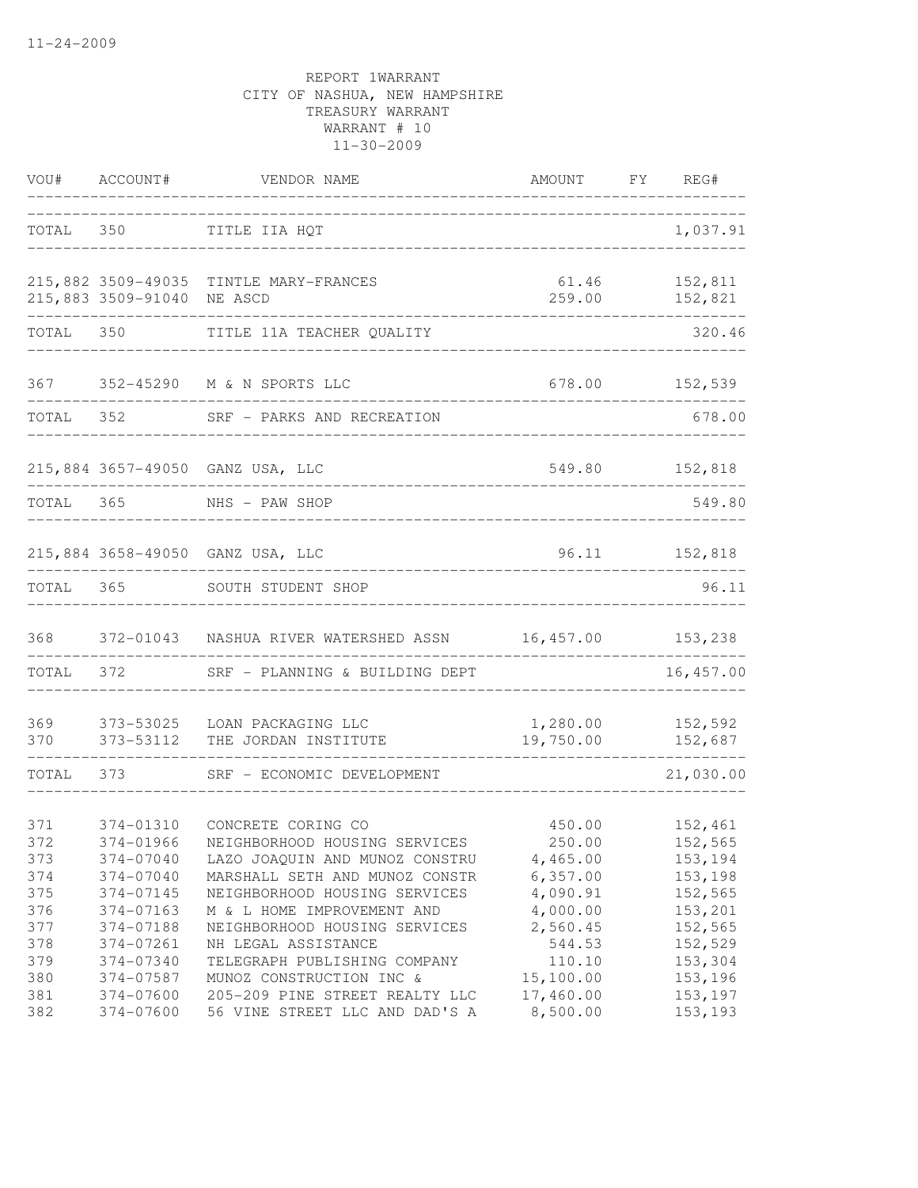| VOU#                                          | ACCOUNT#                                                                                | VENDOR NAME                                                                                                                                                                                                        | AMOUNT                                                                         | FY REG#                                                                    |
|-----------------------------------------------|-----------------------------------------------------------------------------------------|--------------------------------------------------------------------------------------------------------------------------------------------------------------------------------------------------------------------|--------------------------------------------------------------------------------|----------------------------------------------------------------------------|
| TOTAL                                         | 350                                                                                     | TITLE IIA HQT                                                                                                                                                                                                      |                                                                                | 1,037.91                                                                   |
|                                               | 215,883 3509-91040                                                                      | 215,882 3509-49035 TINTLE MARY-FRANCES<br>NE ASCD                                                                                                                                                                  | 61.46<br>259.00                                                                | 152,811<br>152,821<br>----------------                                     |
| TOTAL                                         |                                                                                         | TITLE 11A TEACHER QUALITY                                                                                                                                                                                          |                                                                                | 320.46                                                                     |
| 367                                           |                                                                                         | 352-45290 M & N SPORTS LLC                                                                                                                                                                                         |                                                                                | 678.00 152,539                                                             |
| TOTAL                                         |                                                                                         | 352 SRF - PARKS AND RECREATION                                                                                                                                                                                     |                                                                                | 678.00                                                                     |
|                                               |                                                                                         | 215,884 3657-49050 GANZ USA, LLC                                                                                                                                                                                   |                                                                                | 549.80 152,818                                                             |
| TOTAL 365                                     |                                                                                         | -----------------------<br>NHS - PAW SHOP<br>_____________________________________                                                                                                                                 |                                                                                | 549.80                                                                     |
|                                               |                                                                                         | 215,884 3658-49050 GANZ USA, LLC                                                                                                                                                                                   |                                                                                | 96.11 152,818                                                              |
| TOTAL                                         | 365                                                                                     | SOUTH STUDENT SHOP                                                                                                                                                                                                 |                                                                                | 96.11                                                                      |
| 368                                           |                                                                                         | 372-01043 NASHUA RIVER WATERSHED ASSN 16,457.00 153,238                                                                                                                                                            |                                                                                |                                                                            |
| TOTAL                                         | 372                                                                                     | SRF - PLANNING & BUILDING DEPT                                                                                                                                                                                     |                                                                                | 16, 457.00                                                                 |
| 369<br>370                                    | 373-53025<br>373-53112                                                                  | LOAN PACKAGING LLC<br>THE JORDAN INSTITUTE                                                                                                                                                                         | 1,280.00<br>19,750.00                                                          | 152,592<br>152,687                                                         |
| TOTAL                                         | 373                                                                                     | SRF - ECONOMIC DEVELOPMENT                                                                                                                                                                                         |                                                                                | 21,030.00                                                                  |
| 371<br>372<br>373<br>374<br>375               | 374-01310<br>374-01966<br>374-07040<br>374-07040<br>374-07145                           | CONCRETE CORING CO<br>NEIGHBORHOOD HOUSING SERVICES<br>LAZO JOAQUIN AND MUNOZ CONSTRU<br>MARSHALL SETH AND MUNOZ CONSTR<br>NEIGHBORHOOD HOUSING SERVICES                                                           | 450.00<br>250.00<br>4,465.00<br>6,357.00<br>4,090.91                           | 152,461<br>152,565<br>153,194<br>153,198<br>152,565                        |
| 376<br>377<br>378<br>379<br>380<br>381<br>382 | 374-07163<br>374-07188<br>374-07261<br>374-07340<br>374-07587<br>374-07600<br>374-07600 | M & L HOME IMPROVEMENT AND<br>NEIGHBORHOOD HOUSING SERVICES<br>NH LEGAL ASSISTANCE<br>TELEGRAPH PUBLISHING COMPANY<br>MUNOZ CONSTRUCTION INC &<br>205-209 PINE STREET REALTY LLC<br>56 VINE STREET LLC AND DAD'S A | 4,000.00<br>2,560.45<br>544.53<br>110.10<br>15,100.00<br>17,460.00<br>8,500.00 | 153,201<br>152,565<br>152,529<br>153,304<br>153,196<br>153,197<br>153, 193 |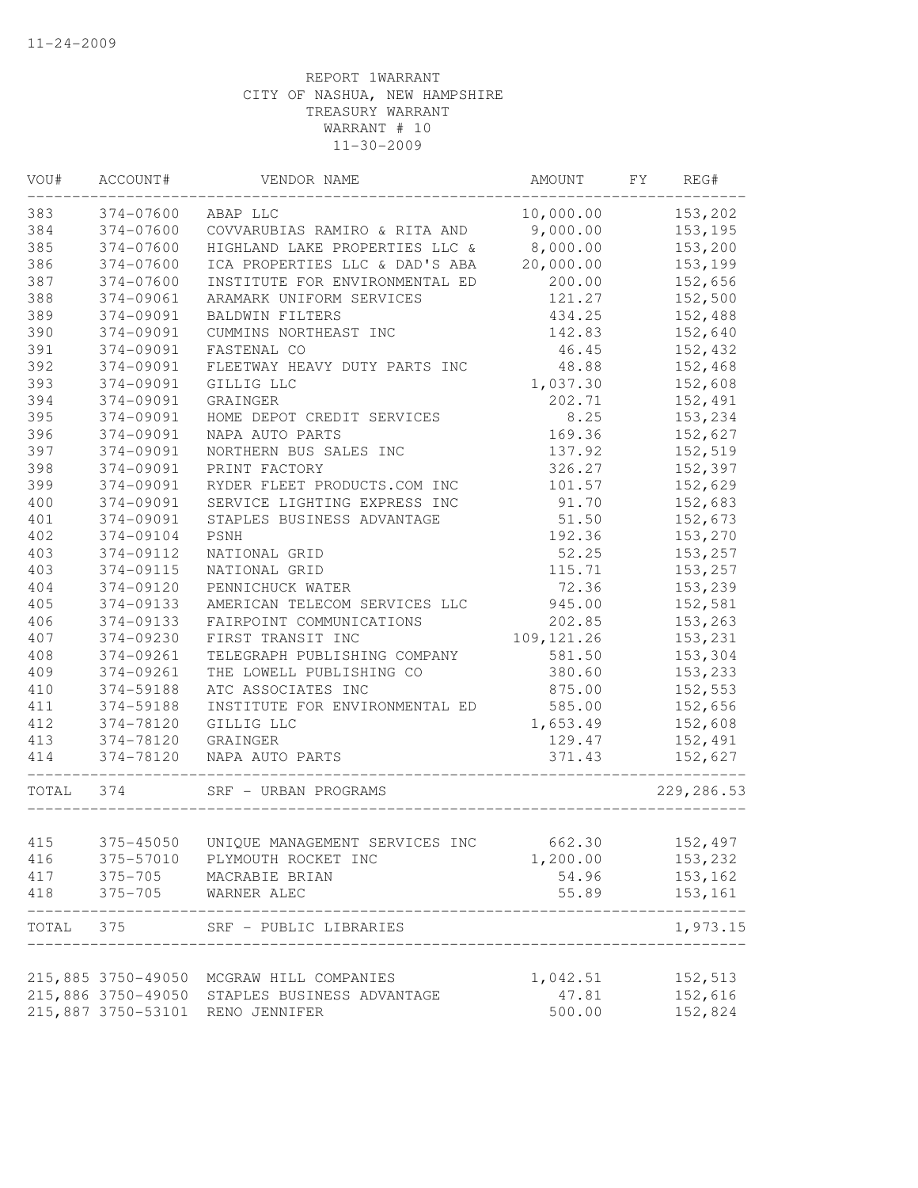| VOU#      | ACCOUNT#           | VENDOR NAME                                               | AMOUNT      | FY | REG#               |
|-----------|--------------------|-----------------------------------------------------------|-------------|----|--------------------|
| 383       | 374-07600          | ABAP LLC                                                  | 10,000.00   |    | 153,202            |
| 384       | 374-07600          | COVVARUBIAS RAMIRO & RITA AND                             | 9,000.00    |    | 153,195            |
| 385       | 374-07600          | HIGHLAND LAKE PROPERTIES LLC &                            | 8,000.00    |    | 153,200            |
| 386       | 374-07600          | ICA PROPERTIES LLC & DAD'S ABA                            | 20,000.00   |    | 153,199            |
| 387       | 374-07600          | INSTITUTE FOR ENVIRONMENTAL ED                            | 200.00      |    | 152,656            |
| 388       | 374-09061          | ARAMARK UNIFORM SERVICES                                  | 121.27      |    | 152,500            |
| 389       | 374-09091          | BALDWIN FILTERS                                           | 434.25      |    | 152,488            |
| 390       | 374-09091          | CUMMINS NORTHEAST INC                                     | 142.83      |    | 152,640            |
| 391       | 374-09091          | FASTENAL CO                                               | 46.45       |    | 152,432            |
| 392       | 374-09091          | FLEETWAY HEAVY DUTY PARTS INC                             | 48.88       |    | 152,468            |
| 393       | 374-09091          | GILLIG LLC                                                | 1,037.30    |    | 152,608            |
| 394       | 374-09091          | GRAINGER                                                  | 202.71      |    | 152,491            |
| 395       | 374-09091          | HOME DEPOT CREDIT SERVICES                                | 8.25        |    | 153,234            |
| 396       | 374-09091          | NAPA AUTO PARTS                                           | 169.36      |    | 152,627            |
| 397       | 374-09091          | NORTHERN BUS SALES INC                                    | 137.92      |    | 152,519            |
| 398       | 374-09091          | PRINT FACTORY                                             | 326.27      |    | 152,397            |
| 399       | 374-09091          | RYDER FLEET PRODUCTS.COM INC                              | 101.57      |    | 152,629            |
| 400       | 374-09091          | SERVICE LIGHTING EXPRESS INC                              | 91.70       |    | 152,683            |
| 401       | 374-09091          | STAPLES BUSINESS ADVANTAGE                                | 51.50       |    | 152,673            |
| 402       | 374-09104          | PSNH                                                      | 192.36      |    | 153,270            |
| 403       | 374-09112          | NATIONAL GRID                                             | 52.25       |    | 153,257            |
| 403       | 374-09115          | NATIONAL GRID                                             | 115.71      |    | 153,257            |
| 404       | 374-09120          | PENNICHUCK WATER                                          | 72.36       |    | 153,239            |
| 405       | 374-09133          | AMERICAN TELECOM SERVICES LLC                             | 945.00      |    | 152,581            |
| 406       | 374-09133          | FAIRPOINT COMMUNICATIONS                                  | 202.85      |    | 153,263            |
| 407       | 374-09230          | FIRST TRANSIT INC                                         | 109, 121.26 |    | 153,231            |
| 408       | 374-09261          | TELEGRAPH PUBLISHING COMPANY                              | 581.50      |    | 153,304            |
| 409       | 374-09261          | THE LOWELL PUBLISHING CO                                  | 380.60      |    | 153,233            |
| 410       | 374-59188          | ATC ASSOCIATES INC                                        | 875.00      |    | 152,553            |
| 411       | 374-59188          | INSTITUTE FOR ENVIRONMENTAL ED                            | 585.00      |    | 152,656            |
| 412       | 374-78120          | GILLIG LLC                                                | 1,653.49    |    | 152,608            |
| 413       | 374-78120          | GRAINGER                                                  | 129.47      |    | 152,491            |
| 414       | 374-78120          | NAPA AUTO PARTS                                           | 371.43      |    | 152,627            |
| TOTAL 374 |                    | SRF - URBAN PROGRAMS                                      |             |    | 229, 286.53        |
|           |                    |                                                           |             |    |                    |
| 415       | 375-45050          | UNIQUE MANAGEMENT SERVICES INC                            | 662.30      |    | 152,497            |
| 416       |                    | 375-57010 PLYMOUTH ROCKET INC                             | 1,200.00    |    | 153,232            |
| 417       | $375 - 705$        | MACRABIE BRIAN                                            | 54.96       |    | 153,162            |
| 418       |                    | 375-705 WARNER ALEC                                       | 55.89       |    | 153,161<br>------- |
|           |                    | TOTAL 375 SRF - PUBLIC LIBRARIES<br>_____________________ |             |    | 1,973.15           |
|           | 215,885 3750-49050 | MCGRAW HILL COMPANIES                                     | 1,042.51    |    | 152,513            |
|           | 215,886 3750-49050 | STAPLES BUSINESS ADVANTAGE                                | 47.81       |    | 152,616            |
|           | 215,887 3750-53101 | RENO JENNIFER                                             | 500.00      |    | 152,824            |
|           |                    |                                                           |             |    |                    |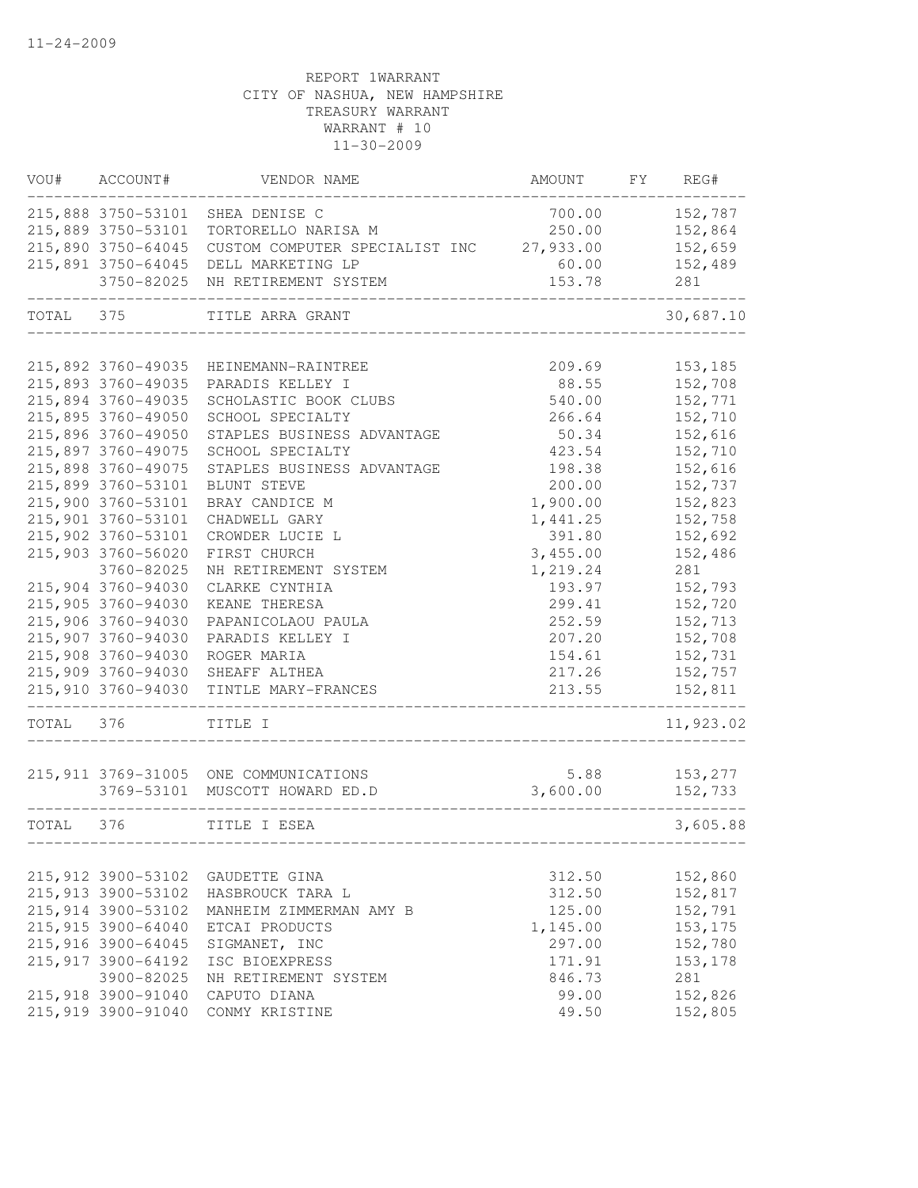| VOU#      | ACCOUNT#           | VENDOR NAME                                                             | AMOUNT           | FY | REG#               |
|-----------|--------------------|-------------------------------------------------------------------------|------------------|----|--------------------|
|           | 215,888 3750-53101 | SHEA DENISE C                                                           | 700.00           |    | 152,787            |
|           | 215,889 3750-53101 | TORTORELLO NARISA M                                                     | 250.00           |    | 152,864            |
|           | 215,890 3750-64045 | CUSTOM COMPUTER SPECIALIST INC                                          | 27,933.00        |    | 152,659            |
|           | 215,891 3750-64045 | DELL MARKETING LP                                                       | 60.00            |    | 152,489            |
|           | 3750-82025         | NH RETIREMENT SYSTEM                                                    | 153.78           |    | 281                |
| TOTAL 375 |                    | TITLE ARRA GRANT                                                        |                  |    | 30,687.10          |
|           | 215,892 3760-49035 | HEINEMANN-RAINTREE                                                      | 209.69           |    | 153,185            |
|           | 215,893 3760-49035 | PARADIS KELLEY I                                                        | 88.55            |    | 152,708            |
|           | 215,894 3760-49035 | SCHOLASTIC BOOK CLUBS                                                   | 540.00           |    | 152,771            |
|           | 215,895 3760-49050 | SCHOOL SPECIALTY                                                        | 266.64           |    | 152,710            |
|           | 215,896 3760-49050 | STAPLES BUSINESS ADVANTAGE                                              | 50.34            |    | 152,616            |
|           | 215,897 3760-49075 | SCHOOL SPECIALTY                                                        | 423.54           |    | 152,710            |
|           | 215,898 3760-49075 | STAPLES BUSINESS ADVANTAGE                                              | 198.38           |    | 152,616            |
|           | 215,899 3760-53101 | BLUNT STEVE                                                             | 200.00           |    | 152,737            |
|           | 215,900 3760-53101 | BRAY CANDICE M                                                          | 1,900.00         |    | 152,823            |
|           | 215,901 3760-53101 | CHADWELL GARY                                                           | 1,441.25         |    | 152,758            |
|           | 215,902 3760-53101 | CROWDER LUCIE L                                                         | 391.80           |    | 152,692            |
|           | 215,903 3760-56020 | FIRST CHURCH                                                            | 3,455.00         |    | 152,486            |
|           | 3760-82025         | NH RETIREMENT SYSTEM                                                    | 1,219.24         |    | 281                |
|           | 215,904 3760-94030 | CLARKE CYNTHIA                                                          | 193.97           |    | 152,793            |
|           | 215,905 3760-94030 | KEANE THERESA                                                           | 299.41           |    | 152,720            |
|           | 215,906 3760-94030 | PAPANICOLAOU PAULA                                                      | 252.59           |    | 152,713            |
|           | 215,907 3760-94030 | PARADIS KELLEY I                                                        | 207.20           |    | 152,708            |
|           | 215,908 3760-94030 | ROGER MARIA                                                             | 154.61           |    | 152,731            |
|           | 215,909 3760-94030 | SHEAFF ALTHEA                                                           | 217.26           |    | 152,757            |
|           | 215,910 3760-94030 | TINTLE MARY-FRANCES                                                     | 213.55           |    | 152,811            |
| TOTAL     | 376                | TITLE I                                                                 |                  |    | 11,923.02          |
|           |                    |                                                                         |                  |    |                    |
|           |                    | 215,911 3769-31005 ONE COMMUNICATIONS<br>3769-53101 MUSCOTT HOWARD ED.D | 5.88<br>3,600.00 |    | 153,277<br>152,733 |
|           |                    |                                                                         |                  |    |                    |
| TOTAL     | 376                | TITLE I ESEA                                                            |                  |    | 3,605.88           |
|           | 215,912 3900-53102 | GAUDETTE GINA                                                           | 312.50           |    | 152,860            |
|           | 215,913 3900-53102 | HASBROUCK TARA L                                                        | 312.50           |    | 152,817            |
|           | 215,914 3900-53102 | MANHEIM ZIMMERMAN AMY B                                                 | 125.00           |    | 152,791            |
|           | 215,915 3900-64040 | ETCAI PRODUCTS                                                          | 1,145.00         |    | 153, 175           |
|           | 215,916 3900-64045 | SIGMANET, INC                                                           | 297.00           |    | 152,780            |
|           | 215,917 3900-64192 | ISC BIOEXPRESS                                                          | 171.91           |    | 153,178            |
|           | 3900-82025         | NH RETIREMENT SYSTEM                                                    | 846.73           |    | 281                |
|           | 215,918 3900-91040 | CAPUTO DIANA                                                            | 99.00            |    | 152,826            |
|           | 215,919 3900-91040 | CONMY KRISTINE                                                          | 49.50            |    | 152,805            |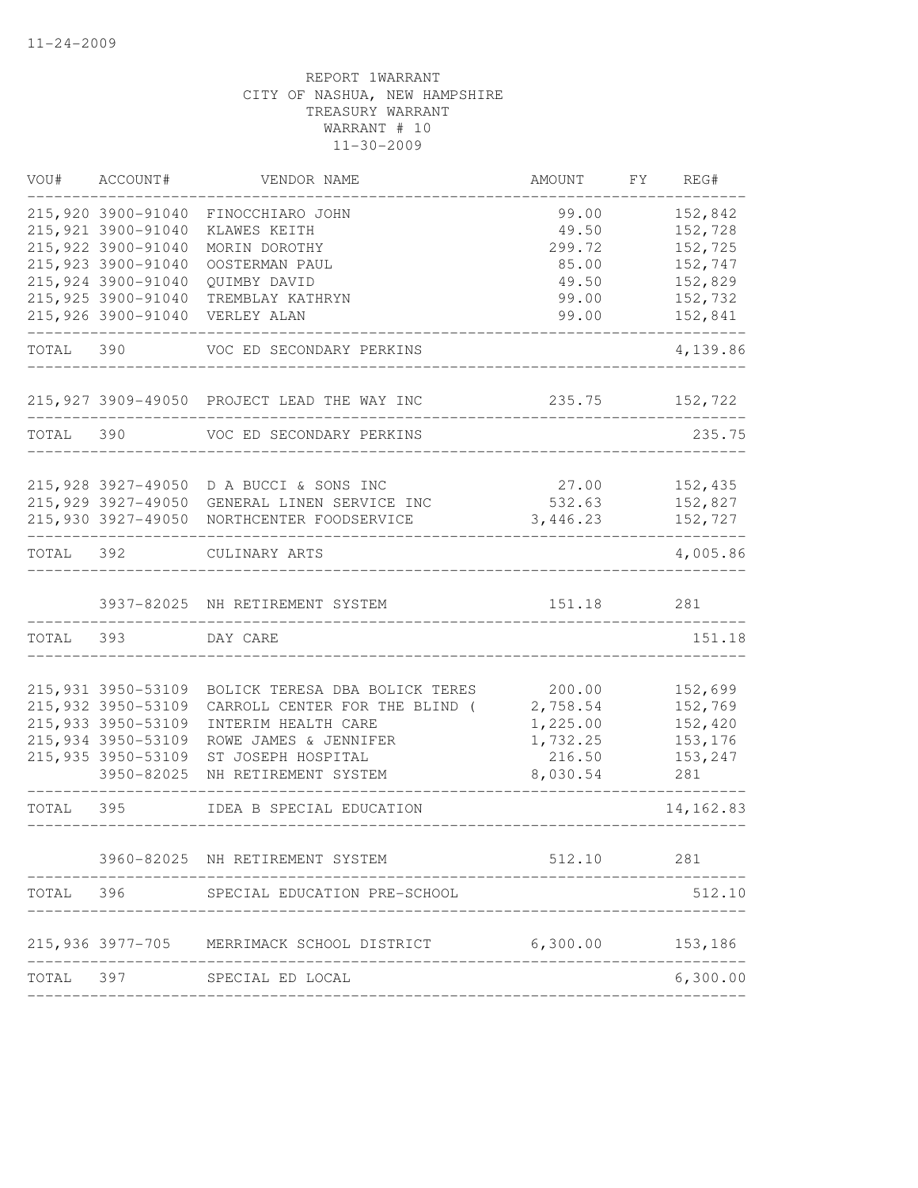| VOU#      | ACCOUNT#                         | VENDOR NAME                                 | AMOUNT             | FΥ | REG#           |
|-----------|----------------------------------|---------------------------------------------|--------------------|----|----------------|
|           | 215,920 3900-91040               | FINOCCHIARO JOHN                            | 99.00              |    | 152,842        |
|           | 215,921 3900-91040               | KLAWES KEITH                                | 49.50              |    | 152,728        |
|           | 215,922 3900-91040               | MORIN DOROTHY                               | 299.72             |    | 152,725        |
|           | 215,923 3900-91040               | OOSTERMAN PAUL                              | 85.00              |    | 152,747        |
|           | 215,924 3900-91040               | QUIMBY DAVID                                | 49.50              |    | 152,829        |
|           | 215,925 3900-91040               | TREMBLAY KATHRYN                            | 99.00              |    | 152,732        |
|           | 215,926 3900-91040               | VERLEY ALAN                                 | 99.00              |    | 152,841        |
| TOTAL 390 |                                  | VOC ED SECONDARY PERKINS                    |                    |    | 4,139.86       |
|           |                                  | 215,927 3909-49050 PROJECT LEAD THE WAY INC | 235.75             |    | 152,722        |
| TOTAL     | 390                              | VOC ED SECONDARY PERKINS                    |                    |    | 235.75         |
|           |                                  |                                             |                    |    |                |
|           | 215,928 3927-49050               | D A BUCCI & SONS INC                        | 27.00              |    | 152,435        |
|           | 215,929 3927-49050               | GENERAL LINEN SERVICE INC                   | 532.63             |    | 152,827        |
|           | 215,930 3927-49050               | NORTHCENTER FOODSERVICE                     | 3,446.23           |    | 152,727        |
| TOTAL 392 |                                  | CULINARY ARTS                               |                    |    | 4,005.86       |
|           |                                  | 3937-82025 NH RETIREMENT SYSTEM             | 151.18             |    | 281            |
| TOTAL 393 |                                  | DAY CARE                                    |                    |    | 151.18         |
|           |                                  |                                             |                    |    |                |
|           | 215,931 3950-53109               | BOLICK TERESA DBA BOLICK TERES              | 200.00             |    | 152,699        |
|           | 215,932 3950-53109               | CARROLL CENTER FOR THE BLIND (              | 2,758.54           |    | 152,769        |
|           | 215,933 3950-53109               | INTERIM HEALTH CARE                         | 1,225.00           |    | 152,420        |
|           | 215,934 3950-53109               | ROWE JAMES & JENNIFER                       | 1,732.25           |    | 153,176        |
|           | 215,935 3950-53109<br>3950-82025 | ST JOSEPH HOSPITAL<br>NH RETIREMENT SYSTEM  | 216.50<br>8,030.54 |    | 153,247<br>281 |
| TOTAL     | 395                              | IDEA B SPECIAL EDUCATION                    |                    |    | 14, 162.83     |
|           |                                  |                                             |                    |    |                |
|           |                                  | 3960-82025 NH RETIREMENT SYSTEM             | 512.10             |    | 281            |
| TOTAL     | 396                              | SPECIAL EDUCATION PRE-SCHOOL                |                    |    | 512.10         |
|           | 215,936 3977-705                 | MERRIMACK SCHOOL DISTRICT                   | 6,300.00           |    | 153,186        |
| TOTAL     | 397                              | SPECIAL ED LOCAL                            |                    |    | 6,300.00       |
|           |                                  |                                             |                    |    |                |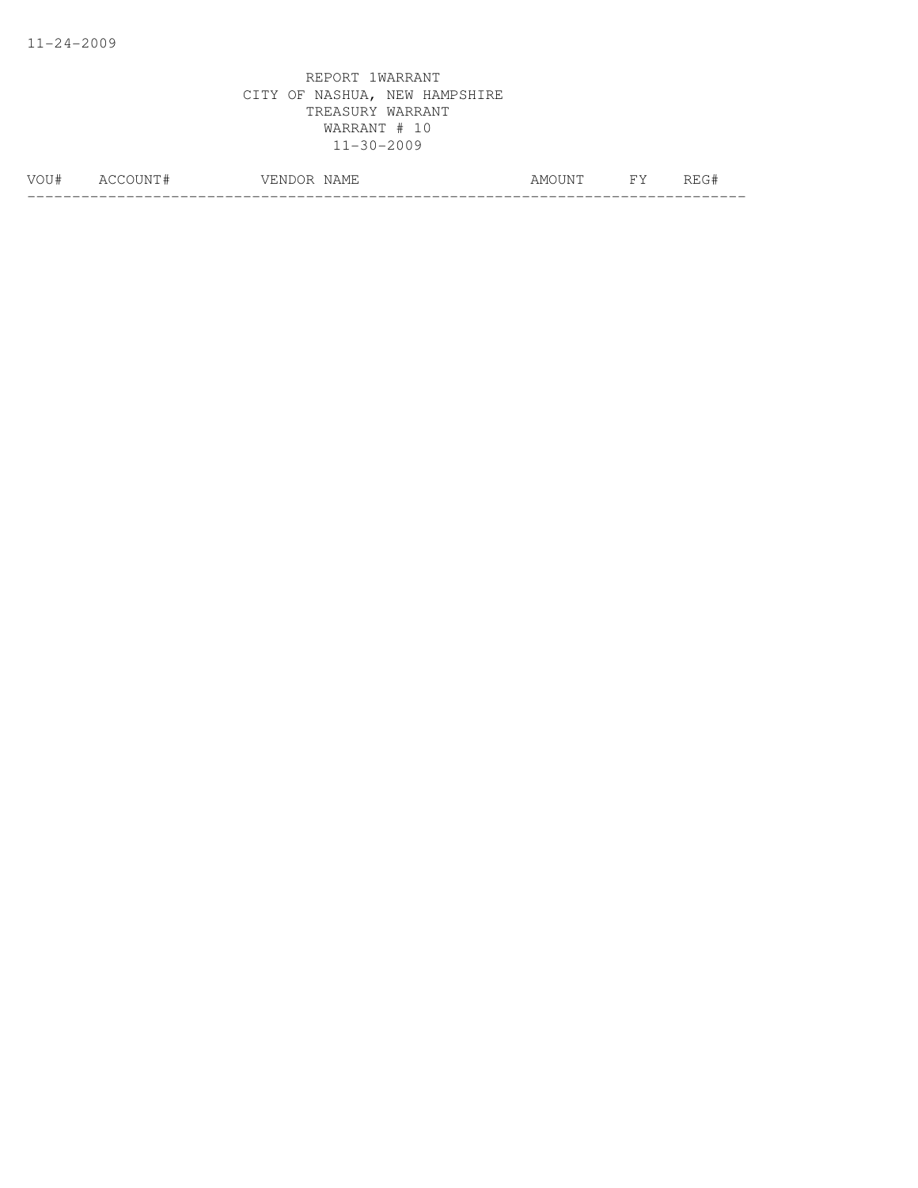| ∣# | ∸<br>__ | ---<br>. <i>.</i> L<br>NAME | A IV | $\overline{\phantom{1}}$<br><b>__</b> | . . |
|----|---------|-----------------------------|------|---------------------------------------|-----|
|    |         |                             |      |                                       |     |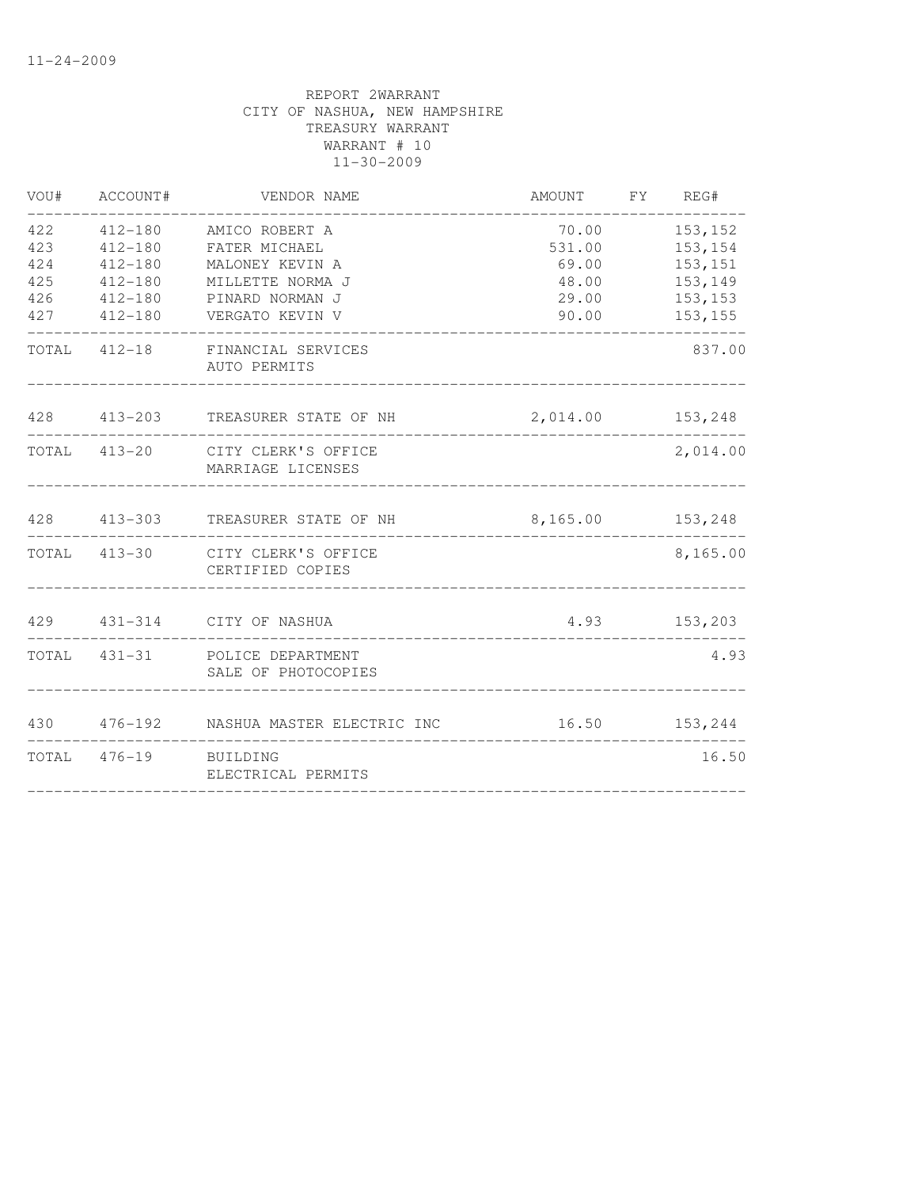| VOU# | ACCOUNT#              | VENDOR NAME                                                                | AMOUNT FY REG#   |               |
|------|-----------------------|----------------------------------------------------------------------------|------------------|---------------|
| 422  | 412-180               | AMICO ROBERT A                                                             | 70.00            | 153,152       |
| 423  | $412 - 180$           | FATER MICHAEL                                                              | 531.00           | 153,154       |
| 424  | $412 - 180$           | MALONEY KEVIN A                                                            | 69.00            | 153,151       |
| 425  | 412-180               | MILLETTE NORMA J                                                           |                  | 48.00 153,149 |
| 426  | 412-180               | PINARD NORMAN J                                                            |                  | 29.00 153,153 |
|      |                       | 427   412-180   VERGATO KEVIN V                                            |                  | 90.00 153,155 |
|      |                       | TOTAL 412-18 FINANCIAL SERVICES<br>AUTO PERMITS                            |                  | 837.00        |
|      |                       | 428 413-203 TREASURER STATE OF NH<br>_____________________________________ | 2,014.00 153,248 |               |
|      |                       | TOTAL 413-20 CITY CLERK'S OFFICE<br>MARRIAGE LICENSES                      |                  | 2,014.00      |
|      |                       |                                                                            |                  |               |
|      |                       | TOTAL 413-30 CITY CLERK'S OFFICE<br>CERTIFIED COPIES                       |                  | 8,165.00      |
|      |                       | 429  431-314  CITY OF NASHUA                                               |                  | 4.93 153,203  |
|      |                       | TOTAL 431-31 POLICE DEPARTMENT<br>SALE OF PHOTOCOPIES                      |                  | 4.93          |
|      |                       | 430 476-192 NASHUA MASTER ELECTRIC INC 16.50 153,244                       |                  |               |
|      | TOTAL 476-19 BUILDING | ELECTRICAL PERMITS                                                         |                  | 16.50         |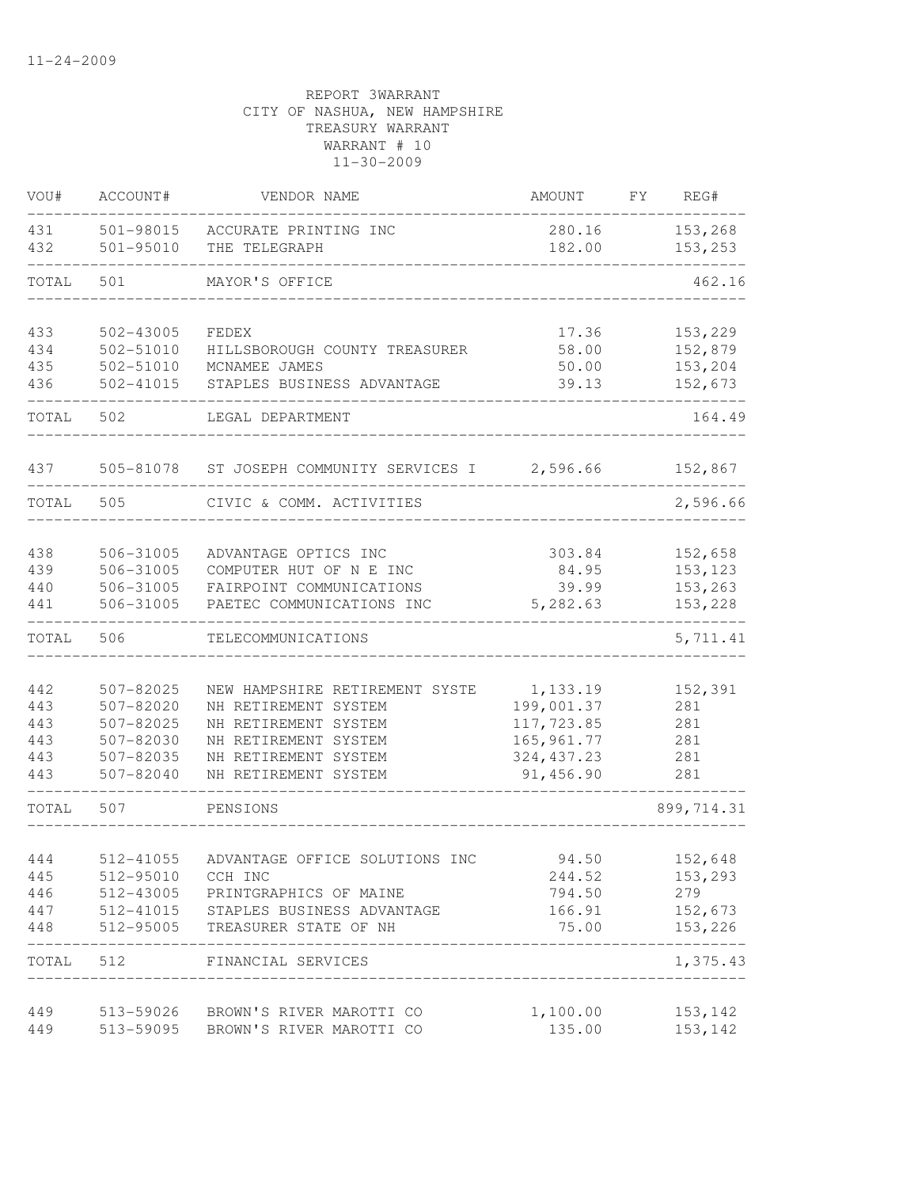| VOU#  | ACCOUNT#      | VENDOR NAME                          | <b>AMOUNT</b> | FY | REG#                      |
|-------|---------------|--------------------------------------|---------------|----|---------------------------|
| 431   | 501-98015     | ACCURATE PRINTING INC                | 280.16        |    | 153,268                   |
| 432   | 501-95010     | THE TELEGRAPH                        | 182.00        |    | 153,253                   |
| TOTAL | 501           | MAYOR'S OFFICE                       |               |    | 462.16                    |
| 433   | 502-43005     | FEDEX                                | 17.36         |    | 153,229                   |
| 434   | 502-51010     | HILLSBOROUGH COUNTY TREASURER        | 58.00         |    | 152,879                   |
| 435   | 502-51010     | MCNAMEE JAMES                        | 50.00         |    | 153,204                   |
| 436   | $502 - 41015$ | STAPLES BUSINESS ADVANTAGE           | 39.13         |    | 152,673                   |
| TOTAL | 502           | LEGAL DEPARTMENT                     |               |    | 164.49                    |
| 437   | 505-81078     | ST JOSEPH COMMUNITY SERVICES I       | 2,596.66      |    | 152,867                   |
| TOTAL | 505           | CIVIC & COMM. ACTIVITIES             |               |    | 2,596.66                  |
| 438   | 506-31005     | ADVANTAGE OPTICS INC                 | 303.84        |    | 152,658                   |
| 439   | 506-31005     | COMPUTER HUT OF N E INC              | 84.95         |    | 153, 123                  |
| 440   | 506-31005     | FAIRPOINT COMMUNICATIONS             | 39.99         |    | 153,263                   |
| 441   | 506-31005     | PAETEC COMMUNICATIONS INC            | 5,282.63      |    | 153,228                   |
| TOTAL | 506           | TELECOMMUNICATIONS                   |               |    | 5,711.41                  |
| 442   | 507-82025     | NEW HAMPSHIRE RETIREMENT SYSTE       | 1,133.19      |    | 152,391                   |
| 443   | 507-82020     | NH RETIREMENT SYSTEM                 | 199,001.37    |    | 281                       |
| 443   | 507-82025     | NH RETIREMENT SYSTEM                 | 117,723.85    |    | 281                       |
| 443   | 507-82030     | NH RETIREMENT SYSTEM                 | 165, 961.77   |    | 281                       |
| 443   | 507-82035     | NH RETIREMENT SYSTEM                 | 324, 437.23   |    | 281                       |
| 443   | 507-82040     | NH RETIREMENT SYSTEM                 | 91,456.90     |    | 281                       |
| TOTAL | 507           | PENSIONS                             |               |    | 899, 714.31               |
| 444   | 512-41055     | ADVANTAGE OFFICE SOLUTIONS INC       | 94.50         |    | 152,648                   |
| 445   | 512-95010     | CCH INC                              | 244.52        |    | 153,293                   |
| 446   |               | 512-43005 PRINTGRAPHICS OF MAINE     | 794.50        |    | 279                       |
| 447   |               | 512-41015 STAPLES BUSINESS ADVANTAGE | 166.91        |    | 152,673                   |
| 448   | 512-95005     | TREASURER STATE OF NH                | 75.00         |    | 153,226                   |
|       |               | TOTAL 512 FINANCIAL SERVICES         |               |    | _____________<br>1,375.43 |
| 449   |               | 513-59026 BROWN'S RIVER MAROTTI CO   | 1,100.00      |    | 153,142                   |
| 449   |               | 513-59095 BROWN'S RIVER MAROTTI CO   | 135.00        |    | 153,142                   |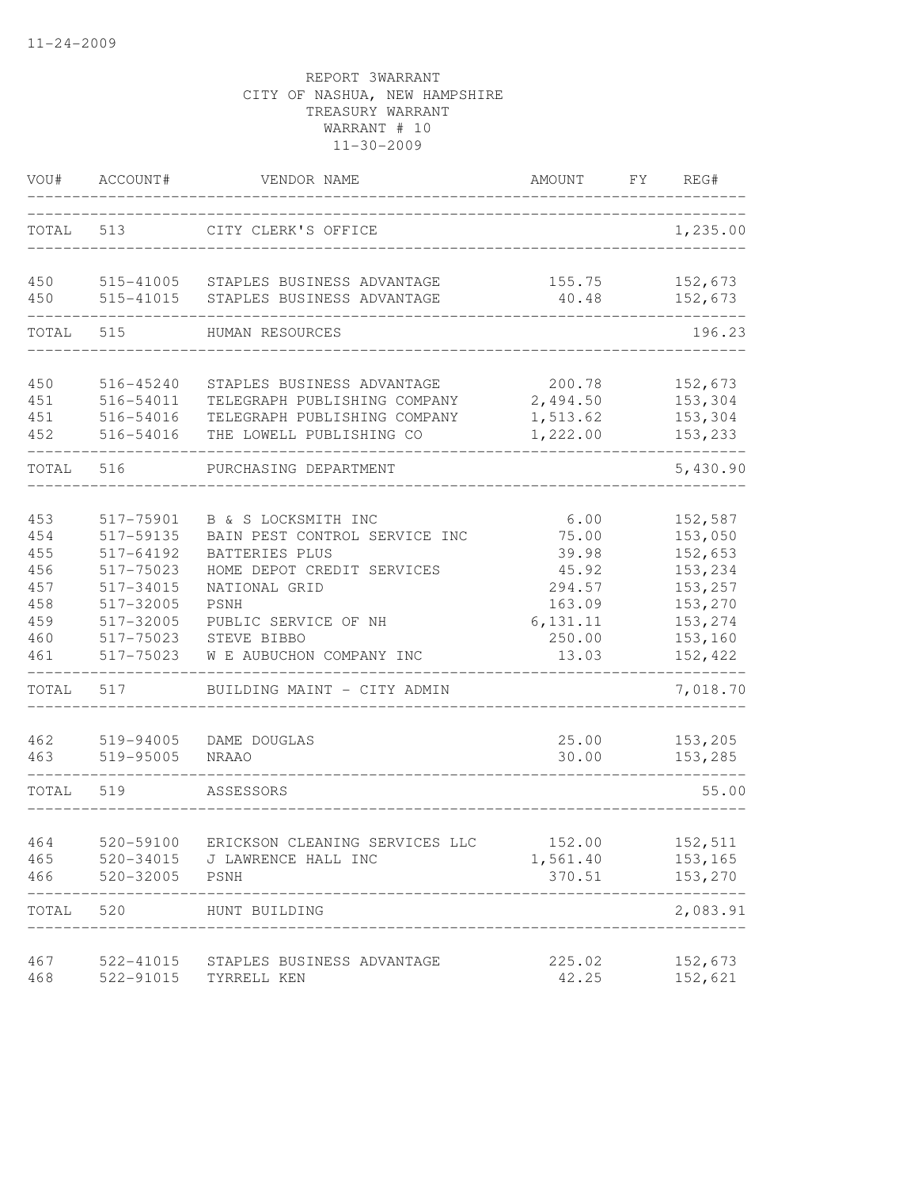| VOU#                                                        | ACCOUNT#                                                                                                          | VENDOR NAME                                                                                                                                                                                      | AMOUNT                                                                               | FY | REG#                                                                                            |
|-------------------------------------------------------------|-------------------------------------------------------------------------------------------------------------------|--------------------------------------------------------------------------------------------------------------------------------------------------------------------------------------------------|--------------------------------------------------------------------------------------|----|-------------------------------------------------------------------------------------------------|
| TOTAL                                                       | 513                                                                                                               | CITY CLERK'S OFFICE                                                                                                                                                                              |                                                                                      |    | 1,235.00                                                                                        |
| 450<br>450                                                  | 515-41005<br>515-41015                                                                                            | STAPLES BUSINESS ADVANTAGE<br>STAPLES BUSINESS ADVANTAGE                                                                                                                                         | 155.75<br>40.48                                                                      |    | 152,673<br>152,673                                                                              |
| TOTAL                                                       | 515                                                                                                               | HUMAN RESOURCES                                                                                                                                                                                  |                                                                                      |    | 196.23                                                                                          |
| 450<br>451<br>451<br>452                                    | 516-45240<br>516-54011<br>516-54016<br>516-54016                                                                  | STAPLES BUSINESS ADVANTAGE<br>TELEGRAPH PUBLISHING COMPANY<br>TELEGRAPH PUBLISHING COMPANY<br>THE LOWELL PUBLISHING CO                                                                           | 200.78<br>2,494.50<br>1,513.62<br>1,222.00                                           |    | 152,673<br>153,304<br>153,304<br>153,233                                                        |
| TOTAL                                                       | 516                                                                                                               | PURCHASING DEPARTMENT                                                                                                                                                                            |                                                                                      |    | 5,430.90                                                                                        |
| 453<br>454<br>455<br>456<br>457<br>458<br>459<br>460<br>461 | 517-75901<br>517-59135<br>517-64192<br>517-75023<br>517-34015<br>517-32005<br>517-32005<br>517-75023<br>517-75023 | B & S LOCKSMITH INC<br>BAIN PEST CONTROL SERVICE INC<br>BATTERIES PLUS<br>HOME DEPOT CREDIT SERVICES<br>NATIONAL GRID<br>PSNH<br>PUBLIC SERVICE OF NH<br>STEVE BIBBO<br>W E AUBUCHON COMPANY INC | 6.00<br>75.00<br>39.98<br>45.92<br>294.57<br>163.09<br>6, 131. 11<br>250.00<br>13.03 |    | 152,587<br>153,050<br>152,653<br>153,234<br>153,257<br>153,270<br>153,274<br>153,160<br>152,422 |
| TOTAL                                                       | 517                                                                                                               | BUILDING MAINT - CITY ADMIN                                                                                                                                                                      |                                                                                      |    | 7,018.70                                                                                        |
| 462<br>463                                                  | 519-94005<br>519-95005                                                                                            | DAME DOUGLAS<br><b>NRAAO</b>                                                                                                                                                                     | 25.00<br>30.00                                                                       |    | 153,205<br>153,285                                                                              |
| TOTAL                                                       | 519                                                                                                               | ASSESSORS                                                                                                                                                                                        |                                                                                      |    | 55.00                                                                                           |
| 464<br>465<br>466<br>TOTAL                                  | 520-59100<br>520-34015<br>520-32005<br>520                                                                        | ERICKSON CLEANING SERVICES LLC<br>J LAWRENCE HALL INC<br>PSNH<br>HUNT BUILDING                                                                                                                   | 152.00<br>1,561.40<br>370.51                                                         |    | 152,511<br>153,165<br>153,270<br>2,083.91                                                       |
| 467                                                         | 522-41015                                                                                                         | STAPLES BUSINESS ADVANTAGE                                                                                                                                                                       | 225.02                                                                               |    | 152,673                                                                                         |
| 468                                                         | 522-91015                                                                                                         | TYRRELL KEN                                                                                                                                                                                      | 42.25                                                                                |    | 152,621                                                                                         |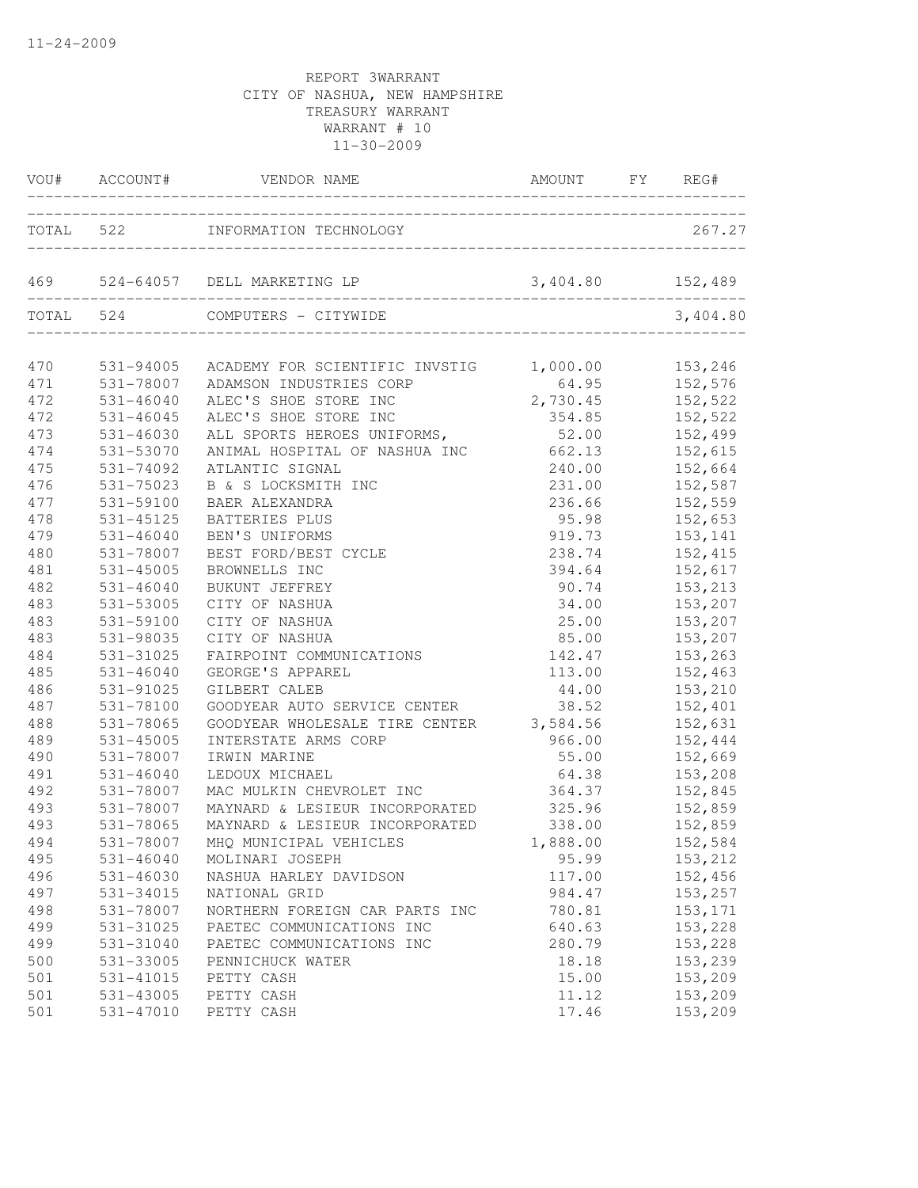|     |               | VOU# ACCOUNT# VENDOR NAME                                                 | AMOUNT FY REG#      |                    |
|-----|---------------|---------------------------------------------------------------------------|---------------------|--------------------|
|     |               | TOTAL 522 INFORMATION TECHNOLOGY                                          |                     | 267.27             |
|     |               | 469 524-64057 DELL MARKETING LP                                           | 3,404.80 152,489    |                    |
|     |               | TOTAL 524 COMPUTERS - CITYWIDE                                            |                     | 3,404.80           |
| 470 |               | 531-94005 ACADEMY FOR SCIENTIFIC INVSTIG 1,000.00                         |                     | 153,246            |
| 471 | 531-78007     |                                                                           |                     |                    |
| 472 | $531 - 46040$ | ADAMSON INDUSTRIES CORP<br>ALEC'S SHOE STORE INC<br>ALEC'S SHOE STORE INC | $64.95$<br>2,730.45 | 152,576<br>152,522 |
| 472 | $531 - 46045$ | ALEC'S SHOE STORE INC                                                     |                     | 354.85 152,522     |
| 473 | 531-46030     | ALL SPORTS HEROES UNIFORMS,                                               | 52.00 152,499       |                    |
| 474 | 531-53070     | ANIMAL HOSPITAL OF NASHUA INC 662.13 152,615                              |                     |                    |
| 475 | 531-74092     | ATLANTIC SIGNAL                                                           |                     | 240.00 152,664     |
| 476 | 531-75023     | B & S LOCKSMITH INC                                                       | 231.00              | 152,587            |
| 477 | 531-59100     | BAER ALEXANDRA                                                            | 236.66              | 152,559            |
| 478 | 531-45125     | BATTERIES PLUS                                                            | 95.98               | 152,653            |
| 479 | $531 - 46040$ | BEN'S UNIFORMS                                                            | 919.73              | 153,141            |
| 480 | 531-78007     | BEST FORD/BEST CYCLE                                                      | 238.74              | 152,415            |
| 481 | $531 - 45005$ | BROWNELLS INC                                                             | 394.64              | 152,617            |
| 482 | $531 - 46040$ | BUKUNT JEFFREY                                                            | 90.74               | 153,213            |
| 483 | 531-53005     | CITY OF NASHUA                                                            | 34.00               | 153,207            |
| 483 | 531-59100     | CITY OF NASHUA                                                            | 25.00 153,207       |                    |
| 483 | 531-98035     | CITY OF NASHUA                                                            | 85.00               | 153,207            |
| 484 | 531-31025     | FAIRPOINT COMMUNICATIONS                                                  | 142.47              | 153,263            |
| 485 | $531 - 46040$ | GEORGE'S APPAREL                                                          | 113.00              | 152,463            |
| 486 | 531-91025     | GILBERT CALEB                                                             | 44.00               | 153,210            |
| 487 | 531-78100     | GOODYEAR AUTO SERVICE CENTER                                              | 38.52               | 152,401            |
| 488 | 531-78065     | GOODYEAR WHOLESALE TIRE CENTER 3,584.56                                   |                     | 152,631            |
| 489 | 531-45005     | INTERSTATE ARMS CORP                                                      |                     | 966.00 152,444     |
| 490 | 531-78007     | IRWIN MARINE                                                              | 55.00 152,669       |                    |
| 491 | 531-46040     | LEDOUX MICHAEL                                                            | 64.38 153,208       |                    |
| 492 | 531-78007     | MAC MULKIN CHEVROLET INC                                                  | 364.37              | 152,845            |
| 493 | 531-78007     | MAYNARD & LESIEUR INCORPORATED                                            | 325.96              | 152,859            |
| 493 | 531-78065     | MAYNARD & LESIEUR INCORPORATED                                            | 338.00              | 152,859            |
| 494 |               | 531-78007 MHQ MUNICIPAL VEHICLES                                          | 1,888.00            | 152,584            |
| 495 | 531-46040     | MOLINARI JOSEPH                                                           | 95.99               | 153,212            |
| 496 | 531-46030     | NASHUA HARLEY DAVIDSON                                                    | 117.00              | 152,456            |
| 497 | 531-34015     | NATIONAL GRID                                                             | 984.47              | 153,257            |
| 498 | 531-78007     | NORTHERN FOREIGN CAR PARTS INC                                            | 780.81              | 153,171            |
| 499 | 531-31025     | PAETEC COMMUNICATIONS INC                                                 | 640.63              | 153,228            |
| 499 | 531-31040     | PAETEC COMMUNICATIONS INC                                                 | 280.79              | 153,228            |
| 500 | 531-33005     | PENNICHUCK WATER                                                          | 18.18               | 153,239            |
| 501 | 531-41015     | PETTY CASH                                                                | 15.00               | 153,209            |
| 501 | 531-43005     | PETTY CASH                                                                | 11.12               | 153,209            |
| 501 | 531-47010     | PETTY CASH                                                                | 17.46               | 153,209            |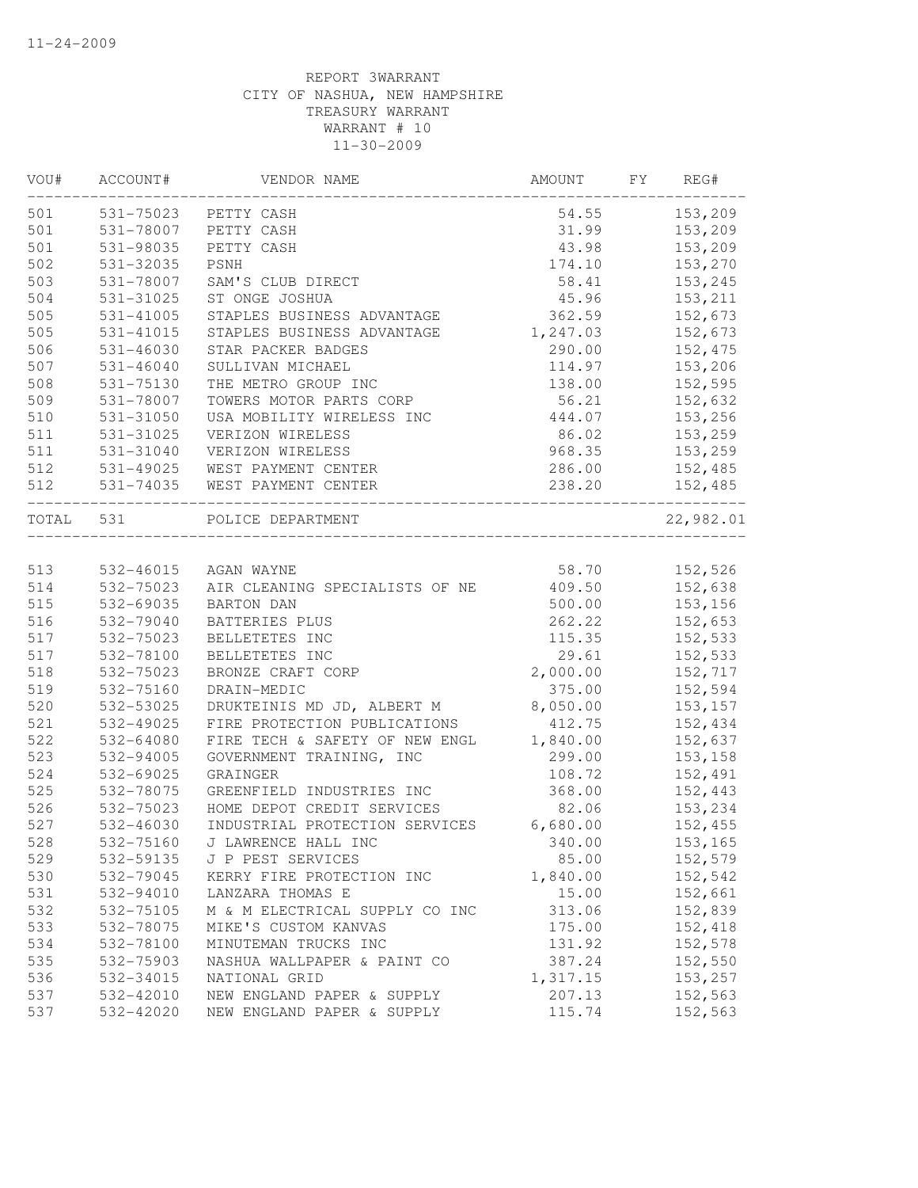| VOU#      | ACCOUNT#      | VENDOR NAME                    | AMOUNT   | FY | REG#               |
|-----------|---------------|--------------------------------|----------|----|--------------------|
| 501       | 531-75023     | PETTY CASH                     | 54.55    |    | 153,209            |
| 501       | 531-78007     | PETTY CASH                     | 31.99    |    | 153,209            |
| 501       | 531-98035     | PETTY CASH                     | 43.98    |    | 153,209            |
| 502       | 531-32035     | PSNH                           | 174.10   |    | 153,270            |
| 503       | 531-78007     | SAM'S CLUB DIRECT              | 58.41    |    | 153,245            |
| 504       | 531-31025     | ST ONGE JOSHUA                 | 45.96    |    | 153,211            |
| 505       | 531-41005     | STAPLES BUSINESS ADVANTAGE     | 362.59   |    | 152,673            |
| 505       | 531-41015     | STAPLES BUSINESS ADVANTAGE     | 1,247.03 |    | 152,673            |
| 506       | 531-46030     | STAR PACKER BADGES             | 290.00   |    | 152,475            |
| 507       | $531 - 46040$ | SULLIVAN MICHAEL               | 114.97   |    | 153,206            |
| 508       | 531-75130     | THE METRO GROUP INC            | 138.00   |    | 152,595            |
| 509       | 531-78007     | TOWERS MOTOR PARTS CORP        | 56.21    |    | 152,632            |
| 510       | 531-31050     | USA MOBILITY WIRELESS INC      | 444.07   |    | 153,256            |
| 511       | 531-31025     | VERIZON WIRELESS               | 86.02    |    | 153,259            |
| 511       | 531-31040     | VERIZON WIRELESS               | 968.35   |    | 153,259            |
| 512       | 531-49025     | WEST PAYMENT CENTER            | 286.00   |    | 152,485            |
| 512       | 531-74035     | WEST PAYMENT CENTER            | 238.20   |    | 152,485            |
| TOTAL 531 |               | POLICE DEPARTMENT              |          |    | 22,982.01          |
| 513       | 532-46015     | AGAN WAYNE                     | 58.70    |    | 152,526            |
| 514       | 532-75023     | AIR CLEANING SPECIALISTS OF NE | 409.50   |    | 152,638            |
| 515       | 532-69035     | <b>BARTON DAN</b>              | 500.00   |    | 153,156            |
| 516       | 532-79040     | BATTERIES PLUS                 | 262.22   |    | 152,653            |
| 517       | 532-75023     | BELLETETES INC                 | 115.35   |    | 152,533            |
| 517       | 532-78100     | BELLETETES INC                 | 29.61    |    | 152,533            |
| 518       | 532-75023     | BRONZE CRAFT CORP              | 2,000.00 |    | 152,717            |
| 519       | 532-75160     | DRAIN-MEDIC                    | 375.00   |    | 152,594            |
| 520       | 532-53025     | DRUKTEINIS MD JD, ALBERT M     | 8,050.00 |    | 153, 157           |
| 521       | 532-49025     | FIRE PROTECTION PUBLICATIONS   | 412.75   |    | 152,434            |
| 522       | 532-64080     | FIRE TECH & SAFETY OF NEW ENGL | 1,840.00 |    | 152,637            |
| 523       | 532-94005     | GOVERNMENT TRAINING, INC       | 299.00   |    | 153,158            |
| 524       | 532-69025     | GRAINGER                       | 108.72   |    | 152,491            |
| 525       | 532-78075     | GREENFIELD INDUSTRIES INC      | 368.00   |    | 152,443            |
| 526       | 532-75023     | HOME DEPOT CREDIT SERVICES     | 82.06    |    | 153,234            |
| 527       | $532 - 46030$ | INDUSTRIAL PROTECTION SERVICES | 6,680.00 |    | 152,455            |
| 528       | 532-75160     | J LAWRENCE HALL INC            | 340.00   |    | 153,165            |
|           |               |                                |          |    |                    |
| 529       | 532-59135     | J P PEST SERVICES              | 85.00    |    | 152,579            |
| 530       | 532-79045     | KERRY FIRE PROTECTION INC      | 1,840.00 |    | 152,542            |
| 531       | 532-94010     | LANZARA THOMAS E               | 15.00    |    | 152,661<br>152,839 |
| 532       | 532-75105     | M & M ELECTRICAL SUPPLY CO INC | 313.06   |    |                    |
| 533       | 532-78075     | MIKE'S CUSTOM KANVAS           | 175.00   |    | 152,418            |
| 534       | 532-78100     | MINUTEMAN TRUCKS INC           | 131.92   |    | 152,578            |
| 535       | 532-75903     | NASHUA WALLPAPER & PAINT CO    | 387.24   |    | 152,550            |
| 536       | 532-34015     | NATIONAL GRID                  | 1,317.15 |    | 153,257            |
| 537       | 532-42010     | NEW ENGLAND PAPER & SUPPLY     | 207.13   |    | 152,563            |
| 537       | 532-42020     | NEW ENGLAND PAPER & SUPPLY     | 115.74   |    | 152,563            |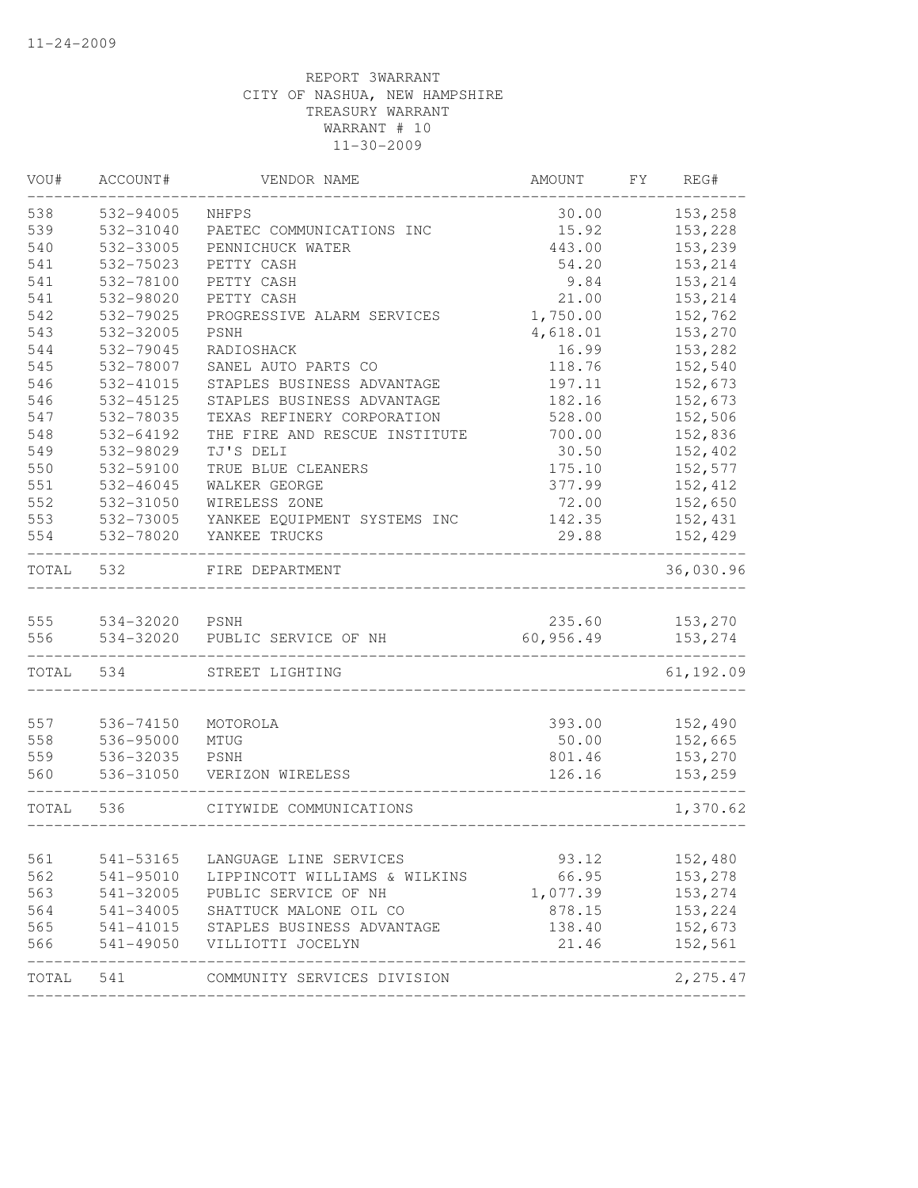| VOU#  | ACCOUNT#  | VENDOR NAME                   | AMOUNT    | FY | REG#      |
|-------|-----------|-------------------------------|-----------|----|-----------|
| 538   | 532-94005 | <b>NHFPS</b>                  | 30.00     |    | 153,258   |
| 539   | 532-31040 | PAETEC COMMUNICATIONS INC     | 15.92     |    | 153,228   |
| 540   | 532-33005 | PENNICHUCK WATER              | 443.00    |    | 153,239   |
| 541   | 532-75023 | PETTY CASH                    | 54.20     |    | 153,214   |
| 541   | 532-78100 | PETTY CASH                    | 9.84      |    | 153,214   |
| 541   | 532-98020 | PETTY CASH                    | 21.00     |    | 153,214   |
| 542   | 532-79025 | PROGRESSIVE ALARM SERVICES    | 1,750.00  |    | 152,762   |
| 543   | 532-32005 | PSNH                          | 4,618.01  |    | 153,270   |
| 544   | 532-79045 | RADIOSHACK                    | 16.99     |    | 153,282   |
| 545   | 532-78007 | SANEL AUTO PARTS CO           | 118.76    |    | 152,540   |
| 546   | 532-41015 | STAPLES BUSINESS ADVANTAGE    | 197.11    |    | 152,673   |
| 546   | 532-45125 | STAPLES BUSINESS ADVANTAGE    | 182.16    |    | 152,673   |
| 547   | 532-78035 | TEXAS REFINERY CORPORATION    | 528.00    |    | 152,506   |
| 548   | 532-64192 | THE FIRE AND RESCUE INSTITUTE | 700.00    |    | 152,836   |
| 549   | 532-98029 | TJ'S DELI                     | 30.50     |    | 152,402   |
| 550   | 532-59100 | TRUE BLUE CLEANERS            | 175.10    |    | 152,577   |
| 551   | 532-46045 | WALKER GEORGE                 | 377.99    |    | 152,412   |
| 552   | 532-31050 | WIRELESS ZONE                 | 72.00     |    | 152,650   |
| 553   | 532-73005 | YANKEE EQUIPMENT SYSTEMS INC  | 142.35    |    | 152,431   |
| 554   | 532-78020 | YANKEE TRUCKS                 | 29.88     |    | 152,429   |
| TOTAL | 532       | FIRE DEPARTMENT               |           |    | 36,030.96 |
| 555   | 534-32020 | PSNH                          | 235.60    |    | 153,270   |
| 556   | 534-32020 | PUBLIC SERVICE OF NH          | 60,956.49 |    | 153,274   |
| TOTAL | 534       | STREET LIGHTING               |           |    | 61,192.09 |
|       |           |                               |           |    |           |
| 557   | 536-74150 | MOTOROLA                      | 393.00    |    | 152,490   |
| 558   | 536-95000 | MTUG                          | 50.00     |    | 152,665   |
| 559   | 536-32035 | PSNH                          | 801.46    |    | 153,270   |
| 560   | 536-31050 | VERIZON WIRELESS              | 126.16    |    | 153,259   |
| TOTAL | 536       | CITYWIDE COMMUNICATIONS       |           |    | 1,370.62  |
| 561   | 541-53165 | LANGUAGE LINE SERVICES        | 93.12     |    | 152,480   |
| 562   | 541-95010 | LIPPINCOTT WILLIAMS & WILKINS | 66.95     |    | 153,278   |
| 563   | 541-32005 | PUBLIC SERVICE OF NH          | 1,077.39  |    | 153,274   |
| 564   | 541-34005 | SHATTUCK MALONE OIL CO        | 878.15    |    | 153,224   |
| 565   | 541-41015 | STAPLES BUSINESS ADVANTAGE    | 138.40    |    | 152,673   |
| 566   | 541-49050 | VILLIOTTI JOCELYN             | 21.46     |    | 152,561   |
|       |           |                               |           |    |           |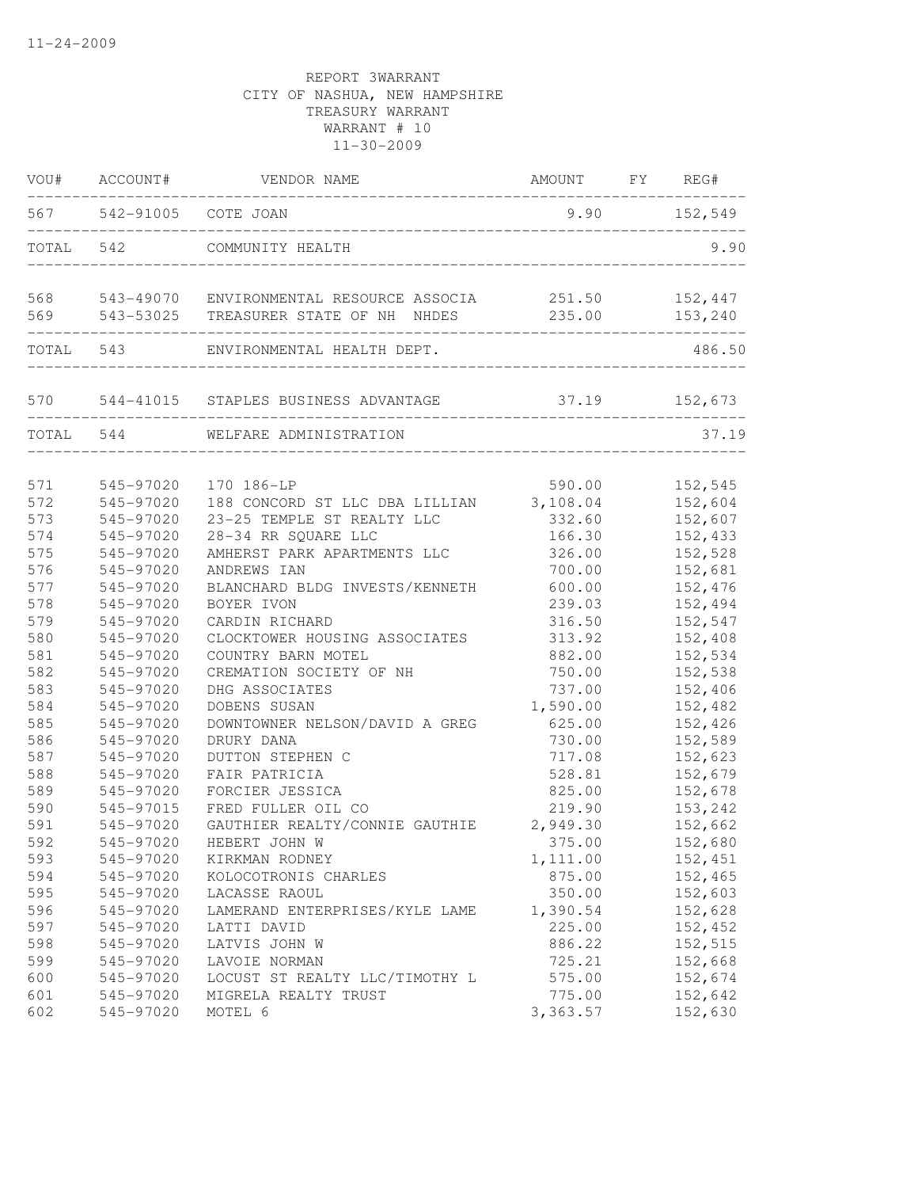|     | VOU# ACCOUNT#           | VENDOR NAME                                                                                  | AMOUNT FY REG#   |                    |
|-----|-------------------------|----------------------------------------------------------------------------------------------|------------------|--------------------|
|     | 567 542-91005 COTE JOAN |                                                                                              | $9.90$ $152,549$ |                    |
|     | TOTAL 542               | COMMUNITY HEALTH                                                                             |                  | 9.90               |
| 569 |                         | 568 543-49070 ENVIRONMENTAL RESOURCE ASSOCIA 251.50<br>543-53025 TREASURER STATE OF NH NHDES | 235.00           | 152,447<br>153,240 |
|     | ----------------------  |                                                                                              |                  |                    |
|     | TOTAL 543               | ENVIRONMENTAL HEALTH DEPT.                                                                   |                  | 486.50             |
|     |                         | 570 544-41015 STAPLES BUSINESS ADVANTAGE                                                     |                  | 37.19 152,673      |
|     | TOTAL 544               | WELFARE ADMINISTRATION                                                                       |                  | 37.19              |
| 571 | 545-97020               | 170 186-LP                                                                                   | 590.00           | 152,545            |
| 572 | 545-97020               | 188 CONCORD ST LLC DBA LILLIAN                                                               | 3,108.04         | 152,604            |
| 573 | 545-97020               | 23-25 TEMPLE ST REALTY LLC                                                                   | 332.60           | 152,607            |
| 574 | 545-97020               | 28-34 RR SQUARE LLC                                                                          | 166.30           | 152,433            |
| 575 | 545-97020               | AMHERST PARK APARTMENTS LLC                                                                  | 326.00           | 152,528            |
| 576 | 545-97020               | ANDREWS IAN                                                                                  | 700.00           | 152,681            |
| 577 | 545-97020               | BLANCHARD BLDG INVESTS/KENNETH                                                               | 600.00           | 152,476            |
| 578 | 545-97020               | BOYER IVON                                                                                   | 239.03           | 152,494            |
| 579 | 545-97020               | CARDIN RICHARD                                                                               | 316.50           | 152,547            |
| 580 | 545-97020               | CLOCKTOWER HOUSING ASSOCIATES                                                                | 313.92           | 152,408            |
| 581 | 545-97020               | COUNTRY BARN MOTEL                                                                           | 882.00           | 152,534            |
| 582 | 545-97020               | CREMATION SOCIETY OF NH                                                                      | 750.00           | 152,538            |
| 583 | 545-97020               | DHG ASSOCIATES                                                                               | 737.00           | 152,406            |
| 584 | 545-97020               | DOBENS SUSAN                                                                                 | 1,590.00         | 152,482            |
| 585 | 545-97020               | DOWNTOWNER NELSON/DAVID A GREG                                                               | 625.00           | 152,426            |
| 586 | 545-97020               | DRURY DANA                                                                                   | 730.00           | 152,589            |
| 587 | 545-97020               | DUTTON STEPHEN C                                                                             | 717.08           | 152,623            |
| 588 | 545-97020               | FAIR PATRICIA                                                                                | 528.81           | 152,679            |
| 589 | 545-97020               | FORCIER JESSICA                                                                              | 825.00           | 152,678            |
| 590 | 545-97015               | FRED FULLER OIL CO                                                                           | 219.90           | 153,242            |
| 591 | 545-97020               | GAUTHIER REALTY/CONNIE GAUTHIE                                                               | 2,949.30         | 152,662            |
| 592 | 545-97020               | HEBERT JOHN W                                                                                | 375.00           | 152,680            |
| 593 | 545-97020               | KIRKMAN RODNEY                                                                               | 1,111.00         | 152,451            |
| 594 | 545-97020               | KOLOCOTRONIS CHARLES                                                                         | 875.00           | 152,465            |
| 595 | 545-97020               | LACASSE RAOUL                                                                                | 350.00           | 152,603            |
| 596 | 545-97020               | LAMERAND ENTERPRISES/KYLE LAME                                                               | 1,390.54         | 152,628            |
| 597 | 545-97020               | LATTI DAVID                                                                                  | 225.00           | 152,452            |
| 598 | 545-97020               | LATVIS JOHN W                                                                                | 886.22           | 152,515            |
| 599 | 545-97020               | LAVOIE NORMAN                                                                                | 725.21           | 152,668            |
| 600 | 545-97020               | LOCUST ST REALTY LLC/TIMOTHY L                                                               | 575.00           | 152,674            |
| 601 | 545-97020               | MIGRELA REALTY TRUST                                                                         | 775.00           | 152,642            |
| 602 | 545-97020               | MOTEL 6                                                                                      | 3,363.57         | 152,630            |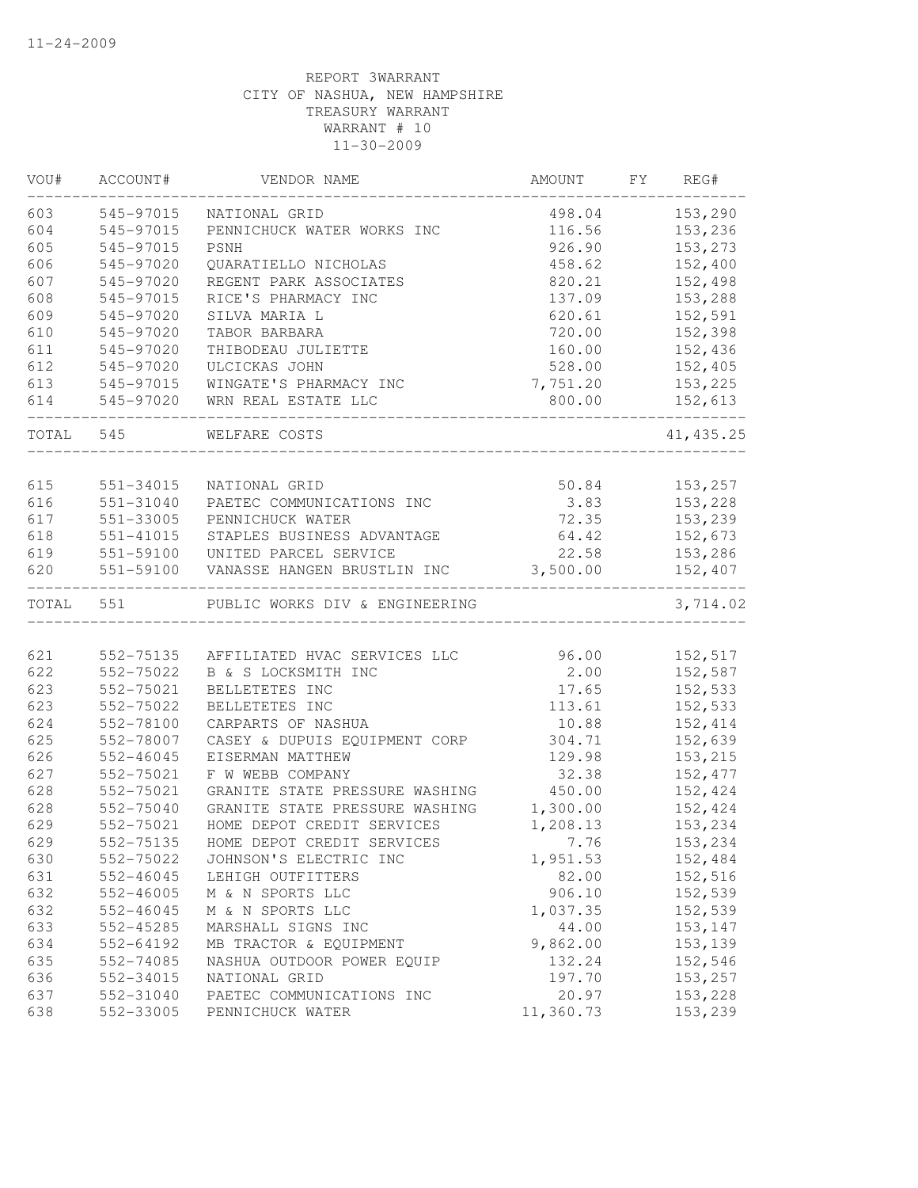| VOU#      | ACCOUNT#      | VENDOR NAME                    | AMOUNT    | FY | REG#           |
|-----------|---------------|--------------------------------|-----------|----|----------------|
| 603       | 545-97015     | NATIONAL GRID                  | 498.04    |    | 153,290        |
| 604       | 545-97015     | PENNICHUCK WATER WORKS INC     | 116.56    |    | 153,236        |
| 605       | 545-97015     | <b>PSNH</b>                    | 926.90    |    | 153,273        |
| 606       | 545-97020     | QUARATIELLO NICHOLAS           | 458.62    |    | 152,400        |
| 607       | 545-97020     | REGENT PARK ASSOCIATES         | 820.21    |    | 152,498        |
| 608       | 545-97015     | RICE'S PHARMACY INC            | 137.09    |    | 153,288        |
| 609       | 545-97020     | SILVA MARIA L                  | 620.61    |    | 152,591        |
| 610       | 545-97020     | TABOR BARBARA                  | 720.00    |    | 152,398        |
| 611       | 545-97020     | THIBODEAU JULIETTE             | 160.00    |    | 152,436        |
| 612       | 545-97020     | ULCICKAS JOHN                  | 528.00    |    | 152,405        |
| 613       | 545-97015     | WINGATE'S PHARMACY INC         | 7,751.20  |    | 153,225        |
| 614       | 545-97020     | WRN REAL ESTATE LLC            |           |    | 800.00 152,613 |
| TOTAL 545 |               | WELFARE COSTS                  |           |    | 41, 435.25     |
|           |               |                                |           |    |                |
| 615       | 551-34015     | NATIONAL GRID                  |           |    | 50.84 153,257  |
| 616       | 551-31040     | PAETEC COMMUNICATIONS INC      | 3.83      |    | 153,228        |
| 617       | 551-33005     | PENNICHUCK WATER               | 72.35     |    | 153,239        |
| 618       | 551-41015     | STAPLES BUSINESS ADVANTAGE     |           |    | 64.42 152,673  |
| 619       | 551-59100     | UNITED PARCEL SERVICE          | 22.58     |    | 153,286        |
| 620       | 551-59100     | VANASSE HANGEN BRUSTLIN INC    | 3,500.00  |    | 152,407        |
|           | TOTAL 551     | PUBLIC WORKS DIV & ENGINEERING |           |    | 3,714.02       |
| 621       | 552-75135     |                                | 96.00     |    |                |
| 622       | 552-75022     | AFFILIATED HVAC SERVICES LLC   | 2.00      |    | 152,517        |
|           |               | B & S LOCKSMITH INC            |           |    | 152,587        |
| 623       | 552-75021     | BELLETETES INC                 | 17.65     |    | 152,533        |
| 623       | 552-75022     | BELLETETES INC                 | 113.61    |    | 152,533        |
| 624       | 552-78100     | CARPARTS OF NASHUA             | 10.88     |    | 152,414        |
| 625       | 552-78007     | CASEY & DUPUIS EQUIPMENT CORP  | 304.71    |    | 152,639        |
| 626       | $552 - 46045$ | EISERMAN MATTHEW               | 129.98    |    | 153,215        |
| 627       | 552-75021     | F W WEBB COMPANY               | 32.38     |    | 152,477        |
| 628       | 552-75021     | GRANITE STATE PRESSURE WASHING | 450.00    |    | 152,424        |
| 628       | 552-75040     | GRANITE STATE PRESSURE WASHING | 1,300.00  |    | 152,424        |
| 629       | 552-75021     | HOME DEPOT CREDIT SERVICES     | 1,208.13  |    | 153,234        |
| 629       | 552-75135     | HOME DEPOT CREDIT SERVICES     | 7.76      |    | 153,234        |
| 630       | 552-75022     | JOHNSON'S ELECTRIC INC         | 1,951.53  |    | 152,484        |
| 631       | 552-46045     | LEHIGH OUTFITTERS              | 82.00     |    | 152,516        |
| 632       | $552 - 46005$ | M & N SPORTS LLC               | 906.10    |    | 152,539        |
| 632       | 552-46045     | M & N SPORTS LLC               | 1,037.35  |    | 152,539        |
| 633       | 552-45285     | MARSHALL SIGNS INC             | 44.00     |    | 153,147        |
| 634       | 552-64192     | MB TRACTOR & EQUIPMENT         | 9,862.00  |    | 153,139        |
| 635       | 552-74085     | NASHUA OUTDOOR POWER EQUIP     | 132.24    |    | 152,546        |
| 636       | 552-34015     | NATIONAL GRID                  | 197.70    |    | 153,257        |
| 637       | 552-31040     | PAETEC COMMUNICATIONS INC      | 20.97     |    | 153,228        |
| 638       | 552-33005     | PENNICHUCK WATER               | 11,360.73 |    | 153,239        |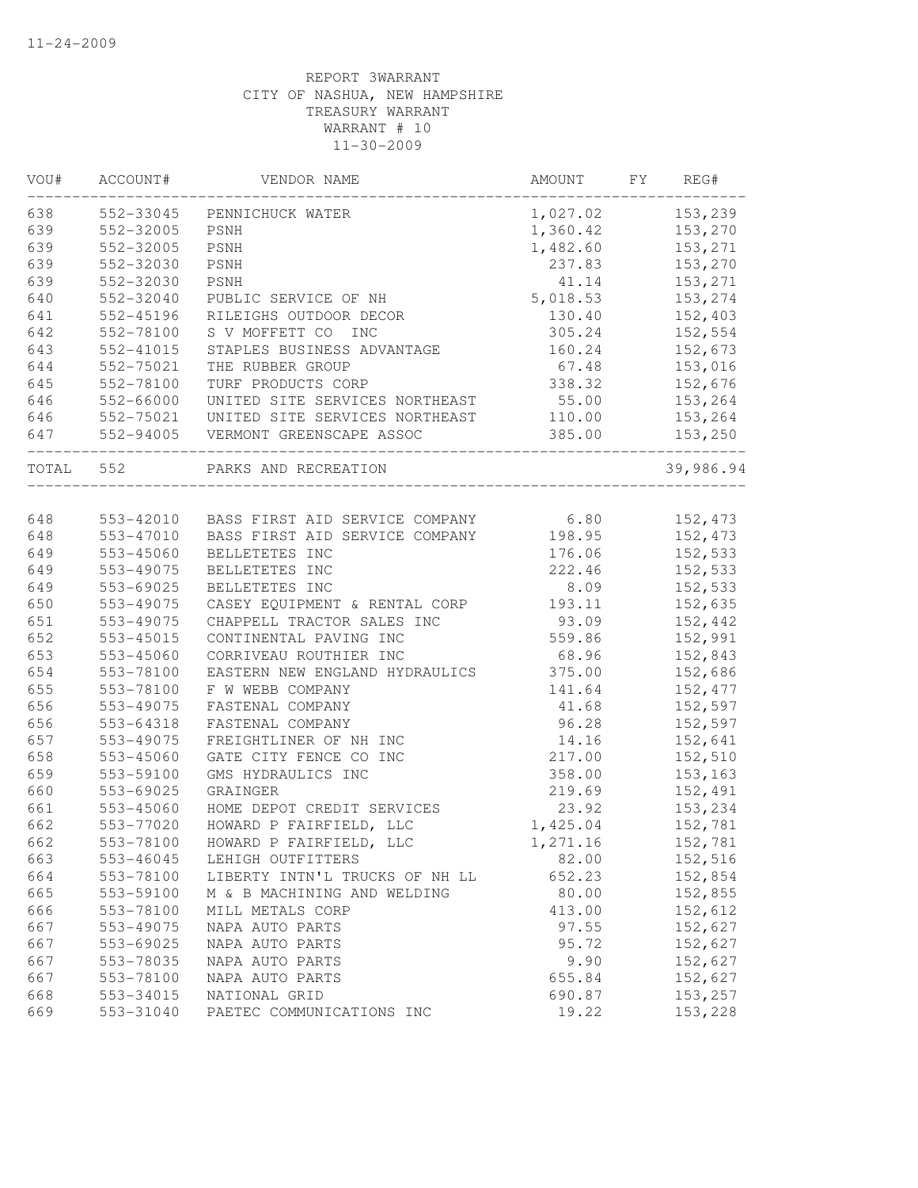| 638<br>1,027.02 153,239<br>552-33045<br>PENNICHUCK WATER<br>552-32005<br>153,270<br>PSNH<br>1,360.42<br>639<br>552-32005<br>153,271<br>PSNH<br>1,482.60<br>639<br>552-32030<br>PSNH<br>237.83<br>153,270<br>639<br>552-32030<br>PSNH<br>41.14<br>153,271<br>640<br>552-32040<br>5,018.53<br>153,274<br>PUBLIC SERVICE OF NH<br>641<br>552-45196<br>130.40<br>152,403<br>RILEIGHS OUTDOOR DECOR<br>642<br>S V MOFFETT CO INC<br>305.24<br>552-78100<br>152,554<br>643<br>552-41015<br>STAPLES BUSINESS ADVANTAGE<br>160.24<br>152,673<br>644<br>552-75021<br>67.48<br>153,016<br>THE RUBBER GROUP<br>645<br>552-78100<br>TURF PRODUCTS CORP<br>338.32<br>152,676<br>552-66000<br>UNITED SITE SERVICES NORTHEAST<br>55.00<br>153,264<br>UNITED SITE SERVICES NORTHEAST<br>552-75021<br>110.00<br>153,264<br>552-94005 VERMONT GREENSCAPE ASSOC<br>385.00<br>153,250<br>TOTAL 552<br>PARKS AND RECREATION<br>648<br>152,473<br>553-42010 BASS FIRST AID SERVICE COMPANY 6.80<br>648<br>$553 - 47010$<br>BASS FIRST AID SERVICE COMPANY<br>198.95<br>152,473<br>649<br>553-45060<br>BELLETETES INC<br>152,533<br>176.06<br>649<br>$553 - 49075$<br>BELLETETES INC<br>222.46<br>152,533<br>649<br>BELLETETES INC<br>553-69025<br>8.09<br>152,533<br>650<br>553-49075<br>152,635<br>CASEY EQUIPMENT & RENTAL CORP<br>193.11<br>651<br>CHAPPELL TRACTOR SALES INC<br>93.09<br>152,442<br>553-49075<br>652<br>559.86<br>152,991<br>$553 - 45015$<br>CONTINENTAL PAVING INC<br>653<br>68.96<br>553-45060<br>CORRIVEAU ROUTHIER INC<br>152,843<br>654<br>553-78100<br>EASTERN NEW ENGLAND HYDRAULICS<br>375.00<br>152,686<br>655<br>553-78100<br>152,477<br>F W WEBB COMPANY<br>141.64<br>656<br>553-49075<br>152,597<br>FASTENAL COMPANY<br>41.68<br>656<br>96.28<br>553-64318<br>FASTENAL COMPANY<br>152,597<br>657<br>553-49075<br>FREIGHTLINER OF NH INC<br>14.16<br>152,641<br>658<br>GATE CITY FENCE CO INC<br>217.00<br>152,510<br>553-45060<br>553-59100<br>GMS HYDRAULICS INC<br>358.00<br>153,163<br>152,491<br>553-69025<br>GRAINGER<br>219.69<br>553-45060<br>HOME DEPOT CREDIT SERVICES<br>23.92<br>153,234<br>553-77020<br>HOWARD P FAIRFIELD, LLC<br>1,425.04<br>152,781<br>553-78100<br>HOWARD P FAIRFIELD, LLC<br>1,271.16<br>152,781<br>663<br>553-46045<br>82.00<br>152,516<br>LEHIGH OUTFITTERS<br>664<br>553-78100<br>LIBERTY INTN'L TRUCKS OF NH LL<br>652.23<br>152,854<br>665<br>553-59100<br>M & B MACHINING AND WELDING<br>80.00<br>152,855<br>666<br>553-78100<br>MILL METALS CORP<br>413.00<br>152,612<br>667<br>97.55<br>152,627<br>553-49075<br>NAPA AUTO PARTS<br>667<br>553-69025<br>95.72<br>152,627<br>NAPA AUTO PARTS<br>667<br>553-78035<br>NAPA AUTO PARTS<br>9.90<br>152,627<br>667<br>553-78100<br>NAPA AUTO PARTS<br>655.84<br>152,627<br>668<br>NATIONAL GRID<br>690.87<br>153,257<br>553-34015<br>669<br>553-31040<br>19.22<br>153,228<br>PAETEC COMMUNICATIONS INC | VOU# | ACCOUNT# | VENDOR NAME | AMOUNT | FY | REG#      |
|-----------------------------------------------------------------------------------------------------------------------------------------------------------------------------------------------------------------------------------------------------------------------------------------------------------------------------------------------------------------------------------------------------------------------------------------------------------------------------------------------------------------------------------------------------------------------------------------------------------------------------------------------------------------------------------------------------------------------------------------------------------------------------------------------------------------------------------------------------------------------------------------------------------------------------------------------------------------------------------------------------------------------------------------------------------------------------------------------------------------------------------------------------------------------------------------------------------------------------------------------------------------------------------------------------------------------------------------------------------------------------------------------------------------------------------------------------------------------------------------------------------------------------------------------------------------------------------------------------------------------------------------------------------------------------------------------------------------------------------------------------------------------------------------------------------------------------------------------------------------------------------------------------------------------------------------------------------------------------------------------------------------------------------------------------------------------------------------------------------------------------------------------------------------------------------------------------------------------------------------------------------------------------------------------------------------------------------------------------------------------------------------------------------------------------------------------------------------------------------------------------------------------------------------------------------------------------------------------------------------------------------------------------------------------------------------------------------------------------------------------------------------------------------------------------------------------------------------------------------------------------------------------------|------|----------|-------------|--------|----|-----------|
|                                                                                                                                                                                                                                                                                                                                                                                                                                                                                                                                                                                                                                                                                                                                                                                                                                                                                                                                                                                                                                                                                                                                                                                                                                                                                                                                                                                                                                                                                                                                                                                                                                                                                                                                                                                                                                                                                                                                                                                                                                                                                                                                                                                                                                                                                                                                                                                                                                                                                                                                                                                                                                                                                                                                                                                                                                                                                                     |      |          |             |        |    |           |
|                                                                                                                                                                                                                                                                                                                                                                                                                                                                                                                                                                                                                                                                                                                                                                                                                                                                                                                                                                                                                                                                                                                                                                                                                                                                                                                                                                                                                                                                                                                                                                                                                                                                                                                                                                                                                                                                                                                                                                                                                                                                                                                                                                                                                                                                                                                                                                                                                                                                                                                                                                                                                                                                                                                                                                                                                                                                                                     | 639  |          |             |        |    |           |
|                                                                                                                                                                                                                                                                                                                                                                                                                                                                                                                                                                                                                                                                                                                                                                                                                                                                                                                                                                                                                                                                                                                                                                                                                                                                                                                                                                                                                                                                                                                                                                                                                                                                                                                                                                                                                                                                                                                                                                                                                                                                                                                                                                                                                                                                                                                                                                                                                                                                                                                                                                                                                                                                                                                                                                                                                                                                                                     |      |          |             |        |    |           |
|                                                                                                                                                                                                                                                                                                                                                                                                                                                                                                                                                                                                                                                                                                                                                                                                                                                                                                                                                                                                                                                                                                                                                                                                                                                                                                                                                                                                                                                                                                                                                                                                                                                                                                                                                                                                                                                                                                                                                                                                                                                                                                                                                                                                                                                                                                                                                                                                                                                                                                                                                                                                                                                                                                                                                                                                                                                                                                     |      |          |             |        |    |           |
|                                                                                                                                                                                                                                                                                                                                                                                                                                                                                                                                                                                                                                                                                                                                                                                                                                                                                                                                                                                                                                                                                                                                                                                                                                                                                                                                                                                                                                                                                                                                                                                                                                                                                                                                                                                                                                                                                                                                                                                                                                                                                                                                                                                                                                                                                                                                                                                                                                                                                                                                                                                                                                                                                                                                                                                                                                                                                                     |      |          |             |        |    |           |
|                                                                                                                                                                                                                                                                                                                                                                                                                                                                                                                                                                                                                                                                                                                                                                                                                                                                                                                                                                                                                                                                                                                                                                                                                                                                                                                                                                                                                                                                                                                                                                                                                                                                                                                                                                                                                                                                                                                                                                                                                                                                                                                                                                                                                                                                                                                                                                                                                                                                                                                                                                                                                                                                                                                                                                                                                                                                                                     |      |          |             |        |    |           |
|                                                                                                                                                                                                                                                                                                                                                                                                                                                                                                                                                                                                                                                                                                                                                                                                                                                                                                                                                                                                                                                                                                                                                                                                                                                                                                                                                                                                                                                                                                                                                                                                                                                                                                                                                                                                                                                                                                                                                                                                                                                                                                                                                                                                                                                                                                                                                                                                                                                                                                                                                                                                                                                                                                                                                                                                                                                                                                     |      |          |             |        |    |           |
|                                                                                                                                                                                                                                                                                                                                                                                                                                                                                                                                                                                                                                                                                                                                                                                                                                                                                                                                                                                                                                                                                                                                                                                                                                                                                                                                                                                                                                                                                                                                                                                                                                                                                                                                                                                                                                                                                                                                                                                                                                                                                                                                                                                                                                                                                                                                                                                                                                                                                                                                                                                                                                                                                                                                                                                                                                                                                                     |      |          |             |        |    |           |
|                                                                                                                                                                                                                                                                                                                                                                                                                                                                                                                                                                                                                                                                                                                                                                                                                                                                                                                                                                                                                                                                                                                                                                                                                                                                                                                                                                                                                                                                                                                                                                                                                                                                                                                                                                                                                                                                                                                                                                                                                                                                                                                                                                                                                                                                                                                                                                                                                                                                                                                                                                                                                                                                                                                                                                                                                                                                                                     |      |          |             |        |    |           |
|                                                                                                                                                                                                                                                                                                                                                                                                                                                                                                                                                                                                                                                                                                                                                                                                                                                                                                                                                                                                                                                                                                                                                                                                                                                                                                                                                                                                                                                                                                                                                                                                                                                                                                                                                                                                                                                                                                                                                                                                                                                                                                                                                                                                                                                                                                                                                                                                                                                                                                                                                                                                                                                                                                                                                                                                                                                                                                     |      |          |             |        |    |           |
|                                                                                                                                                                                                                                                                                                                                                                                                                                                                                                                                                                                                                                                                                                                                                                                                                                                                                                                                                                                                                                                                                                                                                                                                                                                                                                                                                                                                                                                                                                                                                                                                                                                                                                                                                                                                                                                                                                                                                                                                                                                                                                                                                                                                                                                                                                                                                                                                                                                                                                                                                                                                                                                                                                                                                                                                                                                                                                     |      |          |             |        |    |           |
|                                                                                                                                                                                                                                                                                                                                                                                                                                                                                                                                                                                                                                                                                                                                                                                                                                                                                                                                                                                                                                                                                                                                                                                                                                                                                                                                                                                                                                                                                                                                                                                                                                                                                                                                                                                                                                                                                                                                                                                                                                                                                                                                                                                                                                                                                                                                                                                                                                                                                                                                                                                                                                                                                                                                                                                                                                                                                                     | 646  |          |             |        |    |           |
|                                                                                                                                                                                                                                                                                                                                                                                                                                                                                                                                                                                                                                                                                                                                                                                                                                                                                                                                                                                                                                                                                                                                                                                                                                                                                                                                                                                                                                                                                                                                                                                                                                                                                                                                                                                                                                                                                                                                                                                                                                                                                                                                                                                                                                                                                                                                                                                                                                                                                                                                                                                                                                                                                                                                                                                                                                                                                                     | 646  |          |             |        |    |           |
|                                                                                                                                                                                                                                                                                                                                                                                                                                                                                                                                                                                                                                                                                                                                                                                                                                                                                                                                                                                                                                                                                                                                                                                                                                                                                                                                                                                                                                                                                                                                                                                                                                                                                                                                                                                                                                                                                                                                                                                                                                                                                                                                                                                                                                                                                                                                                                                                                                                                                                                                                                                                                                                                                                                                                                                                                                                                                                     | 647  |          |             |        |    |           |
|                                                                                                                                                                                                                                                                                                                                                                                                                                                                                                                                                                                                                                                                                                                                                                                                                                                                                                                                                                                                                                                                                                                                                                                                                                                                                                                                                                                                                                                                                                                                                                                                                                                                                                                                                                                                                                                                                                                                                                                                                                                                                                                                                                                                                                                                                                                                                                                                                                                                                                                                                                                                                                                                                                                                                                                                                                                                                                     |      |          |             |        |    | 39,986.94 |
|                                                                                                                                                                                                                                                                                                                                                                                                                                                                                                                                                                                                                                                                                                                                                                                                                                                                                                                                                                                                                                                                                                                                                                                                                                                                                                                                                                                                                                                                                                                                                                                                                                                                                                                                                                                                                                                                                                                                                                                                                                                                                                                                                                                                                                                                                                                                                                                                                                                                                                                                                                                                                                                                                                                                                                                                                                                                                                     |      |          |             |        |    |           |
|                                                                                                                                                                                                                                                                                                                                                                                                                                                                                                                                                                                                                                                                                                                                                                                                                                                                                                                                                                                                                                                                                                                                                                                                                                                                                                                                                                                                                                                                                                                                                                                                                                                                                                                                                                                                                                                                                                                                                                                                                                                                                                                                                                                                                                                                                                                                                                                                                                                                                                                                                                                                                                                                                                                                                                                                                                                                                                     |      |          |             |        |    |           |
|                                                                                                                                                                                                                                                                                                                                                                                                                                                                                                                                                                                                                                                                                                                                                                                                                                                                                                                                                                                                                                                                                                                                                                                                                                                                                                                                                                                                                                                                                                                                                                                                                                                                                                                                                                                                                                                                                                                                                                                                                                                                                                                                                                                                                                                                                                                                                                                                                                                                                                                                                                                                                                                                                                                                                                                                                                                                                                     |      |          |             |        |    |           |
|                                                                                                                                                                                                                                                                                                                                                                                                                                                                                                                                                                                                                                                                                                                                                                                                                                                                                                                                                                                                                                                                                                                                                                                                                                                                                                                                                                                                                                                                                                                                                                                                                                                                                                                                                                                                                                                                                                                                                                                                                                                                                                                                                                                                                                                                                                                                                                                                                                                                                                                                                                                                                                                                                                                                                                                                                                                                                                     |      |          |             |        |    |           |
|                                                                                                                                                                                                                                                                                                                                                                                                                                                                                                                                                                                                                                                                                                                                                                                                                                                                                                                                                                                                                                                                                                                                                                                                                                                                                                                                                                                                                                                                                                                                                                                                                                                                                                                                                                                                                                                                                                                                                                                                                                                                                                                                                                                                                                                                                                                                                                                                                                                                                                                                                                                                                                                                                                                                                                                                                                                                                                     |      |          |             |        |    |           |
|                                                                                                                                                                                                                                                                                                                                                                                                                                                                                                                                                                                                                                                                                                                                                                                                                                                                                                                                                                                                                                                                                                                                                                                                                                                                                                                                                                                                                                                                                                                                                                                                                                                                                                                                                                                                                                                                                                                                                                                                                                                                                                                                                                                                                                                                                                                                                                                                                                                                                                                                                                                                                                                                                                                                                                                                                                                                                                     |      |          |             |        |    |           |
|                                                                                                                                                                                                                                                                                                                                                                                                                                                                                                                                                                                                                                                                                                                                                                                                                                                                                                                                                                                                                                                                                                                                                                                                                                                                                                                                                                                                                                                                                                                                                                                                                                                                                                                                                                                                                                                                                                                                                                                                                                                                                                                                                                                                                                                                                                                                                                                                                                                                                                                                                                                                                                                                                                                                                                                                                                                                                                     |      |          |             |        |    |           |
|                                                                                                                                                                                                                                                                                                                                                                                                                                                                                                                                                                                                                                                                                                                                                                                                                                                                                                                                                                                                                                                                                                                                                                                                                                                                                                                                                                                                                                                                                                                                                                                                                                                                                                                                                                                                                                                                                                                                                                                                                                                                                                                                                                                                                                                                                                                                                                                                                                                                                                                                                                                                                                                                                                                                                                                                                                                                                                     |      |          |             |        |    |           |
|                                                                                                                                                                                                                                                                                                                                                                                                                                                                                                                                                                                                                                                                                                                                                                                                                                                                                                                                                                                                                                                                                                                                                                                                                                                                                                                                                                                                                                                                                                                                                                                                                                                                                                                                                                                                                                                                                                                                                                                                                                                                                                                                                                                                                                                                                                                                                                                                                                                                                                                                                                                                                                                                                                                                                                                                                                                                                                     |      |          |             |        |    |           |
|                                                                                                                                                                                                                                                                                                                                                                                                                                                                                                                                                                                                                                                                                                                                                                                                                                                                                                                                                                                                                                                                                                                                                                                                                                                                                                                                                                                                                                                                                                                                                                                                                                                                                                                                                                                                                                                                                                                                                                                                                                                                                                                                                                                                                                                                                                                                                                                                                                                                                                                                                                                                                                                                                                                                                                                                                                                                                                     |      |          |             |        |    |           |
|                                                                                                                                                                                                                                                                                                                                                                                                                                                                                                                                                                                                                                                                                                                                                                                                                                                                                                                                                                                                                                                                                                                                                                                                                                                                                                                                                                                                                                                                                                                                                                                                                                                                                                                                                                                                                                                                                                                                                                                                                                                                                                                                                                                                                                                                                                                                                                                                                                                                                                                                                                                                                                                                                                                                                                                                                                                                                                     |      |          |             |        |    |           |
|                                                                                                                                                                                                                                                                                                                                                                                                                                                                                                                                                                                                                                                                                                                                                                                                                                                                                                                                                                                                                                                                                                                                                                                                                                                                                                                                                                                                                                                                                                                                                                                                                                                                                                                                                                                                                                                                                                                                                                                                                                                                                                                                                                                                                                                                                                                                                                                                                                                                                                                                                                                                                                                                                                                                                                                                                                                                                                     |      |          |             |        |    |           |
|                                                                                                                                                                                                                                                                                                                                                                                                                                                                                                                                                                                                                                                                                                                                                                                                                                                                                                                                                                                                                                                                                                                                                                                                                                                                                                                                                                                                                                                                                                                                                                                                                                                                                                                                                                                                                                                                                                                                                                                                                                                                                                                                                                                                                                                                                                                                                                                                                                                                                                                                                                                                                                                                                                                                                                                                                                                                                                     |      |          |             |        |    |           |
|                                                                                                                                                                                                                                                                                                                                                                                                                                                                                                                                                                                                                                                                                                                                                                                                                                                                                                                                                                                                                                                                                                                                                                                                                                                                                                                                                                                                                                                                                                                                                                                                                                                                                                                                                                                                                                                                                                                                                                                                                                                                                                                                                                                                                                                                                                                                                                                                                                                                                                                                                                                                                                                                                                                                                                                                                                                                                                     |      |          |             |        |    |           |
|                                                                                                                                                                                                                                                                                                                                                                                                                                                                                                                                                                                                                                                                                                                                                                                                                                                                                                                                                                                                                                                                                                                                                                                                                                                                                                                                                                                                                                                                                                                                                                                                                                                                                                                                                                                                                                                                                                                                                                                                                                                                                                                                                                                                                                                                                                                                                                                                                                                                                                                                                                                                                                                                                                                                                                                                                                                                                                     |      |          |             |        |    |           |
|                                                                                                                                                                                                                                                                                                                                                                                                                                                                                                                                                                                                                                                                                                                                                                                                                                                                                                                                                                                                                                                                                                                                                                                                                                                                                                                                                                                                                                                                                                                                                                                                                                                                                                                                                                                                                                                                                                                                                                                                                                                                                                                                                                                                                                                                                                                                                                                                                                                                                                                                                                                                                                                                                                                                                                                                                                                                                                     |      |          |             |        |    |           |
|                                                                                                                                                                                                                                                                                                                                                                                                                                                                                                                                                                                                                                                                                                                                                                                                                                                                                                                                                                                                                                                                                                                                                                                                                                                                                                                                                                                                                                                                                                                                                                                                                                                                                                                                                                                                                                                                                                                                                                                                                                                                                                                                                                                                                                                                                                                                                                                                                                                                                                                                                                                                                                                                                                                                                                                                                                                                                                     | 659  |          |             |        |    |           |
|                                                                                                                                                                                                                                                                                                                                                                                                                                                                                                                                                                                                                                                                                                                                                                                                                                                                                                                                                                                                                                                                                                                                                                                                                                                                                                                                                                                                                                                                                                                                                                                                                                                                                                                                                                                                                                                                                                                                                                                                                                                                                                                                                                                                                                                                                                                                                                                                                                                                                                                                                                                                                                                                                                                                                                                                                                                                                                     | 660  |          |             |        |    |           |
|                                                                                                                                                                                                                                                                                                                                                                                                                                                                                                                                                                                                                                                                                                                                                                                                                                                                                                                                                                                                                                                                                                                                                                                                                                                                                                                                                                                                                                                                                                                                                                                                                                                                                                                                                                                                                                                                                                                                                                                                                                                                                                                                                                                                                                                                                                                                                                                                                                                                                                                                                                                                                                                                                                                                                                                                                                                                                                     | 661  |          |             |        |    |           |
|                                                                                                                                                                                                                                                                                                                                                                                                                                                                                                                                                                                                                                                                                                                                                                                                                                                                                                                                                                                                                                                                                                                                                                                                                                                                                                                                                                                                                                                                                                                                                                                                                                                                                                                                                                                                                                                                                                                                                                                                                                                                                                                                                                                                                                                                                                                                                                                                                                                                                                                                                                                                                                                                                                                                                                                                                                                                                                     | 662  |          |             |        |    |           |
|                                                                                                                                                                                                                                                                                                                                                                                                                                                                                                                                                                                                                                                                                                                                                                                                                                                                                                                                                                                                                                                                                                                                                                                                                                                                                                                                                                                                                                                                                                                                                                                                                                                                                                                                                                                                                                                                                                                                                                                                                                                                                                                                                                                                                                                                                                                                                                                                                                                                                                                                                                                                                                                                                                                                                                                                                                                                                                     | 662  |          |             |        |    |           |
|                                                                                                                                                                                                                                                                                                                                                                                                                                                                                                                                                                                                                                                                                                                                                                                                                                                                                                                                                                                                                                                                                                                                                                                                                                                                                                                                                                                                                                                                                                                                                                                                                                                                                                                                                                                                                                                                                                                                                                                                                                                                                                                                                                                                                                                                                                                                                                                                                                                                                                                                                                                                                                                                                                                                                                                                                                                                                                     |      |          |             |        |    |           |
|                                                                                                                                                                                                                                                                                                                                                                                                                                                                                                                                                                                                                                                                                                                                                                                                                                                                                                                                                                                                                                                                                                                                                                                                                                                                                                                                                                                                                                                                                                                                                                                                                                                                                                                                                                                                                                                                                                                                                                                                                                                                                                                                                                                                                                                                                                                                                                                                                                                                                                                                                                                                                                                                                                                                                                                                                                                                                                     |      |          |             |        |    |           |
|                                                                                                                                                                                                                                                                                                                                                                                                                                                                                                                                                                                                                                                                                                                                                                                                                                                                                                                                                                                                                                                                                                                                                                                                                                                                                                                                                                                                                                                                                                                                                                                                                                                                                                                                                                                                                                                                                                                                                                                                                                                                                                                                                                                                                                                                                                                                                                                                                                                                                                                                                                                                                                                                                                                                                                                                                                                                                                     |      |          |             |        |    |           |
|                                                                                                                                                                                                                                                                                                                                                                                                                                                                                                                                                                                                                                                                                                                                                                                                                                                                                                                                                                                                                                                                                                                                                                                                                                                                                                                                                                                                                                                                                                                                                                                                                                                                                                                                                                                                                                                                                                                                                                                                                                                                                                                                                                                                                                                                                                                                                                                                                                                                                                                                                                                                                                                                                                                                                                                                                                                                                                     |      |          |             |        |    |           |
|                                                                                                                                                                                                                                                                                                                                                                                                                                                                                                                                                                                                                                                                                                                                                                                                                                                                                                                                                                                                                                                                                                                                                                                                                                                                                                                                                                                                                                                                                                                                                                                                                                                                                                                                                                                                                                                                                                                                                                                                                                                                                                                                                                                                                                                                                                                                                                                                                                                                                                                                                                                                                                                                                                                                                                                                                                                                                                     |      |          |             |        |    |           |
|                                                                                                                                                                                                                                                                                                                                                                                                                                                                                                                                                                                                                                                                                                                                                                                                                                                                                                                                                                                                                                                                                                                                                                                                                                                                                                                                                                                                                                                                                                                                                                                                                                                                                                                                                                                                                                                                                                                                                                                                                                                                                                                                                                                                                                                                                                                                                                                                                                                                                                                                                                                                                                                                                                                                                                                                                                                                                                     |      |          |             |        |    |           |
|                                                                                                                                                                                                                                                                                                                                                                                                                                                                                                                                                                                                                                                                                                                                                                                                                                                                                                                                                                                                                                                                                                                                                                                                                                                                                                                                                                                                                                                                                                                                                                                                                                                                                                                                                                                                                                                                                                                                                                                                                                                                                                                                                                                                                                                                                                                                                                                                                                                                                                                                                                                                                                                                                                                                                                                                                                                                                                     |      |          |             |        |    |           |
|                                                                                                                                                                                                                                                                                                                                                                                                                                                                                                                                                                                                                                                                                                                                                                                                                                                                                                                                                                                                                                                                                                                                                                                                                                                                                                                                                                                                                                                                                                                                                                                                                                                                                                                                                                                                                                                                                                                                                                                                                                                                                                                                                                                                                                                                                                                                                                                                                                                                                                                                                                                                                                                                                                                                                                                                                                                                                                     |      |          |             |        |    |           |
|                                                                                                                                                                                                                                                                                                                                                                                                                                                                                                                                                                                                                                                                                                                                                                                                                                                                                                                                                                                                                                                                                                                                                                                                                                                                                                                                                                                                                                                                                                                                                                                                                                                                                                                                                                                                                                                                                                                                                                                                                                                                                                                                                                                                                                                                                                                                                                                                                                                                                                                                                                                                                                                                                                                                                                                                                                                                                                     |      |          |             |        |    |           |
|                                                                                                                                                                                                                                                                                                                                                                                                                                                                                                                                                                                                                                                                                                                                                                                                                                                                                                                                                                                                                                                                                                                                                                                                                                                                                                                                                                                                                                                                                                                                                                                                                                                                                                                                                                                                                                                                                                                                                                                                                                                                                                                                                                                                                                                                                                                                                                                                                                                                                                                                                                                                                                                                                                                                                                                                                                                                                                     |      |          |             |        |    |           |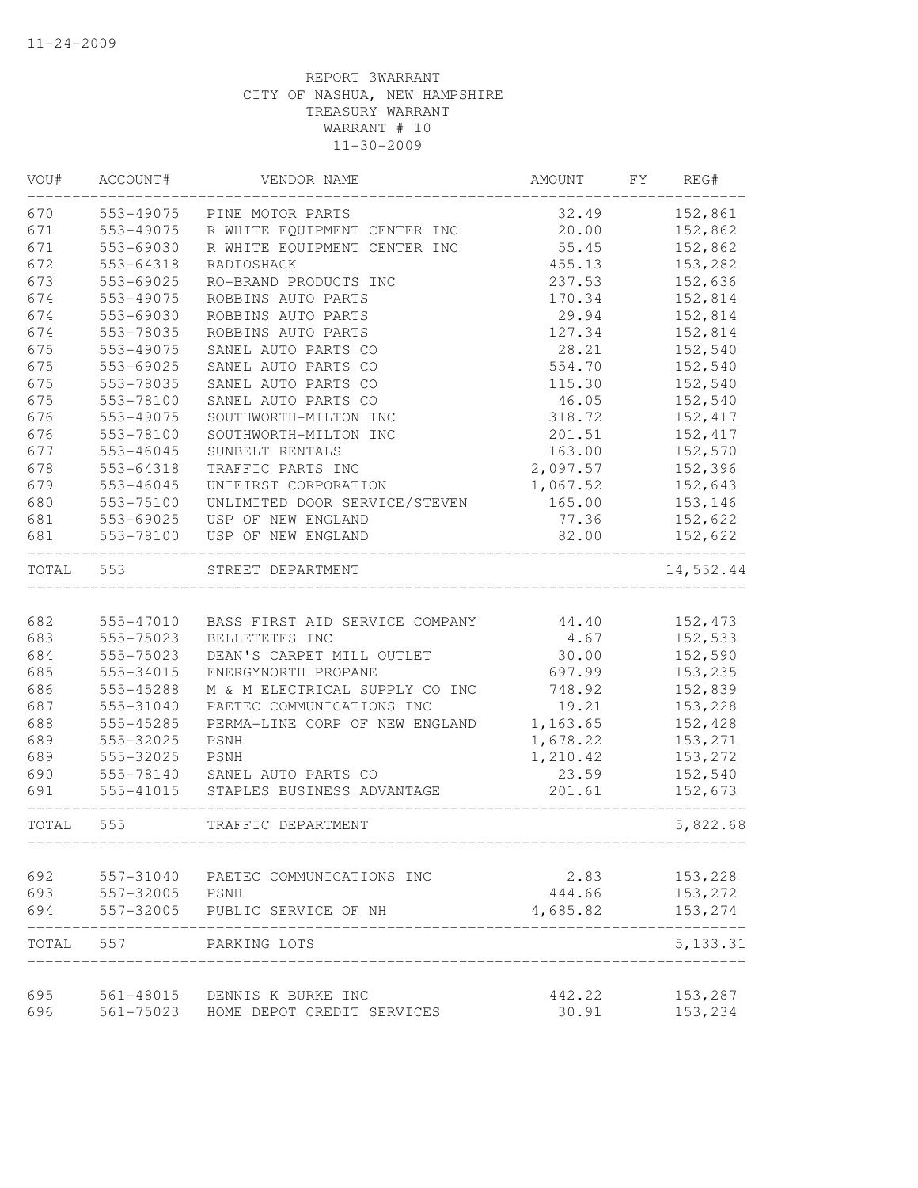| VOU#  | ACCOUNT#               | VENDOR NAME                                      | AMOUNT        | FY | REG#               |
|-------|------------------------|--------------------------------------------------|---------------|----|--------------------|
| 670   | 553-49075              | PINE MOTOR PARTS                                 | 32.49         |    | 152,861            |
| 671   | 553-49075              | R WHITE EQUIPMENT CENTER INC                     | 20.00         |    | 152,862            |
| 671   | 553-69030              | R WHITE EQUIPMENT CENTER INC                     | 55.45         |    | 152,862            |
| 672   | 553-64318              | RADIOSHACK                                       | 455.13        |    | 153,282            |
| 673   | 553-69025              | RO-BRAND PRODUCTS INC                            | 237.53        |    | 152,636            |
| 674   | 553-49075              | ROBBINS AUTO PARTS                               | 170.34        |    | 152,814            |
| 674   | 553-69030              | ROBBINS AUTO PARTS                               | 29.94         |    | 152,814            |
| 674   | 553-78035              | ROBBINS AUTO PARTS                               | 127.34        |    | 152,814            |
| 675   | 553-49075              | SANEL AUTO PARTS CO                              | 28.21         |    | 152,540            |
| 675   | 553-69025              | SANEL AUTO PARTS CO                              | 554.70        |    | 152,540            |
| 675   | 553-78035              | SANEL AUTO PARTS CO                              | 115.30        |    | 152,540            |
| 675   | 553-78100              | SANEL AUTO PARTS CO                              | 46.05         |    | 152,540            |
| 676   | 553-49075              | SOUTHWORTH-MILTON INC                            | 318.72        |    | 152, 417           |
| 676   | 553-78100              | SOUTHWORTH-MILTON INC                            | 201.51        |    | 152, 417           |
| 677   | $553 - 46045$          | SUNBELT RENTALS                                  | 163.00        |    | 152,570            |
| 678   | 553-64318              | TRAFFIC PARTS INC                                | 2,097.57      |    | 152,396            |
| 679   | 553-46045              | UNIFIRST CORPORATION                             | 1,067.52      |    | 152,643            |
| 680   | 553-75100              | UNLIMITED DOOR SERVICE/STEVEN                    | 165.00        |    | 153,146            |
| 681   | 553-69025              | USP OF NEW ENGLAND                               | 77.36         |    | 152,622            |
| 681   | 553-78100              | USP OF NEW ENGLAND                               | 82.00         |    | 152,622            |
| TOTAL | 553                    | STREET DEPARTMENT                                |               |    | 14,552.44          |
| 682   |                        |                                                  |               |    |                    |
| 683   | 555-47010<br>555-75023 | BASS FIRST AID SERVICE COMPANY                   | 44.40<br>4.67 |    | 152,473            |
| 684   | 555-75023              | BELLETETES INC                                   | 30.00         |    | 152,533            |
| 685   | 555-34015              | DEAN'S CARPET MILL OUTLET<br>ENERGYNORTH PROPANE | 697.99        |    | 152,590<br>153,235 |
| 686   | 555-45288              | M & M ELECTRICAL SUPPLY CO INC                   | 748.92        |    | 152,839            |
| 687   | 555-31040              | PAETEC COMMUNICATIONS INC                        | 19.21         |    | 153,228            |
| 688   | 555-45285              | PERMA-LINE CORP OF NEW ENGLAND                   | 1,163.65      |    | 152,428            |
| 689   | 555-32025              | PSNH                                             | 1,678.22      |    | 153,271            |
| 689   | 555-32025              | PSNH                                             | 1,210.42      |    | 153,272            |
| 690   | 555-78140              | SANEL AUTO PARTS CO                              | 23.59         |    | 152,540            |
| 691   | $555 - 41015$          | STAPLES BUSINESS ADVANTAGE                       | 201.61        |    | 152,673            |
| TOTAL | 555                    | TRAFFIC DEPARTMENT                               |               |    | 5,822.68           |
|       |                        |                                                  |               |    |                    |
| 692   | 557-31040              | PAETEC COMMUNICATIONS INC                        | 2.83          |    | 153,228            |
| 693   | 557-32005              | PSNH                                             | 444.66        |    | 153,272            |
| 694   | 557-32005              | PUBLIC SERVICE OF NH                             | 4,685.82      |    | 153,274            |
| TOTAL | 557                    | PARKING LOTS                                     |               |    | 5, 133.31          |
| 695   |                        | 561-48015 DENNIS K BURKE INC                     | 442.22        |    | 153,287            |
| 696   | 561-75023              | HOME DEPOT CREDIT SERVICES                       | 30.91         |    | 153,234            |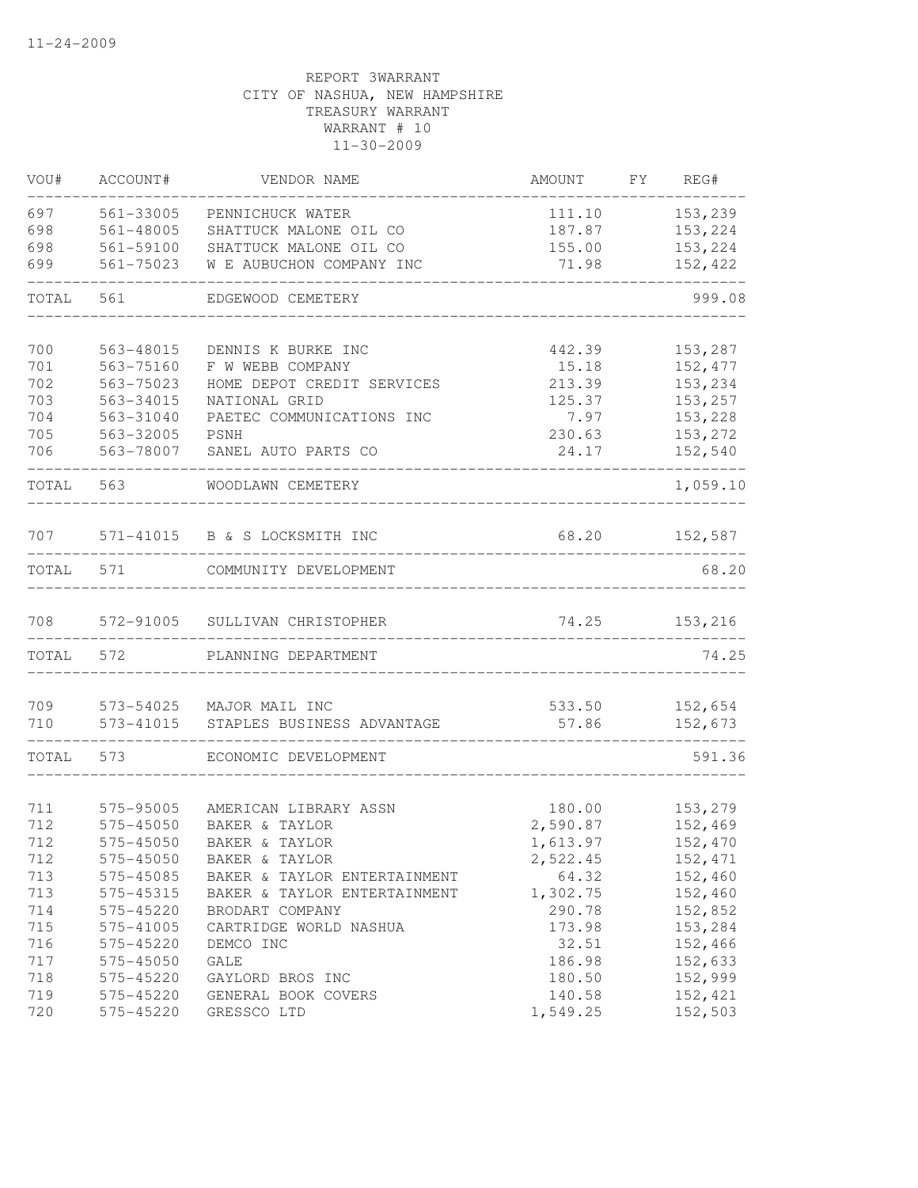| VOU#  | ACCOUNT#      | VENDOR NAME                   | AMOUNT   | FY | REG#     |
|-------|---------------|-------------------------------|----------|----|----------|
| 697   | 561-33005     | PENNICHUCK WATER              | 111.10   |    | 153,239  |
| 698   | $561 - 48005$ | SHATTUCK MALONE OIL CO        | 187.87   |    | 153,224  |
| 698   | 561-59100     | SHATTUCK MALONE OIL CO        | 155.00   |    | 153,224  |
| 699   | $561 - 75023$ | W E AUBUCHON COMPANY INC      | 71.98    |    | 152,422  |
| TOTAL | 561           | EDGEWOOD CEMETERY             |          |    | 999.08   |
| 700   | 563-48015     | DENNIS K BURKE INC            | 442.39   |    | 153,287  |
| 701   | 563-75160     | F W WEBB COMPANY              | 15.18    |    | 152,477  |
| 702   | $563 - 75023$ | HOME DEPOT CREDIT SERVICES    | 213.39   |    | 153,234  |
| 703   | 563-34015     | NATIONAL GRID                 | 125.37   |    | 153,257  |
| 704   | 563-31040     | PAETEC COMMUNICATIONS INC     | 7.97     |    | 153,228  |
| 705   | 563-32005     | PSNH                          | 230.63   |    | 153,272  |
| 706   | 563-78007     | SANEL AUTO PARTS CO           | 24.17    |    | 152,540  |
| TOTAL | 563           | WOODLAWN CEMETERY             |          |    | 1,059.10 |
| 707   |               | 571-41015 B & S LOCKSMITH INC | 68.20    |    | 152,587  |
| TOTAL | 571           | COMMUNITY DEVELOPMENT         |          |    | 68.20    |
| 708   | 572-91005     | SULLIVAN CHRISTOPHER          | 74.25    |    | 153,216  |
| TOTAL | 572           | PLANNING DEPARTMENT           |          |    | 74.25    |
| 709   | 573-54025     | MAJOR MAIL INC                | 533.50   |    | 152,654  |
| 710   | 573-41015     | STAPLES BUSINESS ADVANTAGE    | 57.86    |    | 152,673  |
| TOTAL | 573           | ECONOMIC DEVELOPMENT          |          |    | 591.36   |
| 711   | 575-95005     | AMERICAN LIBRARY ASSN         | 180.00   |    | 153,279  |
| 712   | $575 - 45050$ | BAKER & TAYLOR                | 2,590.87 |    | 152,469  |
| 712   | 575-45050     | BAKER & TAYLOR                | 1,613.97 |    | 152,470  |
| 712   | 575-45050     | BAKER & TAYLOR                | 2,522.45 |    | 152,471  |
| 713   | 575-45085     | BAKER & TAYLOR ENTERTAINMENT  | 64.32    |    | 152,460  |
| 713   | 575-45315     | BAKER & TAYLOR ENTERTAINMENT  | 1,302.75 |    | 152,460  |
| 714   | 575-45220     | BRODART COMPANY               | 290.78   |    | 152,852  |
| 715   | 575-41005     | CARTRIDGE WORLD NASHUA        | 173.98   |    | 153,284  |
| 716   | 575-45220     | DEMCO INC                     | 32.51    |    | 152,466  |
| 717   | 575-45050     | GALE                          | 186.98   |    | 152,633  |
| 718   | 575-45220     | GAYLORD BROS INC              | 180.50   |    | 152,999  |
| 719   | 575-45220     | GENERAL BOOK COVERS           | 140.58   |    | 152,421  |
| 720   | 575-45220     | GRESSCO LTD                   | 1,549.25 |    | 152,503  |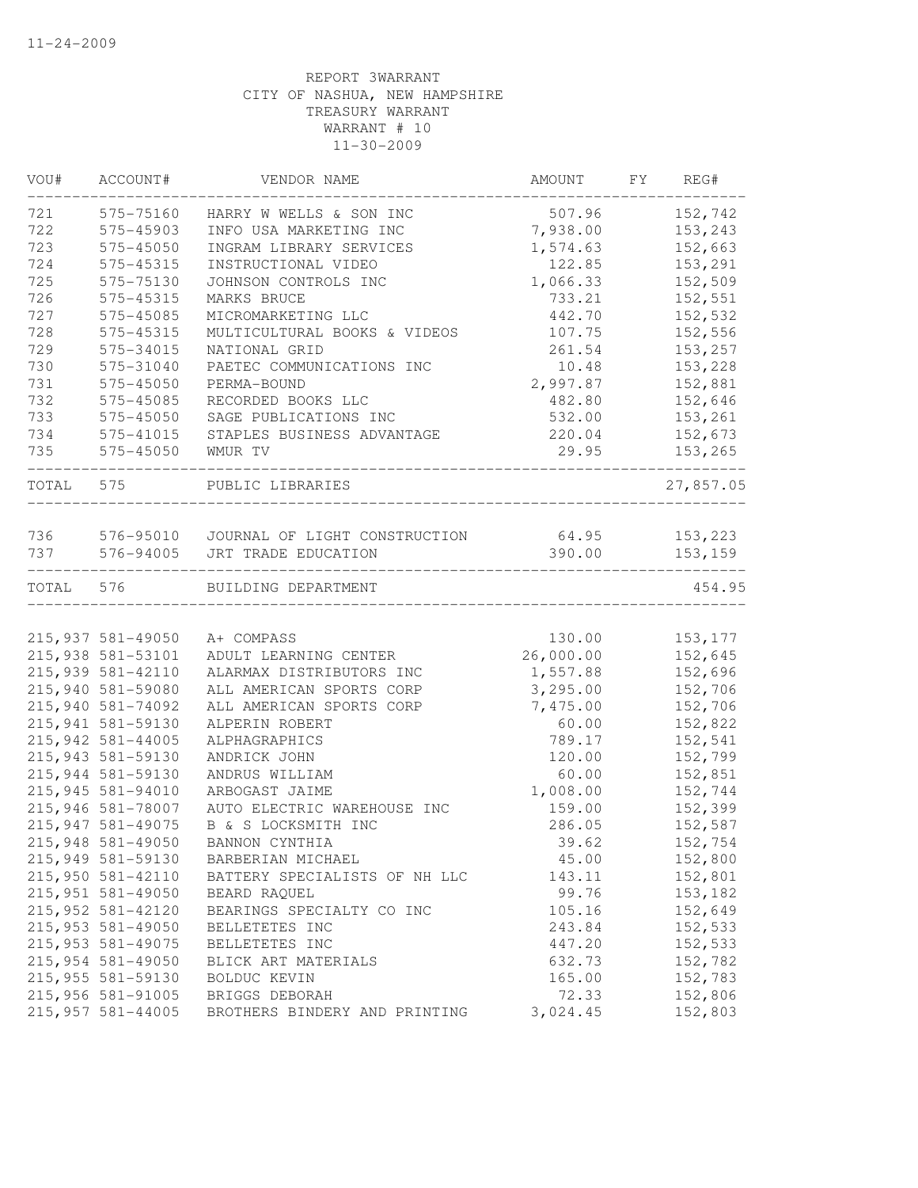| VOU#      | ACCOUNT#           | VENDOR NAME                   | AMOUNT    | FY | REG#      |
|-----------|--------------------|-------------------------------|-----------|----|-----------|
| 721       | 575-75160          | HARRY W WELLS & SON INC       | 507.96    |    | 152,742   |
| 722       | 575-45903          | INFO USA MARKETING INC        | 7,938.00  |    | 153,243   |
| 723       | 575-45050          | INGRAM LIBRARY SERVICES       | 1,574.63  |    | 152,663   |
| 724       | 575-45315          | INSTRUCTIONAL VIDEO           | 122.85    |    | 153,291   |
| 725       | 575-75130          | JOHNSON CONTROLS INC          | 1,066.33  |    | 152,509   |
| 726       | 575-45315          | MARKS BRUCE                   | 733.21    |    | 152,551   |
| 727       | 575-45085          | MICROMARKETING LLC            | 442.70    |    | 152,532   |
| 728       | 575-45315          | MULTICULTURAL BOOKS & VIDEOS  | 107.75    |    | 152,556   |
| 729       | 575-34015          | NATIONAL GRID                 | 261.54    |    | 153,257   |
| 730       | 575-31040          | PAETEC COMMUNICATIONS INC     | 10.48     |    | 153,228   |
| 731       | 575-45050          | PERMA-BOUND                   | 2,997.87  |    | 152,881   |
| 732       | 575-45085          | RECORDED BOOKS LLC            | 482.80    |    | 152,646   |
| 733       | 575-45050          | SAGE PUBLICATIONS INC         | 532.00    |    | 153,261   |
| 734       | 575-41015          | STAPLES BUSINESS ADVANTAGE    | 220.04    |    | 152,673   |
| 735       | 575-45050          | WMUR TV                       | 29.95     |    | 153,265   |
| TOTAL 575 |                    | PUBLIC LIBRARIES              |           |    | 27,857.05 |
|           |                    |                               |           |    |           |
| 736       | 576-95010          | JOURNAL OF LIGHT CONSTRUCTION | 64.95     |    | 153,223   |
| 737       | 576-94005          | JRT TRADE EDUCATION           | 390.00    |    | 153,159   |
| TOTAL 576 |                    | BUILDING DEPARTMENT           |           |    | 454.95    |
|           |                    |                               |           |    |           |
|           | 215,937 581-49050  | A+ COMPASS                    | 130.00    |    | 153,177   |
|           | 215,938 581-53101  | ADULT LEARNING CENTER         | 26,000.00 |    | 152,645   |
|           | 215,939 581-42110  | ALARMAX DISTRIBUTORS INC      | 1,557.88  |    | 152,696   |
|           | 215,940 581-59080  | ALL AMERICAN SPORTS CORP      | 3,295.00  |    | 152,706   |
|           | 215,940 581-74092  | ALL AMERICAN SPORTS CORP      | 7,475.00  |    | 152,706   |
|           | 215,941 581-59130  | ALPERIN ROBERT                | 60.00     |    | 152,822   |
|           | 215,942 581-44005  | ALPHAGRAPHICS                 | 789.17    |    | 152,541   |
|           | 215,943 581-59130  | ANDRICK JOHN                  | 120.00    |    | 152,799   |
|           | 215,944 581-59130  | ANDRUS WILLIAM                | 60.00     |    | 152,851   |
|           | 215,945 581-94010  | ARBOGAST JAIME                | 1,008.00  |    | 152,744   |
|           | 215,946 581-78007  | AUTO ELECTRIC WAREHOUSE INC   | 159.00    |    | 152,399   |
|           | 215,947 581-49075  | B & S LOCKSMITH INC           | 286.05    |    | 152,587   |
|           | 215,948 581-49050  | BANNON CYNTHIA                | 39.62     |    | 152,754   |
|           | 215,949 581-59130  | BARBERIAN MICHAEL             | 45.00     |    | 152,800   |
|           | 215,950 581-42110  | BATTERY SPECIALISTS OF NH LLC | 143.11    |    | 152,801   |
|           | 215,951 581-49050  | BEARD RAQUEL                  | 99.76     |    | 153,182   |
|           | 215,952 581-42120  | BEARINGS SPECIALTY CO INC     | 105.16    |    | 152,649   |
|           | 215,953 581-49050  | BELLETETES INC                | 243.84    |    | 152,533   |
|           | 215, 953 581-49075 | BELLETETES INC                | 447.20    |    | 152,533   |
|           | 215,954 581-49050  | BLICK ART MATERIALS           | 632.73    |    | 152,782   |
|           | 215,955 581-59130  | BOLDUC KEVIN                  | 165.00    |    | 152,783   |
|           | 215,956 581-91005  | BRIGGS DEBORAH                | 72.33     |    | 152,806   |
|           | 215,957 581-44005  | BROTHERS BINDERY AND PRINTING | 3,024.45  |    | 152,803   |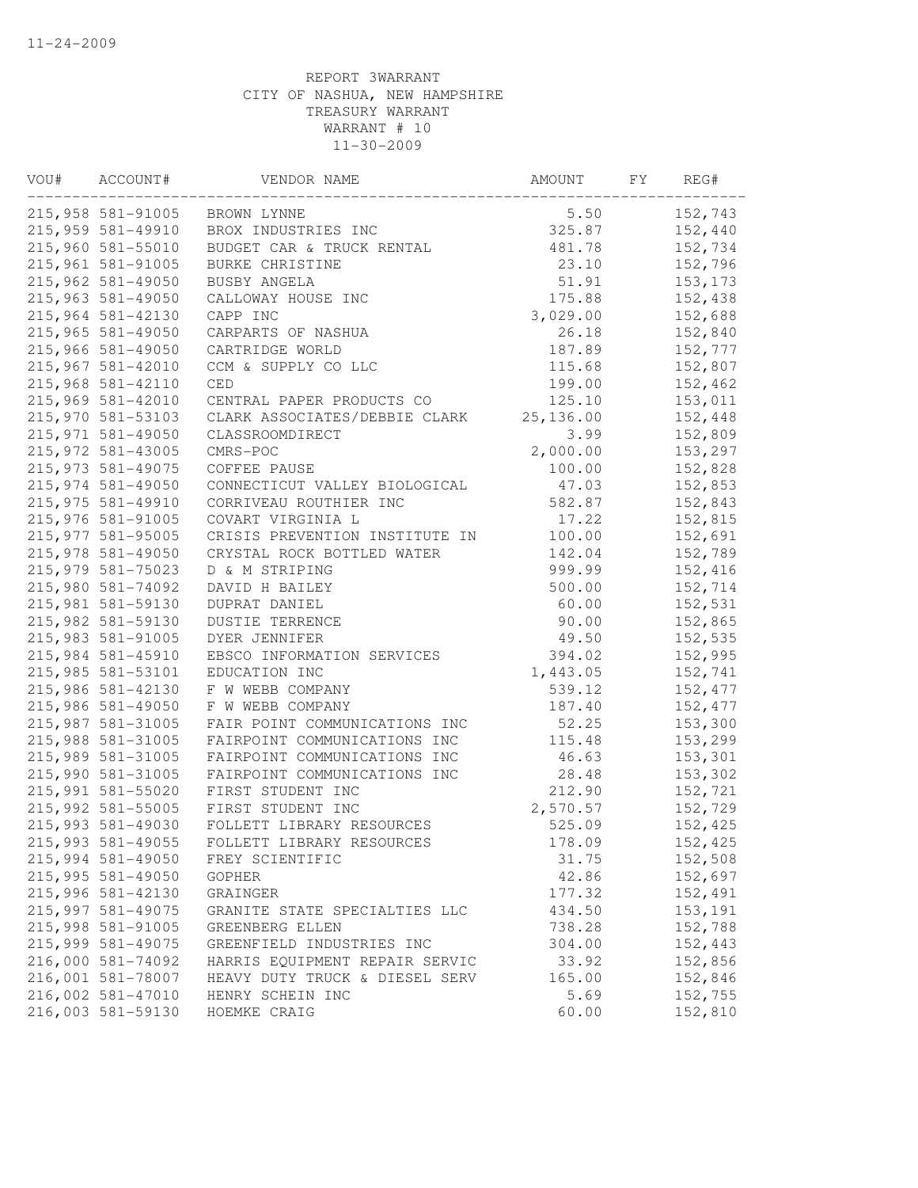| VOU# | ACCOUNT#          | VENDOR NAME                    | AMOUNT     | FY | REG#    |
|------|-------------------|--------------------------------|------------|----|---------|
|      | 215,958 581-91005 | BROWN LYNNE                    | 5.50       |    | 152,743 |
|      | 215,959 581-49910 | BROX INDUSTRIES INC            | 325.87     |    | 152,440 |
|      | 215,960 581-55010 | BUDGET CAR & TRUCK RENTAL      | 481.78     |    | 152,734 |
|      | 215,961 581-91005 | BURKE CHRISTINE                | 23.10      |    | 152,796 |
|      | 215,962 581-49050 | BUSBY ANGELA                   | 51.91      |    | 153,173 |
|      | 215,963 581-49050 | CALLOWAY HOUSE INC             | 175.88     |    | 152,438 |
|      | 215,964 581-42130 | CAPP INC                       | 3,029.00   |    | 152,688 |
|      | 215,965 581-49050 | CARPARTS OF NASHUA             | 26.18      |    | 152,840 |
|      | 215,966 581-49050 | CARTRIDGE WORLD                | 187.89     |    | 152,777 |
|      | 215,967 581-42010 | CCM & SUPPLY CO LLC            | 115.68     |    | 152,807 |
|      | 215,968 581-42110 | <b>CED</b>                     | 199.00     |    | 152,462 |
|      | 215,969 581-42010 | CENTRAL PAPER PRODUCTS CO      | 125.10     |    | 153,011 |
|      | 215,970 581-53103 | CLARK ASSOCIATES/DEBBIE CLARK  | 25, 136.00 |    | 152,448 |
|      | 215,971 581-49050 | CLASSROOMDIRECT                | 3.99       |    | 152,809 |
|      | 215,972 581-43005 | CMRS-POC                       | 2,000.00   |    | 153,297 |
|      | 215,973 581-49075 | COFFEE PAUSE                   | 100.00     |    | 152,828 |
|      | 215,974 581-49050 | CONNECTICUT VALLEY BIOLOGICAL  | 47.03      |    | 152,853 |
|      | 215,975 581-49910 | CORRIVEAU ROUTHIER INC         | 582.87     |    | 152,843 |
|      | 215,976 581-91005 | COVART VIRGINIA L              | 17.22      |    | 152,815 |
|      | 215,977 581-95005 | CRISIS PREVENTION INSTITUTE IN | 100.00     |    | 152,691 |
|      | 215,978 581-49050 | CRYSTAL ROCK BOTTLED WATER     | 142.04     |    | 152,789 |
|      | 215,979 581-75023 | D & M STRIPING                 | 999.99     |    | 152,416 |
|      | 215,980 581-74092 | DAVID H BAILEY                 | 500.00     |    | 152,714 |
|      | 215,981 581-59130 | DUPRAT DANIEL                  | 60.00      |    | 152,531 |
|      | 215,982 581-59130 | <b>DUSTIE TERRENCE</b>         | 90.00      |    | 152,865 |
|      | 215,983 581-91005 | DYER JENNIFER                  | 49.50      |    | 152,535 |
|      | 215,984 581-45910 | EBSCO INFORMATION SERVICES     | 394.02     |    | 152,995 |
|      | 215,985 581-53101 | EDUCATION INC                  | 1,443.05   |    | 152,741 |
|      | 215,986 581-42130 | F W WEBB COMPANY               | 539.12     |    | 152,477 |
|      | 215,986 581-49050 | F W WEBB COMPANY               | 187.40     |    | 152,477 |
|      | 215,987 581-31005 | FAIR POINT COMMUNICATIONS INC  | 52.25      |    | 153,300 |
|      | 215,988 581-31005 | FAIRPOINT COMMUNICATIONS INC   | 115.48     |    | 153,299 |
|      | 215,989 581-31005 | FAIRPOINT COMMUNICATIONS INC   | 46.63      |    | 153,301 |
|      | 215,990 581-31005 | FAIRPOINT COMMUNICATIONS INC   | 28.48      |    | 153,302 |
|      | 215,991 581-55020 | FIRST STUDENT INC              | 212.90     |    | 152,721 |
|      | 215,992 581-55005 | FIRST STUDENT INC              | 2,570.57   |    | 152,729 |
|      | 215,993 581-49030 | FOLLETT LIBRARY RESOURCES      | 525.09     |    | 152,425 |
|      | 215,993 581-49055 | FOLLETT LIBRARY RESOURCES      | 178.09     |    | 152,425 |
|      | 215,994 581-49050 | FREY SCIENTIFIC                | 31.75      |    | 152,508 |
|      | 215,995 581-49050 | <b>GOPHER</b>                  | 42.86      |    | 152,697 |
|      | 215,996 581-42130 | GRAINGER                       | 177.32     |    | 152,491 |
|      | 215,997 581-49075 | GRANITE STATE SPECIALTIES LLC  | 434.50     |    | 153,191 |
|      | 215,998 581-91005 | GREENBERG ELLEN                | 738.28     |    | 152,788 |
|      | 215,999 581-49075 | GREENFIELD INDUSTRIES INC      | 304.00     |    | 152,443 |
|      | 216,000 581-74092 | HARRIS EQUIPMENT REPAIR SERVIC | 33.92      |    | 152,856 |
|      | 216,001 581-78007 | HEAVY DUTY TRUCK & DIESEL SERV | 165.00     |    | 152,846 |
|      | 216,002 581-47010 | HENRY SCHEIN INC               | 5.69       |    | 152,755 |
|      | 216,003 581-59130 | HOEMKE CRAIG                   | 60.00      |    | 152,810 |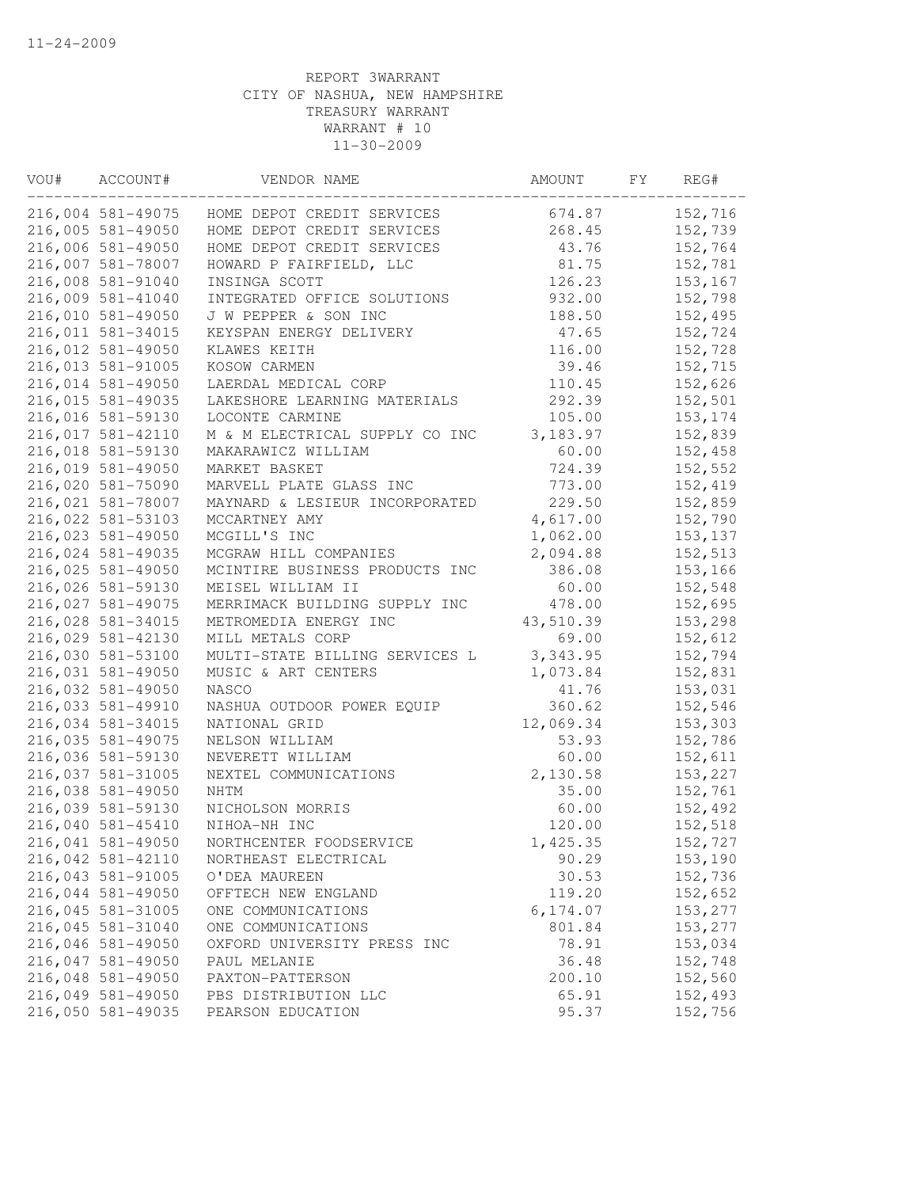| VOU# | ACCOUNT#                               | VENDOR NAME                    | AMOUNT    | FY | REG#     |
|------|----------------------------------------|--------------------------------|-----------|----|----------|
|      | 216,004 581-49075                      | HOME DEPOT CREDIT SERVICES     | 674.87    |    | 152,716  |
|      | 216,005 581-49050                      | HOME DEPOT CREDIT SERVICES     | 268.45    |    | 152,739  |
|      | 216,006 581-49050                      | HOME DEPOT CREDIT SERVICES     | 43.76     |    | 152,764  |
|      | 216,007 581-78007                      | HOWARD P FAIRFIELD, LLC        | 81.75     |    | 152,781  |
|      | 216,008 581-91040                      | INSINGA SCOTT                  | 126.23    |    | 153,167  |
|      | 216,009 581-41040                      | INTEGRATED OFFICE SOLUTIONS    | 932.00    |    | 152,798  |
|      | 216,010 581-49050                      | J W PEPPER & SON INC           | 188.50    |    | 152,495  |
|      | 216,011 581-34015                      | KEYSPAN ENERGY DELIVERY        | 47.65     |    | 152,724  |
|      | 216,012 581-49050                      | KLAWES KEITH                   | 116.00    |    | 152,728  |
|      | 216,013 581-91005                      | KOSOW CARMEN                   | 39.46     |    | 152,715  |
|      | 216,014 581-49050                      | LAERDAL MEDICAL CORP           | 110.45    |    | 152,626  |
|      | 216,015 581-49035                      | LAKESHORE LEARNING MATERIALS   | 292.39    |    | 152,501  |
|      | 216,016 581-59130                      | LOCONTE CARMINE                | 105.00    |    | 153,174  |
|      | 216,017 581-42110                      | M & M ELECTRICAL SUPPLY CO INC | 3,183.97  |    | 152,839  |
|      | 216,018 581-59130                      | MAKARAWICZ WILLIAM             | 60.00     |    | 152,458  |
|      | 216,019 581-49050                      | MARKET BASKET                  | 724.39    |    | 152,552  |
|      | 216,020 581-75090                      | MARVELL PLATE GLASS INC        | 773.00    |    | 152,419  |
|      | 216,021 581-78007                      | MAYNARD & LESIEUR INCORPORATED | 229.50    |    | 152,859  |
|      | 216,022 581-53103                      | MCCARTNEY AMY                  | 4,617.00  |    | 152,790  |
|      | 216,023 581-49050                      | MCGILL'S INC                   | 1,062.00  |    | 153, 137 |
|      | 216,024 581-49035                      | MCGRAW HILL COMPANIES          | 2,094.88  |    | 152,513  |
|      | 216,025 581-49050                      | MCINTIRE BUSINESS PRODUCTS INC | 386.08    |    | 153,166  |
|      | 216,026 581-59130                      | MEISEL WILLIAM II              | 60.00     |    | 152,548  |
|      | 216,027 581-49075                      | MERRIMACK BUILDING SUPPLY INC  | 478.00    |    | 152,695  |
|      | 216,028 581-34015                      | METROMEDIA ENERGY INC          | 43,510.39 |    | 153,298  |
|      | 216,029 581-42130                      | MILL METALS CORP               | 69.00     |    | 152,612  |
|      | 216,030 581-53100                      | MULTI-STATE BILLING SERVICES L | 3,343.95  |    | 152,794  |
|      | 216,031 581-49050                      | MUSIC & ART CENTERS            | 1,073.84  |    | 152,831  |
|      | 216,032 581-49050                      | NASCO                          | 41.76     |    | 153,031  |
|      | 216,033 581-49910                      | NASHUA OUTDOOR POWER EQUIP     | 360.62    |    | 152,546  |
|      | 216,034 581-34015                      | NATIONAL GRID                  | 12,069.34 |    | 153,303  |
|      | 216,035 581-49075                      | NELSON WILLIAM                 | 53.93     |    | 152,786  |
|      | 216,036 581-59130                      | NEVERETT WILLIAM               | 60.00     |    | 152,611  |
|      | 216,037 581-31005                      | NEXTEL COMMUNICATIONS          | 2,130.58  |    | 153,227  |
|      | 216,038 581-49050                      | NHTM                           | 35.00     |    | 152,761  |
|      | 216,039 581-59130                      | NICHOLSON MORRIS               | 60.00     |    | 152,492  |
|      | 216,040 581-45410                      | NIHOA-NH INC                   | 120.00    |    | 152,518  |
|      | 216,041 581-49050                      | NORTHCENTER FOODSERVICE        | 1,425.35  |    | 152,727  |
|      |                                        |                                |           |    |          |
|      | 216,042 581-42110<br>216,043 581-91005 | NORTHEAST ELECTRICAL           | 90.29     |    | 153,190  |
|      |                                        | O'DEA MAUREEN                  | 30.53     |    | 152,736  |
|      | 216,044 581-49050                      | OFFTECH NEW ENGLAND            | 119.20    |    | 152,652  |
|      | 216,045 581-31005                      | ONE COMMUNICATIONS             | 6,174.07  |    | 153,277  |
|      | 216,045 581-31040                      | ONE COMMUNICATIONS             | 801.84    |    | 153,277  |
|      | 216,046 581-49050                      | OXFORD UNIVERSITY PRESS INC    | 78.91     |    | 153,034  |
|      | 216,047 581-49050                      | PAUL MELANIE                   | 36.48     |    | 152,748  |
|      | 216,048 581-49050                      | PAXTON-PATTERSON               | 200.10    |    | 152,560  |
|      | 216,049 581-49050                      | PBS DISTRIBUTION LLC           | 65.91     |    | 152,493  |
|      | 216,050 581-49035                      | PEARSON EDUCATION              | 95.37     |    | 152,756  |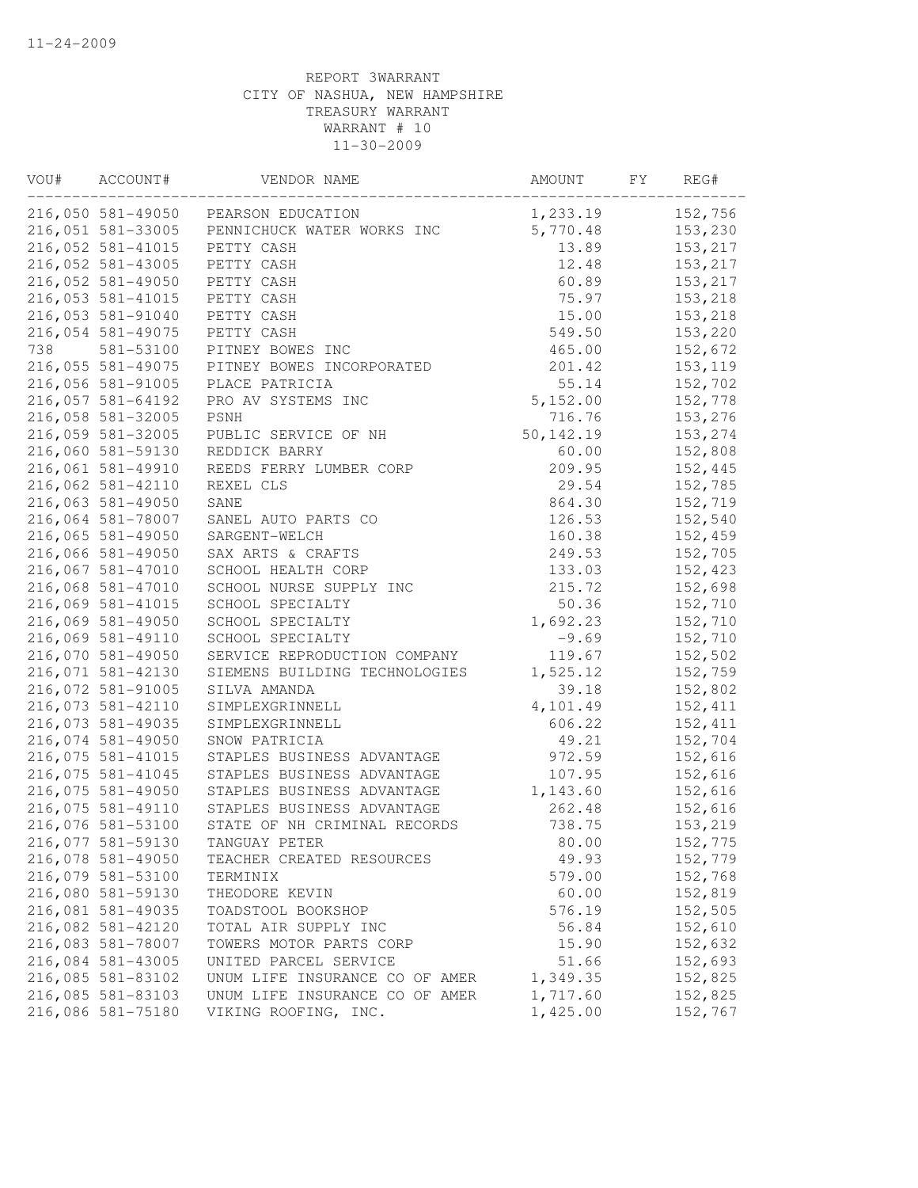| VOU# | ACCOUNT#          | VENDOR NAME                         | AMOUNT     | FY | REG#     |
|------|-------------------|-------------------------------------|------------|----|----------|
|      |                   | 216,050 581-49050 PEARSON EDUCATION | 1,233.19   |    | 152,756  |
|      | 216,051 581-33005 | PENNICHUCK WATER WORKS INC          | 5,770.48   |    | 153,230  |
|      | 216,052 581-41015 | PETTY CASH                          | 13.89      |    | 153,217  |
|      | 216,052 581-43005 | PETTY CASH                          | 12.48      |    | 153,217  |
|      | 216,052 581-49050 | PETTY CASH                          | 60.89      |    | 153,217  |
|      | 216,053 581-41015 | PETTY CASH                          | 75.97      |    | 153,218  |
|      | 216,053 581-91040 | PETTY CASH                          | 15.00      |    | 153,218  |
|      | 216,054 581-49075 | PETTY CASH                          | 549.50     |    | 153,220  |
| 738  | 581-53100         | PITNEY BOWES INC                    | 465.00     |    | 152,672  |
|      | 216,055 581-49075 | PITNEY BOWES INCORPORATED           | 201.42     |    | 153, 119 |
|      | 216,056 581-91005 | PLACE PATRICIA                      | 55.14      |    | 152,702  |
|      | 216,057 581-64192 | PRO AV SYSTEMS INC                  | 5,152.00   |    | 152,778  |
|      | 216,058 581-32005 | PSNH                                | 716.76     |    | 153,276  |
|      | 216,059 581-32005 | PUBLIC SERVICE OF NH                | 50, 142.19 |    | 153,274  |
|      | 216,060 581-59130 | REDDICK BARRY                       | 60.00      |    | 152,808  |
|      | 216,061 581-49910 | REEDS FERRY LUMBER CORP             | 209.95     |    | 152,445  |
|      | 216,062 581-42110 | REXEL CLS                           | 29.54      |    | 152,785  |
|      | 216,063 581-49050 | SANE                                | 864.30     |    | 152,719  |
|      | 216,064 581-78007 | SANEL AUTO PARTS CO                 | 126.53     |    | 152,540  |
|      | 216,065 581-49050 | SARGENT-WELCH                       | 160.38     |    | 152,459  |
|      | 216,066 581-49050 | SAX ARTS & CRAFTS                   | 249.53     |    | 152,705  |
|      | 216,067 581-47010 | SCHOOL HEALTH CORP                  | 133.03     |    | 152,423  |
|      | 216,068 581-47010 | SCHOOL NURSE SUPPLY INC             | 215.72     |    | 152,698  |
|      | 216,069 581-41015 | SCHOOL SPECIALTY                    | 50.36      |    | 152,710  |
|      | 216,069 581-49050 | SCHOOL SPECIALTY                    | 1,692.23   |    | 152,710  |
|      | 216,069 581-49110 | SCHOOL SPECIALTY                    | $-9.69$    |    | 152,710  |
|      | 216,070 581-49050 | SERVICE REPRODUCTION COMPANY        | 119.67     |    | 152,502  |
|      | 216,071 581-42130 | SIEMENS BUILDING TECHNOLOGIES       | 1,525.12   |    | 152,759  |
|      | 216,072 581-91005 | SILVA AMANDA                        | 39.18      |    | 152,802  |
|      | 216,073 581-42110 | SIMPLEXGRINNELL                     | 4,101.49   |    | 152, 411 |
|      | 216,073 581-49035 | SIMPLEXGRINNELL                     | 606.22     |    | 152, 411 |
|      | 216,074 581-49050 | SNOW PATRICIA                       | 49.21      |    | 152,704  |
|      | 216,075 581-41015 | STAPLES BUSINESS ADVANTAGE          | 972.59     |    | 152,616  |
|      | 216,075 581-41045 | STAPLES BUSINESS ADVANTAGE          | 107.95     |    | 152,616  |
|      | 216,075 581-49050 | STAPLES BUSINESS ADVANTAGE          | 1,143.60   |    | 152,616  |
|      | 216,075 581-49110 | STAPLES BUSINESS ADVANTAGE          | 262.48     |    | 152,616  |
|      | 216,076 581-53100 | STATE OF NH CRIMINAL RECORDS        | 738.75     |    | 153,219  |
|      | 216,077 581-59130 | TANGUAY PETER                       | 80.00      |    | 152,775  |
|      | 216,078 581-49050 | TEACHER CREATED RESOURCES           | 49.93      |    | 152,779  |
|      | 216,079 581-53100 | TERMINIX                            | 579.00     |    | 152,768  |
|      | 216,080 581-59130 | THEODORE KEVIN                      | 60.00      |    | 152,819  |
|      | 216,081 581-49035 | TOADSTOOL BOOKSHOP                  | 576.19     |    | 152,505  |
|      | 216,082 581-42120 | TOTAL AIR SUPPLY INC                | 56.84      |    | 152,610  |
|      | 216,083 581-78007 | TOWERS MOTOR PARTS CORP             | 15.90      |    | 152,632  |
|      | 216,084 581-43005 | UNITED PARCEL SERVICE               | 51.66      |    | 152,693  |
|      | 216,085 581-83102 | UNUM LIFE INSURANCE CO OF AMER      | 1,349.35   |    | 152,825  |
|      | 216,085 581-83103 | UNUM LIFE INSURANCE CO OF AMER      | 1,717.60   |    | 152,825  |
|      | 216,086 581-75180 | VIKING ROOFING, INC.                | 1,425.00   |    | 152,767  |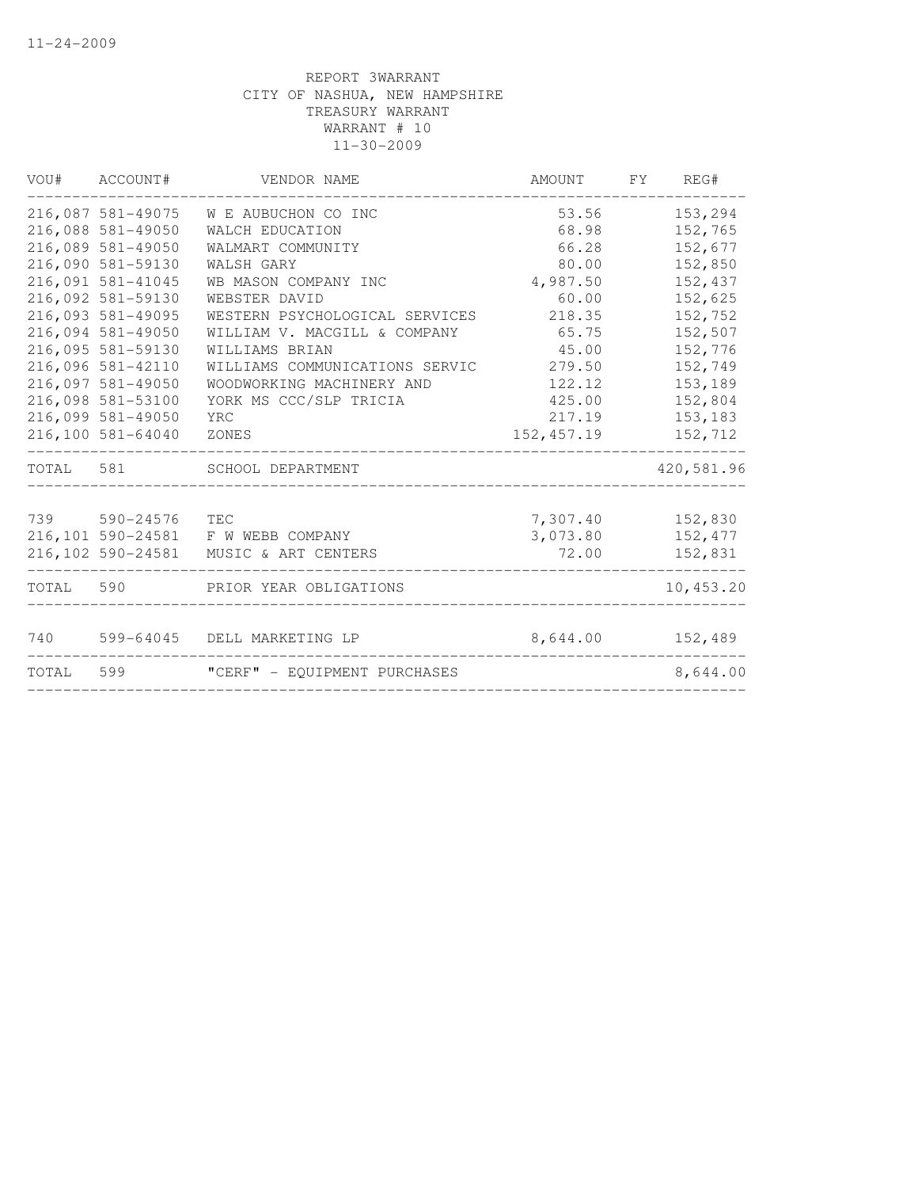| VOU#      | ACCOUNT#          | VENDOR NAME                           | AMOUNT      | FY | REG#       |
|-----------|-------------------|---------------------------------------|-------------|----|------------|
|           | 216,087 581-49075 | W E AUBUCHON CO INC                   | 53.56       |    | 153,294    |
|           | 216,088 581-49050 | WALCH EDUCATION                       | 68.98       |    | 152,765    |
|           | 216,089 581-49050 | WALMART COMMUNITY                     | 66.28       |    | 152,677    |
|           | 216,090 581-59130 | WALSH GARY                            | 80.00       |    | 152,850    |
|           | 216,091 581-41045 | WB MASON COMPANY INC                  | 4,987.50    |    | 152,437    |
|           | 216,092 581-59130 | WEBSTER DAVID                         | 60.00       |    | 152,625    |
|           | 216,093 581-49095 | WESTERN PSYCHOLOGICAL SERVICES        | 218.35      |    | 152,752    |
|           | 216,094 581-49050 | WILLIAM V. MACGILL & COMPANY          | 65.75       |    | 152,507    |
|           | 216,095 581-59130 | WILLIAMS BRIAN                        | 45.00       |    | 152,776    |
|           | 216,096 581-42110 | WILLIAMS COMMUNICATIONS SERVIC        | 279.50      |    | 152,749    |
|           | 216,097 581-49050 | WOODWORKING MACHINERY AND             | 122.12      |    | 153,189    |
|           | 216,098 581-53100 | YORK MS CCC/SLP TRICIA                | 425.00      |    | 152,804    |
|           | 216,099 581-49050 | YRC                                   | 217.19      |    | 153,183    |
|           | 216,100 581-64040 | ZONES                                 | 152, 457.19 |    | 152,712    |
| TOTAL 581 |                   | SCHOOL DEPARTMENT                     |             |    | 420,581.96 |
|           | 739 590-24576     | <b>TEC</b>                            | 7,307.40    |    | 152,830    |
|           |                   | 216,101 590-24581 F W WEBB COMPANY    | 3,073.80    |    | 152,477    |
|           |                   | 216,102 590-24581 MUSIC & ART CENTERS | 72.00       |    | 152,831    |
| TOTAL 590 |                   | PRIOR YEAR OBLIGATIONS                |             |    | 10,453.20  |
| 740       | 599-64045         | DELL MARKETING LP                     | 8,644.00    |    | 152,489    |
| TOTAL     | 599               | "CERF" - EQUIPMENT PURCHASES          |             |    | 8,644.00   |
|           |                   |                                       |             |    |            |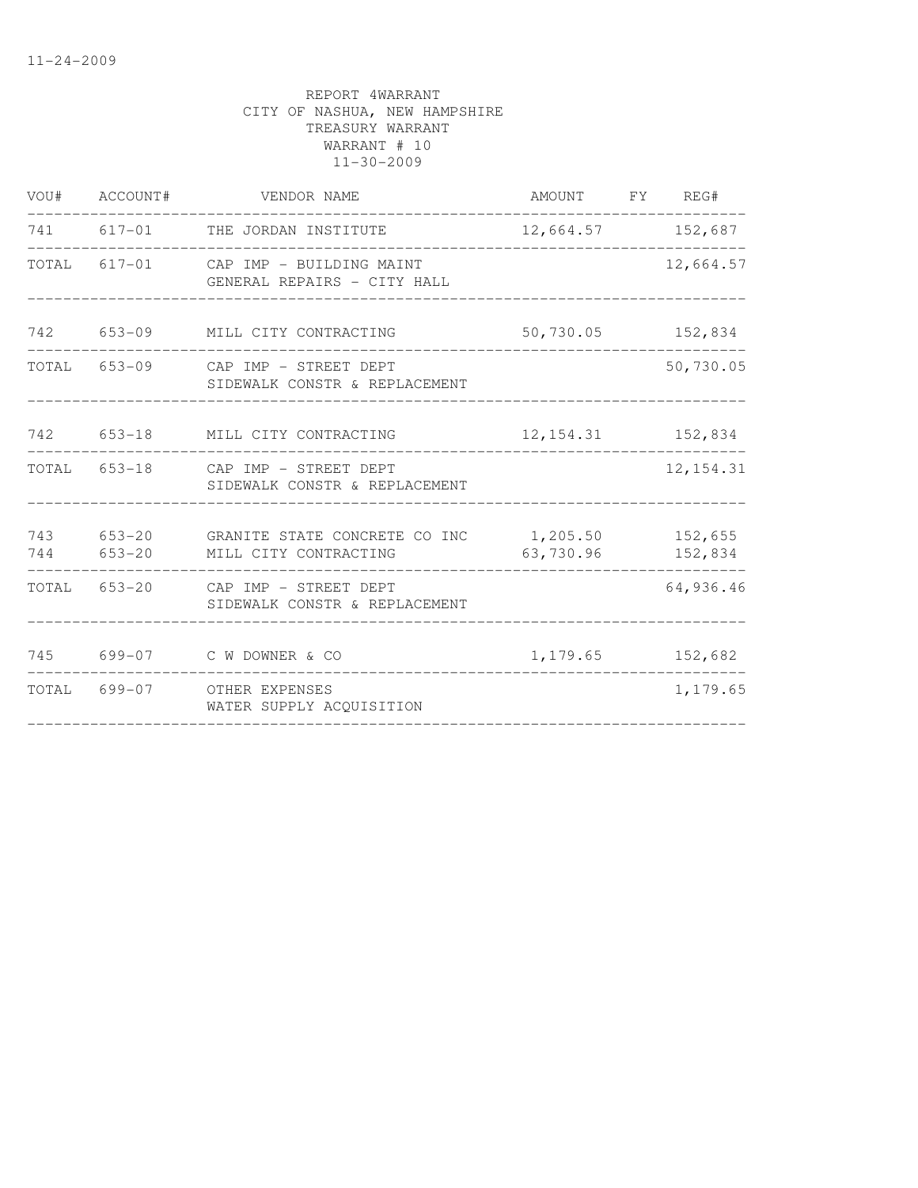|     | VOU# ACCOUNT# | VENDOR NAME                                                                                   | AMOUNT FY REG#       |            |
|-----|---------------|-----------------------------------------------------------------------------------------------|----------------------|------------|
|     |               | 741 617-01 THE JORDAN INSTITUTE                                                               | 12,664.57 152,687    |            |
|     |               | TOTAL 617-01 CAP IMP - BUILDING MAINT<br>GENERAL REPAIRS - CITY HALL                          |                      | 12,664.57  |
|     |               | 742 653-09 MILL CITY CONTRACTING                                                              | 50,730.05 152,834    |            |
|     |               | TOTAL 653-09 CAP IMP - STREET DEPT<br>SIDEWALK CONSTR & REPLACEMENT                           |                      | 50,730.05  |
|     |               | 742 653-18 MILL CITY CONTRACTING                                                              | 12, 154. 31 152, 834 |            |
|     |               | TOTAL 653-18 CAP IMP - STREET DEPT<br>SIDEWALK CONSTR & REPLACEMENT                           |                      | 12, 154.31 |
|     |               | 743 653-20 GRANITE STATE CONCRETE CO INC 1,205.50 152,655<br>744 653-20 MILL CITY CONTRACTING | 63,730.96            | 152,834    |
|     |               | TOTAL 653-20 CAP IMP - STREET DEPT<br>SIDEWALK CONSTR & REPLACEMENT                           |                      | 64,936.46  |
| 745 |               | 699-07 C W DOWNER & CO                                                                        | 1, 179.65 152, 682   |            |
|     |               | TOTAL 699-07 OTHER EXPENSES<br>WATER SUPPLY ACOUISITION                                       |                      | 1,179.65   |
|     |               |                                                                                               |                      |            |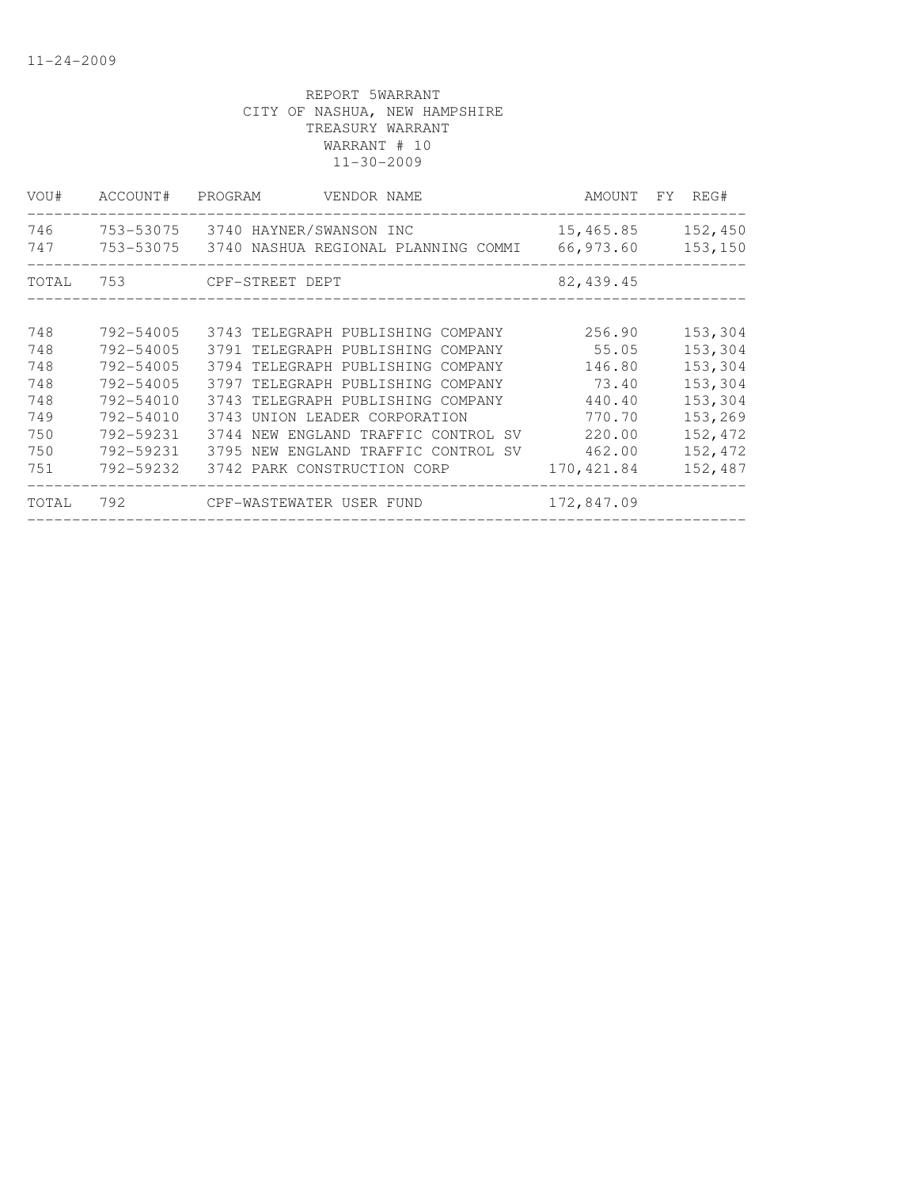| VOU#         | ACCOUNT#  | PROGRAM<br>VENDOR NAME                                      |                          | AMOUNT FY REG# |
|--------------|-----------|-------------------------------------------------------------|--------------------------|----------------|
| 746          | 753-53075 | 3740 HAYNER/SWANSON INC                                     | 15,465.85                | 152,450        |
| 747          |           | 753-53075 3740 NASHUA REGIONAL PLANNING COMMI               | 66,973.60                | 153,150        |
| TOTAL        | 753       | CPF-STREET DEPT                                             | 82, 439.45               |                |
| 748          | 792-54005 | 3743 TELEGRAPH PUBLISHING COMPANY                           | 256.90                   | 153,304        |
| 748          | 792-54005 | 3791 TELEGRAPH PUBLISHING COMPANY                           | 55.05                    | 153,304        |
| 748          | 792-54005 | 3794 TELEGRAPH PUBLISHING COMPANY                           | 146.80                   | 153,304        |
| 748          | 792-54005 | 3797 TELEGRAPH PUBLISHING COMPANY                           | 73.40                    | 153,304        |
| 748          | 792-54010 | 3743 TELEGRAPH PUBLISHING COMPANY                           | 440.40                   | 153,304        |
| 749          | 792-54010 | 3743 UNION LEADER CORPORATION                               | 770.70                   | 153,269        |
| 750          | 792-59231 | 3744 NEW ENGLAND TRAFFIC CONTROL SV                         | 220.00                   | 152,472        |
| 750          | 792-59231 | 3795 NEW ENGLAND TRAFFIC CONTROL SV                         | 462.00                   | 152,472        |
| 751<br>TOTAL | 792-59232 | 3742 PARK CONSTRUCTION CORP<br>792 CPF-WASTEWATER USER FUND | 170,421.84<br>172,847.09 | 152,487        |
|              |           |                                                             |                          |                |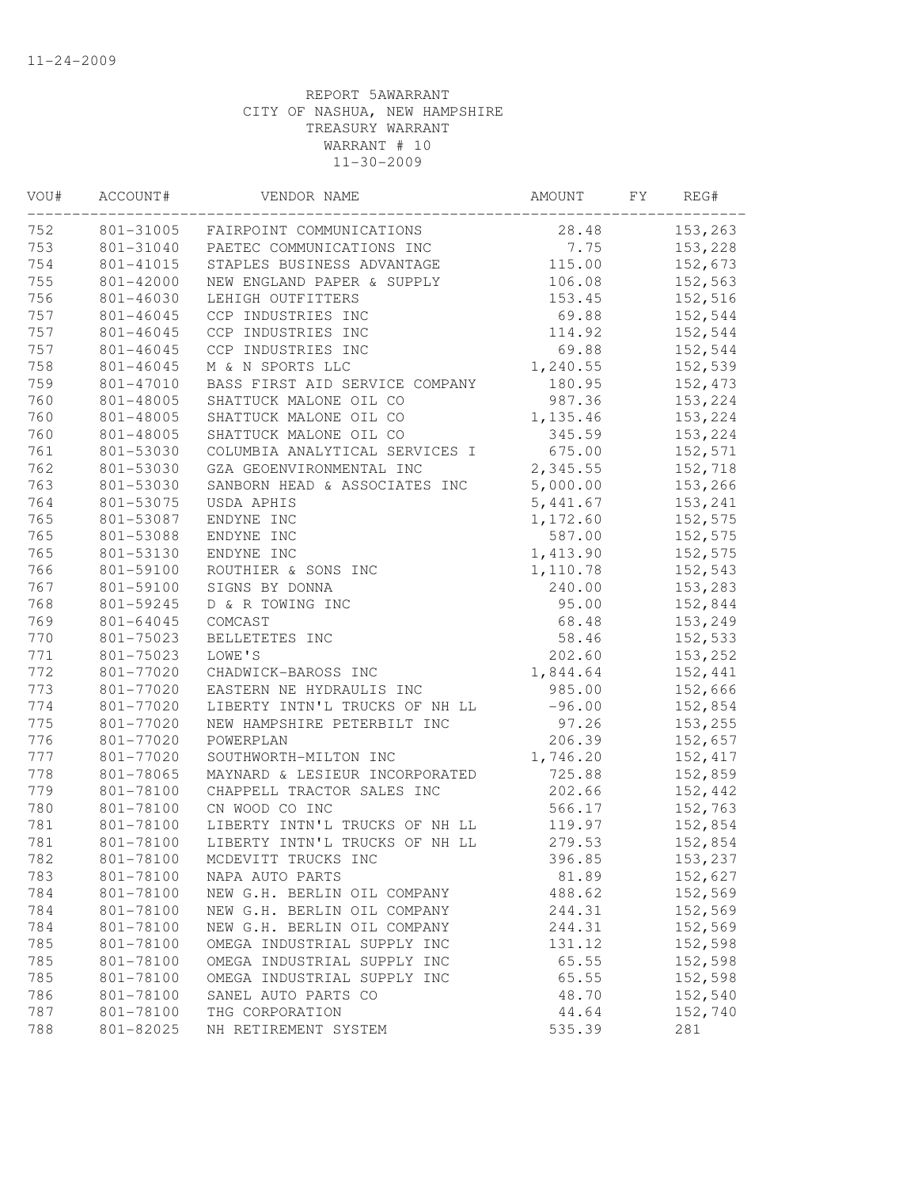| VOU# | ACCOUNT#  | VENDOR NAME                    | AMOUNT   | FY | REG#     |
|------|-----------|--------------------------------|----------|----|----------|
| 752  | 801-31005 | FAIRPOINT COMMUNICATIONS       | 28.48    |    | 153,263  |
| 753  | 801-31040 | PAETEC COMMUNICATIONS INC      | 7.75     |    | 153,228  |
| 754  | 801-41015 | STAPLES BUSINESS ADVANTAGE     | 115.00   |    | 152,673  |
| 755  | 801-42000 | NEW ENGLAND PAPER & SUPPLY     | 106.08   |    | 152,563  |
| 756  | 801-46030 | LEHIGH OUTFITTERS              | 153.45   |    | 152,516  |
| 757  | 801-46045 | CCP INDUSTRIES INC             | 69.88    |    | 152,544  |
| 757  | 801-46045 | CCP INDUSTRIES INC             | 114.92   |    | 152,544  |
| 757  | 801-46045 | CCP INDUSTRIES INC             | 69.88    |    | 152,544  |
| 758  | 801-46045 | M & N SPORTS LLC               | 1,240.55 |    | 152,539  |
| 759  | 801-47010 | BASS FIRST AID SERVICE COMPANY | 180.95   |    | 152,473  |
| 760  | 801-48005 | SHATTUCK MALONE OIL CO         | 987.36   |    | 153,224  |
| 760  | 801-48005 | SHATTUCK MALONE OIL CO         | 1,135.46 |    | 153,224  |
| 760  | 801-48005 | SHATTUCK MALONE OIL CO         | 345.59   |    | 153,224  |
| 761  | 801-53030 | COLUMBIA ANALYTICAL SERVICES I | 675.00   |    | 152,571  |
| 762  | 801-53030 | GZA GEOENVIRONMENTAL INC       | 2,345.55 |    | 152,718  |
| 763  | 801-53030 | SANBORN HEAD & ASSOCIATES INC  | 5,000.00 |    | 153,266  |
| 764  | 801-53075 | USDA APHIS                     | 5,441.67 |    | 153,241  |
| 765  | 801-53087 | ENDYNE INC                     | 1,172.60 |    | 152,575  |
| 765  | 801-53088 | ENDYNE INC                     | 587.00   |    | 152,575  |
| 765  | 801-53130 | ENDYNE INC                     | 1,413.90 |    | 152,575  |
| 766  | 801-59100 | ROUTHIER & SONS INC            | 1,110.78 |    | 152,543  |
| 767  | 801-59100 | SIGNS BY DONNA                 | 240.00   |    | 153,283  |
| 768  | 801-59245 | D & R TOWING INC               | 95.00    |    | 152,844  |
| 769  | 801-64045 | COMCAST                        | 68.48    |    | 153,249  |
| 770  | 801-75023 | BELLETETES INC                 | 58.46    |    | 152,533  |
| 771  | 801-75023 | LOWE'S                         | 202.60   |    | 153,252  |
| 772  | 801-77020 | CHADWICK-BAROSS INC            | 1,844.64 |    | 152,441  |
| 773  | 801-77020 | EASTERN NE HYDRAULIS INC       | 985.00   |    | 152,666  |
| 774  | 801-77020 | LIBERTY INTN'L TRUCKS OF NH LL | $-96.00$ |    | 152,854  |
| 775  | 801-77020 | NEW HAMPSHIRE PETERBILT INC    | 97.26    |    | 153,255  |
| 776  | 801-77020 | POWERPLAN                      | 206.39   |    | 152,657  |
| 777  | 801-77020 | SOUTHWORTH-MILTON INC          | 1,746.20 |    | 152, 417 |
| 778  | 801-78065 | MAYNARD & LESIEUR INCORPORATED | 725.88   |    | 152,859  |
| 779  | 801-78100 | CHAPPELL TRACTOR SALES INC     | 202.66   |    | 152,442  |
| 780  | 801-78100 | CN WOOD CO INC                 | 566.17   |    | 152,763  |
| 781  | 801-78100 | LIBERTY INTN'L TRUCKS OF NH LL | 119.97   |    | 152,854  |
| 781  | 801-78100 | LIBERTY INTN'L TRUCKS OF NH LL | 279.53   |    | 152,854  |
| 782  | 801-78100 | MCDEVITT TRUCKS INC            | 396.85   |    | 153,237  |
| 783  | 801-78100 | NAPA AUTO PARTS                | 81.89    |    | 152,627  |
| 784  | 801-78100 | NEW G.H. BERLIN OIL COMPANY    | 488.62   |    | 152,569  |
| 784  | 801-78100 | NEW G.H. BERLIN OIL COMPANY    | 244.31   |    | 152,569  |
| 784  | 801-78100 | NEW G.H. BERLIN OIL COMPANY    | 244.31   |    | 152,569  |
| 785  | 801-78100 | OMEGA INDUSTRIAL SUPPLY INC    | 131.12   |    | 152,598  |
| 785  | 801-78100 | OMEGA INDUSTRIAL SUPPLY INC    | 65.55    |    | 152,598  |
| 785  | 801-78100 | OMEGA INDUSTRIAL SUPPLY INC    | 65.55    |    | 152,598  |
| 786  | 801-78100 | SANEL AUTO PARTS CO            | 48.70    |    | 152,540  |
| 787  | 801-78100 | THG CORPORATION                | 44.64    |    | 152,740  |
| 788  | 801-82025 | NH RETIREMENT SYSTEM           | 535.39   |    | 281      |
|      |           |                                |          |    |          |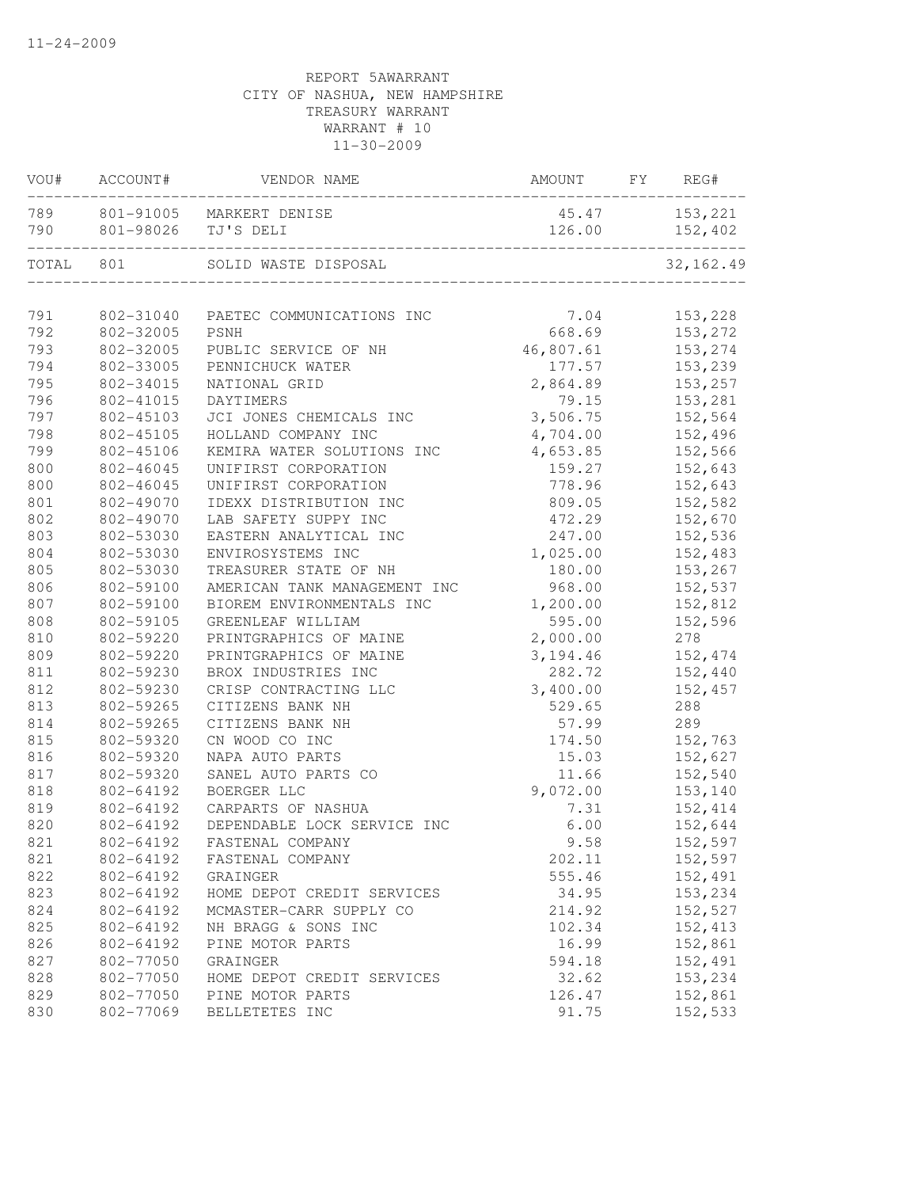| VOU#  | ACCOUNT#  | VENDOR NAME                                         | AMOUNT    | FY | REG#                     |
|-------|-----------|-----------------------------------------------------|-----------|----|--------------------------|
| 790   |           | 789 801-91005 MARKERT DENISE<br>801-98026 TJ'S DELI | 126.00    |    | 45.47 153,221<br>152,402 |
| TOTAL | 801       | SOLID WASTE DISPOSAL                                |           |    | 32, 162.49               |
| 791   | 802-31040 | PAETEC COMMUNICATIONS INC                           | 7.04      |    | 153,228                  |
| 792   | 802-32005 | PSNH                                                | 668.69    |    | 153,272                  |
| 793   | 802-32005 | PUBLIC SERVICE OF NH                                | 46,807.61 |    | 153,274                  |
| 794   | 802-33005 | PENNICHUCK WATER                                    | 177.57    |    | 153,239                  |
| 795   | 802-34015 | NATIONAL GRID                                       | 2,864.89  |    | 153,257                  |
| 796   | 802-41015 | DAYTIMERS                                           | 79.15     |    | 153,281                  |
| 797   | 802-45103 | JCI JONES CHEMICALS INC                             | 3,506.75  |    | 152,564                  |
| 798   | 802-45105 | HOLLAND COMPANY INC                                 | 4,704.00  |    | 152,496                  |
| 799   | 802-45106 | KEMIRA WATER SOLUTIONS INC                          | 4,653.85  |    | 152,566                  |
| 800   | 802-46045 | UNIFIRST CORPORATION                                | 159.27    |    | 152,643                  |
| 800   | 802-46045 | UNIFIRST CORPORATION                                | 778.96    |    | 152,643                  |
| 801   | 802-49070 | IDEXX DISTRIBUTION INC                              | 809.05    |    | 152,582                  |
| 802   | 802-49070 | LAB SAFETY SUPPY INC                                | 472.29    |    | 152,670                  |
| 803   | 802-53030 | EASTERN ANALYTICAL INC                              | 247.00    |    | 152,536                  |
| 804   | 802-53030 | ENVIROSYSTEMS INC                                   | 1,025.00  |    | 152,483                  |
| 805   | 802-53030 | TREASURER STATE OF NH                               | 180.00    |    | 153,267                  |
| 806   | 802-59100 | AMERICAN TANK MANAGEMENT INC                        | 968.00    |    | 152,537                  |
| 807   | 802-59100 | BIOREM ENVIRONMENTALS INC                           | 1,200.00  |    | 152,812                  |
| 808   | 802-59105 | GREENLEAF WILLIAM                                   | 595.00    |    | 152,596                  |
| 810   | 802-59220 | PRINTGRAPHICS OF MAINE                              | 2,000.00  |    | 278                      |
| 809   | 802-59220 | PRINTGRAPHICS OF MAINE                              | 3,194.46  |    | 152,474                  |
| 811   | 802-59230 | BROX INDUSTRIES INC                                 | 282.72    |    | 152,440                  |
| 812   | 802-59230 | CRISP CONTRACTING LLC                               | 3,400.00  |    | 152,457                  |
| 813   | 802-59265 | CITIZENS BANK NH                                    | 529.65    |    | 288                      |
| 814   | 802-59265 | CITIZENS BANK NH                                    | 57.99     |    | 289                      |
| 815   | 802-59320 | CN WOOD CO INC                                      | 174.50    |    | 152,763                  |
| 816   | 802-59320 | NAPA AUTO PARTS                                     | 15.03     |    | 152,627                  |
| 817   | 802-59320 | SANEL AUTO PARTS CO                                 | 11.66     |    | 152,540                  |
| 818   | 802-64192 | BOERGER LLC                                         | 9,072.00  |    | 153,140                  |
| 819   | 802-64192 | CARPARTS OF NASHUA                                  | 7.31      |    | 152,414                  |
| 820   | 802-64192 | DEPENDABLE LOCK SERVICE INC                         | 6.00      |    | 152,644                  |
| 821   | 802-64192 | FASTENAL COMPANY                                    | 9.58      |    | 152,597                  |
| 821   | 802-64192 | FASTENAL COMPANY                                    | 202.11    |    | 152,597                  |
| 822   | 802-64192 | GRAINGER                                            | 555.46    |    | 152,491                  |
| 823   | 802-64192 | HOME DEPOT CREDIT SERVICES                          | 34.95     |    | 153,234                  |
| 824   | 802-64192 | MCMASTER-CARR SUPPLY CO                             | 214.92    |    | 152,527                  |
| 825   | 802-64192 | NH BRAGG & SONS INC                                 | 102.34    |    | 152, 413                 |
| 826   | 802-64192 | PINE MOTOR PARTS                                    | 16.99     |    | 152,861                  |
| 827   | 802-77050 | GRAINGER                                            | 594.18    |    | 152,491                  |
| 828   | 802-77050 | HOME DEPOT CREDIT SERVICES                          | 32.62     |    | 153,234                  |
| 829   | 802-77050 | PINE MOTOR PARTS                                    | 126.47    |    | 152,861                  |
| 830   | 802-77069 | BELLETETES INC                                      | 91.75     |    | 152,533                  |
|       |           |                                                     |           |    |                          |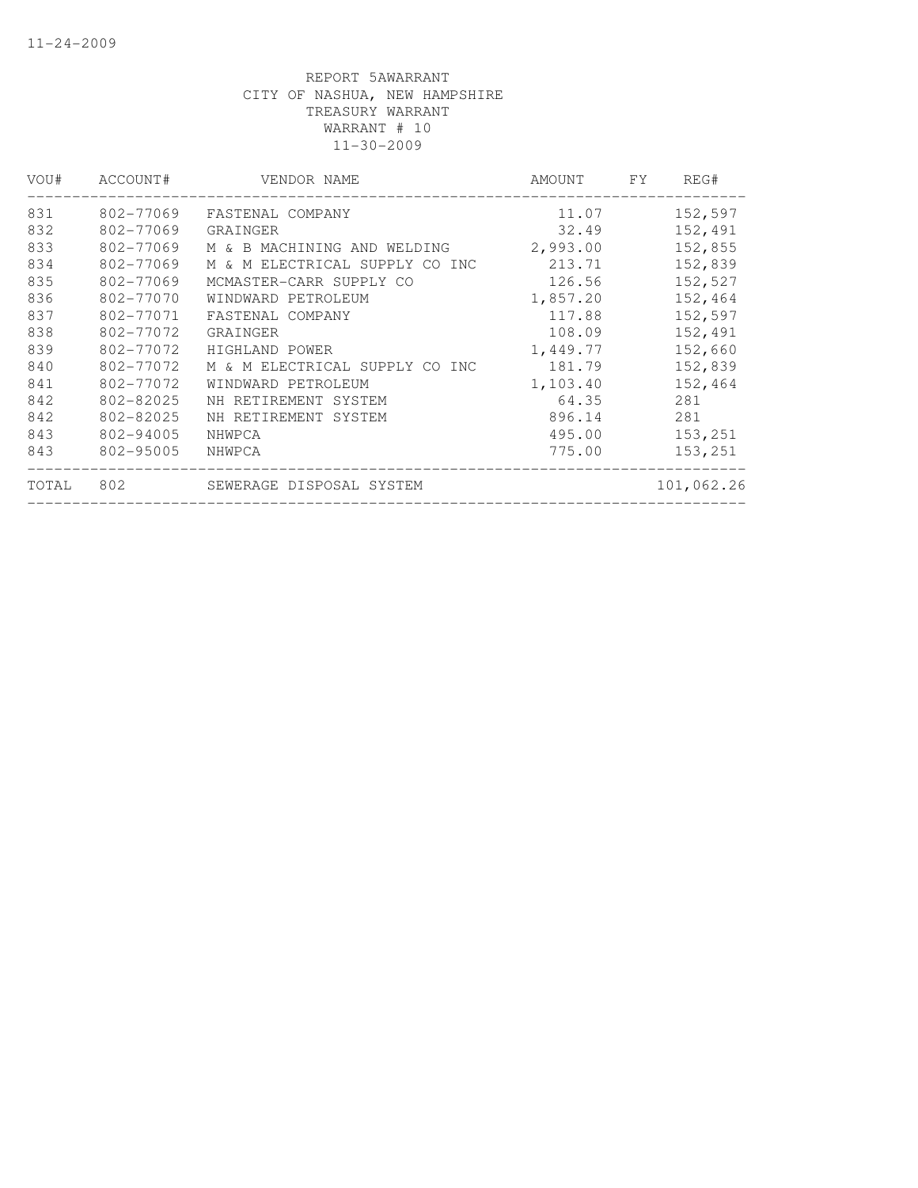| VOU#  | ACCOUNT#  | VENDOR NAME                    | AMOUNT   | FY. | REG#       |
|-------|-----------|--------------------------------|----------|-----|------------|
| 831   | 802-77069 | FASTENAL COMPANY               | 11.07    |     | 152,597    |
| 832   | 802-77069 | GRAINGER                       | 32.49    |     | 152,491    |
| 833   | 802-77069 | M & B MACHINING AND WELDING    | 2,993.00 |     | 152,855    |
| 834   | 802-77069 | M & M ELECTRICAL SUPPLY CO INC | 213.71   |     | 152,839    |
| 835   | 802-77069 | MCMASTER-CARR SUPPLY CO        | 126.56   |     | 152,527    |
| 836   | 802-77070 | WINDWARD PETROLEUM             | 1,857.20 |     | 152,464    |
| 837   | 802-77071 | FASTENAL COMPANY               | 117.88   |     | 152,597    |
| 838   | 802-77072 | GRAINGER                       | 108.09   |     | 152,491    |
| 839   | 802-77072 | HIGHLAND POWER                 | 1,449.77 |     | 152,660    |
| 840   | 802-77072 | M & M ELECTRICAL SUPPLY CO INC | 181.79   |     | 152,839    |
| 841   | 802-77072 | WINDWARD PETROLEUM             | 1,103.40 |     | 152,464    |
| 842   | 802-82025 | NH RETIREMENT SYSTEM           | 64.35    |     | 281        |
| 842   | 802-82025 | NH RETIREMENT SYSTEM           | 896.14   |     | 281        |
| 843   | 802-94005 | NHWPCA                         | 495.00   |     | 153,251    |
| 843   | 802-95005 | NHWPCA                         | 775.00   |     | 153,251    |
| TOTAL | 802       | SEWERAGE DISPOSAL SYSTEM       |          |     | 101,062.26 |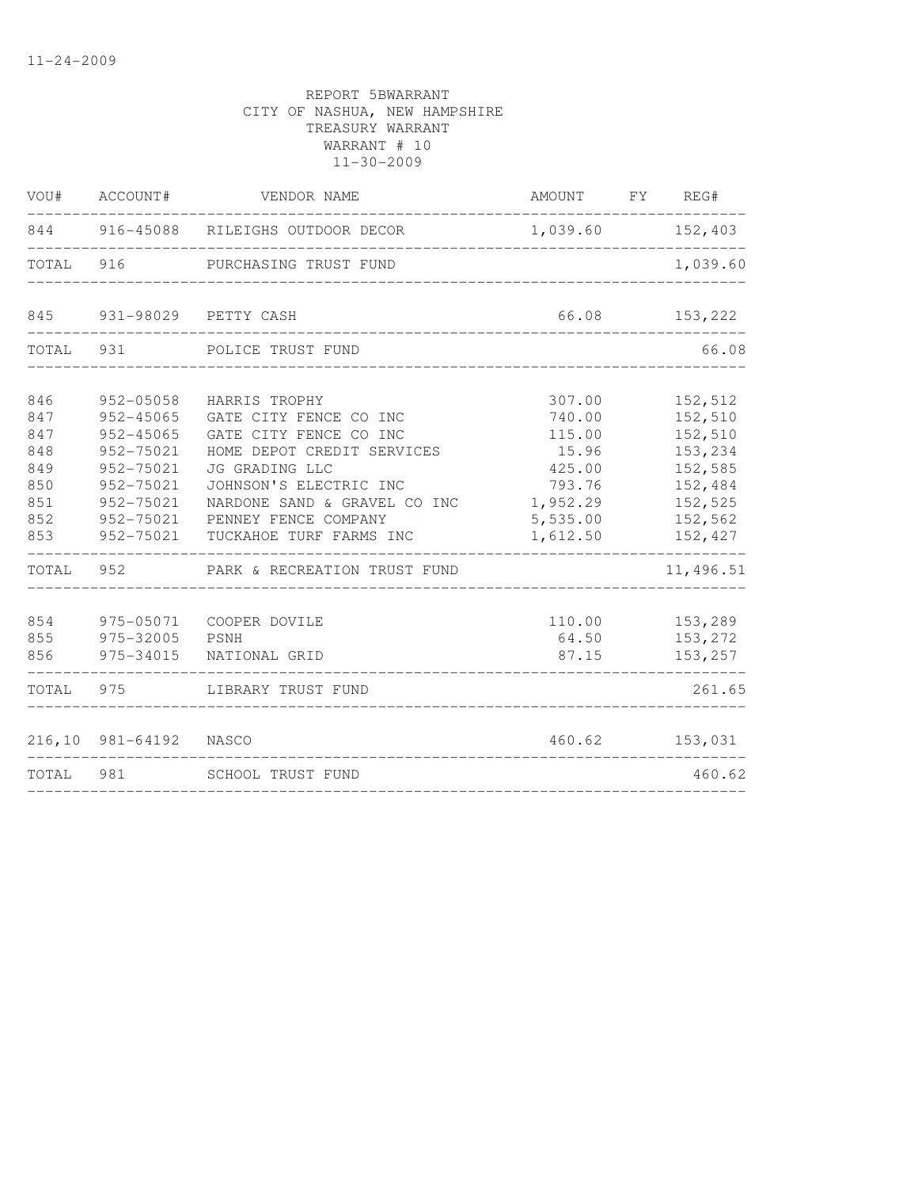| VOU#                                   | ACCOUNT#                                                                           | VENDOR NAME                                                                                                                                 | AMOUNT                                                  | FY REG#                                                        |
|----------------------------------------|------------------------------------------------------------------------------------|---------------------------------------------------------------------------------------------------------------------------------------------|---------------------------------------------------------|----------------------------------------------------------------|
|                                        |                                                                                    | 844 916-45088 RILEIGHS OUTDOOR DECOR                                                                                                        | 1,039.60                                                | 152,403                                                        |
| TOTAL                                  | 916                                                                                | PURCHASING TRUST FUND                                                                                                                       |                                                         | 1,039.60                                                       |
| 845                                    | 931-98029                                                                          | PETTY CASH                                                                                                                                  | 66.08                                                   | 153,222                                                        |
| TOTAL                                  | 931                                                                                | POLICE TRUST FUND                                                                                                                           |                                                         | 66.08                                                          |
| 846<br>847<br>847<br>848<br>849<br>850 | 952-05058<br>$952 - 45065$<br>$952 - 45065$<br>952-75021<br>952-75021<br>952-75021 | HARRIS TROPHY<br>GATE CITY FENCE CO INC<br>GATE CITY FENCE CO INC<br>HOME DEPOT CREDIT SERVICES<br>JG GRADING LLC<br>JOHNSON'S ELECTRIC INC | 307.00<br>740.00<br>115.00<br>15.96<br>425.00<br>793.76 | 152,512<br>152,510<br>152,510<br>153,234<br>152,585<br>152,484 |
| 851<br>852<br>853                      | 952-75021<br>952-75021<br>952-75021                                                | NARDONE SAND & GRAVEL CO INC<br>PENNEY FENCE COMPANY<br>TUCKAHOE TURF FARMS INC                                                             | 1,952.29<br>5,535.00<br>1,612.50                        | 152,525<br>152,562<br>152,427                                  |
| TOTAL                                  | 952                                                                                | PARK & RECREATION TRUST FUND                                                                                                                |                                                         | 11,496.51                                                      |
| 854<br>855<br>856                      | 975-05071<br>975-32005<br>975-34015                                                | COOPER DOVILE<br>PSNH<br>NATIONAL GRID                                                                                                      | 110.00<br>64.50<br>87.15                                | 153,289<br>153,272<br>153,257                                  |
| TOTAL                                  | 975                                                                                | LIBRARY TRUST FUND                                                                                                                          |                                                         | 261.65                                                         |
|                                        | 216,10 981-64192                                                                   | NASCO                                                                                                                                       | 460.62                                                  | 153,031                                                        |
| TOTAL                                  | 981                                                                                | SCHOOL TRUST FUND                                                                                                                           |                                                         | 460.62                                                         |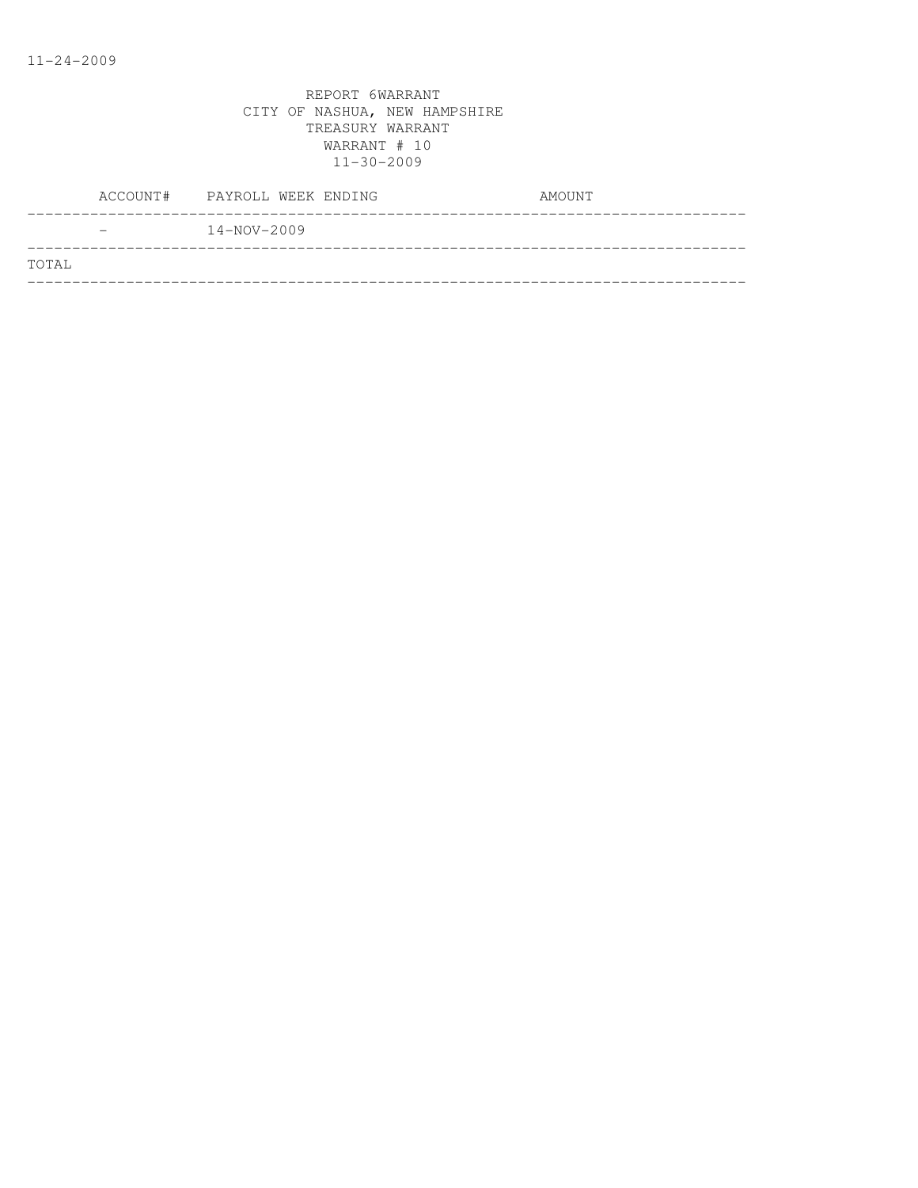|       |                          | ACCOUNT# PAYROLL WEEK ENDING | AMOUNT |
|-------|--------------------------|------------------------------|--------|
|       | $\overline{\phantom{m}}$ | $14 - NOV - 2009$            |        |
| TOTAL |                          |                              |        |
|       |                          |                              |        |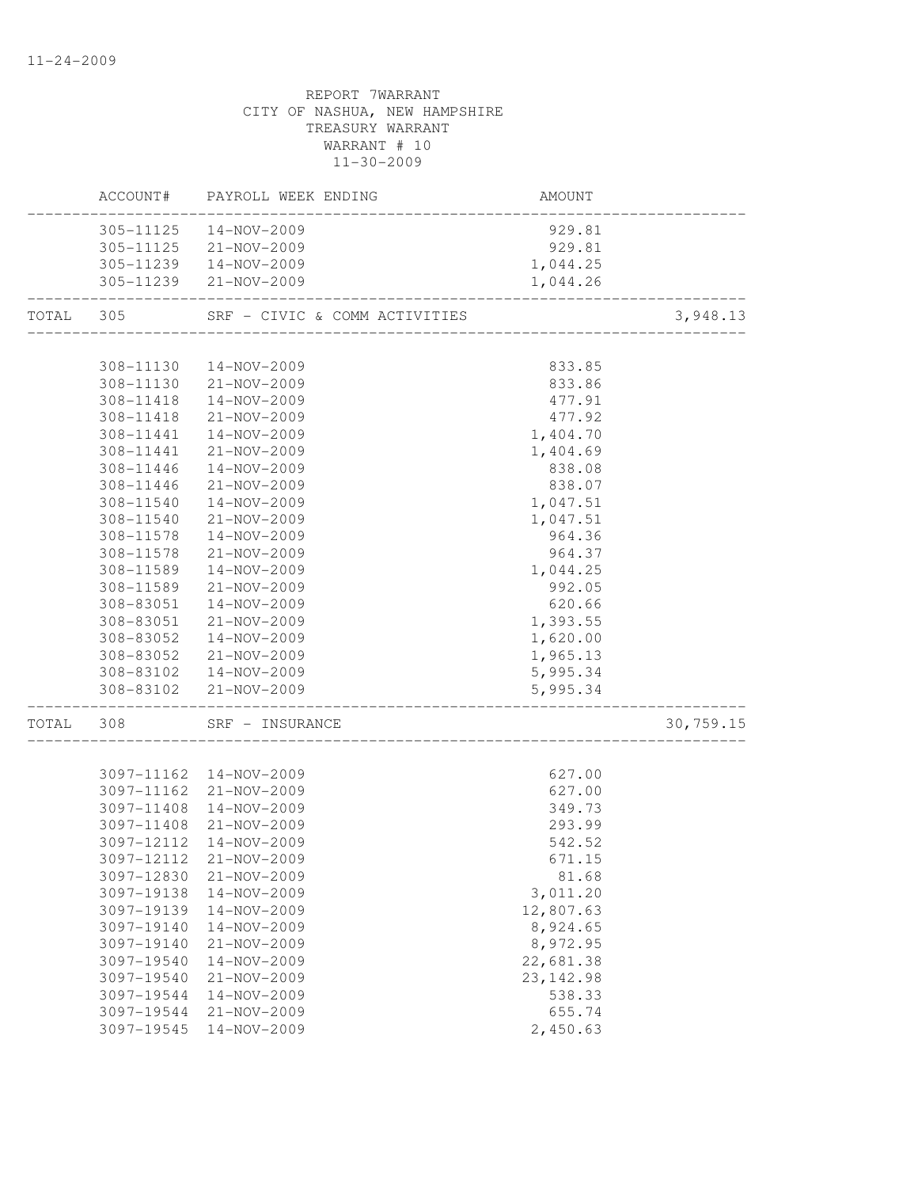|           |            | ACCOUNT# PAYROLL WEEK ENDING  | AMOUNT     |           |
|-----------|------------|-------------------------------|------------|-----------|
|           |            | 305-11125  14-NOV-2009        | 929.81     |           |
|           | 305-11125  | 21-NOV-2009                   | 929.81     |           |
|           |            | 305-11239  14-NOV-2009        | 1,044.25   |           |
|           |            | 305-11239 21-NOV-2009         | 1,044.26   |           |
| TOTAL 305 |            | SRF - CIVIC & COMM ACTIVITIES |            | 3,948.13  |
|           |            |                               |            |           |
|           | 308-11130  | 14-NOV-2009                   | 833.85     |           |
|           | 308-11130  | 21-NOV-2009                   | 833.86     |           |
|           | 308-11418  | 14-NOV-2009                   | 477.91     |           |
|           | 308-11418  | 21-NOV-2009                   | 477.92     |           |
|           | 308-11441  | 14-NOV-2009                   | 1,404.70   |           |
|           | 308-11441  | 21-NOV-2009                   | 1,404.69   |           |
|           | 308-11446  | 14-NOV-2009                   | 838.08     |           |
|           | 308-11446  | 21-NOV-2009                   | 838.07     |           |
|           | 308-11540  | 14-NOV-2009                   | 1,047.51   |           |
|           | 308-11540  | 21-NOV-2009                   | 1,047.51   |           |
|           | 308-11578  | 14-NOV-2009                   | 964.36     |           |
|           | 308-11578  | 21-NOV-2009                   | 964.37     |           |
|           | 308-11589  | 14-NOV-2009                   | 1,044.25   |           |
|           | 308-11589  | 21-NOV-2009                   | 992.05     |           |
|           | 308-83051  | 14-NOV-2009                   | 620.66     |           |
|           | 308-83051  | 21-NOV-2009                   | 1,393.55   |           |
|           | 308-83052  | 14-NOV-2009                   | 1,620.00   |           |
|           | 308-83052  | 21-NOV-2009                   | 1,965.13   |           |
|           |            | 308-83102  14-NOV-2009        | 5,995.34   |           |
|           |            | 308-83102 21-NOV-2009         | 5,995.34   |           |
| TOTAL 308 |            | SRF - INSURANCE               |            | 30,759.15 |
|           |            |                               |            |           |
|           |            | 3097-11162  14-NOV-2009       | 627.00     |           |
|           |            | 3097-11162 21-NOV-2009        | 627.00     |           |
|           | 3097-11408 | 14-NOV-2009                   | 349.73     |           |
|           |            | 3097-11408 21-NOV-2009        | 293.99     |           |
|           | 3097-12112 | 14-NOV-2009                   | 542.52     |           |
|           |            | 3097-12112 21-NOV-2009        | 671.15     |           |
|           | 3097-12830 | $21 - NOV - 2009$             | 81.68      |           |
|           | 3097-19138 | 14-NOV-2009                   | 3,011.20   |           |
|           | 3097-19139 | 14-NOV-2009                   | 12,807.63  |           |
|           | 3097-19140 | 14-NOV-2009                   | 8,924.65   |           |
|           | 3097-19140 | 21-NOV-2009                   | 8,972.95   |           |
|           | 3097-19540 | 14-NOV-2009                   | 22,681.38  |           |
|           | 3097-19540 | 21-NOV-2009                   | 23, 142.98 |           |
|           | 3097-19544 | 14-NOV-2009                   | 538.33     |           |
|           | 3097-19544 | 21-NOV-2009                   | 655.74     |           |
|           | 3097-19545 | 14-NOV-2009                   | 2,450.63   |           |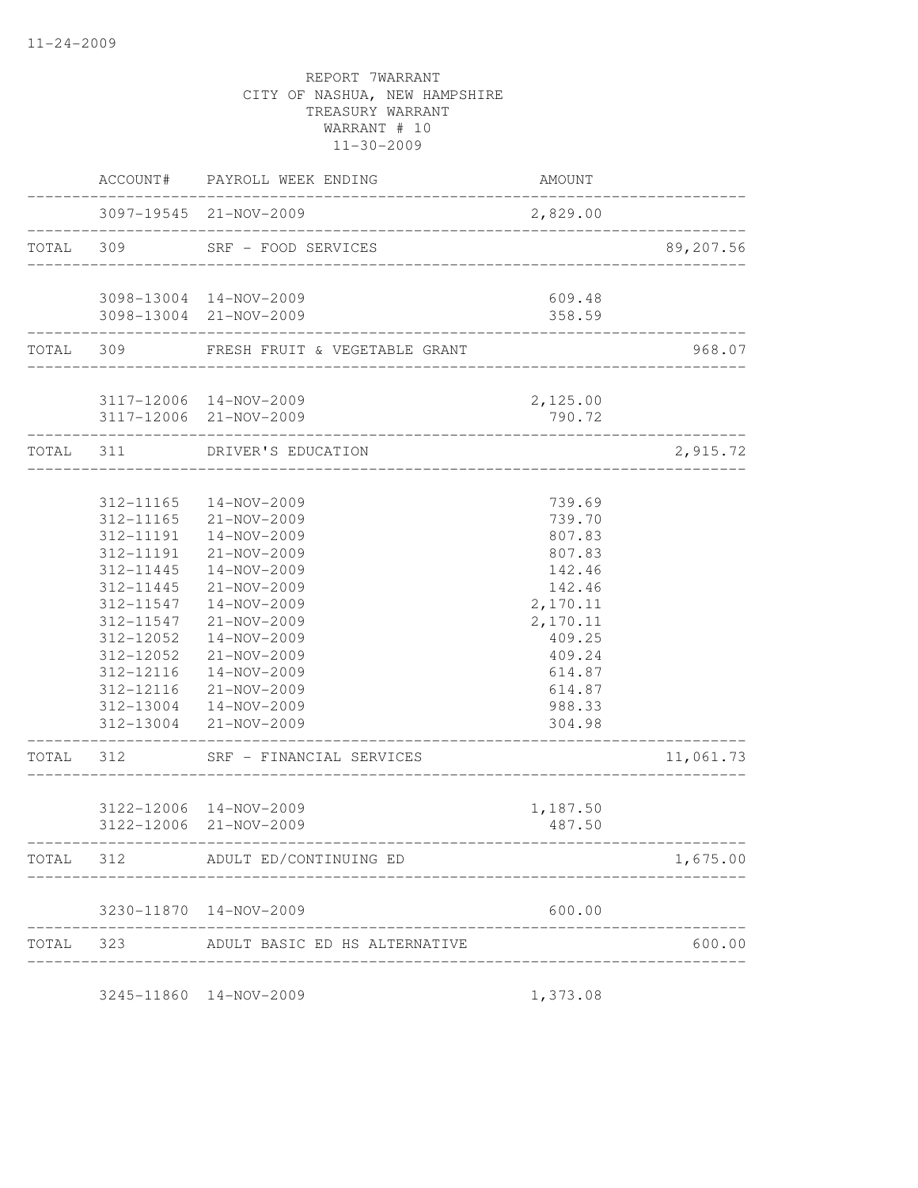|           | AMOUNT             | PAYROLL WEEK ENDING                        | ACCOUNT#               |       |
|-----------|--------------------|--------------------------------------------|------------------------|-------|
|           | 2,829.00           | 3097-19545 21-NOV-2009                     |                        |       |
| 89,207.56 |                    | SRF - FOOD SERVICES<br>------------------- | 309                    | TOTAL |
|           | 609.48             | 3098-13004 14-NOV-2009                     |                        |       |
|           | 358.59             | 3098-13004 21-NOV-2009                     |                        |       |
| 968.07    |                    | FRESH FRUIT & VEGETABLE GRANT              | TOTAL 309              |       |
|           | 2,125.00           | 3117-12006 14-NOV-2009                     |                        |       |
|           | 790.72             | 3117-12006 21-NOV-2009                     |                        |       |
| 2,915.72  |                    | DRIVER'S EDUCATION<br>_________________    | 311                    | TOTAL |
|           | 739.69             | 14-NOV-2009                                | 312-11165              |       |
|           | 739.70             | 21-NOV-2009                                | 312-11165              |       |
|           | 807.83             | $14 - NOV - 2009$                          | 312-11191              |       |
|           | 807.83             | 21-NOV-2009                                | 312-11191              |       |
|           | 142.46             | 14-NOV-2009                                | 312-11445              |       |
|           | 142.46             | 21-NOV-2009                                | 312-11445              |       |
|           | 2,170.11           | 14-NOV-2009<br>21-NOV-2009                 | 312-11547<br>312-11547 |       |
|           | 2,170.11<br>409.25 | 14-NOV-2009                                | 312-12052              |       |
|           | 409.24             | 21-NOV-2009                                | 312-12052              |       |
|           | 614.87             | 14-NOV-2009                                | 312-12116              |       |
|           | 614.87             | 21-NOV-2009                                | 312-12116              |       |
|           | 988.33             | 312-13004  14-NOV-2009                     |                        |       |
|           | 304.98             | 312-13004 21-NOV-2009                      |                        |       |
| 11,061.73 |                    | SRF - FINANCIAL SERVICES                   | 312                    | TOTAL |
|           | 1,187.50           | 3122-12006 14-NOV-2009                     |                        |       |
|           | 487.50             | 3122-12006 21-NOV-2009                     |                        |       |
| 1,675.00  |                    | ADULT ED/CONTINUING ED                     | 312                    | TOTAL |
|           | 600.00             | 3230-11870  14-NOV-2009                    |                        |       |
| 600.00    |                    | ADULT BASIC ED HS ALTERNATIVE              | 323                    | TOTAL |

3245-11860 14-NOV-2009 1,373.08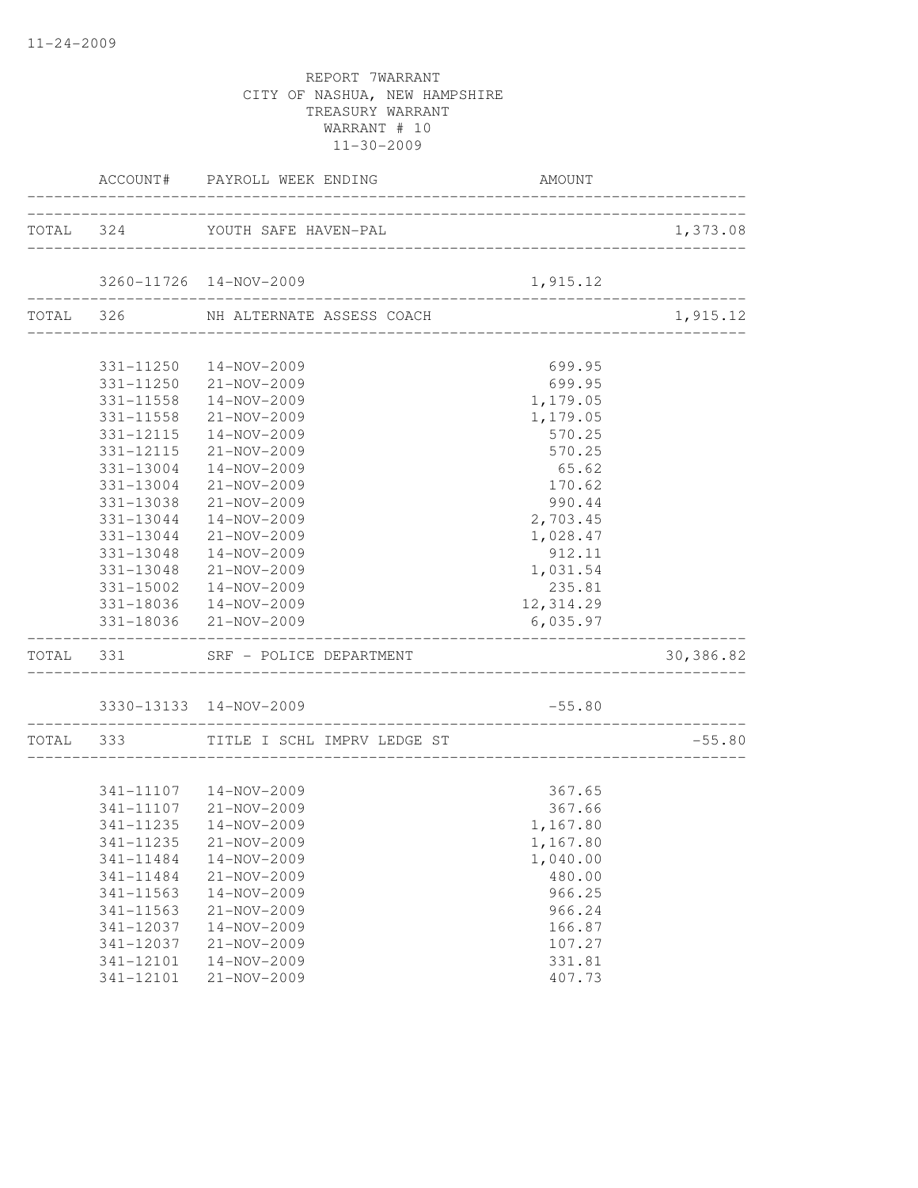|           | ACCOUNT# PAYROLL WEEK ENDING          | AMOUNT                                |           |
|-----------|---------------------------------------|---------------------------------------|-----------|
|           | TOTAL 324 YOUTH SAFE HAVEN-PAL        |                                       | 1,373.08  |
|           | 3260-11726 14-NOV-2009                | 1,915.12                              |           |
|           | TOTAL 326 NH ALTERNATE ASSESS COACH   | --------------------                  | 1,915.12  |
|           | 331-11250  14-NOV-2009                | 699.95                                |           |
|           | 331-11250 21-NOV-2009                 | 699.95                                |           |
|           | 331-11558  14-NOV-2009                | 1,179.05                              |           |
|           | 331-11558 21-NOV-2009                 |                                       |           |
| 331-12115 | 14-NOV-2009                           | 1,179.05<br>570.25                    |           |
| 331-12115 | 21-NOV-2009                           | 570.25                                |           |
| 331-13004 | 14-NOV-2009                           | 65.62                                 |           |
| 331-13004 | $21 - NOV - 2009$                     | 170.62                                |           |
| 331-13038 | 21-NOV-2009                           | 990.44                                |           |
| 331-13044 | 14-NOV-2009                           | 2,703.45                              |           |
| 331-13044 | 21-NOV-2009                           | 1,028.47                              |           |
| 331-13048 | 14-NOV-2009                           | 912.11                                |           |
|           | 331-13048 21-NOV-2009                 | 1,031.54                              |           |
| 331-15002 | 14-NOV-2009                           | 235.81                                |           |
|           | 331-18036  14-NOV-2009                | 12,314.29                             |           |
|           | 331-18036 21-NOV-2009                 | 6,035.97                              |           |
|           | TOTAL 331 SRF - POLICE DEPARTMENT     |                                       | 30,386.82 |
|           | 3330-13133 14-NOV-2009                | $-55.80$                              |           |
|           | TOTAL 333 TITLE I SCHL IMPRV LEDGE ST | _____________________________________ | $-55.80$  |
|           |                                       |                                       |           |
|           | 341-11107  14-NOV-2009                | 367.65                                |           |
|           | 341-11107 21-NOV-2009                 | 367.66                                |           |
| 341-11235 | 14-NOV-2009                           | 1,167.80                              |           |
|           | 341-11235 21-NOV-2009                 | 1,167.80                              |           |
| 341-11484 | 14-NOV-2009                           | 1,040.00                              |           |
| 341-11484 | $21 - NOV - 2009$                     | 480.00                                |           |
| 341-11563 | 14-NOV-2009                           | 966.25                                |           |
| 341-11563 | 21-NOV-2009                           | 966.24                                |           |
| 341-12037 | 14-NOV-2009                           | 166.87                                |           |
| 341-12037 | 21-NOV-2009                           | 107.27                                |           |
| 341-12101 | 14-NOV-2009                           | 331.81                                |           |
| 341-12101 | 21-NOV-2009                           | 407.73                                |           |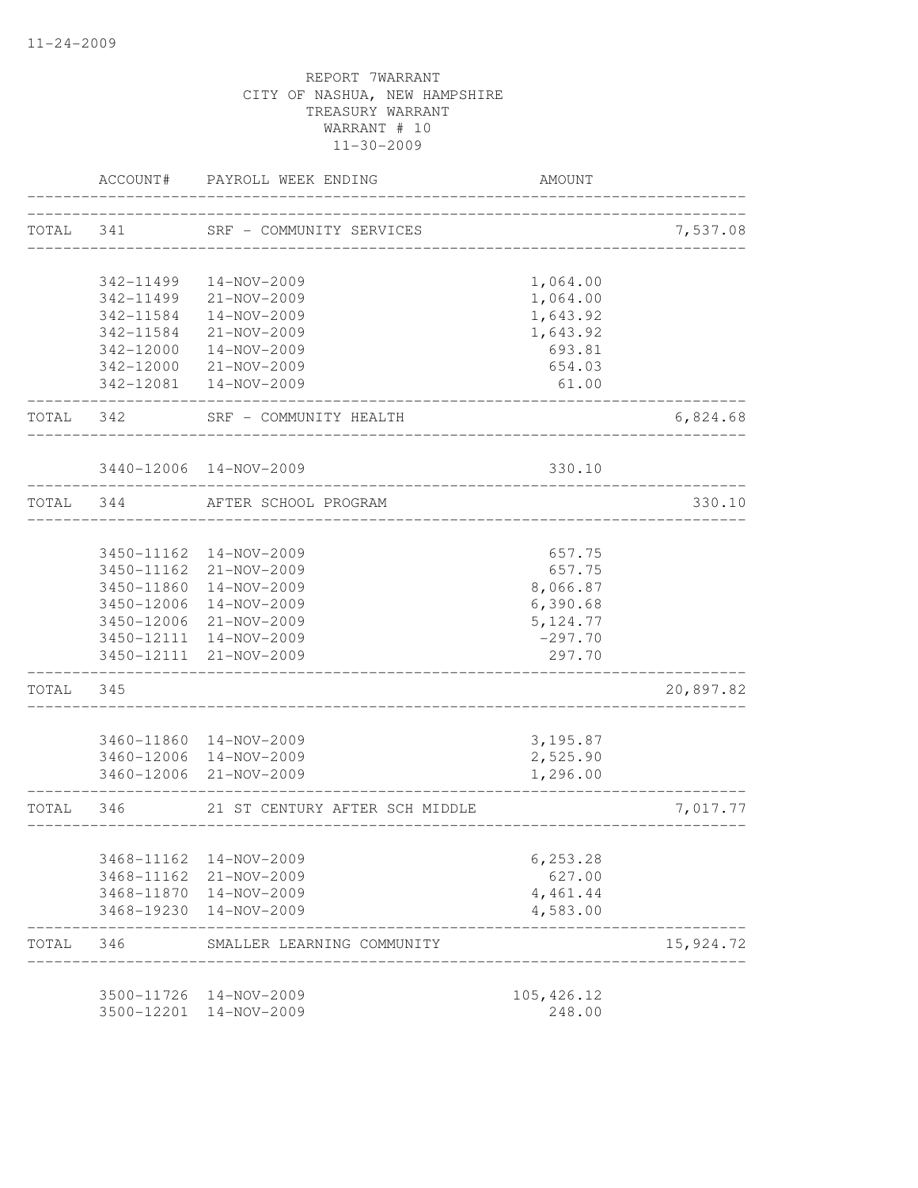|           | ACCOUNT#   | PAYROLL WEEK ENDING            | AMOUNT                             |           |
|-----------|------------|--------------------------------|------------------------------------|-----------|
| TOTAL     | 341        | SRF - COMMUNITY SERVICES       | -----------------------------      | 7,537.08  |
|           |            |                                |                                    |           |
|           | 342-11499  | $14 - NOV - 2009$              | 1,064.00                           |           |
|           | 342-11499  | 21-NOV-2009                    | 1,064.00                           |           |
|           | 342-11584  | 14-NOV-2009                    | 1,643.92                           |           |
|           | 342-11584  | 21-NOV-2009                    | 1,643.92                           |           |
|           | 342-12000  | 14-NOV-2009                    | 693.81                             |           |
|           | 342-12000  | 21-NOV-2009                    | 654.03                             |           |
|           |            | 342-12081  14-NOV-2009         | 61.00                              |           |
| TOTAL     | 342        | SRF - COMMUNITY HEALTH         |                                    | 6,824.68  |
|           |            | 3440-12006 14-NOV-2009         | 330.10                             |           |
| TOTAL 344 |            | AFTER SCHOOL PROGRAM           | __________________________________ | 330.10    |
|           |            |                                |                                    |           |
|           |            | 3450-11162  14-NOV-2009        | 657.75                             |           |
|           |            | 3450-11162 21-NOV-2009         | 657.75                             |           |
|           |            | 3450-11860  14-NOV-2009        | 8,066.87                           |           |
|           | 3450-12006 | 14-NOV-2009                    | 6,390.68                           |           |
|           |            | 3450-12006 21-NOV-2009         | 5, 124.77                          |           |
|           |            | 3450-12111 14-NOV-2009         | $-297.70$                          |           |
|           |            | 3450-12111 21-NOV-2009         | 297.70                             |           |
| TOTAL     | 345        |                                |                                    | 20,897.82 |
|           |            | 3460-11860  14-NOV-2009        | 3,195.87                           |           |
|           | 3460-12006 | 14-NOV-2009                    | 2,525.90                           |           |
|           |            | 3460-12006 21-NOV-2009         | 1,296.00                           |           |
| TOTAL     | 346        | 21 ST CENTURY AFTER SCH MIDDLE |                                    | 7,017.77  |
|           |            |                                |                                    |           |
|           | 3468-11162 | 14-NOV-2009                    | 6,253.28                           |           |
|           | 3468-11162 | 21-NOV-2009                    | 627.00                             |           |
|           | 3468-11870 | 14-NOV-2009                    | 4,461.44                           |           |
|           | 3468-19230 | 14-NOV-2009                    | 4,583.00                           |           |
| TOTAL     | 346        | SMALLER LEARNING COMMUNITY     |                                    | 15,924.72 |
|           | 3500-11726 | 14-NOV-2009                    | 105, 426.12                        |           |
|           | 3500-12201 | 14-NOV-2009                    | 248.00                             |           |
|           |            |                                |                                    |           |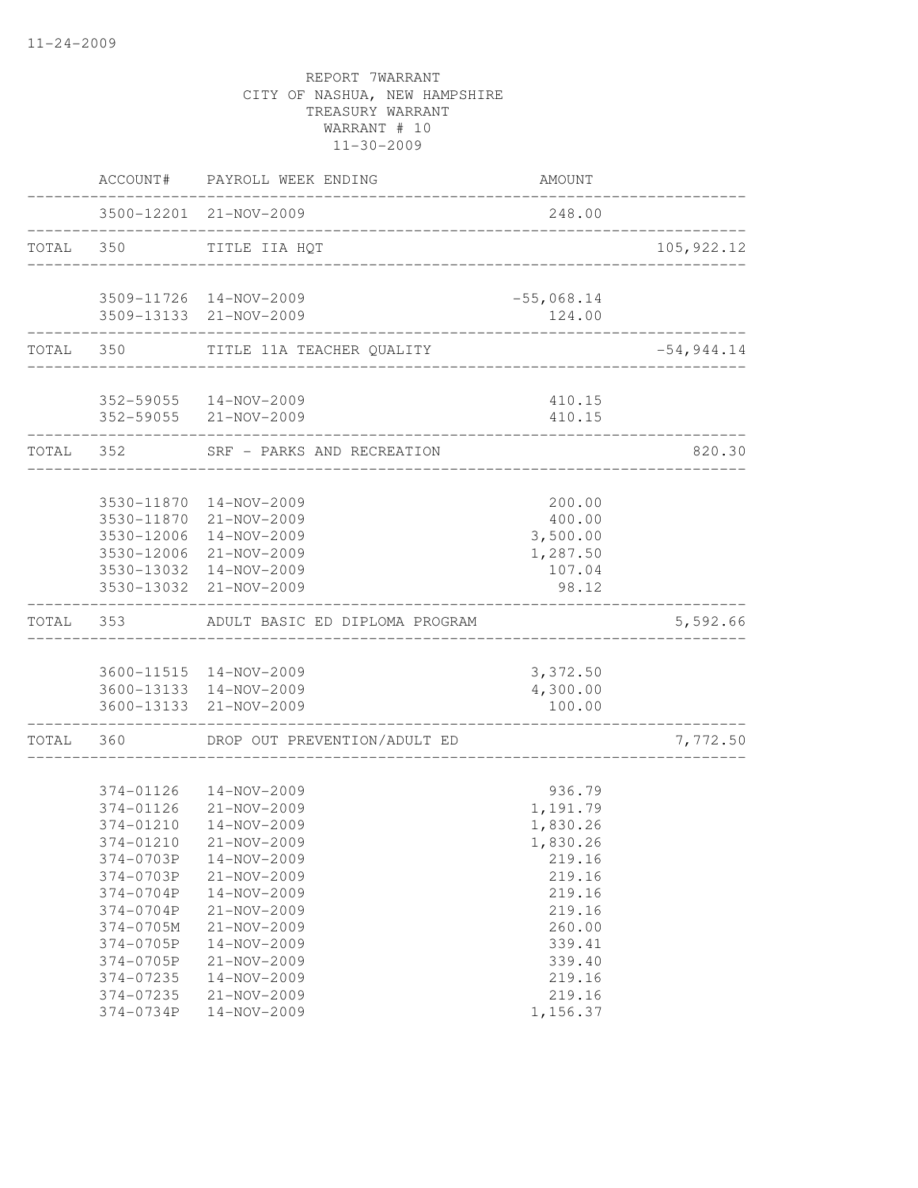|           | ACCOUNT#               | PAYROLL WEEK ENDING                                    | <b>AMOUNT</b>    |              |
|-----------|------------------------|--------------------------------------------------------|------------------|--------------|
|           |                        | 3500-12201 21-NOV-2009<br>---------------------------- | 248.00           |              |
| TOTAL 350 |                        | TITLE IIA HQT                                          |                  | 105,922.12   |
|           |                        | 3509-11726 14-NOV-2009                                 | $-55,068.14$     |              |
|           |                        | 3509-13133 21-NOV-2009                                 | 124.00           |              |
|           |                        | TOTAL 350 TITLE 11A TEACHER QUALITY                    |                  | $-54,944.14$ |
|           |                        | 352-59055  14-NOV-2009                                 | 410.15           |              |
|           |                        | 352-59055 21-NOV-2009                                  | 410.15           |              |
|           |                        | TOTAL 352 SRF - PARKS AND RECREATION                   | .                | 820.30       |
|           |                        | 3530-11870  14-NOV-2009                                | 200.00           |              |
|           | 3530-11870             | 21-NOV-2009                                            | 400.00           |              |
|           | 3530-12006             | 14-NOV-2009                                            | 3,500.00         |              |
|           |                        | 3530-12006 21-NOV-2009                                 | 1,287.50         |              |
|           | 3530-13032             | 3530-13032 14-NOV-2009<br>21-NOV-2009                  | 107.04<br>98.12  |              |
| TOTAL     |                        | 353 ADULT BASIC ED DIPLOMA PROGRAM                     |                  | 5,592.66     |
|           |                        | 3600-11515 14-NOV-2009                                 | 3,372.50         |              |
|           |                        | 3600-13133 14-NOV-2009                                 | 4,300.00         |              |
|           |                        | 3600-13133 21-NOV-2009                                 | 100.00           |              |
| TOTAL     | 360                    | DROP OUT PREVENTION/ADULT ED                           |                  | 7,772.50     |
|           | 374-01126              | 14-NOV-2009                                            | 936.79           |              |
|           | 374-01126              | 21-NOV-2009                                            | 1,191.79         |              |
|           | 374-01210              | 14-NOV-2009                                            | 1,830.26         |              |
|           | 374-01210              | 21-NOV-2009                                            | 1,830.26         |              |
|           | 374-0703P              | 14-NOV-2009                                            | 219.16           |              |
|           | 374-0703P              | 21-NOV-2009                                            | 219.16           |              |
|           | 374-0704P              | 14-NOV-2009                                            | 219.16           |              |
|           | 374-0704P              | 21-NOV-2009                                            | 219.16           |              |
|           | 374-0705M              | 21-NOV-2009                                            | 260.00           |              |
|           | 374-0705P<br>374-0705P | $14 - NOV - 2009$<br>21-NOV-2009                       | 339.41           |              |
|           | 374-07235              | $14 - NOV - 2009$                                      | 339.40<br>219.16 |              |
|           | 374-07235              | $21 - NOV - 2009$                                      | 219.16           |              |
|           | 374-0734P              | 14-NOV-2009                                            | 1,156.37         |              |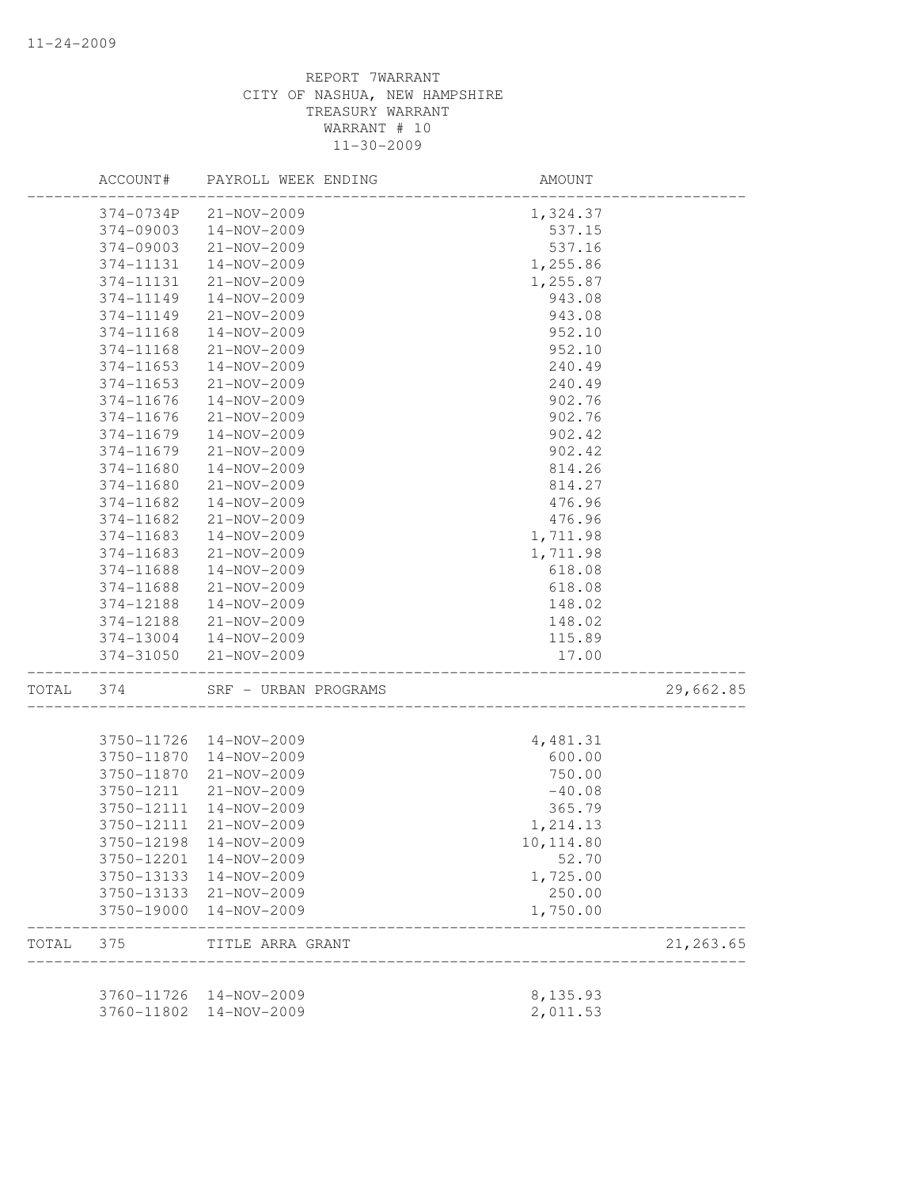|       | ACCOUNT#   | PAYROLL WEEK ENDING                     | AMOUNT                 |            |
|-------|------------|-----------------------------------------|------------------------|------------|
|       | 374-0734P  | 21-NOV-2009                             | 1,324.37               |            |
|       | 374-09003  | 14-NOV-2009                             | 537.15                 |            |
|       | 374-09003  | 21-NOV-2009                             | 537.16                 |            |
|       | 374-11131  | 14-NOV-2009                             | 1,255.86               |            |
|       | 374-11131  | 21-NOV-2009                             | 1,255.87               |            |
|       | 374-11149  | 14-NOV-2009                             | 943.08                 |            |
|       | 374-11149  | 21-NOV-2009                             | 943.08                 |            |
|       | 374-11168  | 14-NOV-2009                             | 952.10                 |            |
|       | 374-11168  | $21 - NOV - 2009$                       | 952.10                 |            |
|       | 374-11653  | 14-NOV-2009                             | 240.49                 |            |
|       | 374-11653  | 21-NOV-2009                             | 240.49                 |            |
|       | 374-11676  | 14-NOV-2009                             | 902.76                 |            |
|       | 374-11676  | 21-NOV-2009                             | 902.76                 |            |
|       | 374-11679  | 14-NOV-2009                             | 902.42                 |            |
|       | 374-11679  | 21-NOV-2009                             | 902.42                 |            |
|       | 374-11680  | 14-NOV-2009                             | 814.26                 |            |
|       | 374-11680  | 21-NOV-2009                             | 814.27                 |            |
|       | 374-11682  | $14 - NOV - 2009$                       | 476.96                 |            |
|       | 374-11682  | 21-NOV-2009                             | 476.96                 |            |
|       | 374-11683  | $14 - NOV - 2009$                       | 1,711.98               |            |
|       | 374-11683  | 21-NOV-2009                             | 1,711.98               |            |
|       | 374-11688  | 14-NOV-2009                             | 618.08                 |            |
|       | 374-11688  | 21-NOV-2009                             | 618.08                 |            |
|       | 374-12188  | 14-NOV-2009                             | 148.02                 |            |
|       | 374-12188  | 21-NOV-2009                             | 148.02                 |            |
|       | 374-13004  | 14-NOV-2009                             | 115.89                 |            |
|       | 374-31050  | 21-NOV-2009                             | 17.00                  |            |
| TOTAL | 374        | SRF - URBAN PROGRAMS                    | ______________________ | 29,662.85  |
|       |            |                                         | __________________     |            |
|       | 3750-11726 | 14-NOV-2009                             | 4,481.31               |            |
|       | 3750-11870 | 14-NOV-2009                             | 600.00                 |            |
|       | 3750-11870 | 21-NOV-2009                             | 750.00                 |            |
|       | 3750-1211  | 21-NOV-2009                             | $-40.08$               |            |
|       | 3750-12111 | 14-NOV-2009                             | 365.79                 |            |
|       | 3750-12111 | 21-NOV-2009                             | 1,214.13               |            |
|       |            | 3750-12198 14-NOV-2009                  | 10, 114.80             |            |
|       |            | 3750-12201 14-NOV-2009                  | 52.70                  |            |
|       |            | 3750-13133 14-NOV-2009                  | 1,725.00               |            |
|       |            | 3750-13133 21-NOV-2009                  | 250.00                 |            |
|       | 3750-19000 | 14-NOV-2009                             | 1,750.00               |            |
| TOTAL | 375        | TITLE ARRA GRANT<br>___________________ |                        | 21, 263.65 |
|       |            |                                         |                        |            |
|       |            | 3760-11726 14-NOV-2009                  | 8,135.93               |            |
|       | 3760-11802 | 14-NOV-2009                             | 2,011.53               |            |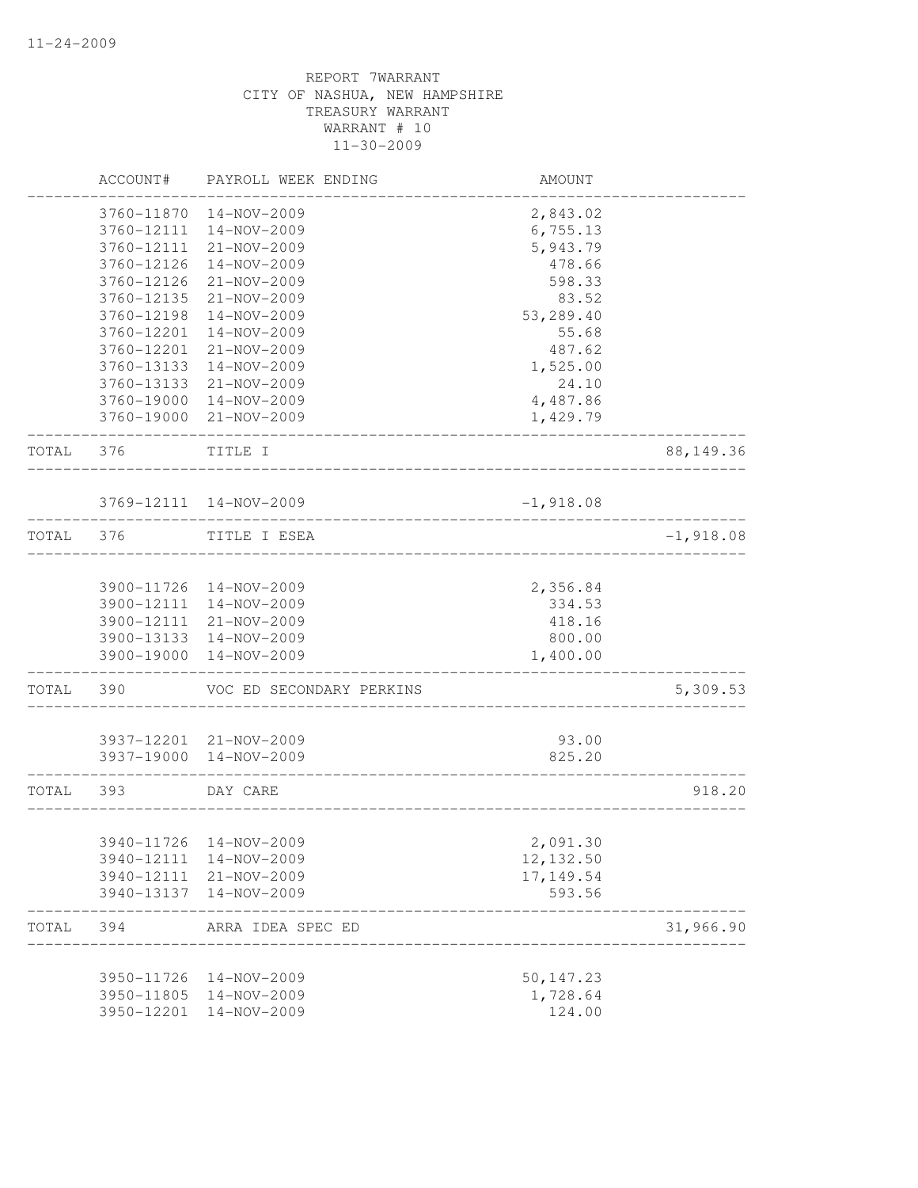|       | ACCOUNT#   | PAYROLL WEEK ENDING                   | AMOUNT      |             |
|-------|------------|---------------------------------------|-------------|-------------|
|       | 3760-11870 | $14 - NOV - 2009$                     | 2,843.02    |             |
|       | 3760-12111 | 14-NOV-2009                           | 6,755.13    |             |
|       | 3760-12111 | 21-NOV-2009                           | 5,943.79    |             |
|       | 3760-12126 | 14-NOV-2009                           | 478.66      |             |
|       | 3760-12126 | 21-NOV-2009                           | 598.33      |             |
|       | 3760-12135 | 21-NOV-2009                           | 83.52       |             |
|       | 3760-12198 | 14-NOV-2009                           | 53,289.40   |             |
|       | 3760-12201 | 14-NOV-2009                           | 55.68       |             |
|       | 3760-12201 | 21-NOV-2009                           | 487.62      |             |
|       | 3760-13133 | 14-NOV-2009                           | 1,525.00    |             |
|       | 3760-13133 | 21-NOV-2009                           | 24.10       |             |
|       | 3760-19000 | 14-NOV-2009                           | 4,487.86    |             |
|       | 3760-19000 | 21-NOV-2009                           | 1,429.79    |             |
| TOTAL | 376        | TITLE I                               |             | 88, 149.36  |
|       |            | 3769-12111 14-NOV-2009                | $-1,918.08$ |             |
| TOTAL | 376        | TITLE I ESEA                          |             | $-1,918.08$ |
|       |            |                                       |             |             |
|       |            | 3900-11726 14-NOV-2009                | 2,356.84    |             |
|       | 3900-12111 | 14-NOV-2009                           | 334.53      |             |
|       | 3900-12111 | 21-NOV-2009                           | 418.16      |             |
|       | 3900-13133 | 14-NOV-2009                           | 800.00      |             |
|       | 3900-19000 | 14-NOV-2009                           | 1,400.00    |             |
| TOTAL | 390        | VOC ED SECONDARY PERKINS              |             | 5,309.53    |
|       | 3937-12201 | 21-NOV-2009                           | 93.00       |             |
|       | 3937-19000 | 14-NOV-2009                           | 825.20      |             |
| TOTAL | 393        | DAY CARE                              |             | 918.20      |
|       |            |                                       |             |             |
|       |            | 3940-11726 14-NOV-2009                | 2,091.30    |             |
|       | 3940-12111 | 14-NOV-2009                           | 12, 132.50  |             |
|       | 3940-12111 | 21-NOV-2009                           | 17, 149.54  |             |
|       | 3940-13137 | 14-NOV-2009                           | 593.56      |             |
| TOTAL | 394        | ARRA IDEA SPEC ED<br>________________ |             | 31,966.90   |
|       | 3950-11726 | 14-NOV-2009                           | 50, 147.23  |             |
|       | 3950-11805 | 14-NOV-2009                           | 1,728.64    |             |
|       | 3950-12201 | 14-NOV-2009                           | 124.00      |             |
|       |            |                                       |             |             |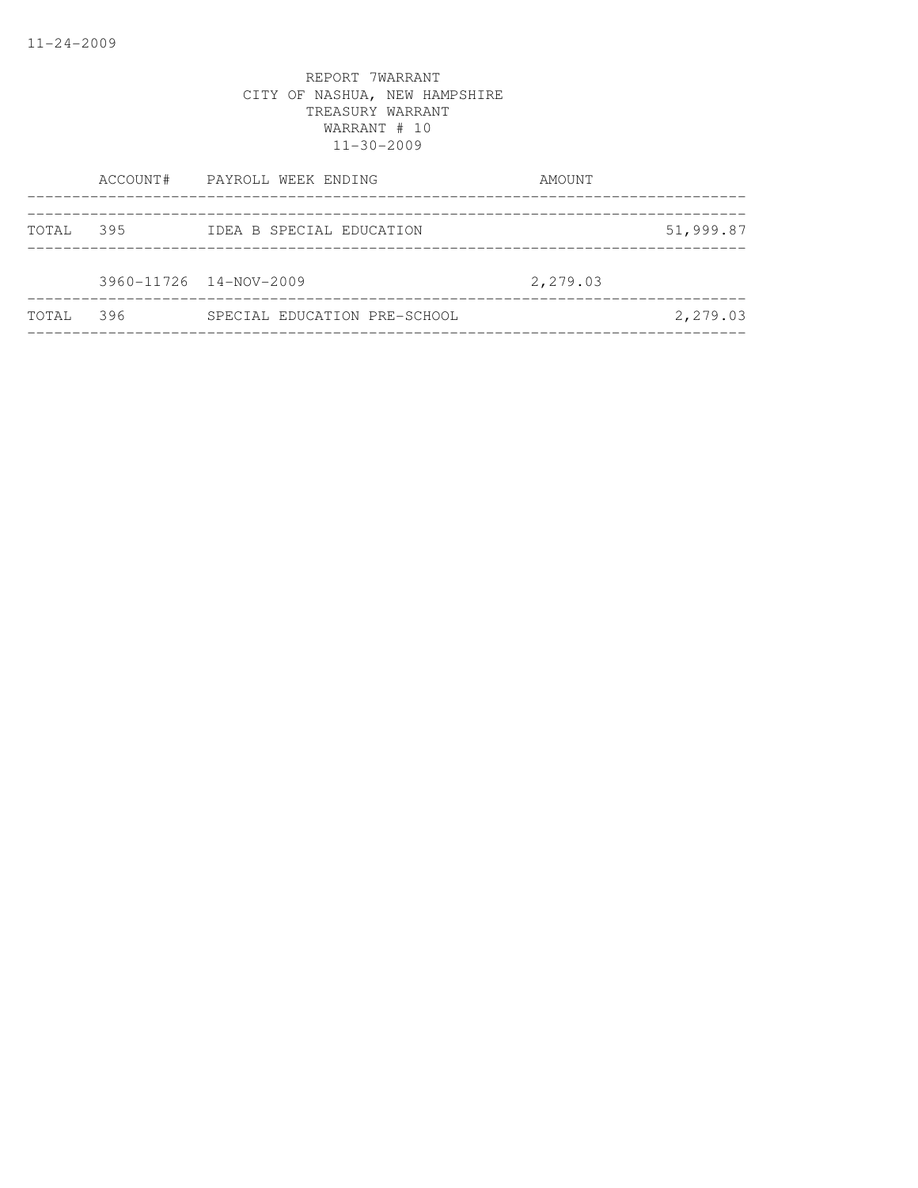|       |     | ACCOUNT# PAYROLL WEEK ENDING | AMOUNT   |           |
|-------|-----|------------------------------|----------|-----------|
| TOTAL | 395 | IDEA B SPECIAL EDUCATION     |          | 51,999.87 |
|       |     | 3960-11726 14-NOV-2009       | 2,279.03 |           |
| TOTAL | 396 | SPECIAL EDUCATION PRE-SCHOOL |          | 2,279.03  |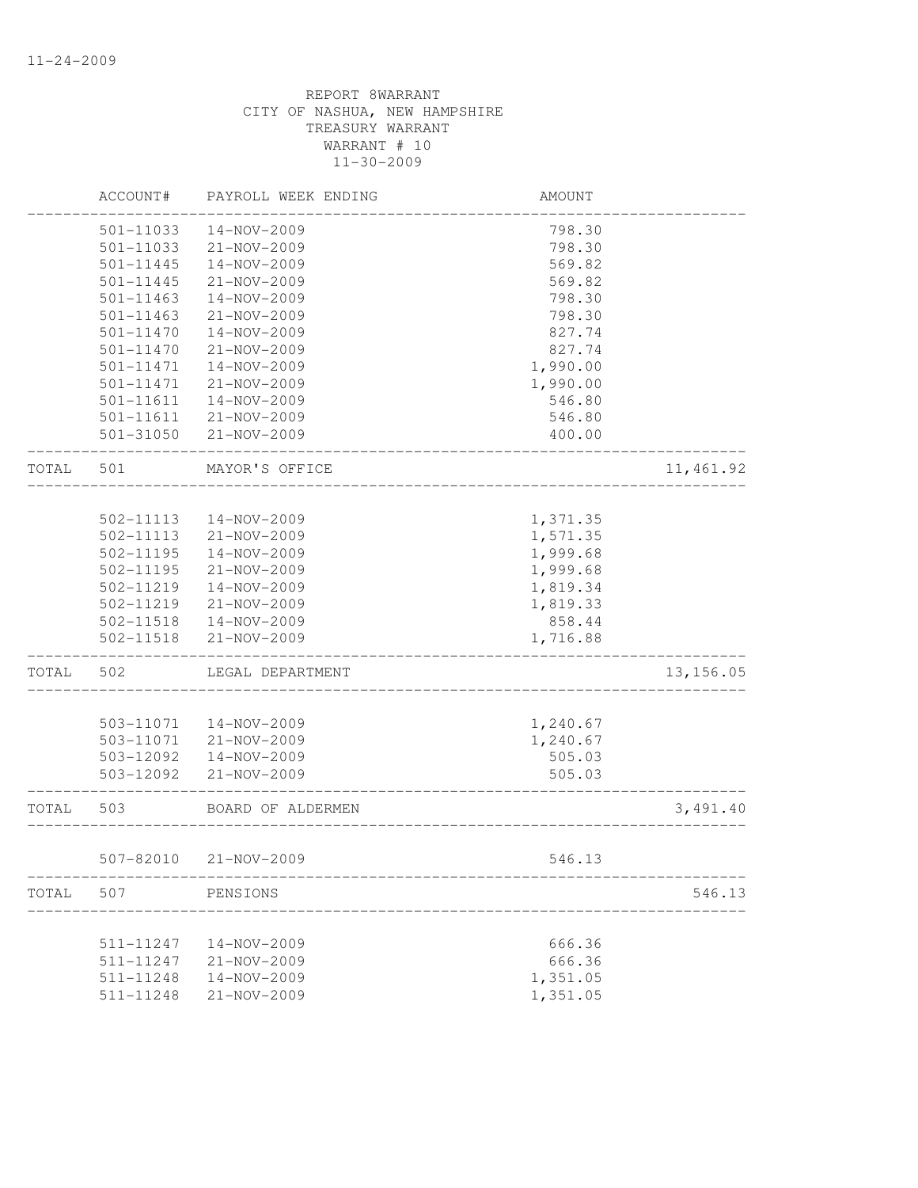|       | ACCOUNT#      | PAYROLL WEEK ENDING   | AMOUNT                |            |
|-------|---------------|-----------------------|-----------------------|------------|
|       | 501-11033     | 14-NOV-2009           | 798.30                |            |
|       | $501 - 11033$ | 21-NOV-2009           | 798.30                |            |
|       | 501-11445     | 14-NOV-2009           | 569.82                |            |
|       | 501-11445     | 21-NOV-2009           | 569.82                |            |
|       | 501-11463     | 14-NOV-2009           | 798.30                |            |
|       | 501-11463     | 21-NOV-2009           | 798.30                |            |
|       | 501-11470     | 14-NOV-2009           | 827.74                |            |
|       | $501 - 11470$ | 21-NOV-2009           | 827.74                |            |
|       | 501-11471     | 14-NOV-2009           | 1,990.00              |            |
|       | $501 - 11471$ | $21 - NOV - 2009$     | 1,990.00              |            |
|       | 501-11611     | $14 - NOV - 2009$     | 546.80                |            |
|       | 501-11611     | 21-NOV-2009           | 546.80                |            |
|       | 501-31050     | $21 - NOV - 2009$     | 400.00                |            |
| TOTAL | 501           | MAYOR'S OFFICE        |                       | 11, 461.92 |
|       |               |                       |                       |            |
|       | 502-11113     | 14-NOV-2009           | 1,371.35              |            |
|       | 502-11113     | 21-NOV-2009           | 1,571.35              |            |
|       | 502-11195     | 14-NOV-2009           | 1,999.68              |            |
|       | 502-11195     | $21 - NOV - 2009$     | 1,999.68              |            |
|       | 502-11219     | 14-NOV-2009           | 1,819.34              |            |
|       | 502-11219     | 21-NOV-2009           | 1,819.33              |            |
|       | 502-11518     | $14 - NOV - 2009$     | 858.44                |            |
|       | 502-11518     | 21-NOV-2009           | 1,716.88              |            |
| TOTAL | 502           | LEGAL DEPARTMENT      |                       | 13, 156.05 |
|       |               |                       |                       |            |
|       | 503-11071     | 14-NOV-2009           | 1,240.67              |            |
|       | 503-11071     | 21-NOV-2009           | 1,240.67              |            |
|       | 503-12092     | 14-NOV-2009           | 505.03                |            |
|       | 503-12092     | 21-NOV-2009           | 505.03                |            |
| TOTAL | 503           | BOARD OF ALDERMEN     | _____________________ | 3,491.40   |
|       |               | 507-82010 21-NOV-2009 | 546.13                |            |
| TOTAL | 507           | PENSIONS              |                       | 546.13     |
|       |               |                       |                       |            |
|       | 511-11247     | 14-NOV-2009           | 666.36                |            |
|       | 511-11247     | 21-NOV-2009           | 666.36                |            |
|       | 511-11248     | $14 - NOV - 2009$     | 1,351.05              |            |
|       | 511-11248     | 21-NOV-2009           | 1,351.05              |            |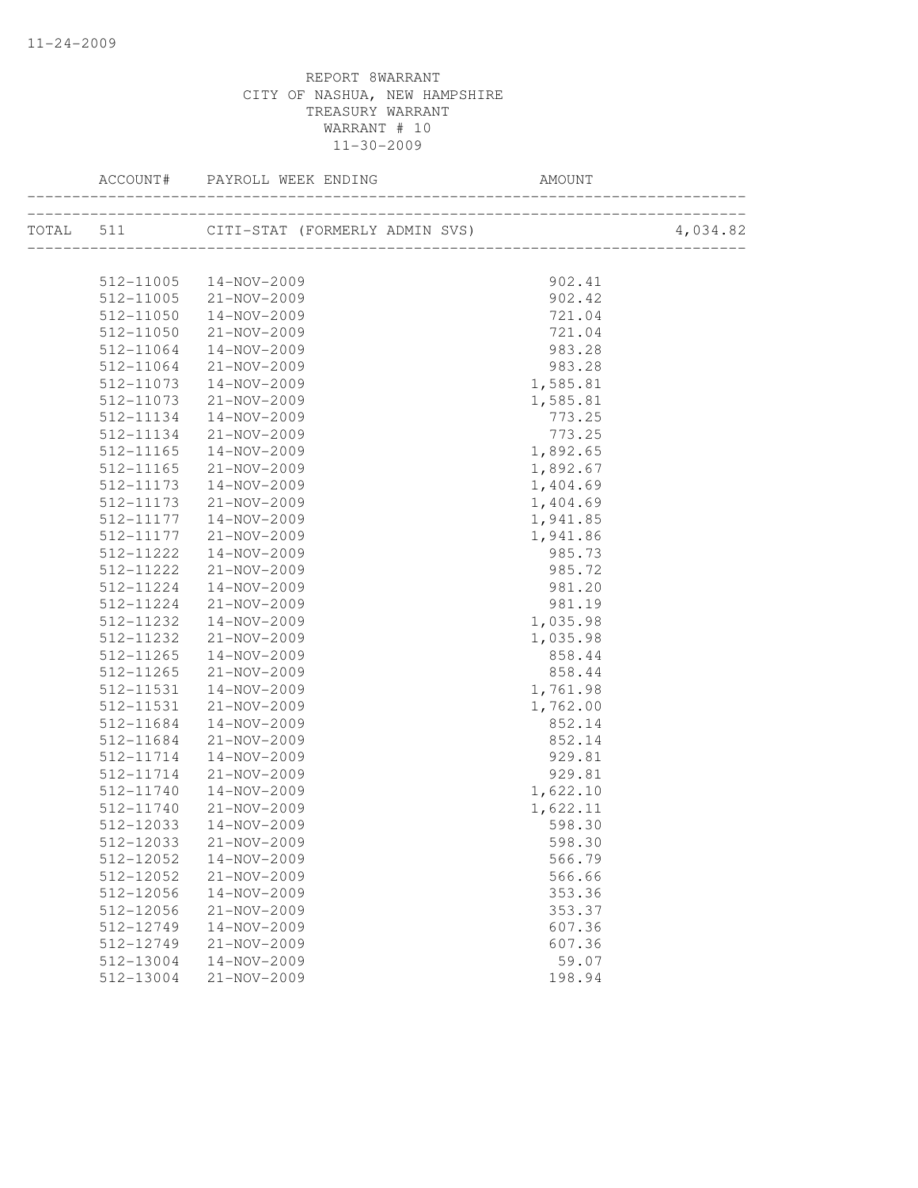| ACCOUNT#               | PAYROLL WEEK ENDING                      | AMOUNT                    |          |
|------------------------|------------------------------------------|---------------------------|----------|
|                        | TOTAL 511 CITI-STAT (FORMERLY ADMIN SVS) | _________________________ | 4,034.82 |
|                        |                                          |                           |          |
|                        | 512-11005  14-NOV-2009                   | 902.41                    |          |
| 512-11005              | $21 - NOV - 2009$                        | 902.42                    |          |
| 512-11050<br>512-11050 | 14-NOV-2009                              | 721.04<br>721.04          |          |
| 512-11064              | 21-NOV-2009<br>14-NOV-2009               | 983.28                    |          |
| 512-11064              | 21-NOV-2009                              | 983.28                    |          |
| 512-11073              | 14-NOV-2009                              | 1,585.81                  |          |
| 512-11073              | 21-NOV-2009                              | 1,585.81                  |          |
| 512-11134              | 14-NOV-2009                              | 773.25                    |          |
| 512-11134              | 21-NOV-2009                              | 773.25                    |          |
| 512-11165              | 14-NOV-2009                              |                           |          |
| 512-11165              | 21-NOV-2009                              | 1,892.65<br>1,892.67      |          |
| 512-11173              | 14-NOV-2009                              |                           |          |
| 512-11173              | 21-NOV-2009                              | 1,404.69<br>1,404.69      |          |
| 512-11177              | 14-NOV-2009                              | 1,941.85                  |          |
| 512-11177              | 21-NOV-2009                              | 1,941.86                  |          |
| 512-11222              | 14-NOV-2009                              |                           |          |
| 512-11222              | 21-NOV-2009                              | 985.73<br>985.72          |          |
| 512-11224              | 14-NOV-2009                              | 981.20                    |          |
| 512-11224              | 21-NOV-2009                              | 981.19                    |          |
| 512-11232              | 14-NOV-2009                              | 1,035.98                  |          |
| 512-11232              | 21-NOV-2009                              | 1,035.98                  |          |
| 512-11265              | 14-NOV-2009                              | 858.44                    |          |
| 512-11265              | $21 - NOV - 2009$                        | 858.44                    |          |
| 512-11531              | 14-NOV-2009                              | 1,761.98                  |          |
| 512-11531              | 21-NOV-2009                              | 1,762.00                  |          |
| 512-11684              | 14-NOV-2009                              | 852.14                    |          |
| 512-11684              | 21-NOV-2009                              | 852.14                    |          |
| 512-11714              | 14-NOV-2009                              | 929.81                    |          |
| 512-11714              | 21-NOV-2009                              | 929.81                    |          |
| 512-11740              | 14-NOV-2009                              | 1,622.10                  |          |
| 512-11740              | 21-NOV-2009                              | 1,622.11                  |          |
| 512-12033              | 14-NOV-2009                              | 598.30                    |          |
|                        | 512-12033 21-NOV-2009                    | 598.30                    |          |
| 512-12052              | 14-NOV-2009                              | 566.79                    |          |
| 512-12052              | 21-NOV-2009                              | 566.66                    |          |
| 512-12056              | 14-NOV-2009                              | 353.36                    |          |
| 512-12056              | 21-NOV-2009                              | 353.37                    |          |
| 512-12749              | 14-NOV-2009                              | 607.36                    |          |
| 512-12749              | 21-NOV-2009                              | 607.36                    |          |
| 512-13004              | 14-NOV-2009                              | 59.07                     |          |
| 512-13004              | 21-NOV-2009                              | 198.94                    |          |
|                        |                                          |                           |          |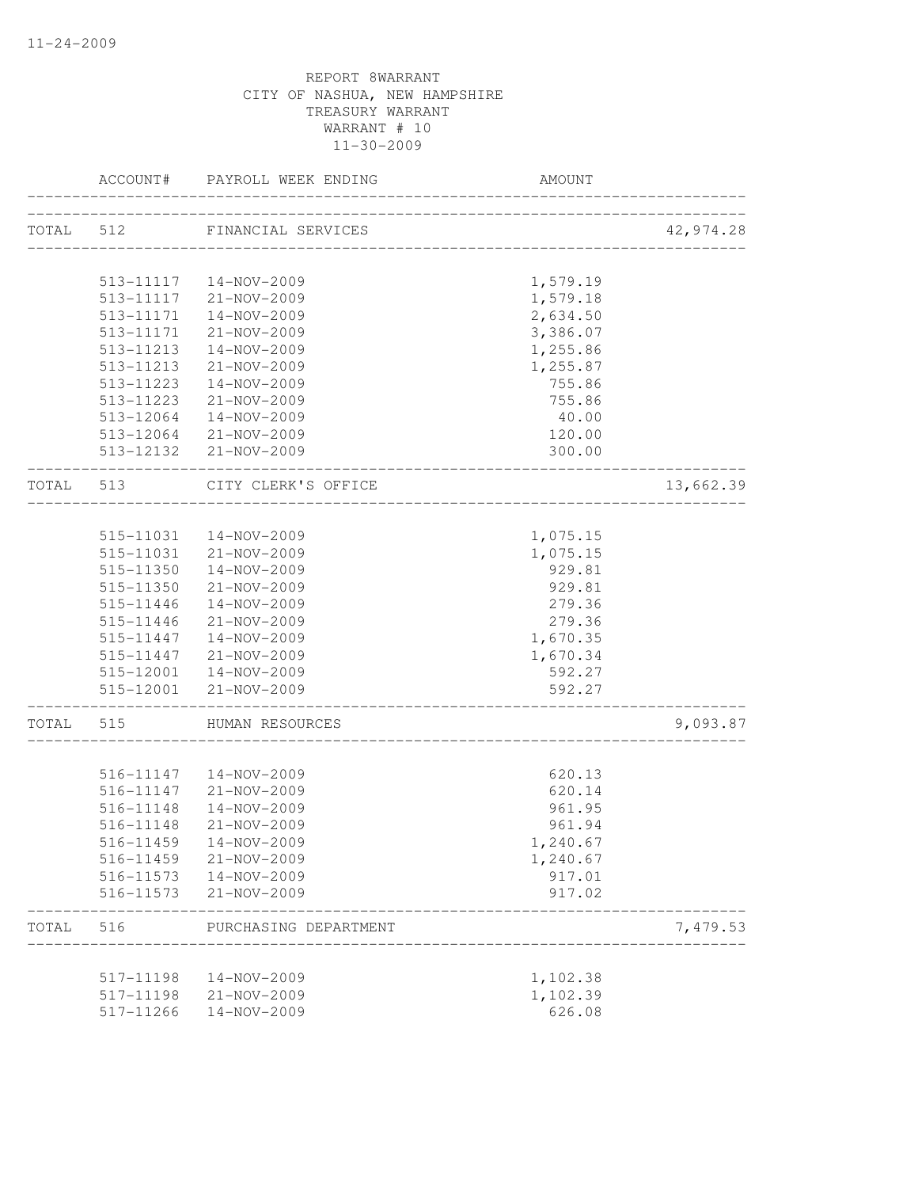|           | ACCOUNT#                  | PAYROLL WEEK ENDING    | AMOUNT                    |           |
|-----------|---------------------------|------------------------|---------------------------|-----------|
| TOTAL 512 |                           | FINANCIAL SERVICES     |                           | 42,974.28 |
|           |                           |                        |                           |           |
|           |                           | 513-11117  14-NOV-2009 | 1,579.19                  |           |
|           |                           | 513-11117 21-NOV-2009  | 1,579.18                  |           |
|           | 513-11171                 | 14-NOV-2009            | 2,634.50                  |           |
|           | 513-11171                 | 21-NOV-2009            | 3,386.07                  |           |
|           | 513-11213                 | 14-NOV-2009            | 1,255.86                  |           |
|           | 513-11213                 | 21-NOV-2009            | 1,255.87                  |           |
|           | 513-11223                 | 14-NOV-2009            | 755.86                    |           |
|           | 513-11223                 | 21-NOV-2009            | 755.86                    |           |
|           | 513-12064                 | 14-NOV-2009            | 40.00                     |           |
|           |                           | 513-12064 21-NOV-2009  | 120.00                    |           |
|           |                           | 513-12132 21-NOV-2009  | 300.00                    |           |
| TOTAL 513 |                           | CITY CLERK'S OFFICE    | _________________________ | 13,662.39 |
|           |                           |                        |                           |           |
|           |                           | 515-11031  14-NOV-2009 | 1,075.15                  |           |
|           | 515-11031                 | 21-NOV-2009            | 1,075.15                  |           |
|           | 515-11350                 | 14-NOV-2009            | 929.81                    |           |
|           | 515-11350                 | 21-NOV-2009            | 929.81                    |           |
|           | 515-11446                 | 14-NOV-2009            | 279.36                    |           |
|           | 515-11446                 | 21-NOV-2009            | 279.36                    |           |
|           | 515-11447                 | 14-NOV-2009            | 1,670.35                  |           |
|           | 515-11447                 | 21-NOV-2009            | 1,670.34                  |           |
|           |                           | 515-12001  14-NOV-2009 | 592.27                    |           |
|           |                           | 515-12001 21-NOV-2009  | 592.27                    |           |
| TOTAL     | ------------------<br>515 | HUMAN RESOURCES        |                           | 9,093.87  |
|           |                           |                        |                           |           |
|           |                           | 516-11147  14-NOV-2009 | 620.13                    |           |
|           | 516-11147                 | 21-NOV-2009            | 620.14                    |           |
|           | 516-11148                 | 14-NOV-2009            | 961.95                    |           |
|           | 516-11148                 | 21-NOV-2009            | 961.94                    |           |
|           | 516-11459                 | 14-NOV-2009            | 1,240.67                  |           |
|           | 516-11459                 | 21-NOV-2009            | 1,240.67                  |           |
|           | 516-11573                 | 14-NOV-2009            | 917.01                    |           |
|           | 516-11573                 | 21-NOV-2009            | 917.02                    |           |
| TOTAL     | 516                       | PURCHASING DEPARTMENT  |                           | 7,479.53  |
|           |                           |                        |                           |           |
|           | 517-11198<br>517-11198    | 14-NOV-2009            | 1,102.38<br>1,102.39      |           |
|           |                           | 21-NOV-2009            |                           |           |
|           | 517-11266                 | 14-NOV-2009            | 626.08                    |           |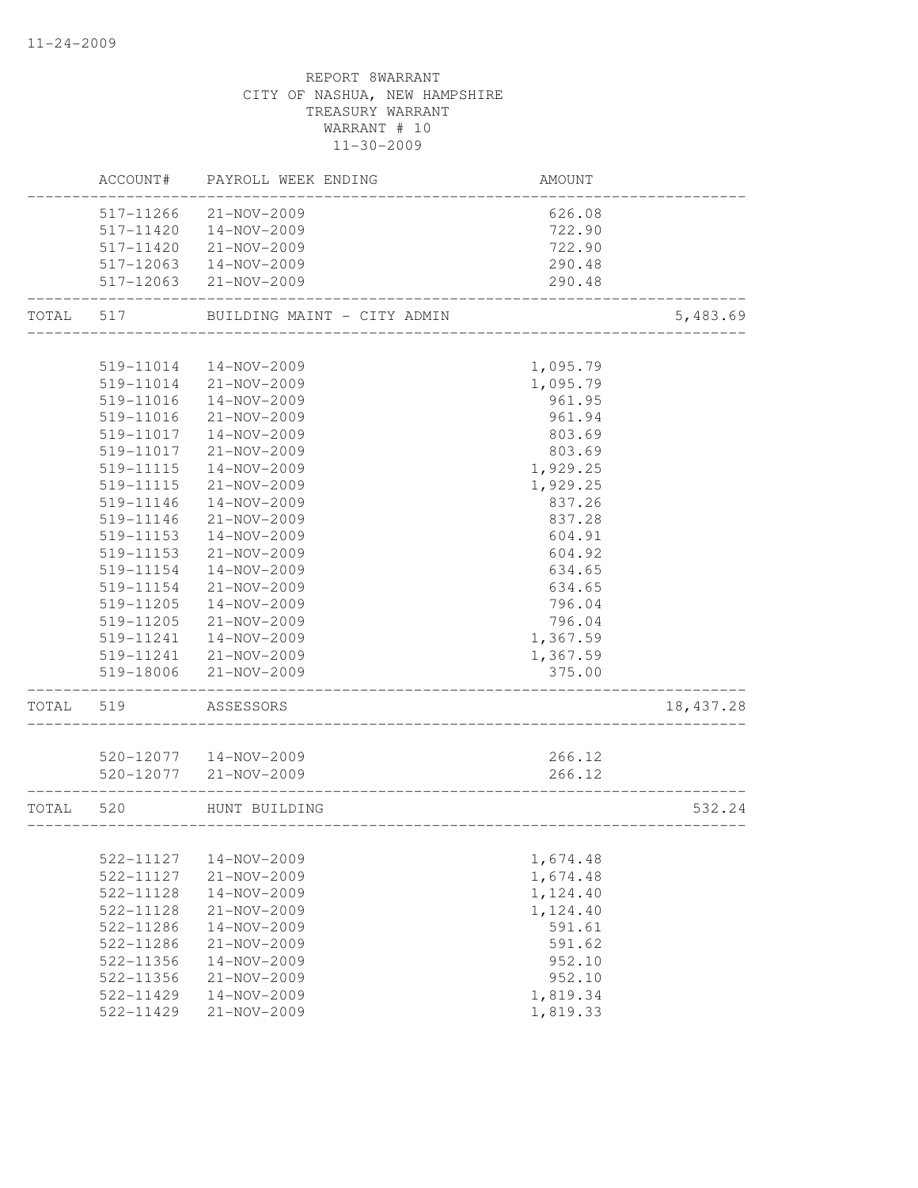|       | ACCOUNT#  | PAYROLL WEEK ENDING         | <b>AMOUNT</b> |            |
|-------|-----------|-----------------------------|---------------|------------|
|       | 517-11266 | $21 - NOV - 2009$           | 626.08        |            |
|       | 517-11420 | 14-NOV-2009                 | 722.90        |            |
|       | 517-11420 | 21-NOV-2009                 | 722.90        |            |
|       | 517-12063 | 14-NOV-2009                 | 290.48        |            |
|       | 517-12063 | 21-NOV-2009                 | 290.48        |            |
| TOTAL | 517       | BUILDING MAINT - CITY ADMIN |               | 5,483.69   |
|       |           |                             |               |            |
|       | 519-11014 | 14-NOV-2009                 | 1,095.79      |            |
|       | 519-11014 | 21-NOV-2009                 | 1,095.79      |            |
|       | 519-11016 | 14-NOV-2009                 | 961.95        |            |
|       | 519-11016 | 21-NOV-2009                 | 961.94        |            |
|       | 519-11017 | 14-NOV-2009                 | 803.69        |            |
|       | 519-11017 | 21-NOV-2009                 | 803.69        |            |
|       | 519-11115 | 14-NOV-2009                 | 1,929.25      |            |
|       | 519-11115 | 21-NOV-2009                 | 1,929.25      |            |
|       | 519-11146 | 14-NOV-2009                 | 837.26        |            |
|       | 519-11146 | 21-NOV-2009                 | 837.28        |            |
|       | 519-11153 | 14-NOV-2009                 | 604.91        |            |
|       | 519-11153 | 21-NOV-2009                 | 604.92        |            |
|       | 519-11154 | 14-NOV-2009                 | 634.65        |            |
|       | 519-11154 | 21-NOV-2009                 | 634.65        |            |
|       | 519-11205 | 14-NOV-2009                 | 796.04        |            |
|       | 519-11205 | 21-NOV-2009                 | 796.04        |            |
|       | 519-11241 | 14-NOV-2009                 | 1,367.59      |            |
|       | 519-11241 | 21-NOV-2009                 | 1,367.59      |            |
|       | 519-18006 | 21-NOV-2009                 | 375.00        |            |
| TOTAL | 519       | ASSESSORS                   |               | 18, 437.28 |
|       |           |                             |               |            |
|       |           | 520-12077  14-NOV-2009      | 266.12        |            |
|       |           | 520-12077 21-NOV-2009       | 266.12        |            |
| TOTAL | 520       | HUNT BUILDING               |               | 532.24     |
|       |           |                             |               |            |
|       | 522-11127 | 14-NOV-2009                 | 1,674.48      |            |
|       | 522-11127 | 21-NOV-2009                 | 1,674.48      |            |
|       | 522-11128 | 14-NOV-2009                 | 1,124.40      |            |
|       | 522-11128 | $21 - NOV - 2009$           | 1,124.40      |            |
|       | 522-11286 | 14-NOV-2009                 | 591.61        |            |
|       | 522-11286 | 21-NOV-2009                 | 591.62        |            |
|       | 522-11356 | 14-NOV-2009                 | 952.10        |            |
|       | 522-11356 | $21 - NOV - 2009$           | 952.10        |            |
|       | 522-11429 | 14-NOV-2009                 | 1,819.34      |            |
|       | 522-11429 | $21 - NOV - 2009$           | 1,819.33      |            |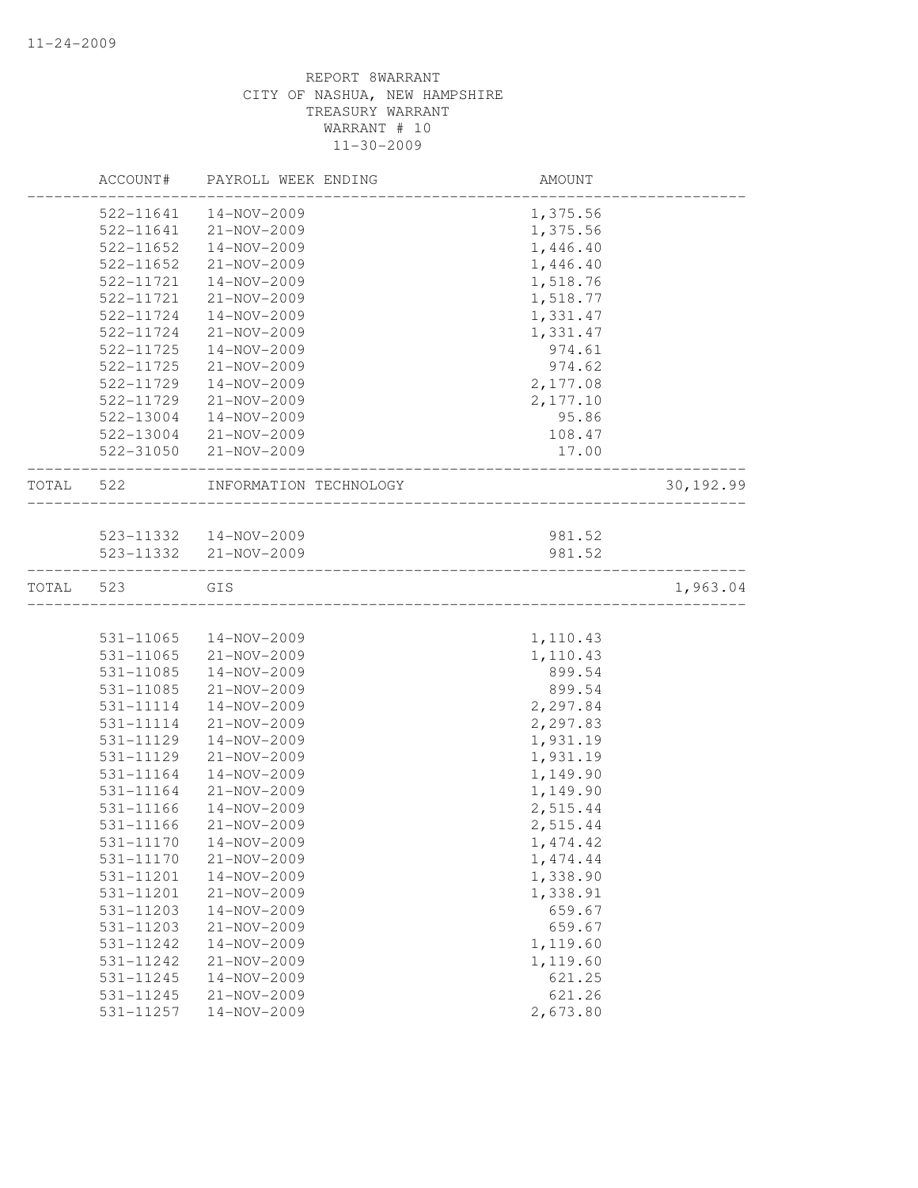|       | ACCOUNT#  | PAYROLL WEEK ENDING    | AMOUNT            |            |
|-------|-----------|------------------------|-------------------|------------|
|       | 522-11641 | 14-NOV-2009            | 1,375.56          |            |
|       | 522-11641 | 21-NOV-2009            | 1,375.56          |            |
|       | 522-11652 | 14-NOV-2009            | 1,446.40          |            |
|       | 522-11652 | 21-NOV-2009            | 1,446.40          |            |
|       | 522-11721 | 14-NOV-2009            | 1,518.76          |            |
|       | 522-11721 | 21-NOV-2009            | 1,518.77          |            |
|       | 522-11724 | 14-NOV-2009            | 1,331.47          |            |
|       | 522-11724 | 21-NOV-2009            | 1,331.47          |            |
|       | 522-11725 | 14-NOV-2009            | 974.61            |            |
|       | 522-11725 | 21-NOV-2009            | 974.62            |            |
|       | 522-11729 | $14 - NOV - 2009$      | 2,177.08          |            |
|       | 522-11729 | 21-NOV-2009            | 2,177.10          |            |
|       | 522-13004 | 14-NOV-2009            | 95.86             |            |
|       | 522-13004 | 21-NOV-2009            | 108.47            |            |
|       | 522-31050 | 21-NOV-2009            | 17.00             |            |
| TOTAL | 522       | INFORMATION TECHNOLOGY | _________________ | 30, 192.99 |
|       |           |                        |                   |            |
|       |           | 523-11332  14-NOV-2009 | 981.52            |            |
|       |           | 523-11332 21-NOV-2009  | 981.52            |            |
| TOTAL | 523       | GIS                    |                   | 1,963.04   |
|       |           |                        |                   |            |
|       | 531-11065 | 14-NOV-2009            | 1,110.43          |            |
|       | 531-11065 | 21-NOV-2009            | 1,110.43          |            |
|       | 531-11085 | 14-NOV-2009            | 899.54            |            |
|       | 531-11085 | 21-NOV-2009            | 899.54            |            |
|       | 531-11114 | 14-NOV-2009            | 2,297.84          |            |
|       | 531-11114 | 21-NOV-2009            | 2,297.83          |            |
|       | 531-11129 | 14-NOV-2009            | 1,931.19          |            |
|       | 531-11129 | 21-NOV-2009            | 1,931.19          |            |
|       | 531-11164 | $14 - NOV - 2009$      | 1,149.90          |            |
|       | 531-11164 | $21 - NOV - 2009$      | 1,149.90          |            |
|       | 531-11166 | 14-NOV-2009            | 2,515.44          |            |
|       | 531-11166 | $21 - NOV - 2009$      | 2,515.44          |            |
|       |           | 531-11170  14-NOV-2009 | 1,474.42          |            |
|       | 531-11170 | 21-NOV-2009            | 1, 474.44         |            |
|       | 531-11201 | 14-NOV-2009            | 1,338.90          |            |
|       | 531-11201 | 21-NOV-2009            | 1,338.91          |            |
|       | 531-11203 | 14-NOV-2009            | 659.67            |            |
|       | 531-11203 | 21-NOV-2009            | 659.67            |            |
|       | 531-11242 | 14-NOV-2009            | 1,119.60          |            |
|       | 531-11242 | $21 - NOV - 2009$      | 1,119.60          |            |
|       | 531-11245 | 14-NOV-2009            | 621.25            |            |
|       | 531-11245 | $21 - NOV - 2009$      | 621.26            |            |
|       | 531-11257 | 14-NOV-2009            | 2,673.80          |            |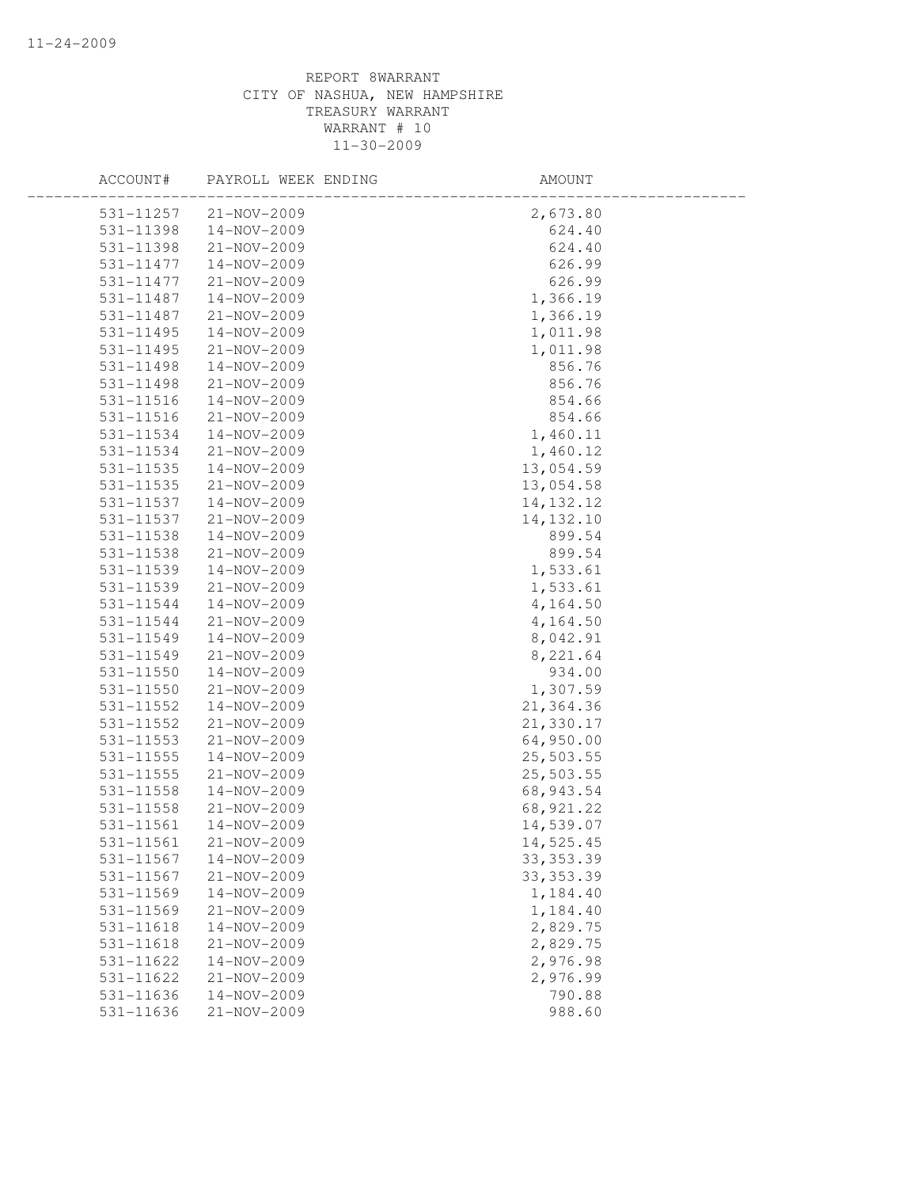| ACCOUNT#  | PAYROLL WEEK ENDING | AMOUNT      |  |
|-----------|---------------------|-------------|--|
| 531-11257 | 21-NOV-2009         | 2,673.80    |  |
| 531-11398 | 14-NOV-2009         | 624.40      |  |
| 531-11398 | 21-NOV-2009         | 624.40      |  |
| 531-11477 | 14-NOV-2009         | 626.99      |  |
| 531-11477 | 21-NOV-2009         | 626.99      |  |
| 531-11487 | 14-NOV-2009         | 1,366.19    |  |
| 531-11487 | 21-NOV-2009         | 1,366.19    |  |
| 531-11495 | 14-NOV-2009         | 1,011.98    |  |
| 531-11495 | $21 - NOV - 2009$   | 1,011.98    |  |
| 531-11498 | 14-NOV-2009         | 856.76      |  |
| 531-11498 | 21-NOV-2009         | 856.76      |  |
| 531-11516 | 14-NOV-2009         | 854.66      |  |
| 531-11516 | 21-NOV-2009         | 854.66      |  |
| 531-11534 | 14-NOV-2009         | 1,460.11    |  |
| 531-11534 | 21-NOV-2009         | 1,460.12    |  |
| 531-11535 | 14-NOV-2009         | 13,054.59   |  |
| 531-11535 | $21 - NOV - 2009$   | 13,054.58   |  |
| 531-11537 | $14 - NOV - 2009$   | 14, 132. 12 |  |
| 531-11537 | 21-NOV-2009         | 14, 132.10  |  |
| 531-11538 | 14-NOV-2009         | 899.54      |  |
| 531-11538 | 21-NOV-2009         | 899.54      |  |
| 531-11539 | 14-NOV-2009         | 1,533.61    |  |
| 531-11539 | 21-NOV-2009         | 1,533.61    |  |
| 531-11544 | 14-NOV-2009         | 4,164.50    |  |
| 531-11544 | 21-NOV-2009         | 4,164.50    |  |
| 531-11549 | 14-NOV-2009         | 8,042.91    |  |
| 531-11549 | $21 - NOV - 2009$   | 8,221.64    |  |
| 531-11550 | 14-NOV-2009         | 934.00      |  |
| 531-11550 | 21-NOV-2009         | 1,307.59    |  |
| 531-11552 | 14-NOV-2009         | 21,364.36   |  |
| 531-11552 | 21-NOV-2009         | 21,330.17   |  |
| 531-11553 | 21-NOV-2009         | 64,950.00   |  |
| 531-11555 | 14-NOV-2009         | 25,503.55   |  |
| 531-11555 | 21-NOV-2009         | 25,503.55   |  |
| 531-11558 | 14-NOV-2009         | 68,943.54   |  |
| 531-11558 | 21-NOV-2009         | 68,921.22   |  |
| 531-11561 | 14-NOV-2009         | 14,539.07   |  |
| 531-11561 | 21-NOV-2009         | 14,525.45   |  |
| 531-11567 | 14-NOV-2009         | 33, 353.39  |  |
| 531-11567 | 21-NOV-2009         | 33, 353.39  |  |
| 531-11569 | 14-NOV-2009         | 1,184.40    |  |
| 531-11569 | 21-NOV-2009         | 1,184.40    |  |
| 531-11618 | 14-NOV-2009         | 2,829.75    |  |
| 531-11618 | $21 - NOV - 2009$   | 2,829.75    |  |
| 531-11622 | 14-NOV-2009         | 2,976.98    |  |
| 531-11622 | 21-NOV-2009         | 2,976.99    |  |
| 531-11636 | $14 - NOV - 2009$   | 790.88      |  |
| 531-11636 | 21-NOV-2009         | 988.60      |  |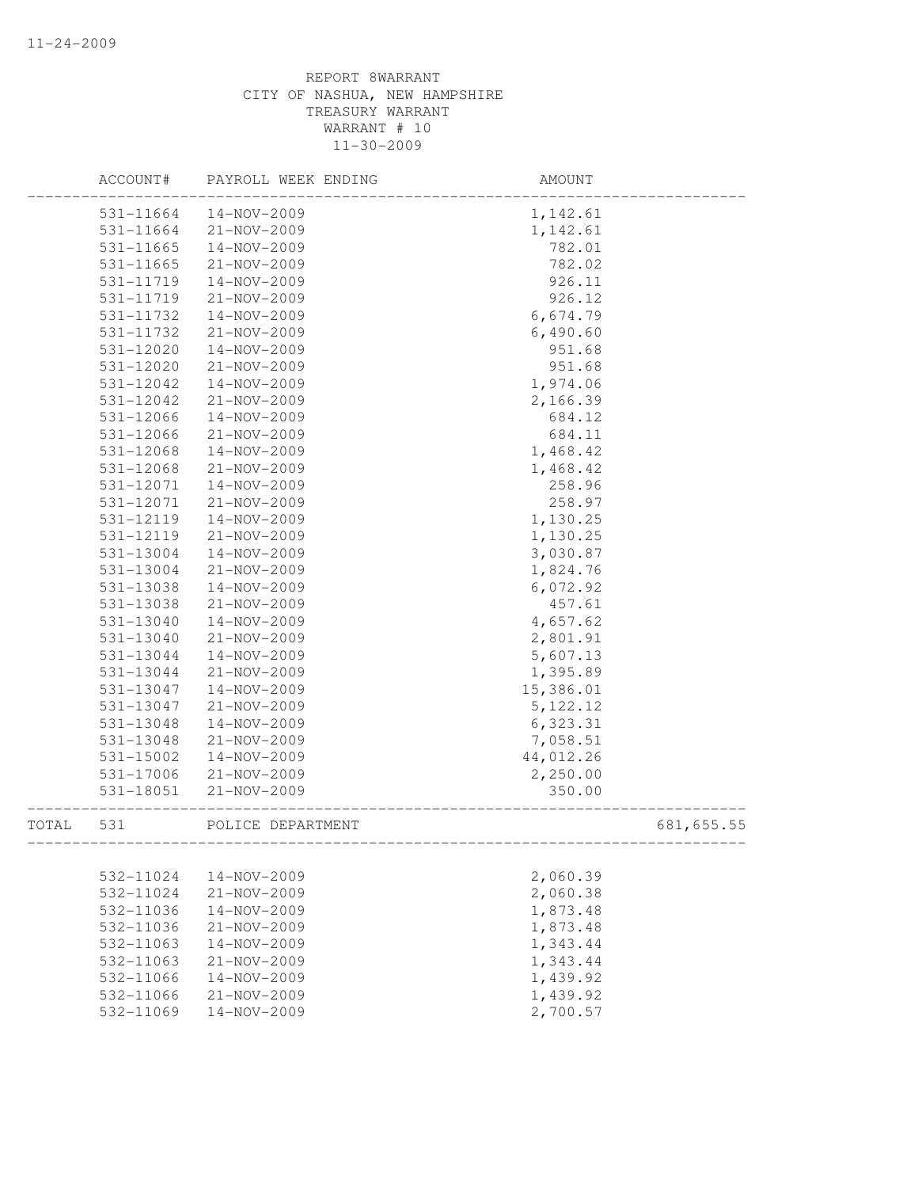|       | ACCOUNT#      | PAYROLL WEEK ENDING | AMOUNT    |            |
|-------|---------------|---------------------|-----------|------------|
|       | 531-11664     | 14-NOV-2009         | 1,142.61  |            |
|       | 531-11664     | 21-NOV-2009         | 1,142.61  |            |
|       | 531-11665     | 14-NOV-2009         | 782.01    |            |
|       | 531-11665     | 21-NOV-2009         | 782.02    |            |
|       | 531-11719     | 14-NOV-2009         | 926.11    |            |
|       | 531-11719     | 21-NOV-2009         | 926.12    |            |
|       | 531-11732     | 14-NOV-2009         | 6,674.79  |            |
|       | 531-11732     | 21-NOV-2009         | 6,490.60  |            |
|       | 531-12020     | 14-NOV-2009         | 951.68    |            |
|       | $531 - 12020$ | $21 - NOV - 2009$   | 951.68    |            |
|       | 531-12042     | 14-NOV-2009         | 1,974.06  |            |
|       | 531-12042     | 21-NOV-2009         | 2,166.39  |            |
|       | 531-12066     | 14-NOV-2009         | 684.12    |            |
|       | 531-12066     | 21-NOV-2009         | 684.11    |            |
|       | 531-12068     | 14-NOV-2009         | 1,468.42  |            |
|       | 531-12068     | 21-NOV-2009         | 1,468.42  |            |
|       | 531-12071     | 14-NOV-2009         | 258.96    |            |
|       | 531-12071     | $21 - NOV - 2009$   | 258.97    |            |
|       | 531-12119     | $14 - NOV - 2009$   | 1,130.25  |            |
|       | 531-12119     | 21-NOV-2009         | 1,130.25  |            |
|       | 531-13004     | $14 - NOV - 2009$   | 3,030.87  |            |
|       | 531-13004     | 21-NOV-2009         | 1,824.76  |            |
|       | 531-13038     | 14-NOV-2009         | 6,072.92  |            |
|       | 531-13038     | $21 - NOV - 2009$   | 457.61    |            |
|       | 531-13040     | 14-NOV-2009         | 4,657.62  |            |
|       | 531-13040     | 21-NOV-2009         | 2,801.91  |            |
|       | 531-13044     | 14-NOV-2009         | 5,607.13  |            |
|       | 531-13044     | 21-NOV-2009         | 1,395.89  |            |
|       | 531-13047     | 14-NOV-2009         | 15,386.01 |            |
|       | 531-13047     | 21-NOV-2009         | 5, 122.12 |            |
|       | 531-13048     | 14-NOV-2009         | 6,323.31  |            |
|       | 531-13048     | 21-NOV-2009         | 7,058.51  |            |
|       | 531-15002     | 14-NOV-2009         | 44,012.26 |            |
|       | 531-17006     | $21 - NOV - 2009$   | 2,250.00  |            |
|       | 531-18051     | 21-NOV-2009         | 350.00    |            |
| TOTAL | 531           | POLICE DEPARTMENT   |           | 681,655.55 |
|       | 532-11024     | 14-NOV-2009         | 2,060.39  |            |
|       | 532-11024     | 21-NOV-2009         | 2,060.38  |            |
|       | 532-11036     | 14-NOV-2009         | 1,873.48  |            |
|       | 532-11036     | 21-NOV-2009         | 1,873.48  |            |
|       | 532-11063     | 14-NOV-2009         | 1,343.44  |            |
|       | 532-11063     | $21 - NOV - 2009$   | 1,343.44  |            |
|       | 532-11066     | $14 - NOV - 2009$   | 1,439.92  |            |
|       | 532-11066     | $21 - NOV - 2009$   | 1,439.92  |            |
|       | 532-11069     | 14-NOV-2009         | 2,700.57  |            |
|       |               |                     |           |            |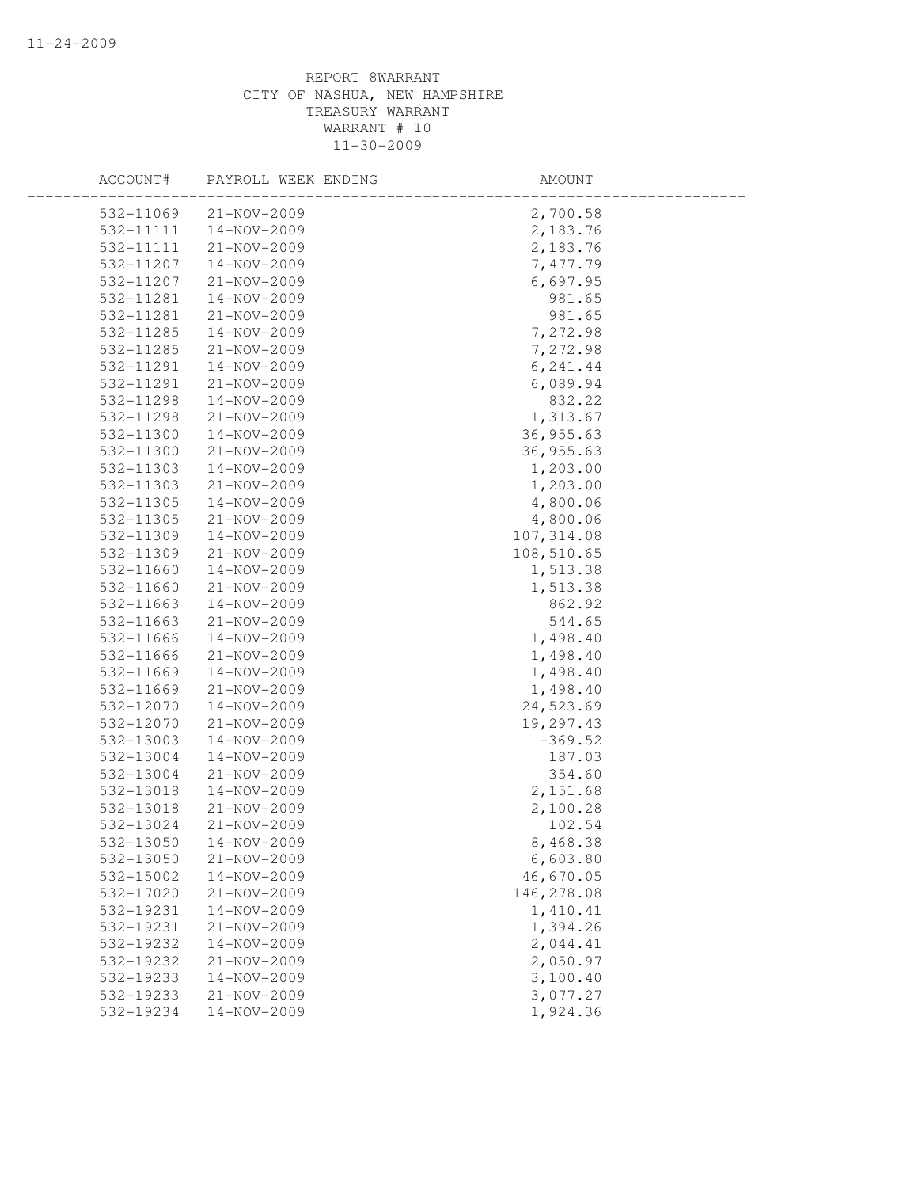| ACCOUNT#               | PAYROLL WEEK ENDING        | AMOUNT                |  |
|------------------------|----------------------------|-----------------------|--|
| 532-11069              | 21-NOV-2009                | 2,700.58              |  |
| 532-11111              | 14-NOV-2009                | 2,183.76              |  |
| 532-11111              | 21-NOV-2009                | 2,183.76              |  |
| 532-11207              | 14-NOV-2009                | 7,477.79              |  |
| 532-11207              | 21-NOV-2009                | 6,697.95              |  |
| 532-11281              | 14-NOV-2009                | 981.65                |  |
| 532-11281              | 21-NOV-2009                | 981.65                |  |
| 532-11285              | 14-NOV-2009                | 7,272.98              |  |
| 532-11285              | 21-NOV-2009                | 7,272.98              |  |
| 532-11291              | 14-NOV-2009                | 6,241.44              |  |
| 532-11291              | 21-NOV-2009                | 6,089.94              |  |
| 532-11298              | 14-NOV-2009                | 832.22                |  |
| 532-11298              | 21-NOV-2009                | 1,313.67              |  |
| 532-11300              | 14-NOV-2009                | 36,955.63             |  |
| 532-11300              | 21-NOV-2009                | 36,955.63             |  |
| 532-11303              | 14-NOV-2009                | 1,203.00              |  |
| 532-11303              | 21-NOV-2009                | 1,203.00              |  |
| 532-11305              | 14-NOV-2009                | 4,800.06              |  |
| 532-11305              | 21-NOV-2009                | 4,800.06              |  |
| 532-11309              | 14-NOV-2009                | 107,314.08            |  |
| 532-11309              | 21-NOV-2009                | 108,510.65            |  |
| 532-11660              | 14-NOV-2009                | 1,513.38              |  |
| 532-11660              | 21-NOV-2009                | 1,513.38              |  |
| 532-11663              | $14 - NOV - 2009$          | 862.92                |  |
| 532-11663              | 21-NOV-2009                | 544.65                |  |
| 532-11666              | 14-NOV-2009                | 1,498.40              |  |
| 532-11666              | $21 - NOV - 2009$          | 1,498.40              |  |
| 532-11669              | 14-NOV-2009                | 1,498.40              |  |
| 532-11669              | 21-NOV-2009                | 1,498.40              |  |
| 532-12070              | 14-NOV-2009                | 24,523.69             |  |
| 532-12070              | 21-NOV-2009                | 19,297.43             |  |
| 532-13003              | 14-NOV-2009                | $-369.52$             |  |
| 532-13004              | 14-NOV-2009                | 187.03                |  |
| 532-13004<br>532-13018 | 21-NOV-2009<br>14-NOV-2009 | 354.60                |  |
| 532-13018              | 21-NOV-2009                | 2,151.68<br>2,100.28  |  |
| 532-13024              | 21-NOV-2009                | 102.54                |  |
| 532-13050              | 14-NOV-2009                | 8,468.38              |  |
| 532-13050              | 21-NOV-2009                |                       |  |
| 532-15002              | 14-NOV-2009                | 6,603.80<br>46,670.05 |  |
| 532-17020              | 21-NOV-2009                | 146,278.08            |  |
| 532-19231              | 14-NOV-2009                | 1,410.41              |  |
| 532-19231              | 21-NOV-2009                | 1,394.26              |  |
| 532-19232              | 14-NOV-2009                | 2,044.41              |  |
| 532-19232              | 21-NOV-2009                | 2,050.97              |  |
| 532-19233              | 14-NOV-2009                | 3,100.40              |  |
| 532-19233              | 21-NOV-2009                | 3,077.27              |  |
| 532-19234              | 14-NOV-2009                | 1,924.36              |  |
|                        |                            |                       |  |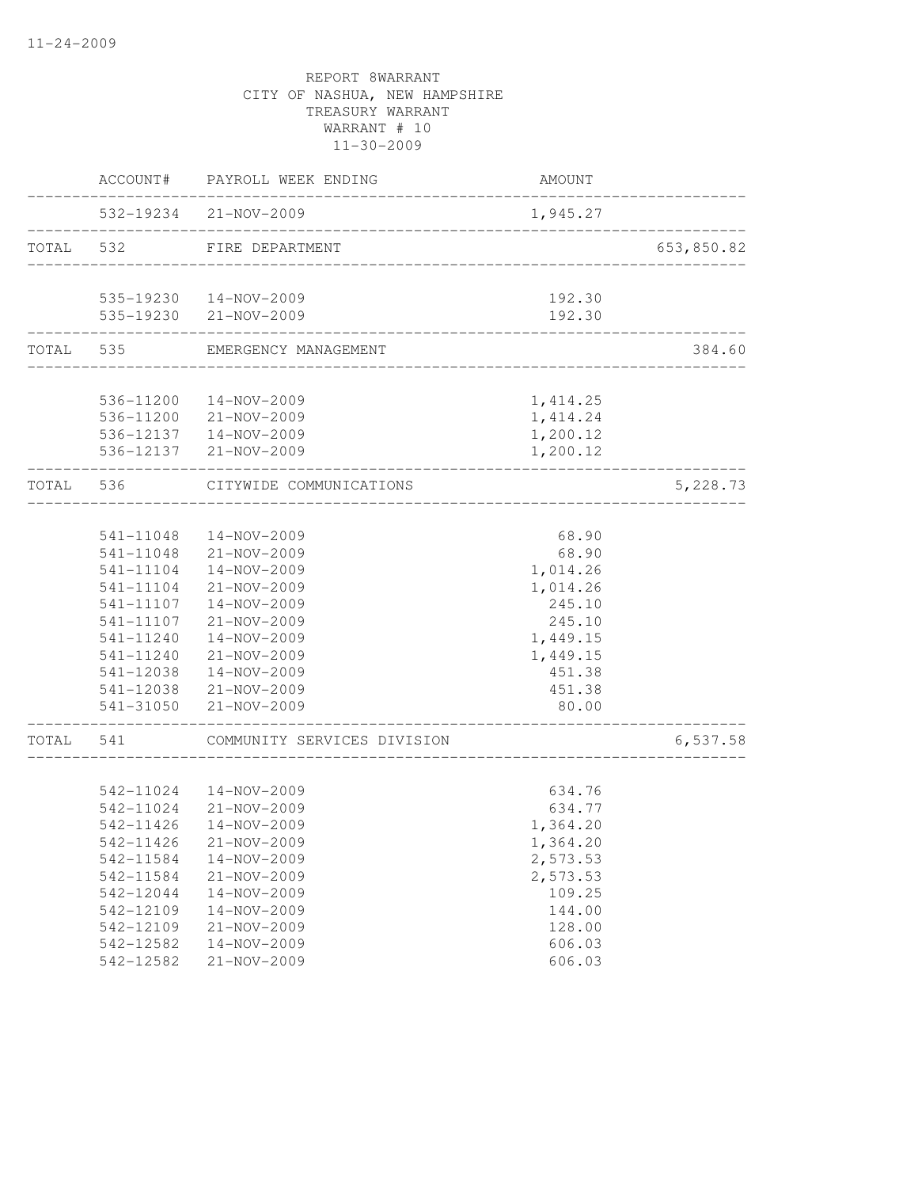|           | ACCOUNT#               | PAYROLL WEEK ENDING         | AMOUNT          |            |
|-----------|------------------------|-----------------------------|-----------------|------------|
|           |                        | 532-19234 21-NOV-2009       | 1,945.27        |            |
| TOTAL 532 |                        | FIRE DEPARTMENT             |                 | 653,850.82 |
|           |                        | 535-19230  14-NOV-2009      | 192.30          |            |
|           |                        | 535-19230 21-NOV-2009       | 192.30          |            |
|           | TOTAL 535              | EMERGENCY MANAGEMENT        |                 | 384.60     |
|           | 536-11200              | 14-NOV-2009                 | 1, 414.25       |            |
|           |                        | 536-11200 21-NOV-2009       | 1, 414.24       |            |
|           |                        | 536-12137  14-NOV-2009      | 1,200.12        |            |
|           |                        | 536-12137 21-NOV-2009       | 1,200.12        |            |
| TOTAL 536 |                        | CITYWIDE COMMUNICATIONS     |                 | 5,228.73   |
|           |                        |                             |                 |            |
|           | 541-11048              | 14-NOV-2009                 | 68.90           |            |
|           | 541-11048              | 21-NOV-2009                 | 68.90           |            |
|           | 541-11104              | 14-NOV-2009                 | 1,014.26        |            |
|           | 541-11104              | 21-NOV-2009                 | 1,014.26        |            |
|           | 541-11107              | 14-NOV-2009                 | 245.10          |            |
|           | 541-11107              | 21-NOV-2009                 | 245.10          |            |
|           | 541-11240              | 14-NOV-2009                 | 1,449.15        |            |
|           | 541-11240              | 21-NOV-2009                 | 1,449.15        |            |
|           | 541-12038              | 14-NOV-2009                 | 451.38          |            |
|           | 541-12038<br>541-31050 | 21-NOV-2009<br>21-NOV-2009  | 451.38<br>80.00 |            |
| TOTAL     | 541                    | COMMUNITY SERVICES DIVISION |                 | 6,537.58   |
|           |                        |                             |                 |            |
|           | 542-11024              | 14-NOV-2009                 | 634.76          |            |
|           | 542-11024              | $21 - NOV - 2009$           | 634.77          |            |
|           | 542-11426              | 14-NOV-2009                 | 1,364.20        |            |
|           | 542-11426              | 21-NOV-2009                 | 1,364.20        |            |
|           | 542-11584              | 14-NOV-2009                 | 2,573.53        |            |
|           | 542-11584              | 21-NOV-2009                 | 2,573.53        |            |
|           | 542-12044              | 14-NOV-2009                 | 109.25          |            |
|           | 542-12109              | 14-NOV-2009                 | 144.00          |            |
|           | 542-12109              | 21-NOV-2009                 | 128.00          |            |
|           | 542-12582              | 14-NOV-2009                 | 606.03          |            |
|           | 542-12582              | 21-NOV-2009                 | 606.03          |            |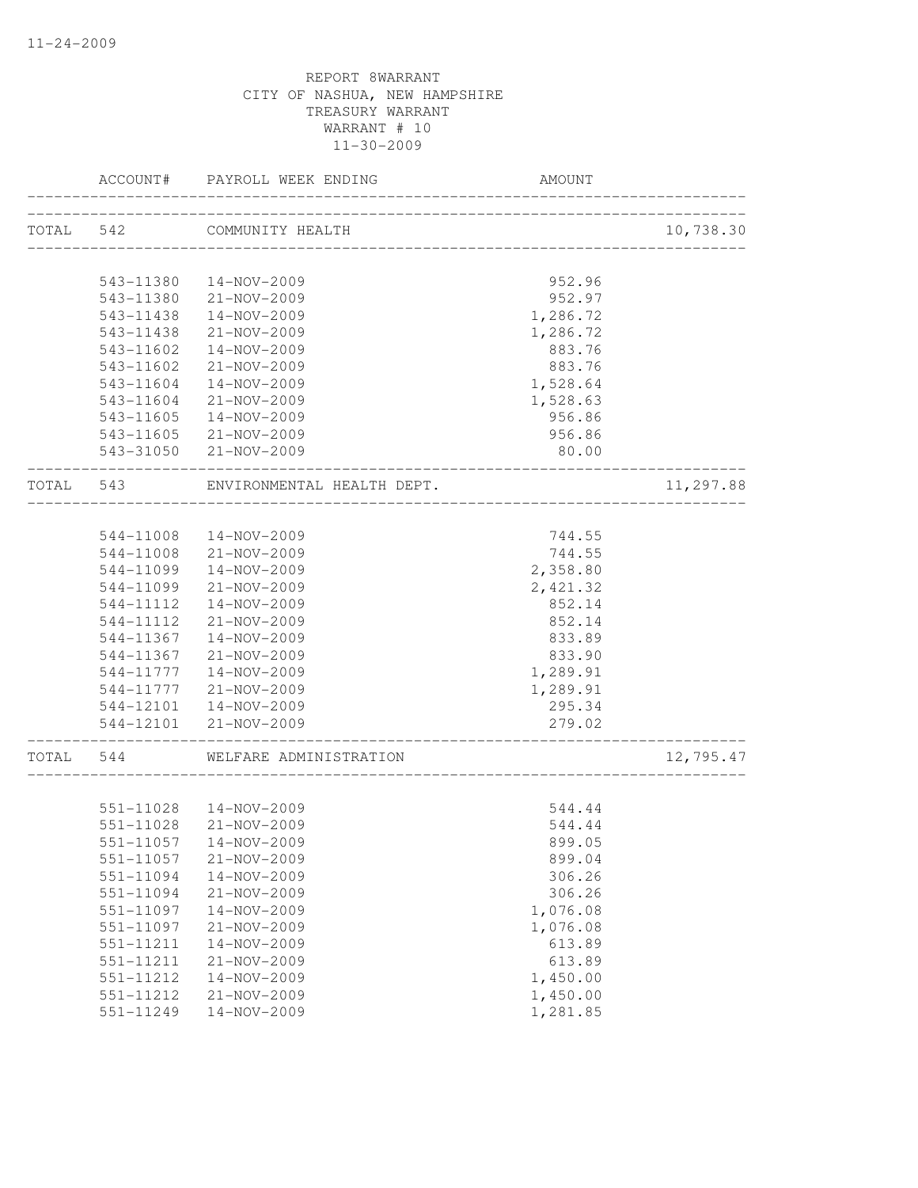|           | ACCOUNT#  | PAYROLL WEEK ENDING        | AMOUNT                                         |           |
|-----------|-----------|----------------------------|------------------------------------------------|-----------|
| TOTAL 542 |           | COMMUNITY HEALTH           | ______________________________________         | 10,738.30 |
|           |           |                            |                                                |           |
|           | 543-11380 | 14-NOV-2009                | 952.96                                         |           |
|           | 543-11380 | 21-NOV-2009                | 952.97                                         |           |
|           | 543-11438 | 14-NOV-2009                | 1,286.72                                       |           |
|           | 543-11438 | 21-NOV-2009                | 1,286.72                                       |           |
|           | 543-11602 | $14 - NOV - 2009$          | 883.76                                         |           |
|           | 543-11602 | 21-NOV-2009                | 883.76                                         |           |
|           | 543-11604 | 14-NOV-2009                | 1,528.64                                       |           |
|           | 543-11604 | 21-NOV-2009                | 1,528.63                                       |           |
|           | 543-11605 | 14-NOV-2009                | 956.86                                         |           |
|           | 543-11605 | 21-NOV-2009                | 956.86                                         |           |
|           |           | 543-31050 21-NOV-2009      | 80.00<br>. _ _ _ _ _ _ _ _ _ _ _ _ _ _ _ _ _ _ |           |
| TOTAL 543 |           | ENVIRONMENTAL HEALTH DEPT. |                                                | 11,297.88 |
|           |           |                            |                                                |           |
|           | 544-11008 | 14-NOV-2009                | 744.55                                         |           |
|           | 544-11008 | 21-NOV-2009                | 744.55                                         |           |
|           | 544-11099 | 14-NOV-2009                | 2,358.80                                       |           |
|           | 544-11099 | 21-NOV-2009                | 2,421.32                                       |           |
|           | 544-11112 | 14-NOV-2009                | 852.14                                         |           |
|           | 544-11112 | 21-NOV-2009                | 852.14                                         |           |
|           | 544-11367 | 14-NOV-2009                | 833.89                                         |           |
|           | 544-11367 | 21-NOV-2009                | 833.90                                         |           |
|           | 544-11777 | 14-NOV-2009                | 1,289.91                                       |           |
|           | 544-11777 | 21-NOV-2009                | 1,289.91                                       |           |
|           |           | 544-12101  14-NOV-2009     | 295.34                                         |           |
|           |           | 544-12101 21-NOV-2009      | 279.02<br>._____________________________       |           |
| TOTAL     | 544       | WELFARE ADMINISTRATION     |                                                | 12,795.47 |
|           |           |                            |                                                |           |
|           | 551-11028 | 14-NOV-2009                | 544.44                                         |           |
|           | 551-11028 | 21-NOV-2009                | 544.44                                         |           |
|           |           | 551-11057  14-NOV-2009     | 899.05                                         |           |
|           | 551-11057 | 21-NOV-2009                | 899.04                                         |           |
|           | 551-11094 | 14-NOV-2009                | 306.26                                         |           |
|           | 551-11094 | 21-NOV-2009                | 306.26                                         |           |
|           | 551-11097 | 14-NOV-2009                | 1,076.08                                       |           |
|           | 551-11097 | 21-NOV-2009                | 1,076.08                                       |           |
|           | 551-11211 | 14-NOV-2009                | 613.89                                         |           |
|           | 551-11211 | $21 - NOV - 2009$          | 613.89                                         |           |
|           | 551-11212 | 14-NOV-2009                | 1,450.00                                       |           |
|           | 551-11212 | 21-NOV-2009                | 1,450.00                                       |           |
|           | 551-11249 | 14-NOV-2009                | 1,281.85                                       |           |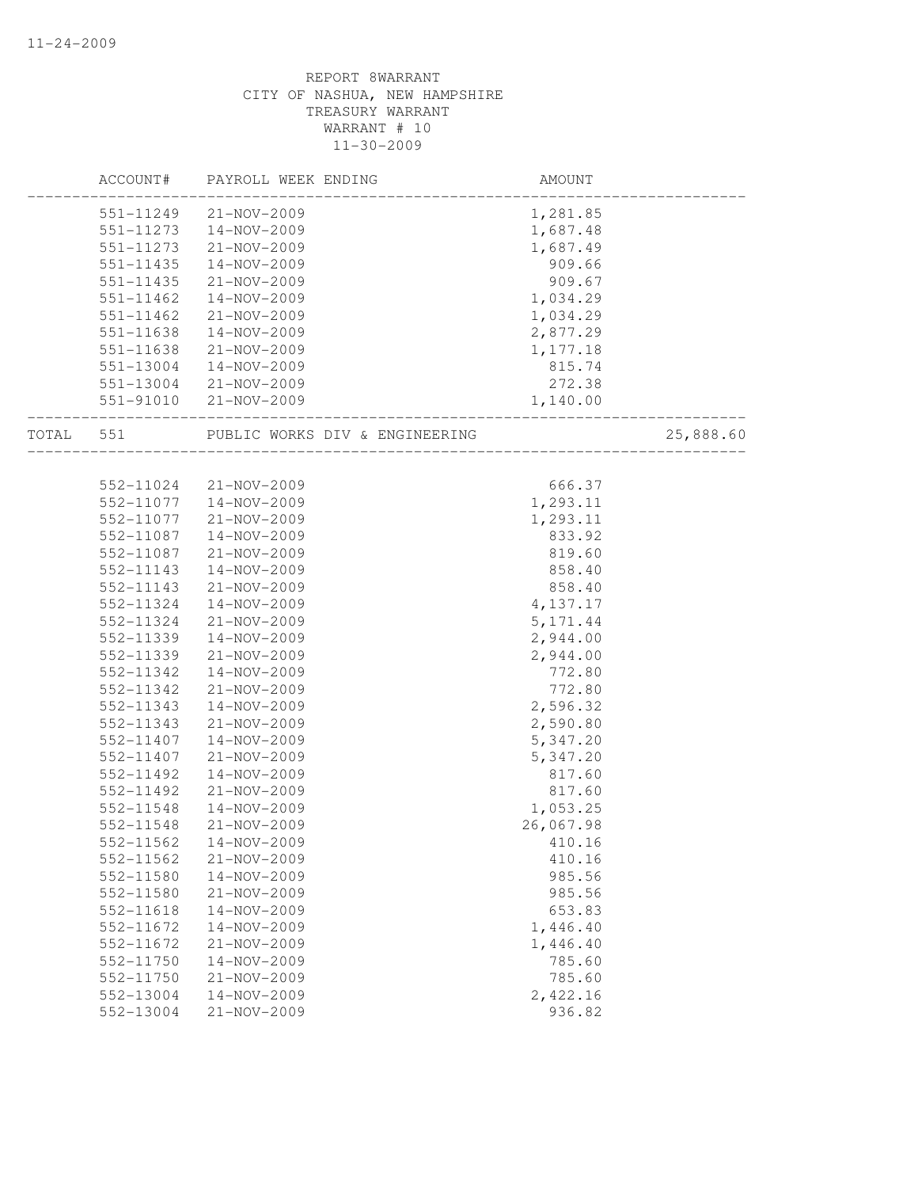|           | ACCOUNT#  | PAYROLL WEEK ENDING            | AMOUNT    |           |
|-----------|-----------|--------------------------------|-----------|-----------|
|           | 551-11249 | 21-NOV-2009                    | 1,281.85  |           |
|           | 551-11273 | 14-NOV-2009                    | 1,687.48  |           |
|           | 551-11273 | 21-NOV-2009                    | 1,687.49  |           |
|           | 551-11435 | 14-NOV-2009                    | 909.66    |           |
|           | 551-11435 | 21-NOV-2009                    | 909.67    |           |
|           | 551-11462 | 14-NOV-2009                    | 1,034.29  |           |
|           | 551-11462 | 21-NOV-2009                    | 1,034.29  |           |
|           | 551-11638 | 14-NOV-2009                    | 2,877.29  |           |
|           | 551-11638 | 21-NOV-2009                    | 1,177.18  |           |
|           | 551-13004 | 14-NOV-2009                    | 815.74    |           |
|           |           | 551-13004 21-NOV-2009          | 272.38    |           |
|           |           | 551-91010 21-NOV-2009          | 1,140.00  |           |
| TOTAL 551 |           | PUBLIC WORKS DIV & ENGINEERING |           | 25,888.60 |
|           |           |                                |           |           |
|           | 552-11024 | 21-NOV-2009                    | 666.37    |           |
|           | 552-11077 | 14-NOV-2009                    | 1,293.11  |           |
|           | 552-11077 | 21-NOV-2009                    | 1,293.11  |           |
|           | 552-11087 | 14-NOV-2009                    | 833.92    |           |
|           | 552-11087 | 21-NOV-2009                    | 819.60    |           |
|           | 552-11143 | 14-NOV-2009                    | 858.40    |           |
|           | 552-11143 | 21-NOV-2009                    | 858.40    |           |
|           | 552-11324 | 14-NOV-2009                    | 4,137.17  |           |
|           | 552-11324 | 21-NOV-2009                    | 5, 171.44 |           |
|           | 552-11339 | 14-NOV-2009                    | 2,944.00  |           |
|           | 552-11339 | $21 - NOV - 2009$              | 2,944.00  |           |
|           | 552-11342 | 14-NOV-2009                    | 772.80    |           |
|           | 552-11342 | 21-NOV-2009                    | 772.80    |           |
|           | 552-11343 | 14-NOV-2009                    | 2,596.32  |           |
|           | 552-11343 | 21-NOV-2009                    | 2,590.80  |           |
|           | 552-11407 | 14-NOV-2009                    | 5,347.20  |           |
|           | 552-11407 | 21-NOV-2009                    | 5,347.20  |           |
|           | 552-11492 | $14 - NOV - 2009$              | 817.60    |           |
|           | 552-11492 | 21-NOV-2009                    | 817.60    |           |
|           | 552-11548 | 14-NOV-2009                    | 1,053.25  |           |
|           | 552-11548 | 21-NOV-2009                    | 26,067.98 |           |
|           | 552-11562 | 14-NOV-2009                    | 410.16    |           |
|           | 552-11562 | 21-NOV-2009                    | 410.16    |           |
|           | 552-11580 | 14-NOV-2009                    | 985.56    |           |
|           | 552-11580 | 21-NOV-2009                    | 985.56    |           |
|           | 552-11618 | 14-NOV-2009                    | 653.83    |           |
|           | 552-11672 | 14-NOV-2009                    | 1,446.40  |           |
|           | 552-11672 | 21-NOV-2009                    | 1,446.40  |           |
|           | 552-11750 | 14-NOV-2009                    | 785.60    |           |
|           | 552-11750 | 21-NOV-2009                    | 785.60    |           |
|           | 552-13004 | $14 - NOV - 2009$              | 2,422.16  |           |
|           | 552-13004 | $21 - NOV - 2009$              | 936.82    |           |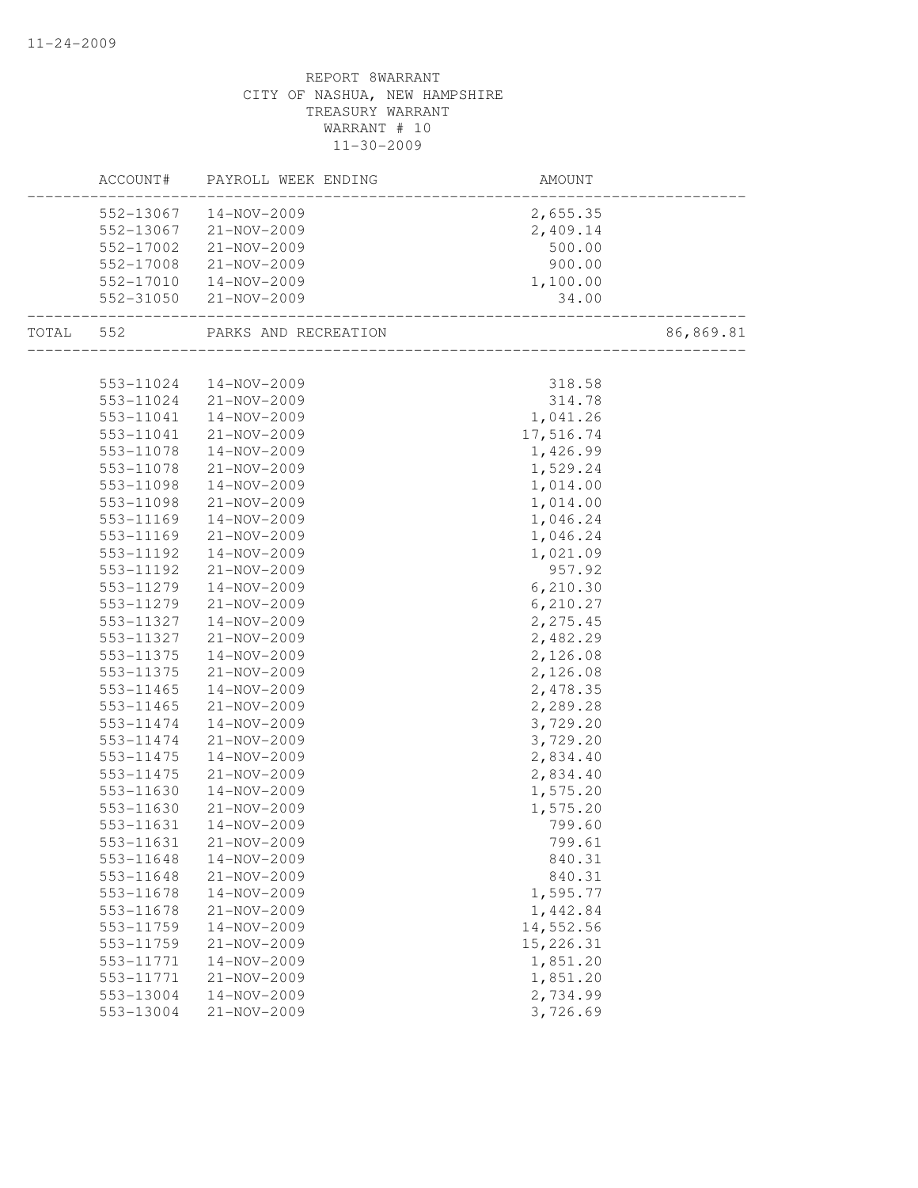|       | ACCOUNT#  | PAYROLL WEEK ENDING  | AMOUNT    |           |
|-------|-----------|----------------------|-----------|-----------|
|       | 552-13067 | 14-NOV-2009          | 2,655.35  |           |
|       | 552-13067 | 21-NOV-2009          | 2,409.14  |           |
|       | 552-17002 | 21-NOV-2009          | 500.00    |           |
|       | 552-17008 | 21-NOV-2009          | 900.00    |           |
|       | 552-17010 | 14-NOV-2009          | 1,100.00  |           |
|       | 552-31050 | 21-NOV-2009          | 34.00     |           |
| TOTAL | 552       | PARKS AND RECREATION |           | 86,869.81 |
|       |           |                      |           |           |
|       | 553-11024 | 14-NOV-2009          | 318.58    |           |
|       | 553-11024 | 21-NOV-2009          | 314.78    |           |
|       | 553-11041 | 14-NOV-2009          | 1,041.26  |           |
|       | 553-11041 | 21-NOV-2009          | 17,516.74 |           |
|       | 553-11078 | 14-NOV-2009          | 1,426.99  |           |
|       | 553-11078 | 21-NOV-2009          | 1,529.24  |           |
|       | 553-11098 | 14-NOV-2009          | 1,014.00  |           |
|       | 553-11098 | $21 - NOV - 2009$    | 1,014.00  |           |
|       | 553-11169 | 14-NOV-2009          | 1,046.24  |           |
|       | 553-11169 | 21-NOV-2009          | 1,046.24  |           |
|       | 553-11192 | 14-NOV-2009          | 1,021.09  |           |
|       | 553-11192 | 21-NOV-2009          | 957.92    |           |
|       | 553-11279 | 14-NOV-2009          | 6,210.30  |           |
|       | 553-11279 | $21 - NOV - 2009$    | 6,210.27  |           |
|       | 553-11327 | 14-NOV-2009          | 2,275.45  |           |
|       | 553-11327 | 21-NOV-2009          | 2,482.29  |           |
|       | 553-11375 | 14-NOV-2009          | 2,126.08  |           |
|       | 553-11375 | 21-NOV-2009          | 2,126.08  |           |
|       | 553-11465 | 14-NOV-2009          | 2,478.35  |           |
|       | 553-11465 | 21-NOV-2009          | 2,289.28  |           |
|       | 553-11474 | 14-NOV-2009          | 3,729.20  |           |
|       | 553-11474 | 21-NOV-2009          | 3,729.20  |           |
|       | 553-11475 | 14-NOV-2009          | 2,834.40  |           |
|       | 553-11475 | 21-NOV-2009          | 2,834.40  |           |
|       | 553-11630 | 14-NOV-2009          | 1,575.20  |           |
|       | 553-11630 | 21-NOV-2009          | 1,575.20  |           |
|       | 553-11631 | 14-NOV-2009          | 799.60    |           |
|       | 553-11631 | 21-NOV-2009          | 799.61    |           |
|       | 553-11648 | 14-NOV-2009          | 840.31    |           |
|       | 553-11648 | $21 - NOV - 2009$    | 840.31    |           |
|       | 553-11678 | 14-NOV-2009          | 1,595.77  |           |
|       | 553-11678 | 21-NOV-2009          | 1,442.84  |           |
|       | 553-11759 | 14-NOV-2009          | 14,552.56 |           |
|       | 553-11759 | 21-NOV-2009          | 15,226.31 |           |
|       | 553-11771 | $14 - NOV - 2009$    | 1,851.20  |           |
|       | 553-11771 | 21-NOV-2009          | 1,851.20  |           |
|       | 553-13004 | 14-NOV-2009          | 2,734.99  |           |
|       | 553-13004 | $21 - NOV - 2009$    | 3,726.69  |           |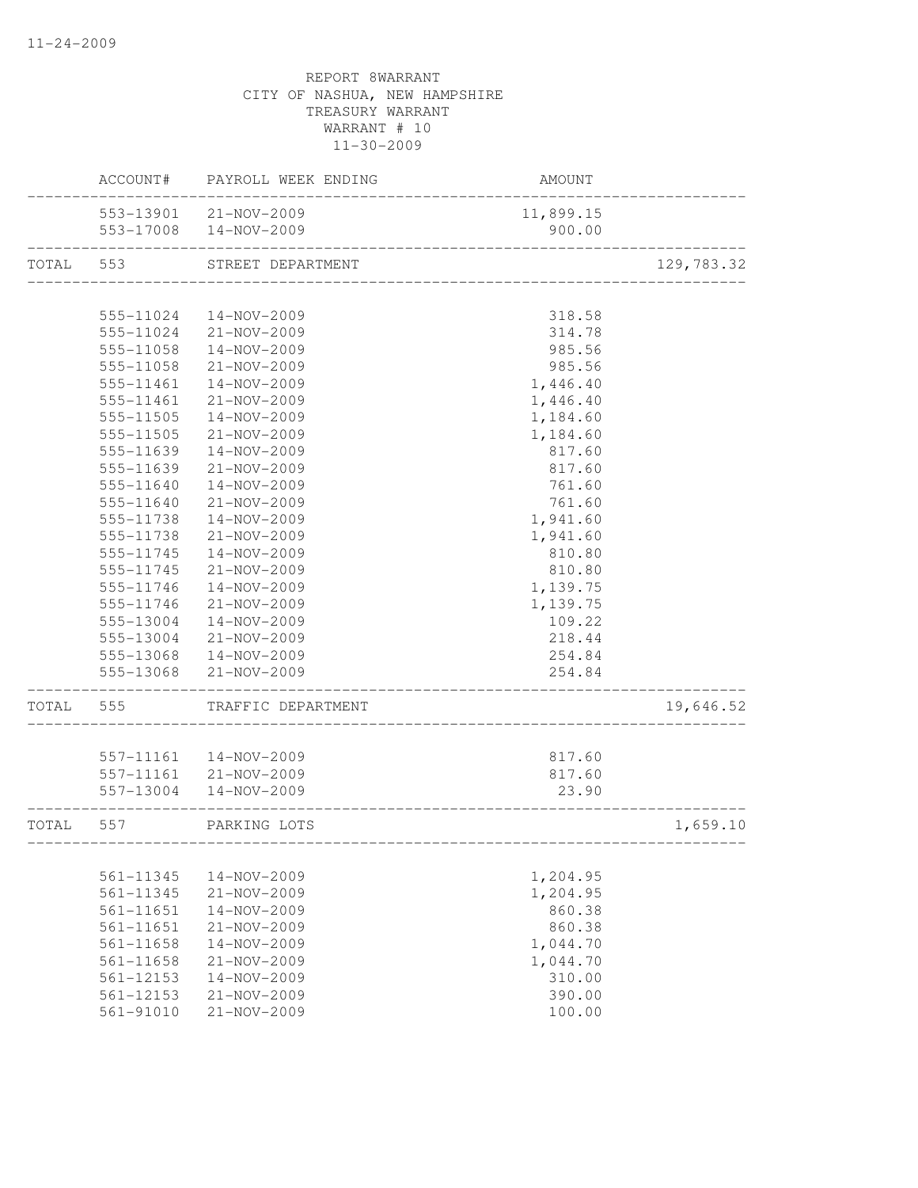|       | ACCOUNT#               | PAYROLL WEEK ENDING              | AMOUNT           |            |
|-------|------------------------|----------------------------------|------------------|------------|
|       |                        | 553-13901 21-NOV-2009            | 11,899.15        |            |
|       | 553-17008              | 14-NOV-2009                      | 900.00           |            |
| TOTAL | 553                    | STREET DEPARTMENT                |                  | 129,783.32 |
|       |                        |                                  |                  |            |
|       | 555-11024              | 14-NOV-2009                      | 318.58           |            |
|       | 555-11024              | 21-NOV-2009                      | 314.78           |            |
|       | 555-11058              | 14-NOV-2009                      | 985.56           |            |
|       | 555-11058              | 21-NOV-2009                      | 985.56           |            |
|       | 555-11461              | $14 - NOV - 2009$                | 1,446.40         |            |
|       | 555-11461              | 21-NOV-2009                      | 1,446.40         |            |
|       | 555-11505              | 14-NOV-2009                      | 1,184.60         |            |
|       | 555-11505              | 21-NOV-2009                      | 1,184.60         |            |
|       | 555-11639              | 14-NOV-2009                      | 817.60           |            |
|       | 555-11639              | 21-NOV-2009                      | 817.60           |            |
|       | 555-11640              | $14 - NOV - 2009$                | 761.60           |            |
|       | 555-11640              | 21-NOV-2009                      | 761.60           |            |
|       | 555-11738              | 14-NOV-2009                      | 1,941.60         |            |
|       | 555-11738              | 21-NOV-2009                      | 1,941.60         |            |
|       | 555-11745              | 14-NOV-2009                      | 810.80           |            |
|       | 555-11745              | 21-NOV-2009                      | 810.80           |            |
|       | 555-11746              | 14-NOV-2009                      | 1,139.75         |            |
|       | 555-11746              | 21-NOV-2009                      | 1,139.75         |            |
|       | 555-13004              | 14-NOV-2009                      | 109.22           |            |
|       | 555-13004              | 21-NOV-2009                      | 218.44           |            |
|       | 555-13068              | 14-NOV-2009                      | 254.84           |            |
|       | 555-13068              | 21-NOV-2009                      | 254.84           |            |
| TOTAL | 555                    | TRAFFIC DEPARTMENT               |                  | 19,646.52  |
|       |                        |                                  |                  |            |
|       | 557-11161              | 14-NOV-2009                      | 817.60           |            |
|       | 557-11161              | 21-NOV-2009<br>14-NOV-2009       | 817.60           |            |
|       | 557-13004              |                                  | 23.90            |            |
| TOTAL | 557                    | PARKING LOTS                     |                  | 1,659.10   |
|       |                        |                                  |                  |            |
|       | 561-11345              | 14-NOV-2009                      | 1,204.95         |            |
|       | 561-11345              | 21-NOV-2009                      | 1,204.95         |            |
|       | 561-11651<br>561-11651 | 14-NOV-2009<br>$21 - NOV - 2009$ | 860.38<br>860.38 |            |
|       | 561-11658              | 14-NOV-2009                      | 1,044.70         |            |
|       | 561-11658              | 21-NOV-2009                      | 1,044.70         |            |
|       | 561-12153              | 14-NOV-2009                      | 310.00           |            |
|       | 561-12153              | 21-NOV-2009                      | 390.00           |            |
|       | 561-91010              | 21-NOV-2009                      | 100.00           |            |
|       |                        |                                  |                  |            |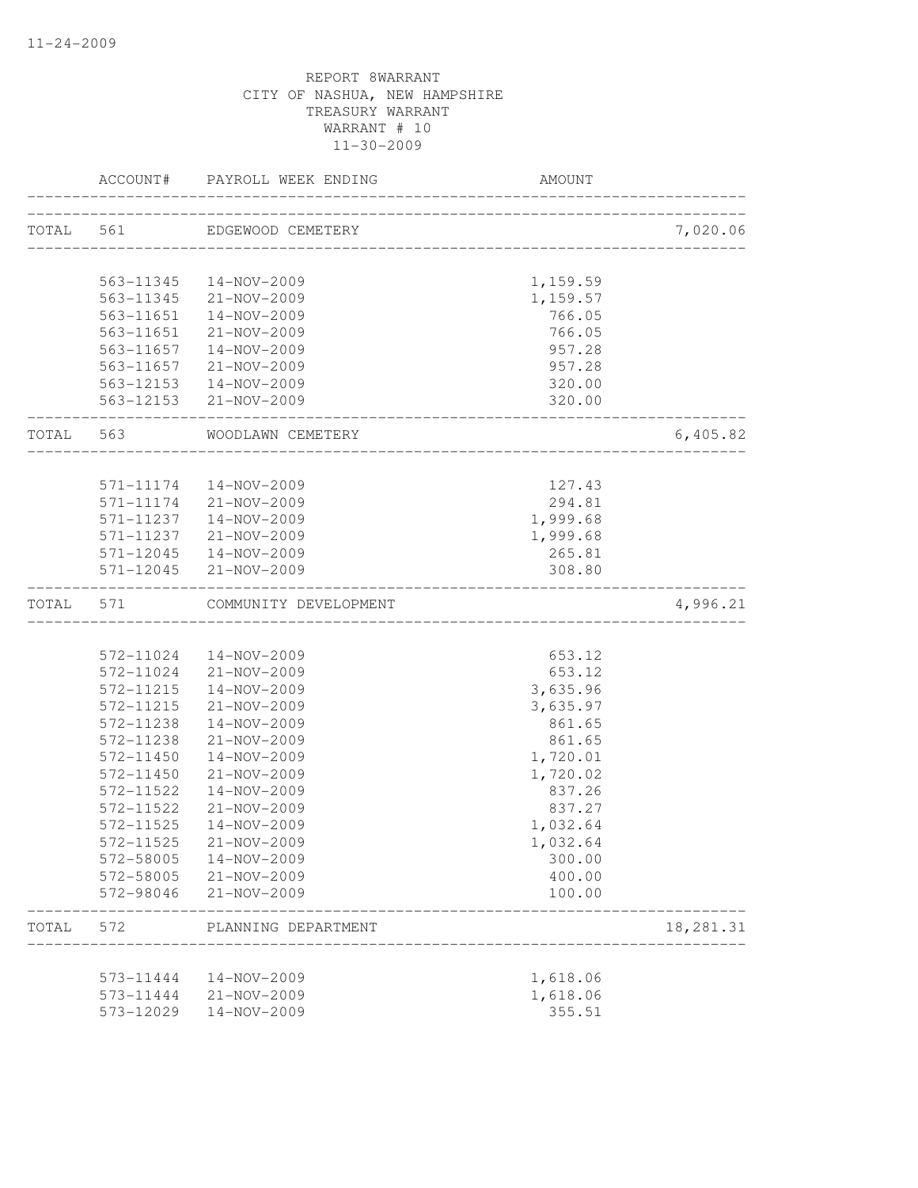|           | ACCOUNT#  | PAYROLL WEEK ENDING                  | <b>AMOUNT</b>         |           |
|-----------|-----------|--------------------------------------|-----------------------|-----------|
| TOTAL 561 |           | EDGEWOOD CEMETERY                    |                       | 7,020.06  |
|           |           |                                      |                       |           |
|           | 563-11345 | 14-NOV-2009                          | 1,159.59              |           |
|           |           | 563-11345 21-NOV-2009                | 1,159.57              |           |
|           | 563-11651 | 14-NOV-2009                          | 766.05                |           |
|           | 563-11651 | 21-NOV-2009                          | 766.05                |           |
|           | 563-11657 | 14-NOV-2009                          | 957.28                |           |
|           |           | 563-11657 21-NOV-2009                | 957.28                |           |
|           |           | 563-12153  14-NOV-2009               | 320.00                |           |
|           |           | 563-12153 21-NOV-2009                | 320.00                |           |
| TOTAL 563 |           | WOODLAWN CEMETERY                    | _____________________ | 6,405.82  |
|           | 571-11174 |                                      | 127.43                |           |
|           | 571-11174 | 14-NOV-2009<br>21-NOV-2009           | 294.81                |           |
|           | 571-11237 |                                      |                       |           |
|           |           | 14-NOV-2009<br>571-11237 21-NOV-2009 | 1,999.68              |           |
|           |           | 571-12045  14-NOV-2009               | 1,999.68              |           |
|           | 571-12045 | 21-NOV-2009                          | 265.81<br>308.80      |           |
| TOTAL     | 571       | COMMUNITY DEVELOPMENT                |                       | 4,996.21  |
|           |           |                                      |                       |           |
|           | 572-11024 | 14-NOV-2009                          | 653.12                |           |
|           |           | 572-11024 21-NOV-2009                | 653.12                |           |
|           | 572-11215 | 14-NOV-2009                          | 3,635.96              |           |
|           | 572-11215 | 21-NOV-2009                          | 3,635.97              |           |
|           | 572-11238 | 14-NOV-2009                          | 861.65                |           |
|           | 572-11238 | $21 - NOV - 2009$                    | 861.65                |           |
|           | 572-11450 | 14-NOV-2009                          | 1,720.01              |           |
|           | 572-11450 | $21 - NOV - 2009$                    | 1,720.02              |           |
|           | 572-11522 | 14-NOV-2009                          | 837.26                |           |
|           | 572-11522 | $21 - NOV - 2009$                    | 837.27                |           |
|           | 572-11525 | $14 - NOV - 2009$                    | 1,032.64              |           |
|           | 572-11525 | 21-NOV-2009                          | 1,032.64              |           |
|           | 572-58005 | 14-NOV-2009                          | 300.00                |           |
|           | 572-58005 | 21-NOV-2009                          | 400.00                |           |
|           | 572-98046 | 21-NOV-2009                          | 100.00                |           |
| TOTAL     | 572       | PLANNING DEPARTMENT                  |                       | 18,281.31 |
|           |           |                                      |                       |           |
|           | 573-11444 | 14-NOV-2009                          | 1,618.06              |           |
|           | 573-11444 | 21-NOV-2009                          | 1,618.06              |           |
|           | 573-12029 | 14-NOV-2009                          | 355.51                |           |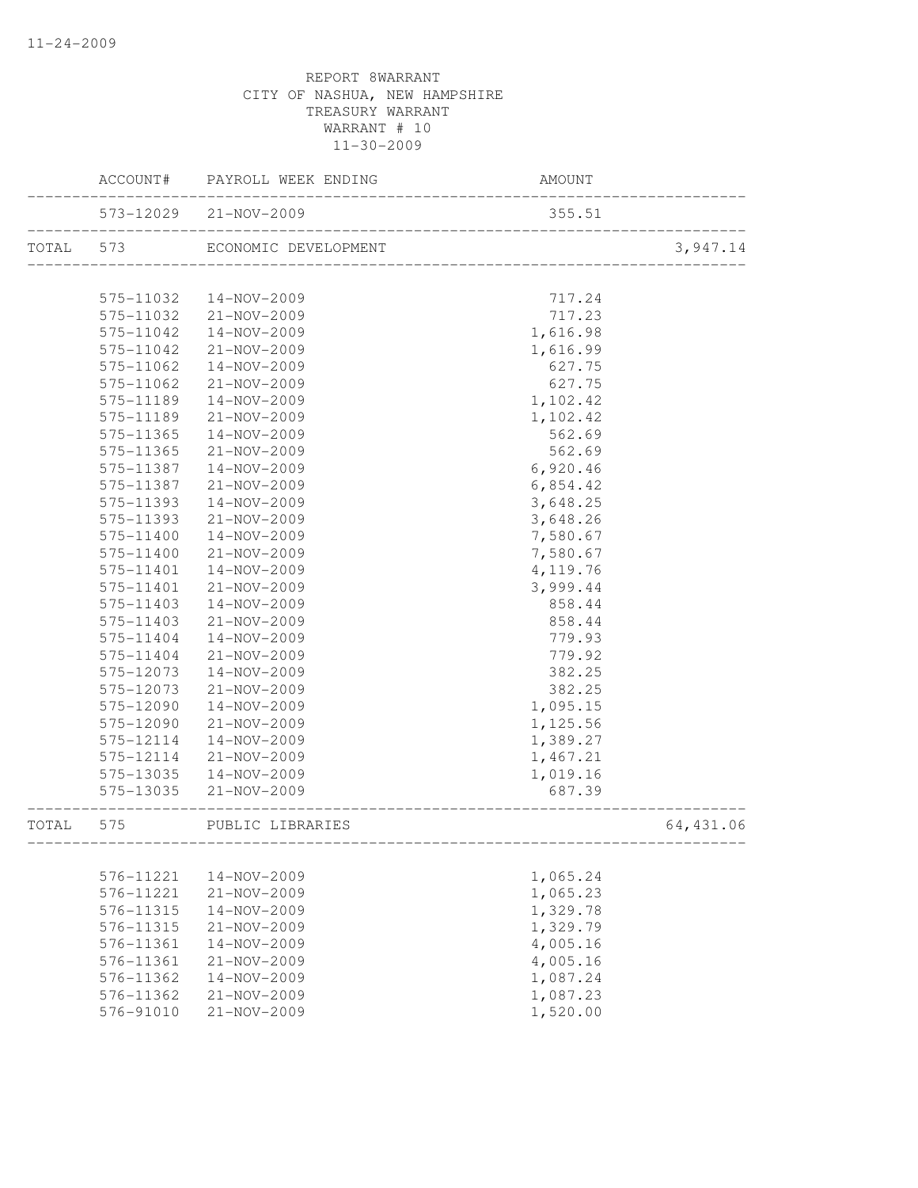|           | ACCOUNT#  | PAYROLL WEEK ENDING   | AMOUNT                                 |           |
|-----------|-----------|-----------------------|----------------------------------------|-----------|
|           |           | 573-12029 21-NOV-2009 | 355.51                                 |           |
| TOTAL 573 |           | ECONOMIC DEVELOPMENT  | L<br>--------------------------------- | 3,947.14  |
|           |           |                       |                                        |           |
|           | 575-11032 | 14-NOV-2009           | 717.24                                 |           |
|           | 575-11032 | 21-NOV-2009           | 717.23                                 |           |
|           | 575-11042 | 14-NOV-2009           | 1,616.98                               |           |
|           | 575-11042 | 21-NOV-2009           | 1,616.99                               |           |
|           | 575-11062 | 14-NOV-2009           | 627.75                                 |           |
|           | 575-11062 | 21-NOV-2009           | 627.75                                 |           |
|           | 575-11189 | 14-NOV-2009           | 1,102.42                               |           |
|           | 575-11189 | 21-NOV-2009           | 1,102.42                               |           |
|           | 575-11365 | 14-NOV-2009           | 562.69                                 |           |
|           | 575-11365 | 21-NOV-2009           | 562.69                                 |           |
|           | 575-11387 | 14-NOV-2009           | 6,920.46                               |           |
|           | 575-11387 | 21-NOV-2009           | 6,854.42                               |           |
|           | 575-11393 | 14-NOV-2009           | 3,648.25                               |           |
|           | 575-11393 | 21-NOV-2009           | 3,648.26                               |           |
|           | 575-11400 | 14-NOV-2009           | 7,580.67                               |           |
|           | 575-11400 | 21-NOV-2009           | 7,580.67                               |           |
|           | 575-11401 | 14-NOV-2009           | 4, 119.76                              |           |
|           | 575-11401 | 21-NOV-2009           | 3,999.44                               |           |
|           | 575-11403 | 14-NOV-2009           | 858.44                                 |           |
|           | 575-11403 | 21-NOV-2009           | 858.44                                 |           |
|           | 575-11404 | 14-NOV-2009           | 779.93                                 |           |
|           | 575-11404 | 21-NOV-2009           | 779.92                                 |           |
|           | 575-12073 | 14-NOV-2009           | 382.25                                 |           |
|           | 575-12073 | 21-NOV-2009           | 382.25                                 |           |
|           | 575-12090 | 14-NOV-2009           | 1,095.15                               |           |
|           | 575-12090 | 21-NOV-2009           | 1,125.56                               |           |
|           | 575-12114 | 14-NOV-2009           | 1,389.27                               |           |
|           | 575-12114 | 21-NOV-2009           | 1,467.21                               |           |
|           | 575-13035 | 14-NOV-2009           | 1,019.16                               |           |
|           | 575-13035 | 21-NOV-2009           | 687.39                                 |           |
| TOTAL     | 575       | PUBLIC LIBRARIES      |                                        | 64,431.06 |
|           |           |                       |                                        |           |
|           | 576-11221 | 14-NOV-2009           | 1,065.24                               |           |
|           | 576-11221 | $21 - NOV - 2009$     | 1,065.23                               |           |
|           | 576-11315 | 14-NOV-2009           | 1,329.78                               |           |
|           | 576-11315 | 21-NOV-2009           | 1,329.79                               |           |
|           | 576-11361 | 14-NOV-2009           | 4,005.16                               |           |
|           | 576-11361 | 21-NOV-2009           | 4,005.16                               |           |
|           | 576-11362 | 14-NOV-2009           | 1,087.24                               |           |
|           | 576-11362 | 21-NOV-2009           | 1,087.23                               |           |
|           | 576-91010 | 21-NOV-2009           | 1,520.00                               |           |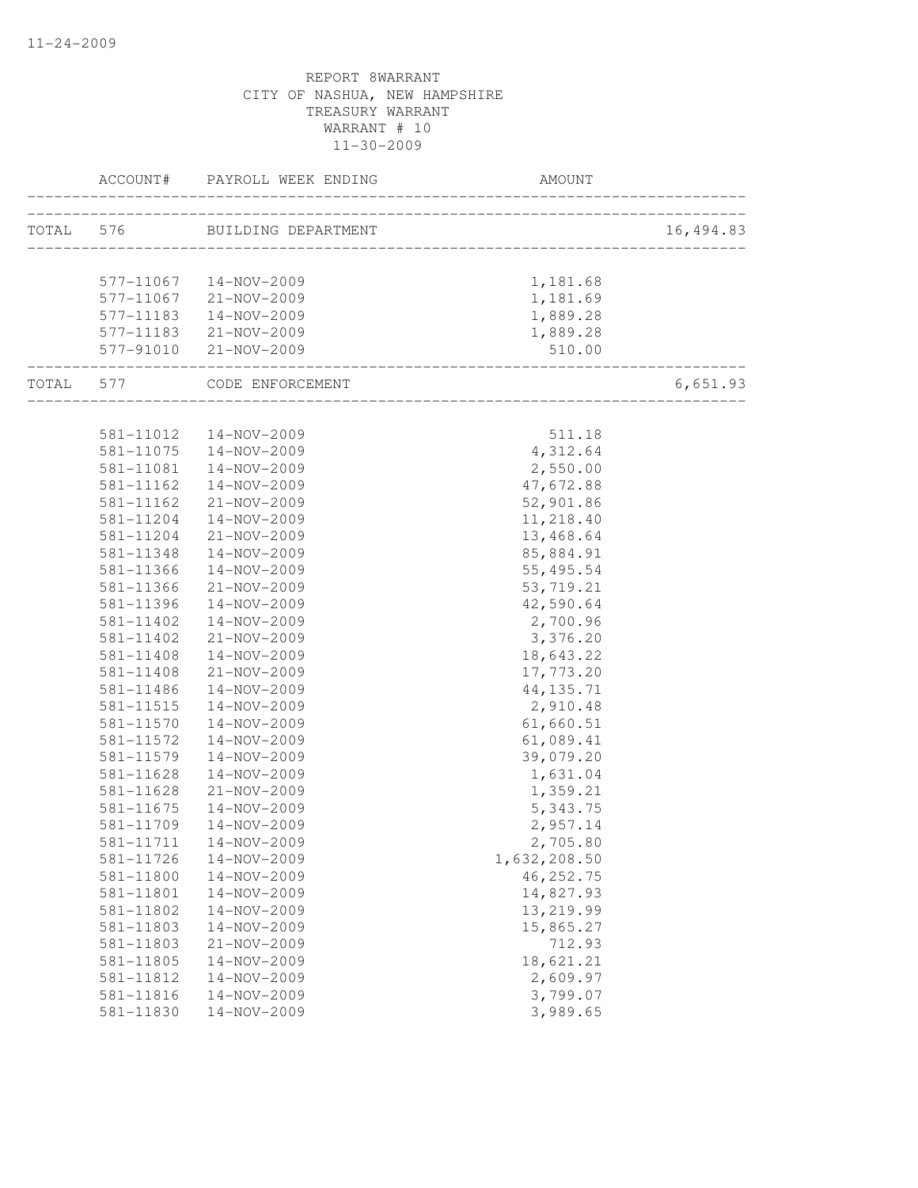|                                | ACCOUNT# PAYROLL WEEK ENDING  | <b>AMOUNT</b>                       |           |
|--------------------------------|-------------------------------|-------------------------------------|-----------|
|                                | TOTAL 576 BUILDING DEPARTMENT | ___________________________________ | 16,494.83 |
|                                |                               |                                     |           |
|                                | 577-11067  14-NOV-2009        | 1,181.68                            |           |
|                                | 577-11067 21-NOV-2009         | 1,181.69                            |           |
|                                | 577-11183  14-NOV-2009        | 1,889.28                            |           |
|                                | 577-11183 21-NOV-2009         | 1,889.28                            |           |
| 577-91010<br>_________________ | 21-NOV-2009                   | 510.00                              |           |
|                                | TOTAL 577 CODE ENFORCEMENT    | __________________________          | 6,651.93  |
|                                |                               |                                     |           |
| 581-11012<br>581-11075         | 14-NOV-2009                   | 511.18                              |           |
| 581-11081                      | 14-NOV-2009<br>14-NOV-2009    | 4,312.64<br>2,550.00                |           |
| 581-11162                      | 14-NOV-2009                   | 47,672.88                           |           |
| 581-11162                      | 21-NOV-2009                   | 52,901.86                           |           |
| 581-11204                      | 14-NOV-2009                   | 11,218.40                           |           |
| 581-11204                      | 21-NOV-2009                   | 13,468.64                           |           |
| 581-11348                      | 14-NOV-2009                   | 85,884.91                           |           |
| 581-11366                      | 14-NOV-2009                   | 55, 495.54                          |           |
| 581-11366                      | 21-NOV-2009                   | 53, 719.21                          |           |
| 581-11396                      | 14-NOV-2009                   | 42,590.64                           |           |
| 581-11402                      | 14-NOV-2009                   | 2,700.96                            |           |
| 581-11402                      | 21-NOV-2009                   | 3,376.20                            |           |
| 581-11408                      | 14-NOV-2009                   | 18,643.22                           |           |
| $581 - 11408$                  | $21 - NOV - 2009$             | 17,773.20                           |           |
| 581-11486                      | 14-NOV-2009                   | 44, 135.71                          |           |
| 581-11515                      | 14-NOV-2009                   | 2,910.48                            |           |
| 581-11570                      | 14-NOV-2009                   | 61,660.51                           |           |
| 581-11572                      | 14-NOV-2009                   | 61,089.41                           |           |
| 581-11579                      | 14-NOV-2009                   | 39,079.20                           |           |
| 581-11628                      | 14-NOV-2009                   | 1,631.04                            |           |
| 581-11628                      | $21 - NOV - 2009$             | 1,359.21                            |           |
| 581-11675                      | 14-NOV-2009                   | 5,343.75                            |           |
| 581-11709                      | 14-NOV-2009                   | 2,957.14                            |           |
| 581-11711                      | 14-NOV-2009                   | 2,705.80                            |           |
| 581-11726                      | 14-NOV-2009                   | 1,632,208.50                        |           |
| 581-11800                      | 14-NOV-2009                   | 46, 252.75                          |           |
| 581-11801                      | 14-NOV-2009                   | 14,827.93                           |           |
| 581-11802                      | 14-NOV-2009                   | 13,219.99                           |           |
| 581-11803                      | 14-NOV-2009                   | 15,865.27                           |           |
| 581-11803                      | $21 - NOV - 2009$             | 712.93                              |           |
| 581-11805                      | 14-NOV-2009                   | 18,621.21                           |           |
| 581-11812                      | 14-NOV-2009                   | 2,609.97                            |           |
| 581-11816                      | 14-NOV-2009                   | 3,799.07                            |           |
| 581-11830                      | 14-NOV-2009                   | 3,989.65                            |           |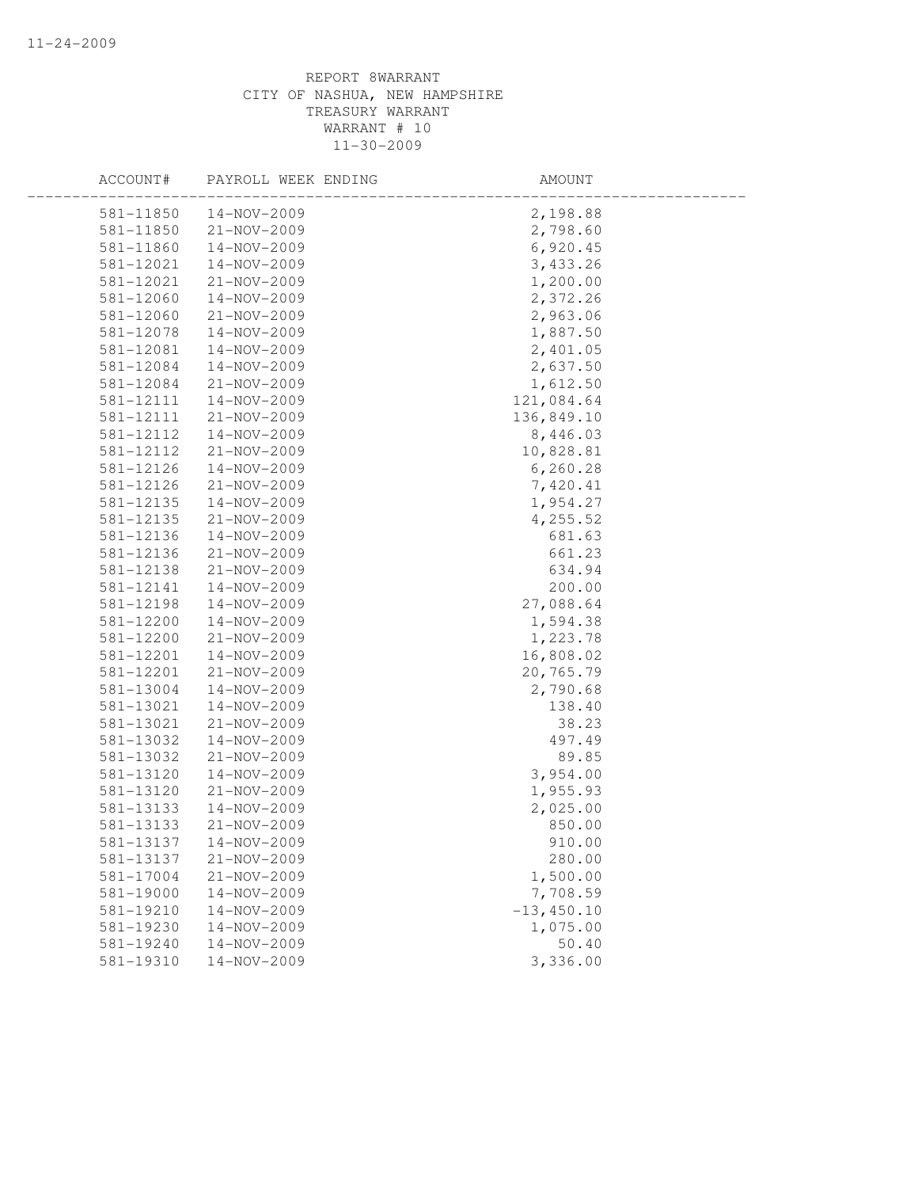| ACCOUNT#      | PAYROLL WEEK ENDING | AMOUNT        |  |
|---------------|---------------------|---------------|--|
| 581-11850     | 14-NOV-2009         | 2,198.88      |  |
| 581-11850     | 21-NOV-2009         | 2,798.60      |  |
| 581-11860     | 14-NOV-2009         | 6,920.45      |  |
| 581-12021     | 14-NOV-2009         | 3,433.26      |  |
| 581-12021     | 21-NOV-2009         | 1,200.00      |  |
| 581-12060     | 14-NOV-2009         | 2,372.26      |  |
| 581-12060     | 21-NOV-2009         | 2,963.06      |  |
| 581-12078     | 14-NOV-2009         | 1,887.50      |  |
| 581-12081     | 14-NOV-2009         | 2,401.05      |  |
| 581-12084     | 14-NOV-2009         | 2,637.50      |  |
| 581-12084     | 21-NOV-2009         | 1,612.50      |  |
| 581-12111     | 14-NOV-2009         | 121,084.64    |  |
| 581-12111     | $21 - NOV - 2009$   | 136,849.10    |  |
| 581-12112     | 14-NOV-2009         | 8,446.03      |  |
| 581-12112     | 21-NOV-2009         | 10,828.81     |  |
| 581-12126     | 14-NOV-2009         | 6,260.28      |  |
| 581-12126     | 21-NOV-2009         | 7,420.41      |  |
| 581-12135     | $14 - NOV - 2009$   | 1,954.27      |  |
| 581-12135     | 21-NOV-2009         | 4,255.52      |  |
| 581-12136     | 14-NOV-2009         | 681.63        |  |
| 581-12136     | 21-NOV-2009         | 661.23        |  |
| 581-12138     | 21-NOV-2009         | 634.94        |  |
| 581-12141     | 14-NOV-2009         | 200.00        |  |
| 581-12198     | $14 - NOV - 2009$   | 27,088.64     |  |
| 581-12200     | 14-NOV-2009         | 1,594.38      |  |
| 581-12200     | 21-NOV-2009         | 1,223.78      |  |
| 581-12201     | $14 - NOV - 2009$   | 16,808.02     |  |
| 581-12201     | 21-NOV-2009         | 20,765.79     |  |
| 581-13004     | 14-NOV-2009         | 2,790.68      |  |
| 581-13021     | 14-NOV-2009         | 138.40        |  |
| 581-13021     | $21 - NOV - 2009$   | 38.23         |  |
| 581-13032     | 14-NOV-2009         | 497.49        |  |
| 581-13032     | 21-NOV-2009         | 89.85         |  |
| 581-13120     | 14-NOV-2009         | 3,954.00      |  |
| 581-13120     | 21-NOV-2009         | 1,955.93      |  |
| 581-13133     | 14-NOV-2009         | 2,025.00      |  |
| 581-13133     | 21-NOV-2009         | 850.00        |  |
| 581-13137     | 14-NOV-2009         | 910.00        |  |
| 581-13137     | 21-NOV-2009         | 280.00        |  |
| $581 - 17004$ | $21 - NOV - 2009$   | 1,500.00      |  |
| 581-19000     | 14-NOV-2009         | 7,708.59      |  |
| 581-19210     | 14-NOV-2009         | $-13, 450.10$ |  |
| 581-19230     | 14-NOV-2009         | 1,075.00      |  |
| 581-19240     | 14-NOV-2009         | 50.40         |  |
| 581-19310     | 14-NOV-2009         | 3,336.00      |  |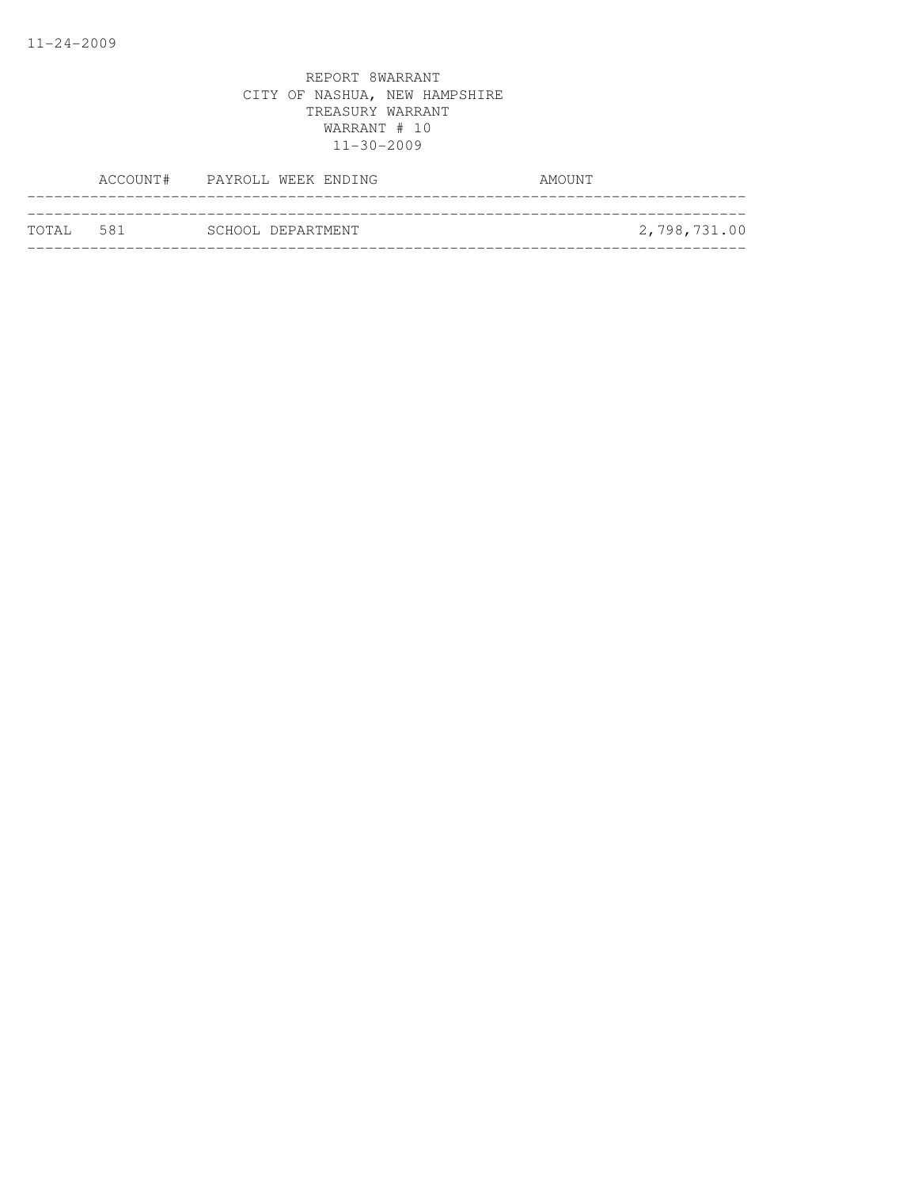|           | ACCOUNT# PAYROLL WEEK ENDING | AMOUNT       |
|-----------|------------------------------|--------------|
|           |                              |              |
| TOTAL 581 | SCHOOL DEPARTMENT            | 2,798,731.00 |
|           |                              |              |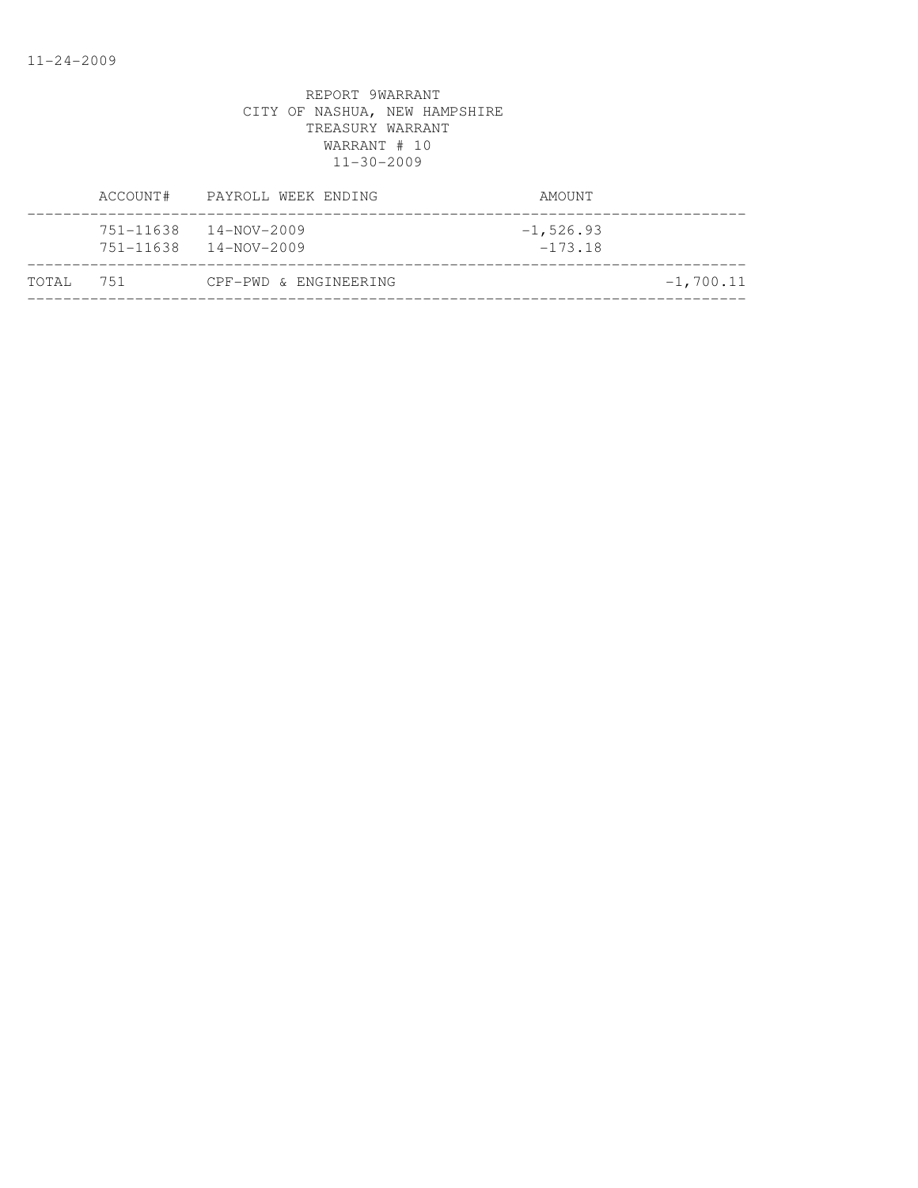|           | ACCOUNT#               | PAYROLL WEEK ENDING              | AMOUNT                    |  |
|-----------|------------------------|----------------------------------|---------------------------|--|
|           | 751-11638<br>751-11638 | 14-NOV-2009<br>$14 - NOV - 2009$ | $-1, 526.93$<br>$-173.18$ |  |
| TOTAL 751 |                        | CPF-PWD & ENGINEERING            | $-1,700.11$               |  |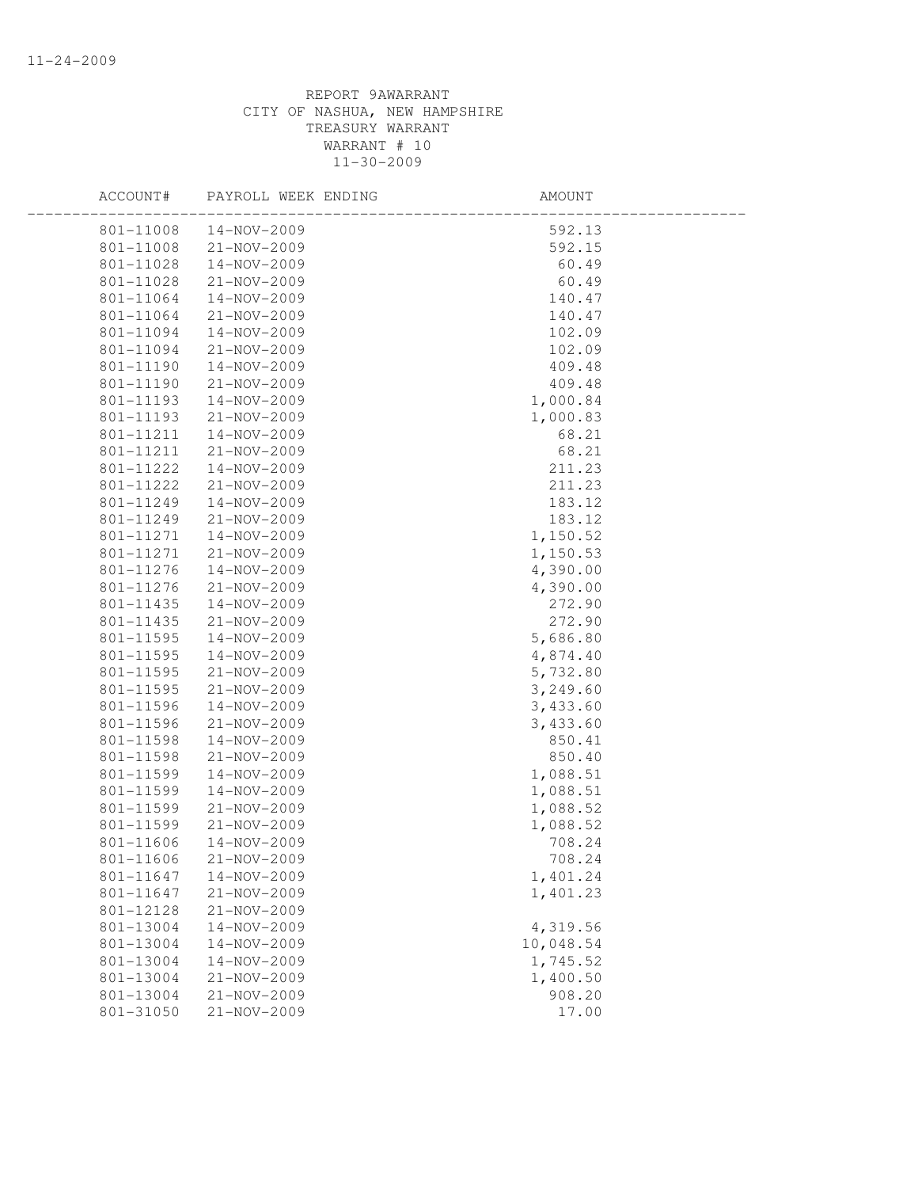| ACCOUNT#  | PAYROLL WEEK ENDING | AMOUNT    |  |
|-----------|---------------------|-----------|--|
| 801-11008 | 14-NOV-2009         | 592.13    |  |
| 801-11008 | 21-NOV-2009         | 592.15    |  |
| 801-11028 | 14-NOV-2009         | 60.49     |  |
| 801-11028 | 21-NOV-2009         | 60.49     |  |
| 801-11064 | 14-NOV-2009         | 140.47    |  |
| 801-11064 | 21-NOV-2009         | 140.47    |  |
| 801-11094 | 14-NOV-2009         | 102.09    |  |
| 801-11094 | 21-NOV-2009         | 102.09    |  |
| 801-11190 | 14-NOV-2009         | 409.48    |  |
| 801-11190 | 21-NOV-2009         | 409.48    |  |
| 801-11193 | 14-NOV-2009         | 1,000.84  |  |
| 801-11193 | $21 - NOV - 2009$   | 1,000.83  |  |
| 801-11211 | 14-NOV-2009         | 68.21     |  |
| 801-11211 | 21-NOV-2009         | 68.21     |  |
| 801-11222 | 14-NOV-2009         | 211.23    |  |
| 801-11222 | 21-NOV-2009         | 211.23    |  |
| 801-11249 | 14-NOV-2009         | 183.12    |  |
| 801-11249 | 21-NOV-2009         | 183.12    |  |
| 801-11271 | $14 - NOV - 2009$   | 1,150.52  |  |
| 801-11271 | 21-NOV-2009         | 1,150.53  |  |
| 801-11276 | $14 - NOV - 2009$   | 4,390.00  |  |
| 801-11276 | $21 - NOV - 2009$   | 4,390.00  |  |
| 801-11435 | 14-NOV-2009         | 272.90    |  |
| 801-11435 | 21-NOV-2009         | 272.90    |  |
| 801-11595 | 14-NOV-2009         | 5,686.80  |  |
| 801-11595 | 14-NOV-2009         | 4,874.40  |  |
| 801-11595 | 21-NOV-2009         | 5,732.80  |  |
| 801-11595 | 21-NOV-2009         | 3,249.60  |  |
| 801-11596 | 14-NOV-2009         | 3,433.60  |  |
| 801-11596 | 21-NOV-2009         | 3,433.60  |  |
| 801-11598 | 14-NOV-2009         | 850.41    |  |
| 801-11598 | $21 - NOV - 2009$   | 850.40    |  |
| 801-11599 | 14-NOV-2009         | 1,088.51  |  |
| 801-11599 | 14-NOV-2009         | 1,088.51  |  |
| 801-11599 | 21-NOV-2009         | 1,088.52  |  |
| 801-11599 | 21-NOV-2009         | 1,088.52  |  |
| 801-11606 | 14-NOV-2009         | 708.24    |  |
| 801-11606 | $21 - NOV - 2009$   | 708.24    |  |
| 801-11647 | 14-NOV-2009         | 1,401.24  |  |
| 801-11647 | $21 - NOV - 2009$   | 1,401.23  |  |
| 801-12128 | 21-NOV-2009         |           |  |
| 801-13004 | 14-NOV-2009         | 4,319.56  |  |
| 801-13004 | 14-NOV-2009         | 10,048.54 |  |
| 801-13004 | 14-NOV-2009         | 1,745.52  |  |
| 801-13004 | 21-NOV-2009         | 1,400.50  |  |
| 801-13004 | 21-NOV-2009         | 908.20    |  |
| 801-31050 | 21-NOV-2009         | 17.00     |  |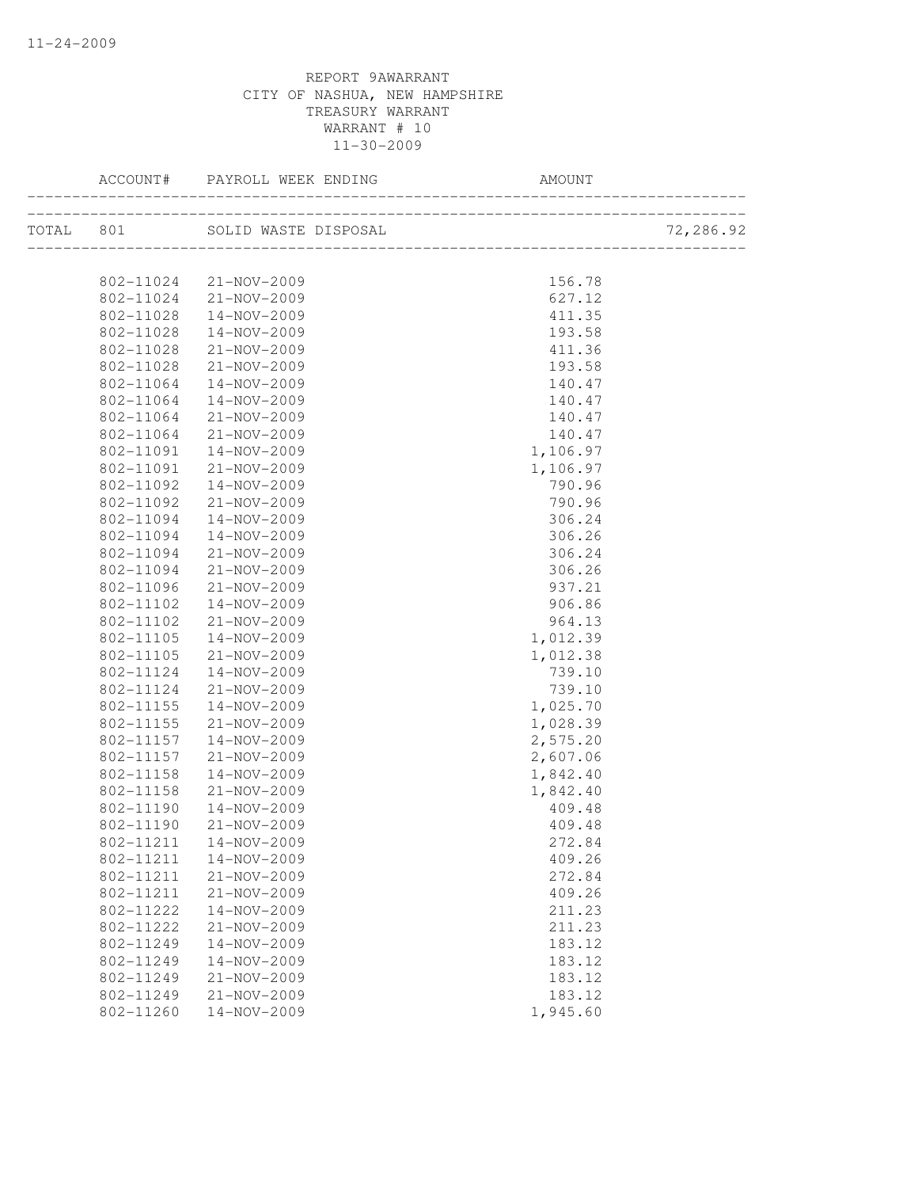|           | ACCOUNT#  | PAYROLL WEEK ENDING  | AMOUNT                                   |           |
|-----------|-----------|----------------------|------------------------------------------|-----------|
| TOTAL 801 |           | SOLID WASTE DISPOSAL | L<br>___________________________________ | 72,286.92 |
|           |           |                      |                                          |           |
|           | 802-11024 | 21-NOV-2009          | 156.78                                   |           |
|           | 802-11024 | 21-NOV-2009          | 627.12                                   |           |
|           | 802-11028 | 14-NOV-2009          | 411.35                                   |           |
|           | 802-11028 | 14-NOV-2009          | 193.58                                   |           |
|           | 802-11028 | 21-NOV-2009          | 411.36                                   |           |
|           | 802-11028 | 21-NOV-2009          | 193.58                                   |           |
|           | 802-11064 | 14-NOV-2009          | 140.47                                   |           |
|           | 802-11064 | 14-NOV-2009          | 140.47                                   |           |
|           | 802-11064 | 21-NOV-2009          | 140.47                                   |           |
|           | 802-11064 | 21-NOV-2009          | 140.47                                   |           |
|           | 802-11091 | 14-NOV-2009          | 1,106.97                                 |           |
|           | 802-11091 | 21-NOV-2009          | 1,106.97                                 |           |
|           | 802-11092 | 14-NOV-2009          | 790.96                                   |           |
|           | 802-11092 | $21 - NOV - 2009$    | 790.96                                   |           |
|           | 802-11094 | 14-NOV-2009          | 306.24                                   |           |
|           | 802-11094 | 14-NOV-2009          | 306.26                                   |           |
|           | 802-11094 | $21 - NOV - 2009$    | 306.24                                   |           |
|           | 802-11094 | 21-NOV-2009          | 306.26                                   |           |
|           | 802-11096 | 21-NOV-2009          | 937.21                                   |           |
|           | 802-11102 | 14-NOV-2009          | 906.86                                   |           |
|           | 802-11102 | 21-NOV-2009          | 964.13                                   |           |
|           | 802-11105 | 14-NOV-2009          | 1,012.39                                 |           |
|           | 802-11105 | $21 - NOV - 2009$    | 1,012.38                                 |           |
|           | 802-11124 | 14-NOV-2009          | 739.10                                   |           |
|           | 802-11124 | 21-NOV-2009          | 739.10                                   |           |
|           | 802-11155 | 14-NOV-2009          | 1,025.70                                 |           |
|           | 802-11155 | 21-NOV-2009          | 1,028.39                                 |           |
|           | 802-11157 | 14-NOV-2009          | 2,575.20                                 |           |
|           | 802-11157 | 21-NOV-2009          | 2,607.06                                 |           |
|           | 802-11158 | 14-NOV-2009          | 1,842.40                                 |           |
|           | 802-11158 | 21-NOV-2009          | 1,842.40                                 |           |
|           | 802-11190 | 14-NOV-2009          | 409.48                                   |           |
|           | 802-11190 | $21 - NOV - 2009$    | 409.48                                   |           |
|           | 802-11211 | 14-NOV-2009          | 272.84                                   |           |
|           | 802-11211 | 14-NOV-2009          | 409.26                                   |           |
|           | 802-11211 | 21-NOV-2009          | 272.84                                   |           |
|           | 802-11211 | 21-NOV-2009          | 409.26                                   |           |
|           | 802-11222 | 14-NOV-2009          | 211.23                                   |           |
|           | 802-11222 | 21-NOV-2009          | 211.23                                   |           |
|           | 802-11249 | 14-NOV-2009          | 183.12                                   |           |
|           | 802-11249 | 14-NOV-2009          | 183.12                                   |           |
|           | 802-11249 | 21-NOV-2009          | 183.12                                   |           |
|           | 802-11249 | 21-NOV-2009          | 183.12                                   |           |
|           | 802-11260 | 14-NOV-2009          | 1,945.60                                 |           |